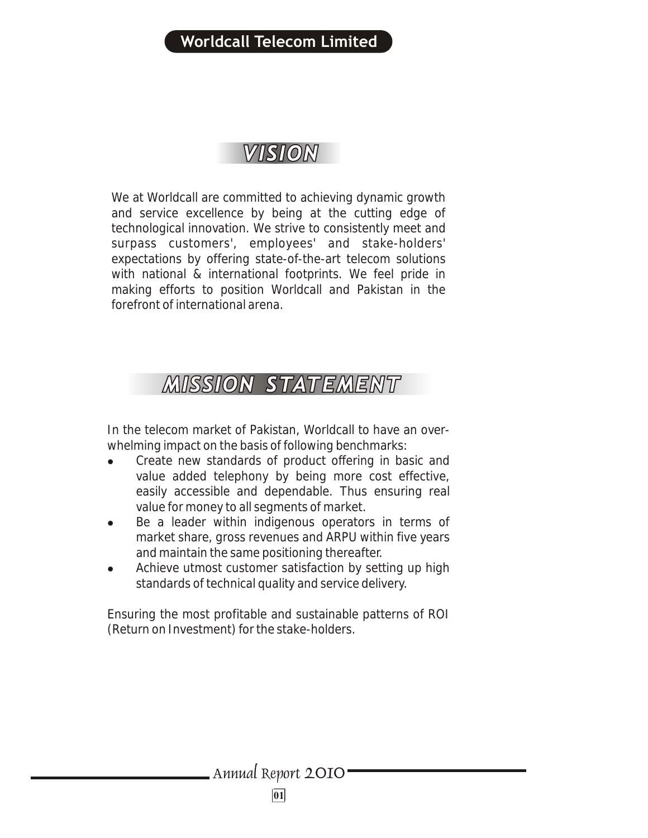## **VISION**

We at Worldcall are committed to achieving dynamic growth and service excellence by being at the cutting edge of technological innovation. We strive to consistently meet and surpass customers', employees' and stake-holders' expectations by offering state-of-the-art telecom solutions with national & international footprints. We feel pride in making efforts to position Worldcall and Pakistan in the forefront of international arena.

## **MISSION STATEMENT**

In the telecom market of Pakistan, Worldcall to have an overwhelming impact on the basis of following benchmarks:

- Create new standards of product offering in basic and value added telephony by being more cost effective, easily accessible and dependable. Thus ensuring real value for money to all segments of market.
- Be a leader within indigenous operators in terms of market share, gross revenues and ARPU within five years and maintain the same positioning thereafter.
- Achieve utmost customer satisfaction by setting up high standards of technical quality and service delivery.

Ensuring the most profitable and sustainable patterns of ROI (Return on Investment) for the stake-holders.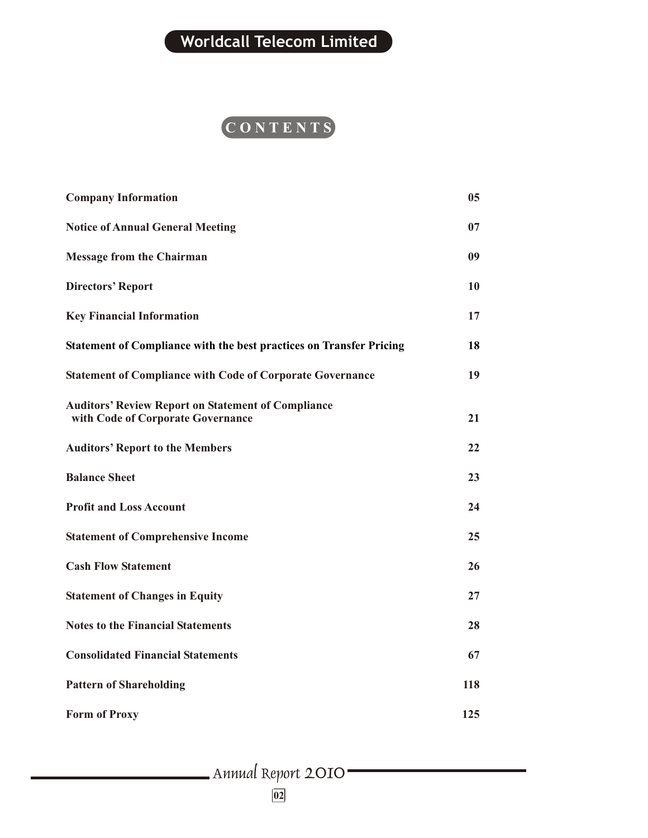## **C O N T E N T S**

| <b>Company Information</b>                                                                     | 05  |
|------------------------------------------------------------------------------------------------|-----|
| <b>Notice of Annual General Meeting</b>                                                        | 07  |
| <b>Message from the Chairman</b>                                                               | 09  |
| <b>Directors' Report</b>                                                                       | 10  |
| <b>Key Financial Information</b>                                                               | 17  |
| Statement of Compliance with the best practices on Transfer Pricing                            | 18  |
| <b>Statement of Compliance with Code of Corporate Governance</b>                               | 19  |
| <b>Auditors' Review Report on Statement of Compliance</b><br>with Code of Corporate Governance | 21  |
| <b>Auditors' Report to the Members</b>                                                         | 22  |
| <b>Balance Sheet</b>                                                                           | 23  |
| <b>Profit and Loss Account</b>                                                                 | 24  |
| <b>Statement of Comprehensive Income</b>                                                       | 25  |
| <b>Cash Flow Statement</b>                                                                     | 26  |
| <b>Statement of Changes in Equity</b>                                                          | 27  |
| <b>Notes to the Financial Statements</b>                                                       | 28  |
| <b>Consolidated Financial Statements</b>                                                       | 67  |
| <b>Pattern of Shareholding</b>                                                                 | 118 |
| <b>Form of Proxy</b>                                                                           | 125 |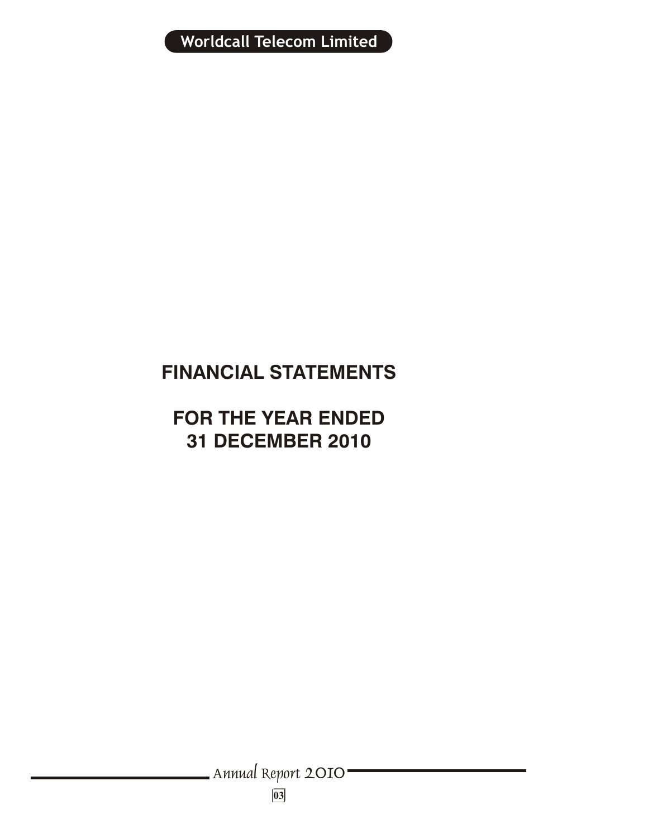## **FINANCIAL STATEMENTS**

## **FOR THE YEAR ENDED 31 DECEMBER 2010**

 $\_$ Annual Report 2010 $\blacksquare$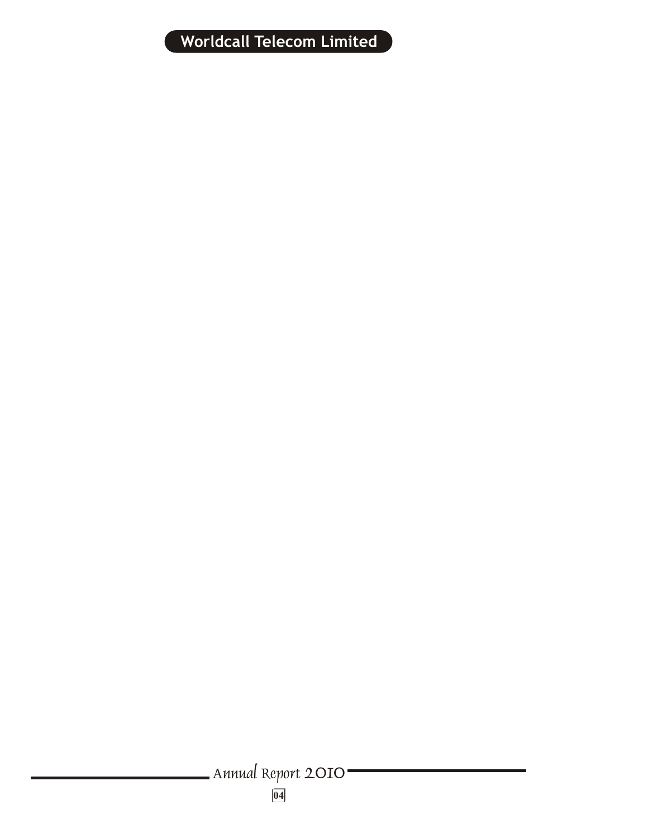$\_$ Annual Report 2010 $-$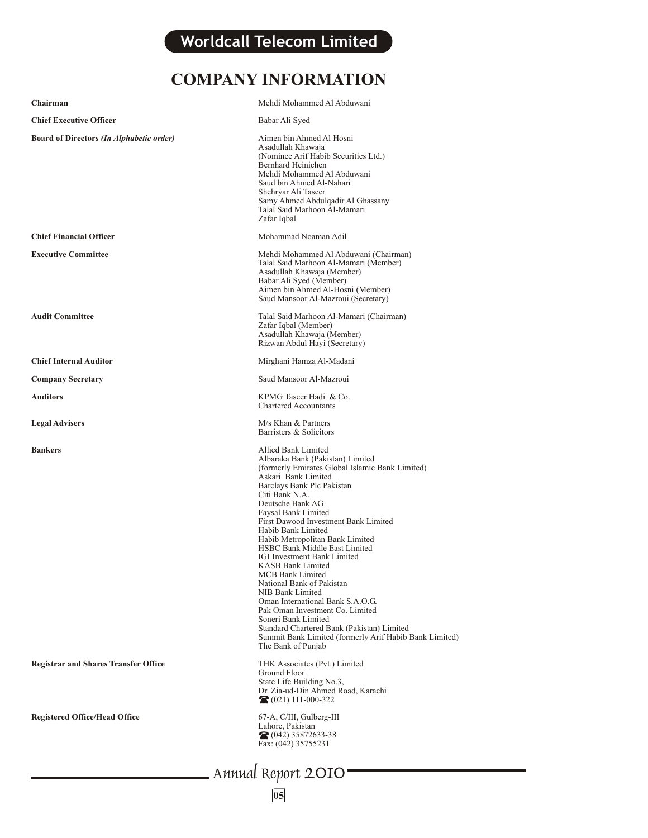## **COMPANY INFORMATION**

| Chairman                                        | Mehdi Mohammed Al Abduwani                                                                                                                                                                                                                                                                                                                                                                                                                                                                                                                                                                                                                                                                                                 |
|-------------------------------------------------|----------------------------------------------------------------------------------------------------------------------------------------------------------------------------------------------------------------------------------------------------------------------------------------------------------------------------------------------------------------------------------------------------------------------------------------------------------------------------------------------------------------------------------------------------------------------------------------------------------------------------------------------------------------------------------------------------------------------------|
| <b>Chief Executive Officer</b>                  | Babar Ali Syed                                                                                                                                                                                                                                                                                                                                                                                                                                                                                                                                                                                                                                                                                                             |
| <b>Board of Directors (In Alphabetic order)</b> | Aimen bin Ahmed Al Hosni<br>Asadullah Khawaja<br>(Nominee Arif Habib Securities Ltd.)<br>Bernhard Heinichen<br>Mehdi Mohammed Al Abduwani<br>Saud bin Ahmed Al-Nahari<br>Shehryar Ali Taseer<br>Samy Ahmed Abdulqadir Al Ghassany<br>Talal Said Marhoon Al-Mamari<br>Zafar Iqbal                                                                                                                                                                                                                                                                                                                                                                                                                                           |
| <b>Chief Financial Officer</b>                  | Mohammad Noaman Adil                                                                                                                                                                                                                                                                                                                                                                                                                                                                                                                                                                                                                                                                                                       |
| <b>Executive Committee</b>                      | Mehdi Mohammed Al Abduwani (Chairman)<br>Talal Said Marhoon Al-Mamari (Member)<br>Asadullah Khawaja (Member)<br>Babar Ali Syed (Member)<br>Aimen bin Ahmed Al-Hosni (Member)<br>Saud Mansoor Al-Mazroui (Secretary)                                                                                                                                                                                                                                                                                                                                                                                                                                                                                                        |
| <b>Audit Committee</b>                          | Talal Said Marhoon Al-Mamari (Chairman)<br>Zafar Iqbal (Member)<br>Asadullah Khawaja (Member)<br>Rizwan Abdul Hayi (Secretary)                                                                                                                                                                                                                                                                                                                                                                                                                                                                                                                                                                                             |
| <b>Chief Internal Auditor</b>                   | Mirghani Hamza Al-Madani                                                                                                                                                                                                                                                                                                                                                                                                                                                                                                                                                                                                                                                                                                   |
| <b>Company Secretary</b>                        | Saud Mansoor Al-Mazroui                                                                                                                                                                                                                                                                                                                                                                                                                                                                                                                                                                                                                                                                                                    |
| <b>Auditors</b>                                 | KPMG Taseer Hadi & Co.<br><b>Chartered Accountants</b>                                                                                                                                                                                                                                                                                                                                                                                                                                                                                                                                                                                                                                                                     |
| <b>Legal Advisers</b>                           | M/s Khan & Partners<br>Barristers & Solicitors                                                                                                                                                                                                                                                                                                                                                                                                                                                                                                                                                                                                                                                                             |
| <b>Bankers</b>                                  | Allied Bank Limited<br>Albaraka Bank (Pakistan) Limited<br>(formerly Emirates Global Islamic Bank Limited)<br>Askari Bank Limited<br>Barclays Bank Plc Pakistan<br>Citi Bank N.A.<br>Deutsche Bank AG<br>Faysal Bank Limited<br>First Dawood Investment Bank Limited<br>Habib Bank Limited<br>Habib Metropolitan Bank Limited<br><b>HSBC Bank Middle East Limited</b><br>IGI Investment Bank Limited<br>KASB Bank Limited<br>MCB Bank Limited<br>National Bank of Pakistan<br>NIB Bank Limited<br>Oman International Bank S.A.O.G.<br>Pak Oman Investment Co. Limited<br>Soneri Bank Limited<br>Standard Chartered Bank (Pakistan) Limited<br>Summit Bank Limited (formerly Arif Habib Bank Limited)<br>The Bank of Punjab |
| <b>Registrar and Shares Transfer Office</b>     | THK Associates (Pvt.) Limited<br>Ground Floor<br>State Life Building No.3,<br>Dr. Zia-ud-Din Ahmed Road, Karachi<br>$\mathbf{\widehat{m}}(021)$ 111-000-322                                                                                                                                                                                                                                                                                                                                                                                                                                                                                                                                                                |
| <b>Registered Office/Head Office</b>            | 67-A, C/III, Gulberg-III<br>Lahore, Pakistan<br>$\bullet$ (042) 35872633-38<br>Fax: (042) 35755231                                                                                                                                                                                                                                                                                                                                                                                                                                                                                                                                                                                                                         |
|                                                 | Annual Report 2010                                                                                                                                                                                                                                                                                                                                                                                                                                                                                                                                                                                                                                                                                                         |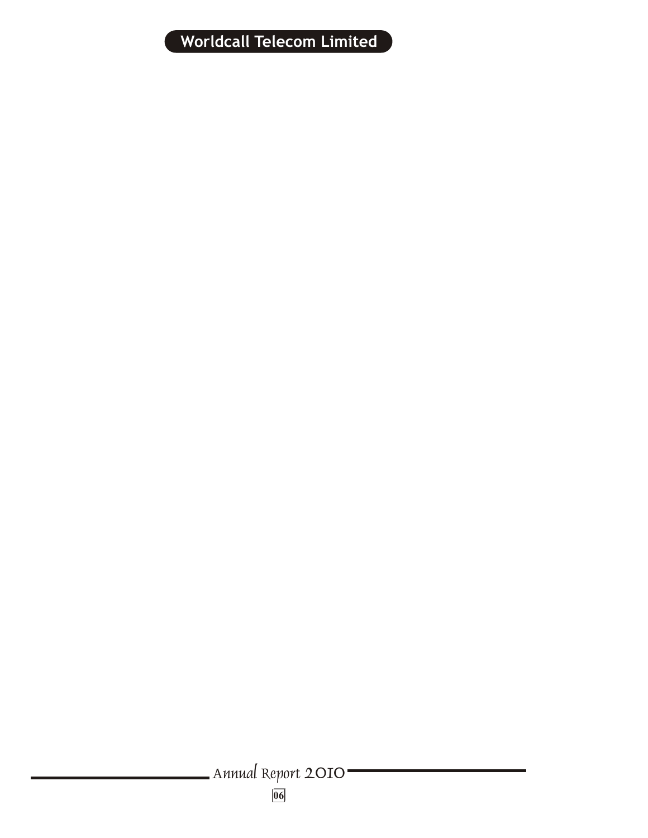$\_$ Annual Report 2010 $-$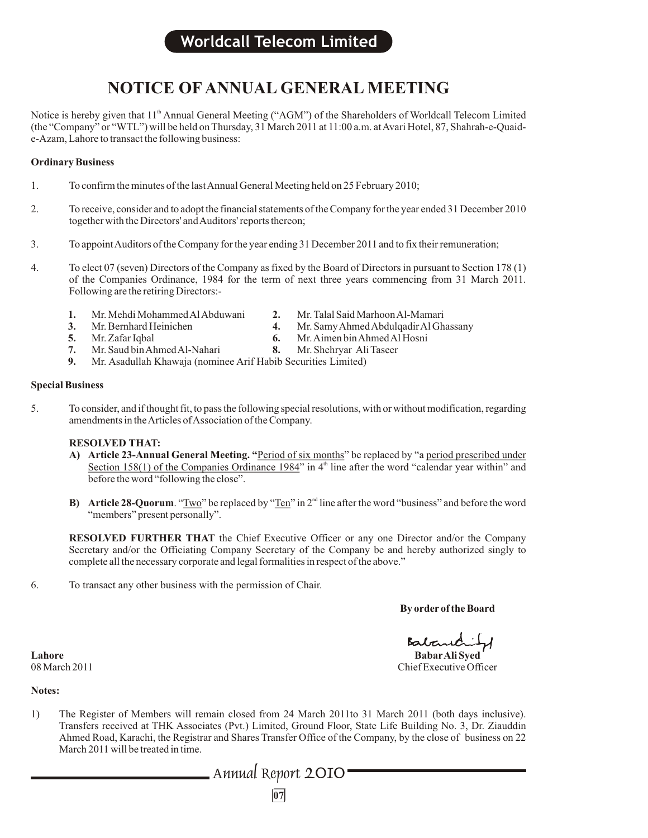## **NOTICE OF ANNUAL GENERAL MEETING**

Notice is hereby given that 11<sup>th</sup> Annual General Meeting ("AGM") of the Shareholders of Worldcall Telecom Limited (the "Company" or "WTL") will be held on Thursday, 31 March 2011 at 11:00 a.m. at Avari Hotel, 87, Shahrah-e-Quaide-Azam, Lahore to transact the following business:

### **Ordinary Business**

- 1. To confirm the minutes of the last Annual General Meeting held on 25 February 2010;
- 2. To receive, consider and to adopt the financial statements of the Company for the year ended 31 December 2010 together with the Directors' and Auditors' reports thereon;
- 3. To appoint Auditors of the Company for the year ending 31 December 2011 and to fix their remuneration;
- 4. To elect 07 (seven) Directors of the Company as fixed by the Board of Directors in pursuant to Section 178 (1) of the Companies Ordinance, 1984 for the term of next three years commencing from 31 March 2011. Following are the retiring Directors:-
	- **1.** Mr. Mehdi Mohammed Al Abduwani **2.** Mr. Talal Said Marhoon Al-Mamari
	-
	-
	- **5.** Mr. Zafar Iqbal **6.** Mr. Aimen bin Ahmed Al Hosni<br> **7.** Mr. Saud bin Ahmed Al-Nahari **8.** Mr. Shehryar Ali Taseer
- - **3.** Mr. Bernhard Heinichen **4.** Mr. Samy Ahmed Abdulqadir Al Ghassany
		-
		-
	- **7.** Mr. Saud bin Ahmed Al-Nahari<br>**9.** Mr. Asadullah Khawaia (nomin) **9.** Mr. Asadullah Khawaja (nominee Arif Habib Securities Limited)

### **Special Business**

5. To consider, and if thought fit, to pass the following special resolutions, with or without modification, regarding amendments in the Articles of Association of the Company.

### **RESOLVED THAT:**

- **A) Article 23-Annual General Meeting. "**Period of six months" be replaced by "a period prescribed under Section 158(1) of the Companies Ordinance 1984" in  $4<sup>th</sup>$  line after the word "calendar year within" and before the word "following the close".
- B) Article 28-Ouorum. "Two" be replaced by "Ten" in 2<sup>nd</sup> line after the word "business" and before the word "members" present personally".

**RESOLVED FURTHER THAT** the Chief Executive Officer or any one Director and/or the Company Secretary and/or the Officiating Company Secretary of the Company be and hereby authorized singly to complete all the necessary corporate and legal formalities in respect of the above."

6. To transact any other business with the permission of Chair.

**By order of the Board**

Baland

**Lahore Babar Ali Syed** 08 March 2011 Chief Executive Officer

**Notes:**

1) The Register of Members will remain closed from 24 March 2011to 31 March 2011 (both days inclusive). Transfers received at THK Associates (Pvt.) Limited, Ground Floor, State Life Building No. 3, Dr. Ziauddin Ahmed Road, Karachi, the Registrar and Shares Transfer Office of the Company, by the close of business on 22 March 2011 will be treated in time.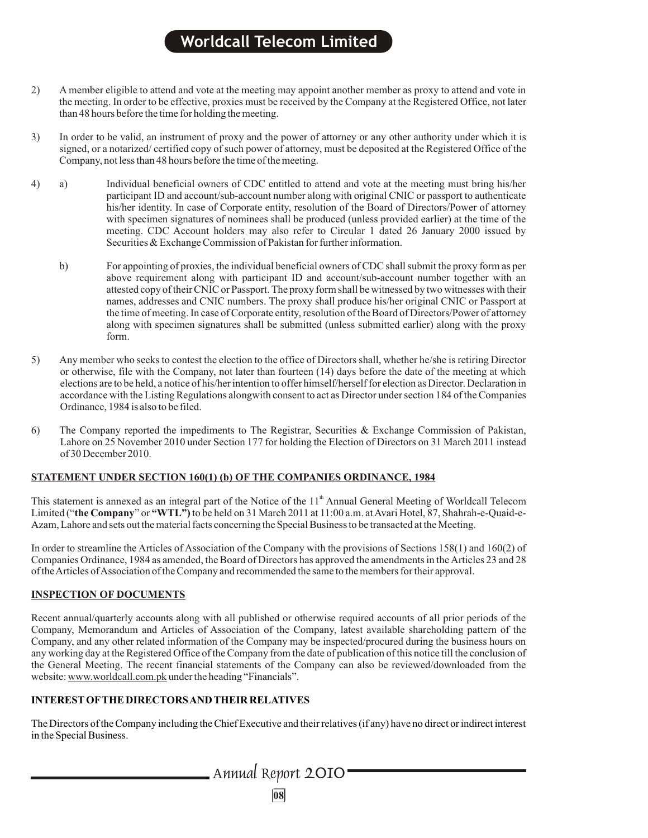- 2) A member eligible to attend and vote at the meeting may appoint another member as proxy to attend and vote in the meeting. In order to be effective, proxies must be received by the Company at the Registered Office, not later than 48 hours before the time for holding the meeting.
- 3) In order to be valid, an instrument of proxy and the power of attorney or any other authority under which it is signed, or a notarized/ certified copy of such power of attorney, must be deposited at the Registered Office of the Company, not less than 48 hours before the time of the meeting.
- 4) a) Individual beneficial owners of CDC entitled to attend and vote at the meeting must bring his/her participant ID and account/sub-account number along with original CNIC or passport to authenticate his/her identity. In case of Corporate entity, resolution of the Board of Directors/Power of attorney with specimen signatures of nominees shall be produced (unless provided earlier) at the time of the meeting. CDC Account holders may also refer to Circular 1 dated 26 January 2000 issued by Securities & Exchange Commission of Pakistan for further information.
	- b) For appointing of proxies, the individual beneficial owners of CDC shall submit the proxy form as per above requirement along with participant ID and account/sub-account number together with an attested copy of their CNIC or Passport. The proxy form shall be witnessed by two witnesses with their names, addresses and CNIC numbers. The proxy shall produce his/her original CNIC or Passport at the time of meeting. In case of Corporate entity, resolution of the Board of Directors/Power of attorney along with specimen signatures shall be submitted (unless submitted earlier) along with the proxy form.
- 5) Any member who seeks to contest the election to the office of Directors shall, whether he/she is retiring Director or otherwise, file with the Company, not later than fourteen (14) days before the date of the meeting at which elections are to be held, a notice of his/her intention to offer himself/herself for election as Director. Declaration in accordance with the Listing Regulations alongwith consent to act as Director under section 184 of the Companies Ordinance, 1984 is also to be filed.
- 6) The Company reported the impediments to The Registrar, Securities & Exchange Commission of Pakistan, Lahore on 25 November 2010 under Section 177 for holding the Election of Directors on 31 March 2011 instead of 30 December 2010.

### **STATEMENT UNDER SECTION 160(1) (b) OF THE COMPANIES ORDINANCE, 1984**

This statement is annexed as an integral part of the Notice of the 11<sup>th</sup> Annual General Meeting of Worldcall Telecom Limited ("**the Company**" or **"WTL")** to be held on 31 March 2011 at 11:00 a.m. at Avari Hotel, 87, Shahrah-e-Quaid-e-Azam, Lahore and sets out the material facts concerning the Special Business to be transacted at the Meeting.

In order to streamline the Articles of Association of the Company with the provisions of Sections 158(1) and 160(2) of Companies Ordinance, 1984 as amended, the Board of Directors has approved the amendments in the Articles 23 and 28 of the Articles of Association of the Company and recommended the same to the members for their approval.

### **INSPECTION OF DOCUMENTS**

Recent annual/quarterly accounts along with all published or otherwise required accounts of all prior periods of the Company, Memorandum and Articles of Association of the Company, latest available shareholding pattern of the Company, and any other related information of the Company may be inspected/procured during the business hours on any working day at the Registered Office of the Company from the date of publication of this notice till the conclusion of the General Meeting. The recent financial statements of the Company can also be reviewed/downloaded from the website: www.worldcall.com.pk under the heading "Financials".

### **INTEREST OFTHE DIRECTORS AND THEIR RELATIVES**

The Directors of the Company including the Chief Executive and their relatives (if any) have no direct or indirect interest in the Special Business.

 $\blacksquare$  Annual Report 2010  $\blacksquare$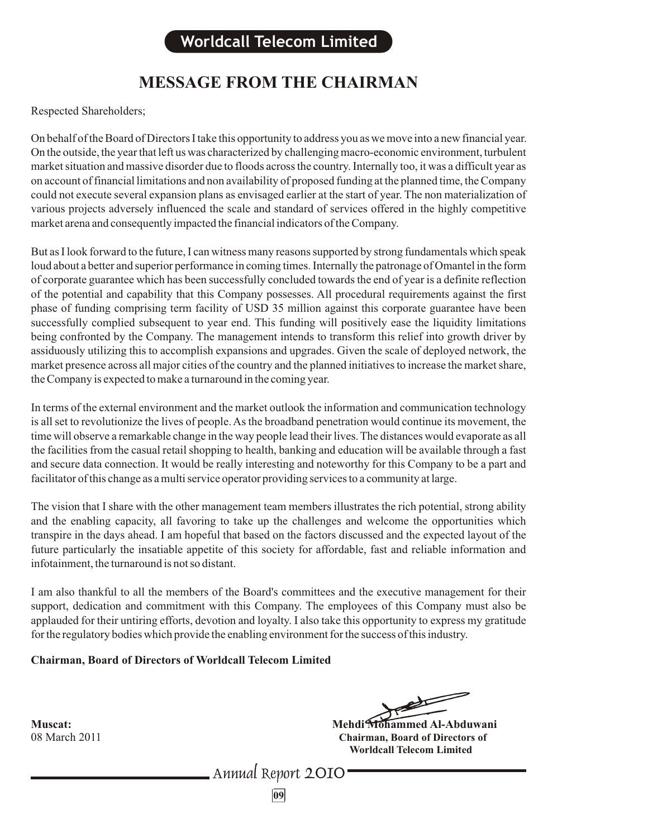## **MESSAGE FROM THE CHAIRMAN**

Respected Shareholders;

On behalf of the Board of Directors I take this opportunity to address you as we move into a new financial year. On the outside, the year that left us was characterized by challenging macro-economic environment, turbulent market situation and massive disorder due to floods across the country. Internally too, it was a difficult year as on account of financial limitations and non availability of proposed funding at the planned time, the Company could not execute several expansion plans as envisaged earlier at the start of year. The non materialization of various projects adversely influenced the scale and standard of services offered in the highly competitive market arena and consequently impacted the financial indicators of the Company.

But as I look forward to the future, I can witness many reasons supported by strong fundamentals which speak loud about a better and superior performance in coming times. Internally the patronage of Omantel in the form of corporate guarantee which has been successfully concluded towards the end of year is a definite reflection of the potential and capability that this Company possesses. All procedural requirements against the first phase of funding comprising term facility of USD 35 million against this corporate guarantee have been successfully complied subsequent to year end. This funding will positively ease the liquidity limitations being confronted by the Company. The management intends to transform this relief into growth driver by assiduously utilizing this to accomplish expansions and upgrades. Given the scale of deployed network, the market presence across all major cities of the country and the planned initiatives to increase the market share, the Company is expected to make a turnaround in the coming year.

In terms of the external environment and the market outlook the information and communication technology is all set to revolutionize the lives of people. As the broadband penetration would continue its movement, the time will observe a remarkable change in the way people lead their lives. The distances would evaporate as all the facilities from the casual retail shopping to health, banking and education will be available through a fast and secure data connection. It would be really interesting and noteworthy for this Company to be a part and facilitator of this change as a multi service operator providing services to a community at large.

The vision that I share with the other management team members illustrates the rich potential, strong ability and the enabling capacity, all favoring to take up the challenges and welcome the opportunities which transpire in the days ahead. I am hopeful that based on the factors discussed and the expected layout of the future particularly the insatiable appetite of this society for affordable, fast and reliable information and infotainment, the turnaround is not so distant.

I am also thankful to all the members of the Board's committees and the executive management for their support, dedication and commitment with this Company. The employees of this Company must also be applauded for their untiring efforts, devotion and loyalty. I also take this opportunity to express my gratitude for the regulatory bodies which provide the enabling environment for the success of this industry.

### **Chairman, Board of Directors of Worldcall Telecom Limited**

 $\begin{picture}(20,20)(-20,0) \put(0,0){\vector(1,0){10}} \put(15,0){\vector(1,0){10}} \put(15,0){\vector(1,0){10}} \put(15,0){\vector(1,0){10}} \put(15,0){\vector(1,0){10}} \put(15,0){\vector(1,0){10}} \put(15,0){\vector(1,0){10}} \put(15,0){\vector(1,0){10}} \put(15,0){\vector(1,0){10}} \put(15,0){\vector(1,0){10}} \put(15,0){\vector(1,0){10}} \put(15,$ 

**Muscat: Mehdi Mohammed Al-Abduwani**<br> **Mehdi Mohammed Al-Abduwani**<br> **Chairman, Board of Directors of** 08 March 2011 **Chairman, Board of Directors of Worldcall Telecom Limited**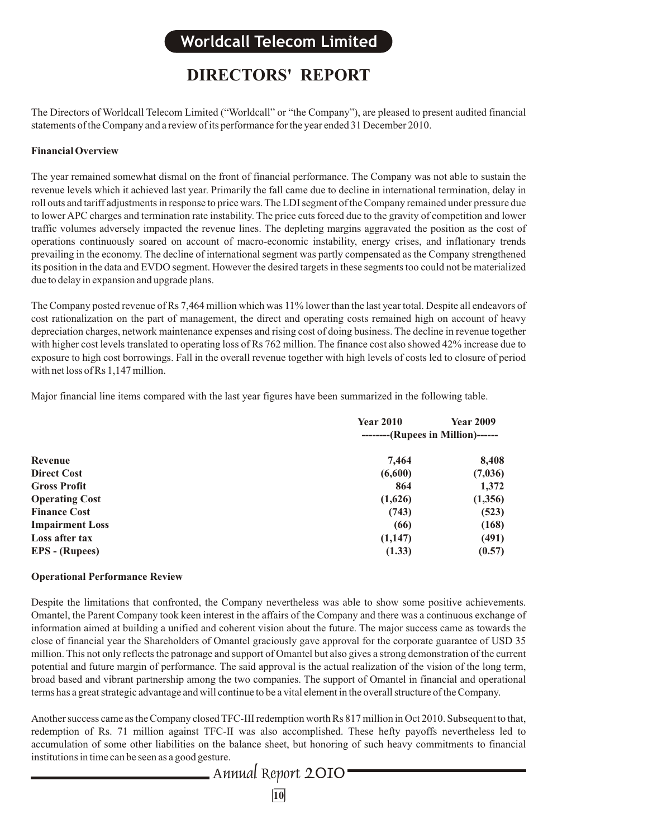### **DIRECTORS' REPORT**

The Directors of Worldcall Telecom Limited ("Worldcall" or "the Company"), are pleased to present audited financial statements of the Company and a review of its performance for the year ended 31 December 2010.

### **Financial Overview**

The year remained somewhat dismal on the front of financial performance. The Company was not able to sustain the revenue levels which it achieved last year. Primarily the fall came due to decline in international termination, delay in roll outs and tariff adjustments in response to price wars. The LDI segment of the Company remained under pressure due to lower APC charges and termination rate instability. The price cuts forced due to the gravity of competition and lower traffic volumes adversely impacted the revenue lines. The depleting margins aggravated the position as the cost of operations continuously soared on account of macro-economic instability, energy crises, and inflationary trends prevailing in the economy. The decline of international segment was partly compensated as the Company strengthened its position in the data and EVDO segment. However the desired targets in these segments too could not be materialized due to delay in expansion and upgrade plans.

The Company posted revenue of Rs 7,464 million which was 11% lower than the last year total. Despite all endeavors of cost rationalization on the part of management, the direct and operating costs remained high on account of heavy depreciation charges, network maintenance expenses and rising cost of doing business. The decline in revenue together with higher cost levels translated to operating loss of Rs 762 million. The finance cost also showed 42% increase due to exposure to high cost borrowings. Fall in the overall revenue together with high levels of costs led to closure of period with net loss of Rs 1,147 million.

Major financial line items compared with the last year figures have been summarized in the following table.

|                        | <b>Year 2010</b>                  | <b>Year 2009</b> |
|------------------------|-----------------------------------|------------------|
|                        | --------(Rupees in Million)------ |                  |
| Revenue                | 7,464                             | 8,408            |
| <b>Direct Cost</b>     | (6,600)                           | (7,036)          |
| <b>Gross Profit</b>    | 864                               | 1,372            |
| <b>Operating Cost</b>  | (1,626)                           | (1,356)          |
| <b>Finance Cost</b>    | (743)                             | (523)            |
| <b>Impairment Loss</b> | (66)                              | (168)            |
| Loss after tax         | (1,147)                           | (491)            |
| <b>EPS</b> - (Rupees)  | (1.33)                            | (0.57)           |

### **Operational Performance Review**

Despite the limitations that confronted, the Company nevertheless was able to show some positive achievements. Omantel, the Parent Company took keen interest in the affairs of the Company and there was a continuous exchange of information aimed at building a unified and coherent vision about the future. The major success came as towards the close of financial year the Shareholders of Omantel graciously gave approval for the corporate guarantee of USD 35 million. This not only reflects the patronage and support of Omantel but also gives a strong demonstration of the current potential and future margin of performance. The said approval is the actual realization of the vision of the long term, broad based and vibrant partnership among the two companies. The support of Omantel in financial and operational terms has a great strategic advantage and will continue to be a vital element in the overall structure of the Company.

Another success came as the Company closed TFC-III redemption worth Rs 817 million in Oct 2010. Subsequent to that, redemption of Rs. 71 million against TFC-II was also accomplished. These hefty payoffs nevertheless led to accumulation of some other liabilities on the balance sheet, but honoring of such heavy commitments to financial institutions in time can be seen as a good gesture.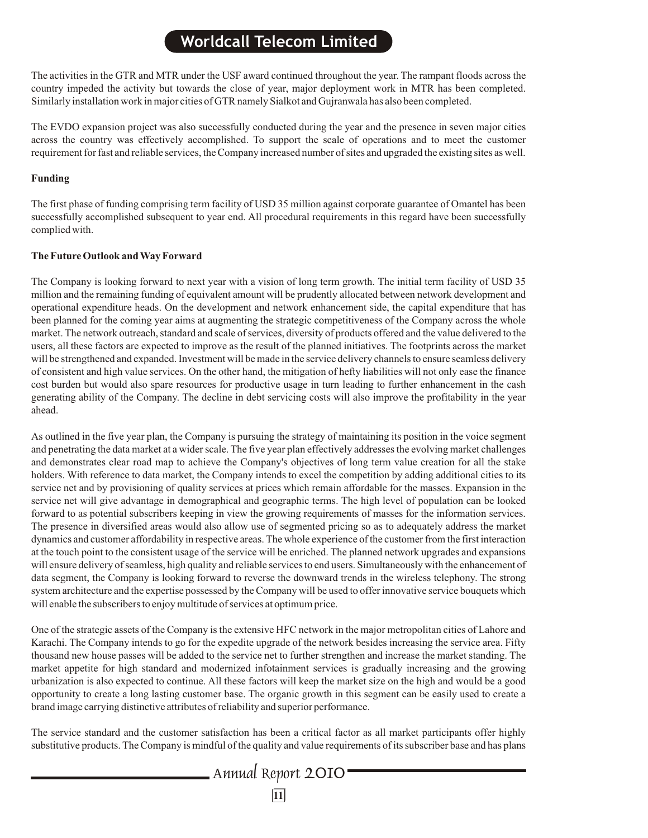The activities in the GTR and MTR under the USF award continued throughout the year. The rampant floods across the country impeded the activity but towards the close of year, major deployment work in MTR has been completed. Similarly installation work in major cities of GTR namely Sialkot and Gujranwala has also been completed.

The EVDO expansion project was also successfully conducted during the year and the presence in seven major cities across the country was effectively accomplished. To support the scale of operations and to meet the customer requirement for fast and reliable services, the Company increased number of sites and upgraded the existing sites as well.

### **Funding**

The first phase of funding comprising term facility of USD 35 million against corporate guarantee of Omantel has been successfully accomplished subsequent to year end. All procedural requirements in this regard have been successfully complied with.

### **The Future Outlook and Way Forward**

The Company is looking forward to next year with a vision of long term growth. The initial term facility of USD 35 million and the remaining funding of equivalent amount will be prudently allocated between network development and operational expenditure heads. On the development and network enhancement side, the capital expenditure that has been planned for the coming year aims at augmenting the strategic competitiveness of the Company across the whole market. The network outreach, standard and scale of services, diversity of products offered and the value delivered to the users, all these factors are expected to improve as the result of the planned initiatives. The footprints across the market will be strengthened and expanded. Investment will be made in the service delivery channels to ensure seamless delivery of consistent and high value services. On the other hand, the mitigation of hefty liabilities will not only ease the finance cost burden but would also spare resources for productive usage in turn leading to further enhancement in the cash generating ability of the Company. The decline in debt servicing costs will also improve the profitability in the year ahead.

As outlined in the five year plan, the Company is pursuing the strategy of maintaining its position in the voice segment and penetrating the data market at a wider scale. The five year plan effectively addresses the evolving market challenges and demonstrates clear road map to achieve the Company's objectives of long term value creation for all the stake holders. With reference to data market, the Company intends to excel the competition by adding additional cities to its service net and by provisioning of quality services at prices which remain affordable for the masses. Expansion in the service net will give advantage in demographical and geographic terms. The high level of population can be looked forward to as potential subscribers keeping in view the growing requirements of masses for the information services. The presence in diversified areas would also allow use of segmented pricing so as to adequately address the market dynamics and customer affordability in respective areas. The whole experience of the customer from the first interaction at the touch point to the consistent usage of the service will be enriched. The planned network upgrades and expansions will ensure delivery of seamless, high quality and reliable services to end users. Simultaneously with the enhancement of data segment, the Company is looking forward to reverse the downward trends in the wireless telephony. The strong system architecture and the expertise possessed by the Company will be used to offer innovative service bouquets which will enable the subscribers to enjoy multitude of services at optimum price.

One of the strategic assets of the Company is the extensive HFC network in the major metropolitan cities of Lahore and Karachi. The Company intends to go for the expedite upgrade of the network besides increasing the service area. Fifty thousand new house passes will be added to the service net to further strengthen and increase the market standing. The market appetite for high standard and modernized infotainment services is gradually increasing and the growing urbanization is also expected to continue. All these factors will keep the market size on the high and would be a good opportunity to create a long lasting customer base. The organic growth in this segment can be easily used to create a brand image carrying distinctive attributes of reliability and superior performance.

The service standard and the customer satisfaction has been a critical factor as all market participants offer highly substitutive products. The Company is mindful of the quality and value requirements of its subscriber base and has plans

Annual Report 2010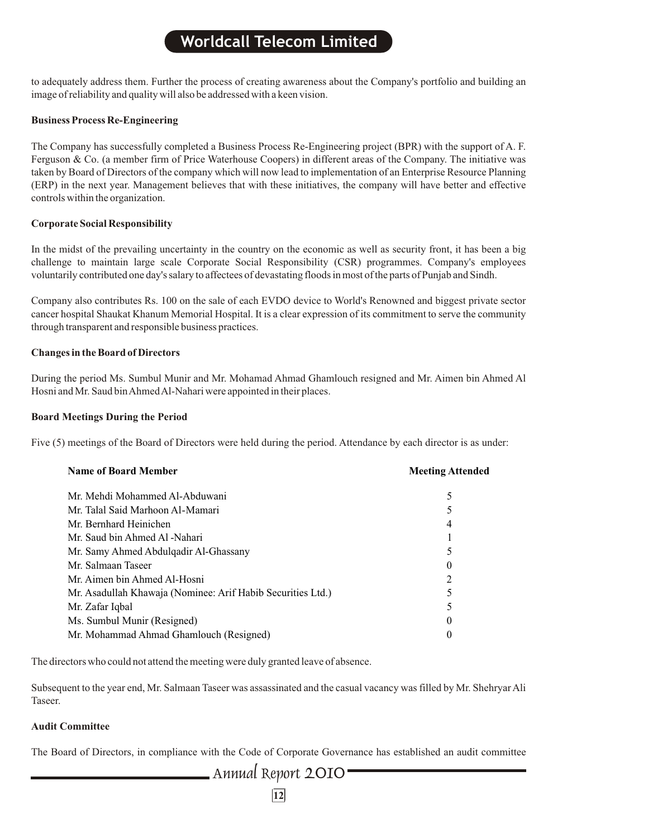to adequately address them. Further the process of creating awareness about the Company's portfolio and building an image of reliability and quality will also be addressed with a keen vision.

### **Business Process Re-Engineering**

The Company has successfully completed a Business Process Re-Engineering project (BPR) with the support of A. F. Ferguson & Co. (a member firm of Price Waterhouse Coopers) in different areas of the Company. The initiative was taken by Board of Directors of the company which will now lead to implementation of an Enterprise Resource Planning (ERP) in the next year. Management believes that with these initiatives, the company will have better and effective controls within the organization.

### **Corporate Social Responsibility**

In the midst of the prevailing uncertainty in the country on the economic as well as security front, it has been a big challenge to maintain large scale Corporate Social Responsibility (CSR) programmes. Company's employees voluntarily contributed one day's salary to affectees of devastating floods in most of the parts of Punjab and Sindh.

Company also contributes Rs. 100 on the sale of each EVDO device to World's Renowned and biggest private sector cancer hospital Shaukat Khanum Memorial Hospital. It is a clear expression of its commitment to serve the community through transparent and responsible business practices.

### **Changes in the Board of Directors**

During the period Ms. Sumbul Munir and Mr. Mohamad Ahmad Ghamlouch resigned and Mr. Aimen bin Ahmed Al Hosni and Mr. Saud bin Ahmed Al-Nahari were appointed in their places.

### **Board Meetings During the Period**

Five (5) meetings of the Board of Directors were held during the period. Attendance by each director is as under:

| <b>Name of Board Member</b>                                 | <b>Meeting Attended</b> |
|-------------------------------------------------------------|-------------------------|
| Mr. Mehdi Mohammed Al-Abduwani                              | 5                       |
| Mr. Talal Said Marhoon Al-Mamari                            |                         |
| Mr. Bernhard Heinichen                                      | 4                       |
| Mr. Saud bin Ahmed Al-Nahari                                |                         |
| Mr. Samy Ahmed Abdulqadir Al-Ghassany                       | 5                       |
| Mr. Salmaan Taseer                                          | 0                       |
| Mr. Aimen bin Ahmed Al-Hosni                                | 2                       |
| Mr. Asadullah Khawaja (Nominee: Arif Habib Securities Ltd.) | 5                       |
| Mr. Zafar Iqbal                                             | 5                       |
| Ms. Sumbul Munir (Resigned)                                 | $\theta$                |
| Mr. Mohammad Ahmad Ghamlouch (Resigned)                     | $\theta$                |
|                                                             |                         |

The directors who could not attend the meeting were duly granted leave of absence.

Subsequent to the year end, Mr. Salmaan Taseer was assassinated and the casual vacancy was filled by Mr. Shehryar Ali Taseer.

### **Audit Committee**

The Board of Directors, in compliance with the Code of Corporate Governance has established an audit committee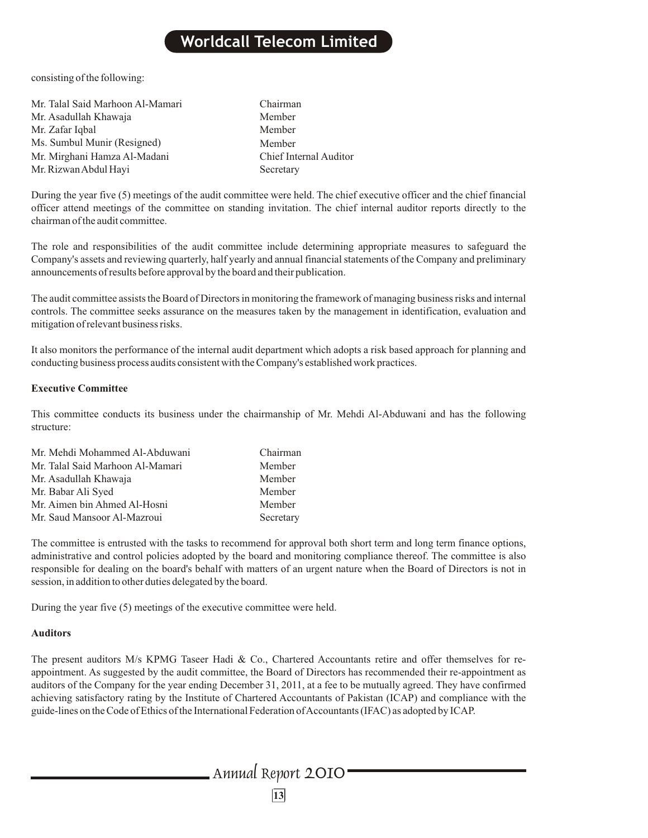consisting of the following:

| Mr. Talal Said Marhoon Al-Mamari | Chairman               |
|----------------------------------|------------------------|
| Mr. Asadullah Khawaja            | Member                 |
| Mr. Zafar Iqbal                  | Member                 |
| Ms. Sumbul Munir (Resigned)      | Member                 |
| Mr. Mirghani Hamza Al-Madani     | Chief Internal Auditor |
| Mr. Rizwan Abdul Hayi            | Secretary              |

During the year five (5) meetings of the audit committee were held. The chief executive officer and the chief financial officer attend meetings of the committee on standing invitation. The chief internal auditor reports directly to the chairman of the audit committee.

The role and responsibilities of the audit committee include determining appropriate measures to safeguard the Company's assets and reviewing quarterly, half yearly and annual financial statements of the Company and preliminary announcements of results before approval by the board and their publication.

The audit committee assists the Board of Directors in monitoring the framework of managing business risks and internal controls. The committee seeks assurance on the measures taken by the management in identification, evaluation and mitigation of relevant business risks.

It also monitors the performance of the internal audit department which adopts a risk based approach for planning and conducting business process audits consistent with the Company's established work practices.

### **Executive Committee**

This committee conducts its business under the chairmanship of Mr. Mehdi Al-Abduwani and has the following structure:

| Mr. Mehdi Mohammed Al-Abduwani   | Chairman  |
|----------------------------------|-----------|
| Mr. Talal Said Marhoon Al-Mamari | Member    |
| Mr. Asadullah Khawaja            | Member    |
| Mr. Babar Ali Syed               | Member    |
| Mr. Aimen bin Ahmed Al-Hosni     | Member    |
| Mr. Saud Mansoor Al-Mazroui      | Secretary |

The committee is entrusted with the tasks to recommend for approval both short term and long term finance options, administrative and control policies adopted by the board and monitoring compliance thereof. The committee is also responsible for dealing on the board's behalf with matters of an urgent nature when the Board of Directors is not in session, in addition to other duties delegated by the board.

During the year five (5) meetings of the executive committee were held.

### **Auditors**

The present auditors M/s KPMG Taseer Hadi & Co., Chartered Accountants retire and offer themselves for reappointment. As suggested by the audit committee, the Board of Directors has recommended their re-appointment as auditors of the Company for the year ending December 31, 2011, at a fee to be mutually agreed. They have confirmed achieving satisfactory rating by the Institute of Chartered Accountants of Pakistan (ICAP) and compliance with the guide-lines on the Code of Ethics of the International Federation of Accountants (IFAC) as adopted by ICAP.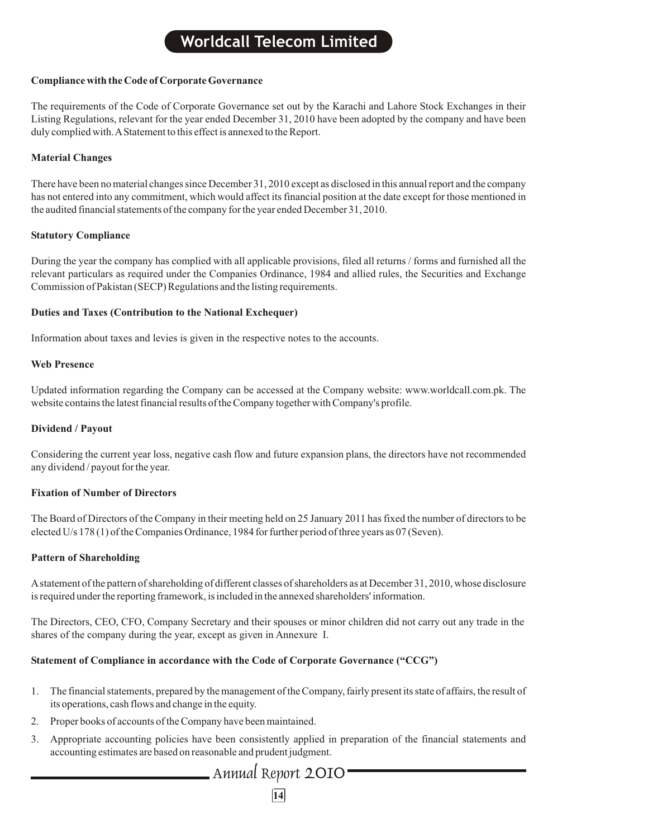### **Compliance with the Code of Corporate Governance**

The requirements of the Code of Corporate Governance set out by the Karachi and Lahore Stock Exchanges in their Listing Regulations, relevant for the year ended December 31, 2010 have been adopted by the company and have been duly complied with. A Statement to this effect is annexed to the Report.

### **Material Changes**

There have been no material changes since December 31, 2010 except as disclosed in this annual report and the company has not entered into any commitment, which would affect its financial position at the date except for those mentioned in the audited financial statements of the company for the year ended December 31, 2010.

### **Statutory Compliance**

During the year the company has complied with all applicable provisions, filed all returns / forms and furnished all the relevant particulars as required under the Companies Ordinance, 1984 and allied rules, the Securities and Exchange Commission of Pakistan (SECP) Regulations and the listing requirements.

### **Duties and Taxes (Contribution to the National Exchequer)**

Information about taxes and levies is given in the respective notes to the accounts.

### **Web Presence**

Updated information regarding the Company can be accessed at the Company website: www.worldcall.com.pk. The website contains the latest financial results of the Company together with Company's profile.

### **Dividend / Payout**

Considering the current year loss, negative cash flow and future expansion plans, the directors have not recommended any dividend / payout for the year.

### **Fixation of Number of Directors**

The Board of Directors of the Company in their meeting held on 25 January 2011 has fixed the number of directors to be elected U/s 178 (1) of the Companies Ordinance, 1984 for further period of three years as 07 (Seven).

### **Pattern of Shareholding**

A statement of the pattern of shareholding of different classes of shareholders as at December 31, 2010, whose disclosure is required under the reporting framework, is included in the annexed shareholders' information.

The Directors, CEO, CFO, Company Secretary and their spouses or minor children did not carry out any trade in the shares of the company during the year, except as given in Annexure I.

### **Statement of Compliance in accordance with the Code of Corporate Governance ("CCG")**

- 1. The financial statements, prepared by the management of the Company, fairly present its state of affairs, the result of its operations, cash flows and change in the equity.
- 2. Proper books of accounts of the Company have been maintained.
- 3. Appropriate accounting policies have been consistently applied in preparation of the financial statements and accounting estimates are based on reasonable and prudent judgment.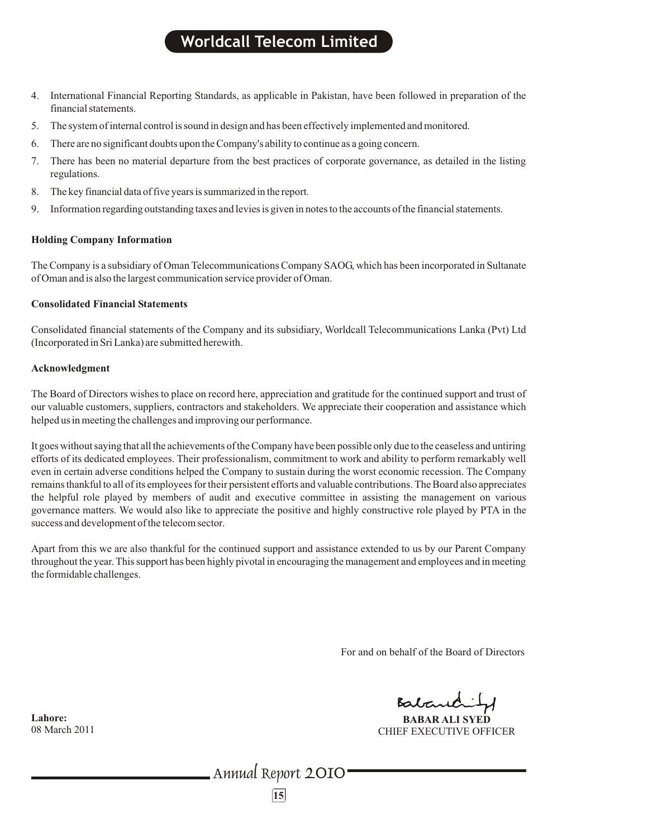- 4. International Financial Reporting Standards, as applicable in Pakistan, have been followed in preparation of the financial statements.
- 5. The system of internal control is sound in design and has been effectively implemented and monitored.
- 6. There are no significant doubts upon the Company's ability to continue as a going concern.
- 7. There has been no material departure from the best practices of corporate governance, as detailed in the listing regulations.
- 8. The key financial data of five years is summarized in the report.
- 9. Information regarding outstanding taxes and levies is given in notes to the accounts of the financial statements.

### **Holding Company Information**

The Company is a subsidiary of Oman Telecommunications Company SAOG, which has been incorporated in Sultanate of Oman and is also the largest communication service provider of Oman.

### **Consolidated Financial Statements**

Consolidated financial statements of the Company and its subsidiary, Worldcall Telecommunications Lanka (Pvt) Ltd (Incorporated in Sri Lanka) are submitted herewith.

### **Acknowledgment**

The Board of Directors wishes to place on record here, appreciation and gratitude for the continued support and trust of our valuable customers, suppliers, contractors and stakeholders. We appreciate their cooperation and assistance which helped us in meeting the challenges and improving our performance.

It goes without saying that all the achievements of the Company have been possible only due to the ceaseless and untiring efforts of its dedicated employees. Their professionalism, commitment to work and ability to perform remarkably well even in certain adverse conditions helped the Company to sustain during the worst economic recession. The Company remains thankful to all of its employees for their persistent efforts and valuable contributions. The Board also appreciates the helpful role played by members of audit and executive committee in assisting the management on various governance matters. We would also like to appreciate the positive and highly constructive role played by PTA in the success and development of the telecom sector.

Apart from this we are also thankful for the continued support and assistance extended to us by our Parent Company throughout the year. This support has been highly pivotal in encouraging the management and employees and in meeting the formidable challenges.

For and on behalf of the Board of Directors

Babartaily

**BABAR ALI SYED** CHIEF EXECUTIVE OFFICER

**Lahore:** 08 March 2011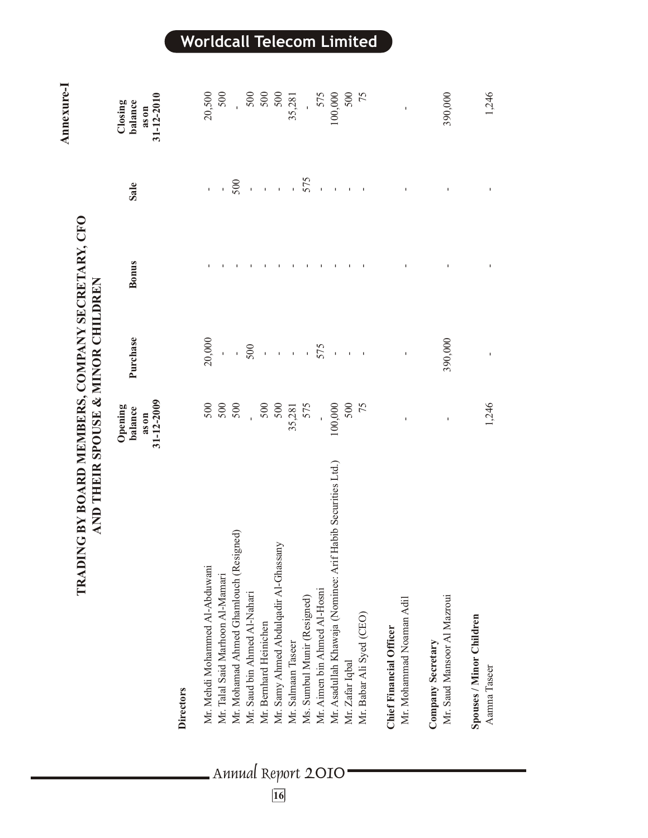| TRADING BY BOARD MEMBERS, COMPANY SECRETARY, CFO<br>AND THEIR SPOUSE & MINOR CHILDREN |                                           |                 |              |                            | Annexure-I                                |
|---------------------------------------------------------------------------------------|-------------------------------------------|-----------------|--------------|----------------------------|-------------------------------------------|
|                                                                                       | 31-12-2009<br>Opening<br>balance<br>as on | Purchase        | <b>Bonus</b> | Sale                       | 31-12-2010<br>balance<br>Closing<br>as on |
| <b>Directors</b>                                                                      |                                           |                 |              |                            |                                           |
| Mr. Mehdi Mohammed Al-Abduwani                                                        | 500                                       | 20,000          |              | $\mathbf{r}^{\pm}$         | 20,500                                    |
| Mr. Talal Said Marhoon Al-Mamari                                                      | 500                                       | $\frac{1}{2}$   |              |                            | 500                                       |
| Mr. Mohamad Ahmed Ghamlouch (Resigned)                                                | 500                                       | $\frac{1}{2}$   |              | 500                        |                                           |
| Mr. Saud bin Ahmed Al-Nahari                                                          | $\overline{1}$                            | 500             |              | $\frac{1}{2}$              | 500                                       |
| Mr. Bernhard Heinichen                                                                | 500                                       | $\bar{\bar{1}}$ |              | $\mathcal{L}_{\mathbf{I}}$ | 500                                       |
| Mr. Samy Ahmed Abdulqadir Al-Ghassany                                                 | 500                                       | $\frac{1}{2}$   |              | $\overline{1}$             | 500                                       |
| Mr. Salmaan Taseer                                                                    | 35,281                                    | $\frac{1}{2}$   |              | $\frac{1}{2}$              | 35,281                                    |
| Ms. Sumbul Munir (Resigned)                                                           | 575                                       | $\mathcal{A}$   |              | 575                        | $\frac{1}{1}$                             |
| Mr. Aimen bin Ahmed Al-Hosni                                                          |                                           | 575             |              | $\overline{1}$             | 575                                       |
| Mr. Asadullah Khawaja (Nominee: Arif Habib Securities Ltd.)                           | 100,000                                   | j,              |              | $\mathbf{I}$               | 100,000                                   |
| Mr. Zafar Iqbal                                                                       | 500                                       |                 |              | $\mathbf{I}$               | 500                                       |
| Mr. Babar Ali Syed (CEO)                                                              | 75                                        |                 |              | $\mathbf{I}$               | 75                                        |
| <b>Chief Financial Officer</b>                                                        |                                           |                 |              |                            |                                           |
| Mr. Mohammad Noaman Adil                                                              |                                           | $\mathbf{I}$    |              |                            | $\mathbf{r}$                              |
| <b>Company Secretary</b>                                                              |                                           |                 |              |                            |                                           |
| Mr. Saud Mansoor Al Mazroui                                                           | $\mathbf I$                               | 390,000         |              |                            | 390,000                                   |
| Spouses / Minor Children<br>Aamna Taseer                                              | 1,246                                     |                 |              |                            | 1,246                                     |

**16**  $\_$ Annual Report 2010 $\blacksquare$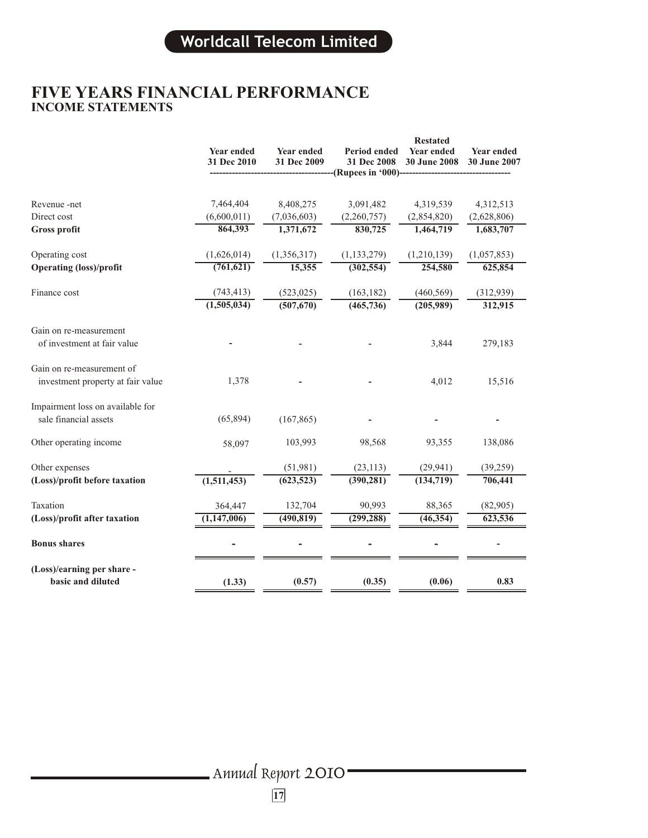### **FIVE YEARS FINANCIAL PERFORMANCE INCOME STATEMENTS**

|                                   |                   |                   |                                   | <b>Restated</b>     |                   |
|-----------------------------------|-------------------|-------------------|-----------------------------------|---------------------|-------------------|
|                                   | <b>Year ended</b> | <b>Year ended</b> | <b>Period ended</b>               | Year ended          | <b>Year ended</b> |
|                                   | 31 Dec 2010       | 31 Dec 2009       | 31 Dec 2008<br>-(Rupees in '000)- | <b>30 June 2008</b> | 30 June 2007      |
|                                   |                   |                   |                                   |                     |                   |
| Revenue -net                      | 7,464,404         | 8,408,275         | 3,091,482                         | 4,319,539           | 4,312,513         |
| Direct cost                       | (6,600,011)       | (7,036,603)       | (2,260,757)                       | (2,854,820)         | (2,628,806)       |
| <b>Gross profit</b>               | 864,393           | 1,371,672         | 830,725                           | 1,464,719           | 1,683,707         |
| Operating cost                    | (1,626,014)       | (1,356,317)       | (1, 133, 279)                     | (1,210,139)         | (1,057,853)       |
| <b>Operating (loss)/profit</b>    | (761, 621)        | 15,355            | (302, 554)                        | 254,580             | 625,854           |
| Finance cost                      | (743, 413)        | (523, 025)        | (163, 182)                        | (460, 569)          | (312,939)         |
|                                   | (1,505,034)       | (507, 670)        | (465, 736)                        | (205,989)           | 312,915           |
| Gain on re-measurement            |                   |                   |                                   |                     |                   |
| of investment at fair value       |                   |                   |                                   | 3,844               | 279,183           |
| Gain on re-measurement of         |                   |                   |                                   |                     |                   |
| investment property at fair value | 1,378             |                   |                                   | 4,012               | 15,516            |
| Impairment loss on available for  |                   |                   |                                   |                     |                   |
| sale financial assets             | (65,894)          | (167, 865)        |                                   |                     |                   |
| Other operating income            | 58,097            | 103,993           | 98,568                            | 93,355              | 138,086           |
| Other expenses                    |                   | (51,981)          | (23, 113)                         | (29, 941)           | (39,259)          |
| (Loss)/profit before taxation     | (1,511,453)       | (623, 523)        | (390, 281)                        | (134,719)           | 706,441           |
| Taxation                          | 364,447           | 132,704           | 90,993                            | 88,365              | (82,905)          |
| (Loss)/profit after taxation      | (1,147,006)       | (490, 819)        | (299, 288)                        | (46, 354)           | 623,536           |
| <b>Bonus</b> shares               |                   |                   |                                   |                     |                   |
| (Loss)/earning per share -        |                   |                   |                                   |                     |                   |
| basic and diluted                 | (1.33)            | (0.57)            | (0.35)                            | (0.06)              | 0.83              |

 $\_$ Annual Report 2010 $\blacksquare$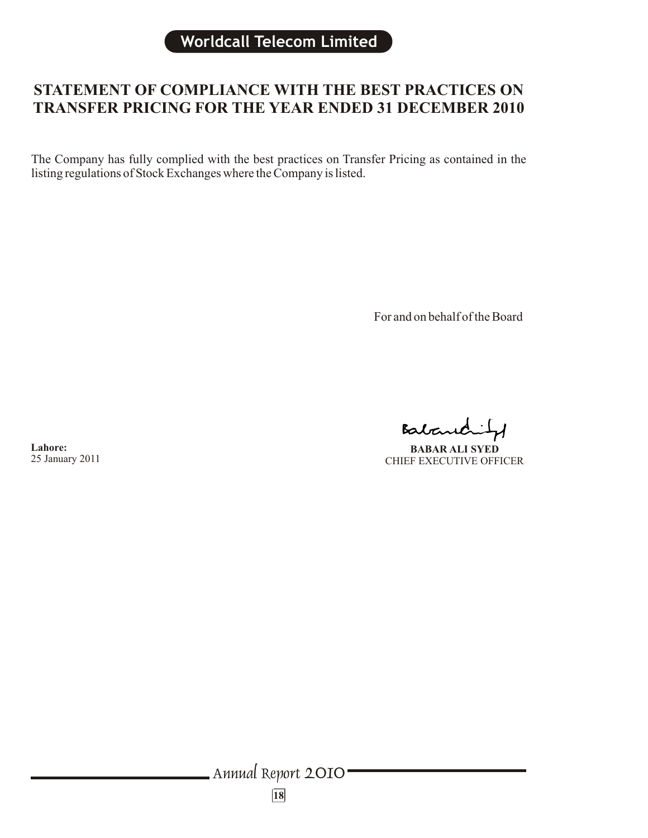### **STATEMENT OF COMPLIANCE WITH THE BEST PRACTICES ON TRANSFER PRICING FOR THE YEAR ENDED 31 DECEMBER 2010**

The Company has fully complied with the best practices on Transfer Pricing as contained in the listing regulations of Stock Exchanges where the Company is listed.

For and on behalf of the Board

**Lahore:** 25 January 2011

 $\pm J$ Baland

**BABAR ALI SYED** CHIEF EXECUTIVE OFFICER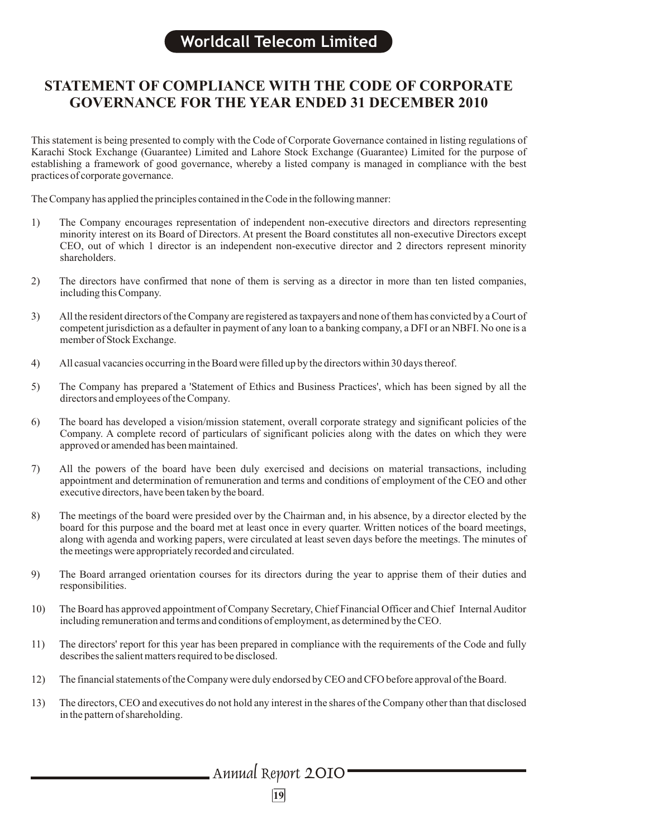### **STATEMENT OF COMPLIANCE WITH THE CODE OF CORPORATE GOVERNANCE FOR THE YEAR ENDED 31 DECEMBER 2010**

This statement is being presented to comply with the Code of Corporate Governance contained in listing regulations of Karachi Stock Exchange (Guarantee) Limited and Lahore Stock Exchange (Guarantee) Limited for the purpose of establishing a framework of good governance, whereby a listed company is managed in compliance with the best practices of corporate governance.

The Company has applied the principles contained in the Code in the following manner:

- 1) The Company encourages representation of independent non-executive directors and directors representing minority interest on its Board of Directors. At present the Board constitutes all non-executive Directors except CEO, out of which 1 director is an independent non-executive director and 2 directors represent minority shareholders.
- 2) The directors have confirmed that none of them is serving as a director in more than ten listed companies, including this Company.
- 3) All the resident directors of the Company are registered as taxpayers and none of them has convicted by a Court of competent jurisdiction as a defaulter in payment of any loan to a banking company, a DFI or an NBFI. No one is a member of Stock Exchange.
- 4) All casual vacancies occurring in the Board were filled up by the directors within 30 days thereof.
- 5) The Company has prepared a 'Statement of Ethics and Business Practices', which has been signed by all the directors and employees of the Company.
- 6) The board has developed a vision/mission statement, overall corporate strategy and significant policies of the Company. A complete record of particulars of significant policies along with the dates on which they were approved or amended has been maintained.
- 7) All the powers of the board have been duly exercised and decisions on material transactions, including appointment and determination of remuneration and terms and conditions of employment of the CEO and other executive directors, have been taken by the board.
- 8) The meetings of the board were presided over by the Chairman and, in his absence, by a director elected by the board for this purpose and the board met at least once in every quarter. Written notices of the board meetings, along with agenda and working papers, were circulated at least seven days before the meetings. The minutes of the meetings were appropriately recorded and circulated.
- 9) The Board arranged orientation courses for its directors during the year to apprise them of their duties and responsibilities.
- 10) The Board has approved appointment of Company Secretary, Chief Financial Officer and Chief Internal Auditor including remuneration and terms and conditions of employment, as determined by the CEO.
- 11) The directors' report for this year has been prepared in compliance with the requirements of the Code and fully describes the salient matters required to be disclosed.
- 12) The financial statements of the Company were duly endorsed by CEO and CFO before approval of the Board.
- 13) The directors, CEO and executives do not hold any interest in the shares of the Company other than that disclosed in the pattern of shareholding.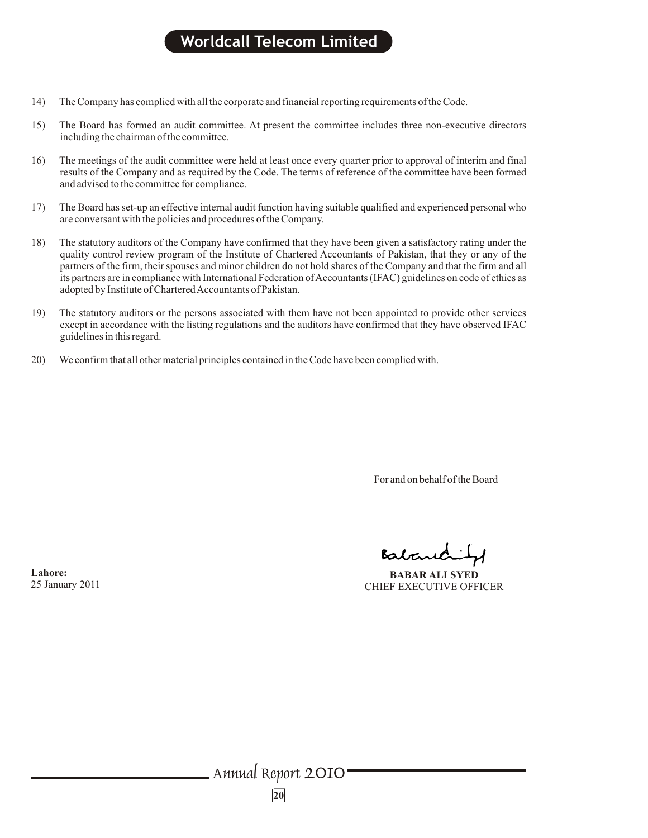- 14) The Company has complied with all the corporate and financial reporting requirements of the Code.
- 15) The Board has formed an audit committee. At present the committee includes three non-executive directors including the chairman of the committee.
- 16) The meetings of the audit committee were held at least once every quarter prior to approval of interim and final results of the Company and as required by the Code. The terms of reference of the committee have been formed and advised to the committee for compliance.
- 17) The Board has set-up an effective internal audit function having suitable qualified and experienced personal who are conversant with the policies and procedures of the Company.
- 18) The statutory auditors of the Company have confirmed that they have been given a satisfactory rating under the quality control review program of the Institute of Chartered Accountants of Pakistan, that they or any of the partners of the firm, their spouses and minor children do not hold shares of the Company and that the firm and all its partners are in compliance with International Federation of Accountants (IFAC) guidelines on code of ethics as adopted by Institute of Chartered Accountants of Pakistan.
- 19) The statutory auditors or the persons associated with them have not been appointed to provide other services except in accordance with the listing regulations and the auditors have confirmed that they have observed IFAC guidelines in this regard.
- 20) We confirm that all other material principles contained in the Code have been complied with.

For and on behalf of the Board

**Lahore:** 25 January 2011

Babarid

**BABAR ALI SYED** CHIEF EXECUTIVE OFFICER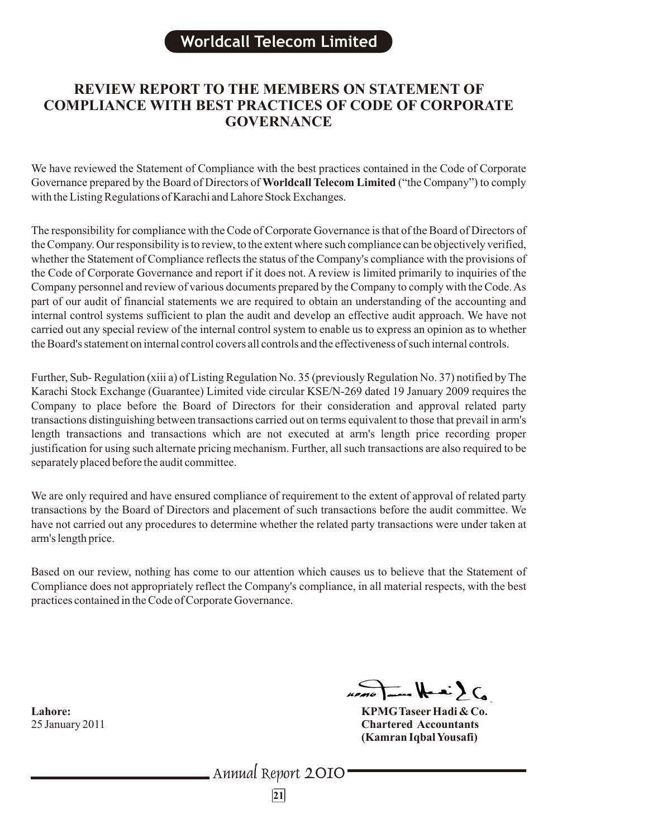### **REVIEW REPORT TO THE MEMBERS ON STATEMENT OF COMPLIANCE WITH BEST PRACTICES OF CODE OF CORPORATE GOVERNANCE**

We have reviewed the Statement of Compliance with the best practices contained in the Code of Corporate Governance prepared by the Board of Directors of **Worldcall Telecom Limited** ("the Company") to comply with the Listing Regulations of Karachi and Lahore Stock Exchanges.

The responsibility for compliance with the Code of Corporate Governance is that of the Board of Directors of the Company. Our responsibility is to review, to the extent where such compliance can be objectively verified, whether the Statement of Compliance reflects the status of the Company's compliance with the provisions of the Code of Corporate Governance and report if it does not. A review is limited primarily to inquiries of the Company personnel and review of various documents prepared by the Company to comply with the Code. As part of our audit of financial statements we are required to obtain an understanding of the accounting and internal control systems sufficient to plan the audit and develop an effective audit approach. We have not carried out any special review of the internal control system to enable us to express an opinion as to whether the Board's statement on internal control covers all controls and the effectiveness of such internal controls.

Further, Sub- Regulation (xiii a) of Listing Regulation No. 35 (previously Regulation No. 37) notified by The Karachi Stock Exchange (Guarantee) Limited vide circular KSE/N-269 dated 19 January 2009 requires the Company to place before the Board of Directors for their consideration and approval related party transactions distinguishing between transactions carried out on terms equivalent to those that prevail in arm's length transactions and transactions which are not executed at arm's length price recording proper justification for using such alternate pricing mechanism. Further, all such transactions are also required to be separately placed before the audit committee.

We are only required and have ensured compliance of requirement to the extent of approval of related party transactions by the Board of Directors and placement of such transactions before the audit committee. We have not carried out any procedures to determine whether the related party transactions were under taken at arm's length price.

Based on our review, nothing has come to our attention which causes us to believe that the Statement of Compliance does not appropriately reflect the Company's compliance, in all material respects, with the best practices contained in the Code of Corporate Governance.

 $\pm 16$ 

**Lahore: KPMGTaseer Hadi & Co.** 25 January 2011 **Chartered Accountants (Kamran Iqbal Yousafi)**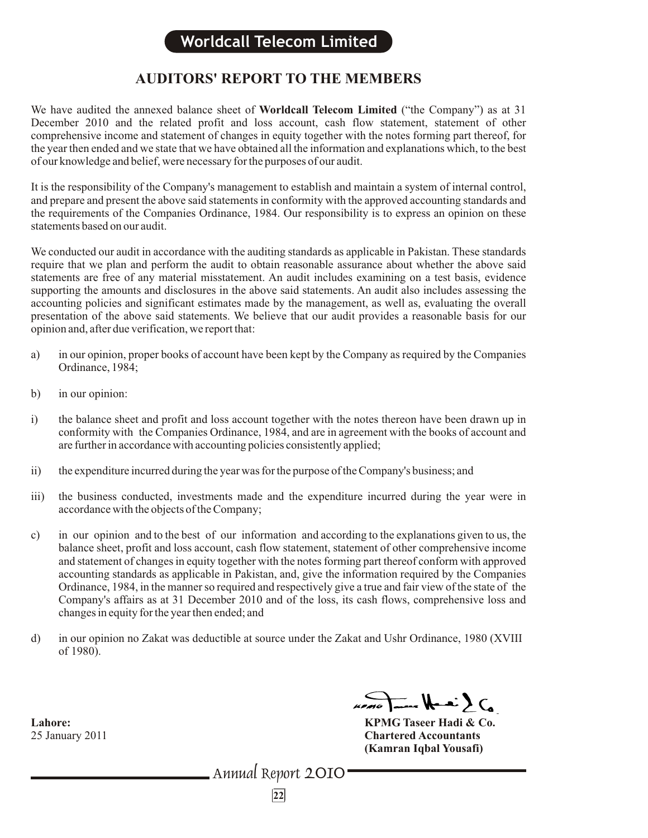### **AUDITORS' REPORT TO THE MEMBERS**

We have audited the annexed balance sheet of **Worldcall Telecom Limited** ("the Company") as at 31 December 2010 and the related profit and loss account, cash flow statement, statement of other comprehensive income and statement of changes in equity together with the notes forming part thereof, for the year then ended and we state that we have obtained all the information and explanations which, to the best of our knowledge and belief, were necessary for the purposes of our audit.

It is the responsibility of the Company's management to establish and maintain a system of internal control, and prepare and present the above said statements in conformity with the approved accounting standards and the requirements of the Companies Ordinance, 1984. Our responsibility is to express an opinion on these statements based on our audit.

We conducted our audit in accordance with the auditing standards as applicable in Pakistan. These standards require that we plan and perform the audit to obtain reasonable assurance about whether the above said statements are free of any material misstatement. An audit includes examining on a test basis, evidence supporting the amounts and disclosures in the above said statements. An audit also includes assessing the accounting policies and significant estimates made by the management, as well as, evaluating the overall presentation of the above said statements. We believe that our audit provides a reasonable basis for our opinion and, after due verification, we report that:

- a) in our opinion, proper books of account have been kept by the Company as required by the Companies Ordinance, 1984;
- b) in our opinion:
- i) the balance sheet and profit and loss account together with the notes thereon have been drawn up in conformity with the Companies Ordinance, 1984, and are in agreement with the books of account and are further in accordance with accounting policies consistently applied;
- ii) the expenditure incurred during the year was for the purpose of the Company's business; and
- iii) the business conducted, investments made and the expenditure incurred during the year were in accordance with the objects of the Company;
- c) in our opinion and to the best of our information and according to the explanations given to us, the balance sheet, profit and loss account, cash flow statement, statement of other comprehensive income and statement of changes in equity together with the notes forming part thereof conform with approved accounting standards as applicable in Pakistan, and, give the information required by the Companies Ordinance, 1984, in the manner so required and respectively give a true and fair view of the state of the Company's affairs as at 31 December 2010 and of the loss, its cash flows, comprehensive loss and changes in equity for the year then ended; and
- d) in our opinion no Zakat was deductible at source under the Zakat and Ushr Ordinance, 1980 (XVIII of 1980).

 $\sum_{\mu\nu\mu\sigma}$ 

**Lahore: KPMG Taseer Hadi & Co.**<br>25 January 2011 **Charles Contained Accountants Chartered Accountants (Kamran Iqbal Yousafi)**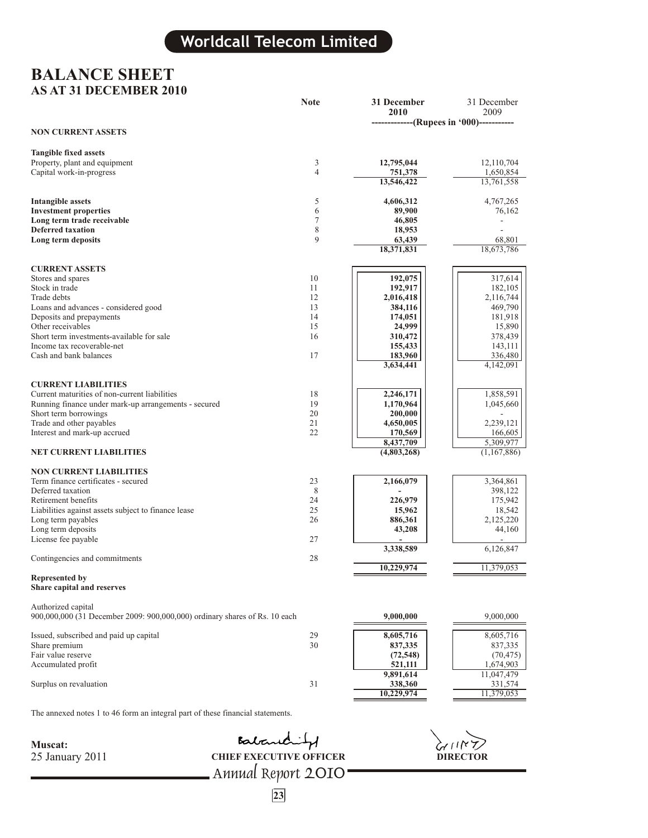### **BALANCE SHEET AS AT 31 DECEMBER 2010**

|                                                                               | <b>Note</b>    | 31 December<br>2010                      | 31 December<br>2009      |
|-------------------------------------------------------------------------------|----------------|------------------------------------------|--------------------------|
| <b>NON CURRENT ASSETS</b>                                                     |                | -------------(Rupees in '000)----------- |                          |
| <b>Tangible fixed assets</b>                                                  |                |                                          |                          |
| Property, plant and equipment                                                 | 3              | 12,795,044                               | 12,110,704               |
| Capital work-in-progress                                                      | $\overline{4}$ | 751,378                                  | 1,650,854                |
|                                                                               |                | 13,546,422                               | 13,761,558               |
| <b>Intangible assets</b>                                                      | 5              | 4,606,312                                | 4,767,265                |
| <b>Investment properties</b>                                                  | 6              | 89,900                                   | 76,162                   |
| Long term trade receivable                                                    | 7              | 46,805                                   | $\overline{a}$           |
| <b>Deferred taxation</b>                                                      | 8              | 18,953                                   |                          |
| Long term deposits                                                            | 9              | 63,439<br>18,371,831                     | 68,801<br>18,673,786     |
|                                                                               |                |                                          |                          |
| <b>CURRENT ASSETS</b>                                                         |                |                                          |                          |
| Stores and spares<br>Stock in trade                                           | 10<br>11       | 192,075<br>192,917                       | 317,614<br>182,105       |
| Trade debts                                                                   | 12             | 2,016,418                                | 2,116,744                |
| Loans and advances - considered good                                          | 13             | 384,116                                  | 469,790                  |
| Deposits and prepayments                                                      | 14             | 174,051                                  | 181,918                  |
| Other receivables                                                             | 15             | 24,999                                   | 15,890                   |
| Short term investments-available for sale                                     | 16             | 310,472                                  | 378,439                  |
| Income tax recoverable-net                                                    |                | 155,433                                  | 143,111                  |
| Cash and bank balances                                                        | 17             | 183,960                                  | 336,480                  |
|                                                                               |                | 3,634,441                                | 4,142,091                |
| <b>CURRENT LIABILITIES</b>                                                    |                |                                          |                          |
| Current maturities of non-current liabilities                                 | 18             | 2,246,171                                | 1,858,591                |
| Running finance under mark-up arrangements - secured                          | 19             | 1,170,964                                | 1,045,660                |
| Short term borrowings                                                         | 20             | 200,000                                  |                          |
| Trade and other payables                                                      | 21             | 4,650,005                                | 2,239,121                |
| Interest and mark-up accrued                                                  | 22             | 170,569                                  | 166,605                  |
| <b>NET CURRENT LIABILITIES</b>                                                |                | 8,437,709<br>(4,803,268)                 | 5,309,977<br>(1,167,886) |
|                                                                               |                |                                          |                          |
| <b>NON CURRENT LIABILITIES</b>                                                |                |                                          |                          |
| Term finance certificates - secured                                           | 23             | 2,166,079                                | 3,364,861                |
| Deferred taxation                                                             | 8              |                                          | 398,122                  |
| Retirement benefits<br>Liabilities against assets subject to finance lease    | 24<br>25       | 226,979<br>15,962                        | 175,942<br>18,542        |
| Long term payables                                                            | 26             | 886,361                                  | 2,125,220                |
| Long term deposits                                                            |                | 43,208                                   | 44,160                   |
| License fee payable                                                           | 27             |                                          |                          |
| Contingencies and commitments                                                 | 28             | 3,338,589                                | 6,126,847                |
|                                                                               |                | 10,229,974                               | 11,379,053               |
| <b>Represented by</b><br>Share capital and reserves                           |                |                                          |                          |
| Authorized capital                                                            |                |                                          |                          |
| 900,000,000 (31 December 2009: 900,000,000) ordinary shares of Rs. 10 each    |                | 9,000,000                                | 9,000,000                |
| Issued, subscribed and paid up capital                                        | 29             | 8,605,716                                | 8,605,716                |
| Share premium                                                                 | 30             | 837,335                                  | 837,335                  |
| Fair value reserve                                                            |                | (72, 548)                                | (70, 475)                |
| Accumulated profit                                                            |                | 521,111                                  | 1,674,903                |
|                                                                               |                | 9,891,614                                | 11,047,479               |
| Surplus on revaluation                                                        | 31             | 338,360                                  | 331,574                  |
|                                                                               |                | 10,229,974                               | 11,379,053               |
| The annexed notes 1 to 46 form an integral part of these financial statements |                |                                          |                          |

egral part of these financi

**Muscat:** 25 January 2011

**CHIEF EXECUTIVE OFFICER DIRECTOR**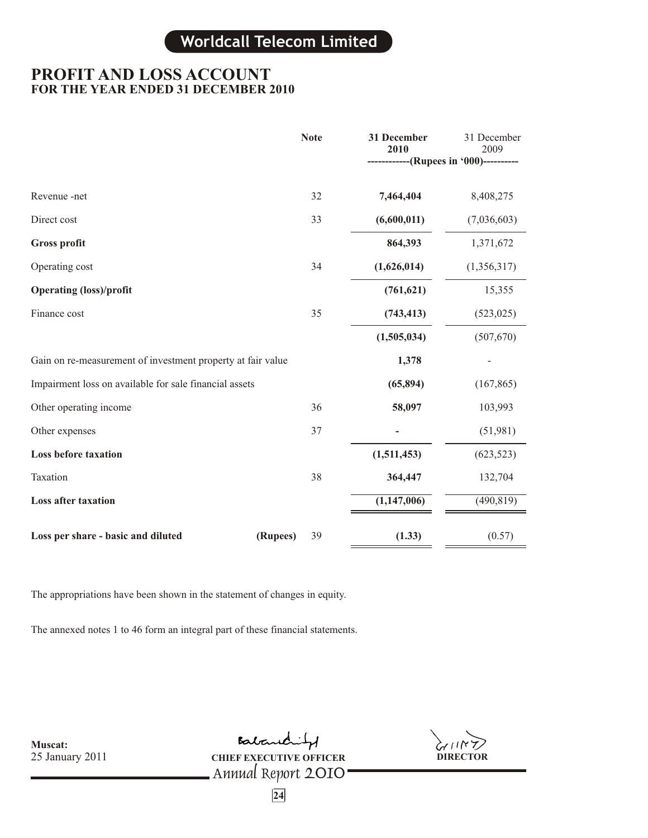### **PROFIT AND LOSS ACCOUNT FOR THE YEAR ENDED 31 DECEMBER 2010**

|                                                             | <b>Note</b> | 31 December<br>2010                    | 31 December<br>2009 |
|-------------------------------------------------------------|-------------|----------------------------------------|---------------------|
|                                                             |             | ------------(Rupees in '000)---------- |                     |
| Revenue -net                                                | 32          | 7,464,404                              | 8,408,275           |
| Direct cost                                                 | 33          | (6,600,011)                            | (7,036,603)         |
| <b>Gross profit</b>                                         |             | 864,393                                | 1,371,672           |
| Operating cost                                              | 34          | (1,626,014)                            | (1,356,317)         |
| <b>Operating (loss)/profit</b>                              |             | (761, 621)                             | 15,355              |
| Finance cost                                                | 35          | (743, 413)                             | (523, 025)          |
|                                                             |             | (1,505,034)                            | (507, 670)          |
| Gain on re-measurement of investment property at fair value |             | 1,378                                  |                     |
| Impairment loss on available for sale financial assets      |             | (65, 894)                              | (167, 865)          |
| Other operating income                                      | 36          | 58,097                                 | 103,993             |
| Other expenses                                              | 37          |                                        | (51,981)            |
| <b>Loss before taxation</b>                                 |             | (1,511,453)                            | (623, 523)          |
| Taxation                                                    | 38          | 364,447                                | 132,704             |
| <b>Loss after taxation</b>                                  |             | (1, 147, 006)                          | (490, 819)          |
| Loss per share - basic and diluted<br>(Rupees)              | 39          | (1.33)                                 | (0.57)              |

The appropriations have been shown in the statement of changes in equity.

The annexed notes 1 to 46 form an integral part of these financial statements.

**Muscat:** 25 January 2011

Annual Report 2010 **CHIEF EXECUTIVE OFFICER**

**DIRECTOR**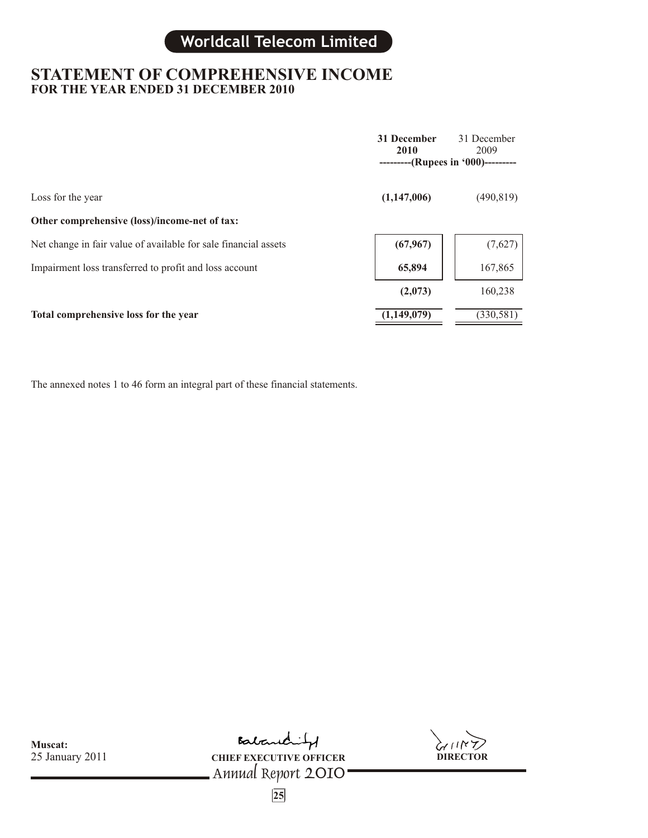### **STATEMENT OF COMPREHENSIVE INCOME FOR THE YEAR ENDED 31 DECEMBER 2010**

|                                                                 | 31 December<br>2010 | 31 December<br>2009<br>---------(Rupees in '000)--------- |
|-----------------------------------------------------------------|---------------------|-----------------------------------------------------------|
| Loss for the year                                               | (1,147,006)         | (490, 819)                                                |
| Other comprehensive (loss)/income-net of tax:                   |                     |                                                           |
| Net change in fair value of available for sale financial assets | (67, 967)           | (7,627)                                                   |
| Impairment loss transferred to profit and loss account          | 65,894              | 167,865                                                   |
|                                                                 | (2,073)             | 160,238                                                   |
| Total comprehensive loss for the year                           | (1,149,079)         | (330, 581)                                                |

The annexed notes 1 to 46 form an integral part of these financial statements.

**DIRECTOR**

**Muscat:** 25 January 2011 Annual Report 2010 **CHIEF EXECUTIVE OFFICER**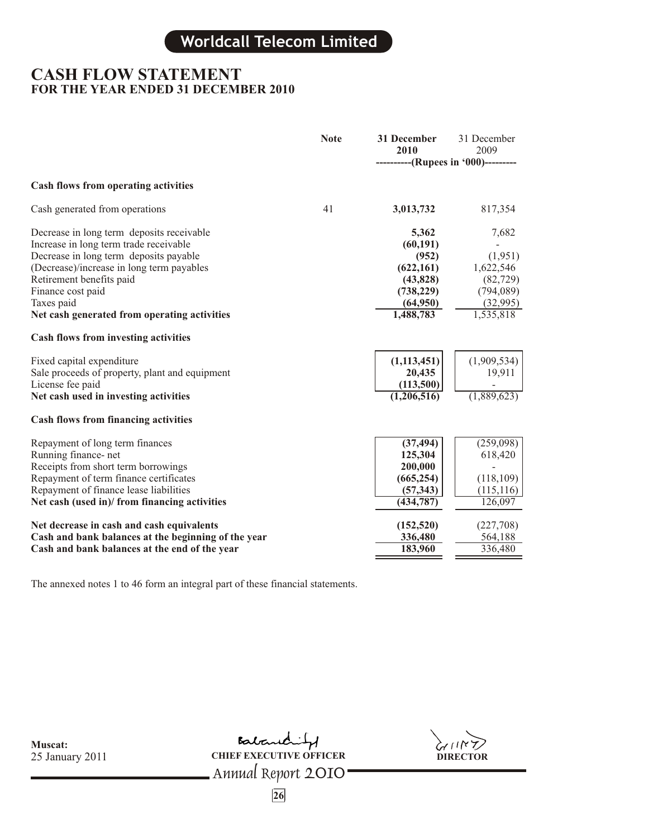### **CASH FLOW STATEMENT FOR THE YEAR ENDED 31 DECEMBER 2010**

|                                                                                                  | <b>Note</b> | 31 December<br>2010                 | 31 December<br>2009  |
|--------------------------------------------------------------------------------------------------|-------------|-------------------------------------|----------------------|
|                                                                                                  |             | ----------(Rupees in '000)--------- |                      |
| Cash flows from operating activities                                                             |             |                                     |                      |
| Cash generated from operations                                                                   | 41          | 3,013,732                           | 817,354              |
| Decrease in long term deposits receivable                                                        |             | 5,362                               | 7,682                |
| Increase in long term trade receivable                                                           |             | (60, 191)                           |                      |
| Decrease in long term deposits payable                                                           |             | (952)                               | (1,951)              |
| (Decrease)/increase in long term payables                                                        |             | (622, 161)                          | 1,622,546            |
| Retirement benefits paid                                                                         |             | (43,828)                            | (82, 729)            |
| Finance cost paid                                                                                |             | (738, 229)                          | (794,089)            |
| Taxes paid                                                                                       |             | (64,950)                            | (32,995)             |
| Net cash generated from operating activities                                                     |             | 1,488,783                           | 1,535,818            |
| Cash flows from investing activities                                                             |             |                                     |                      |
| Fixed capital expenditure                                                                        |             | (1, 113, 451)                       | (1,909,534)          |
| Sale proceeds of property, plant and equipment                                                   |             | 20,435                              | 19,911               |
| License fee paid                                                                                 |             | (113,500)                           |                      |
| Net cash used in investing activities                                                            |             | (1,206,516)                         | (1,889,623)          |
| <b>Cash flows from financing activities</b>                                                      |             |                                     |                      |
| Repayment of long term finances                                                                  |             | (37, 494)                           | (259,098)            |
| Running finance-net                                                                              |             | 125,304                             | 618,420              |
| Receipts from short term borrowings                                                              |             | 200,000                             |                      |
| Repayment of term finance certificates                                                           |             | (665, 254)                          | (118, 109)           |
| Repayment of finance lease liabilities                                                           |             | (57, 343)                           | (115, 116)           |
| Net cash (used in)/ from financing activities                                                    |             | (434, 787)                          | 126,097              |
|                                                                                                  |             |                                     |                      |
| Net decrease in cash and cash equivalents<br>Cash and bank balances at the beginning of the year |             | (152, 520)<br>336,480               | (227,708)<br>564,188 |
| Cash and bank balances at the end of the year                                                    |             | 183,960                             | 336,480              |
|                                                                                                  |             |                                     |                      |

The annexed notes 1 to 46 form an integral part of these financial statements.

**Muscat:** 25 January 2011 Annual Report 2010 **CHIEF EXECUTIVE OFFICER**

**DIRECTOR**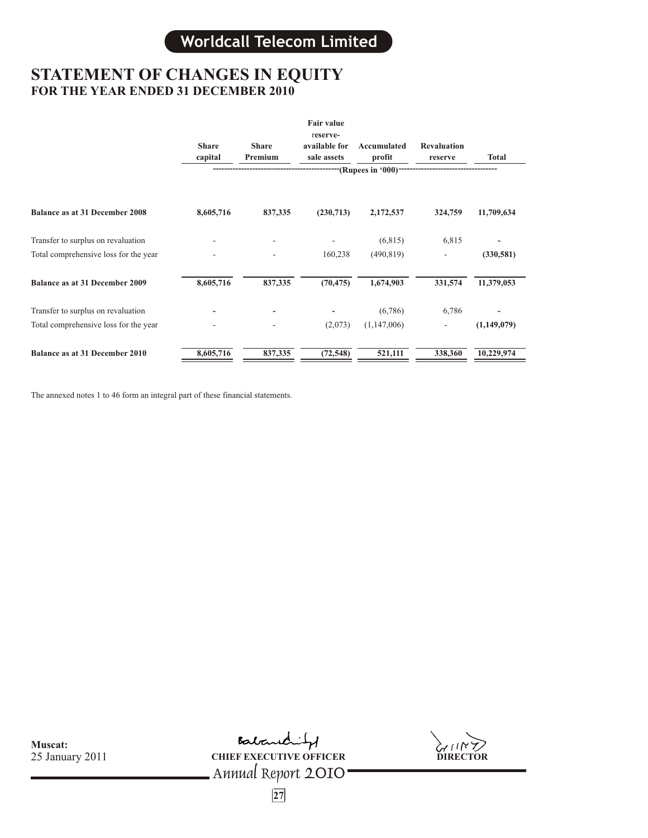### **STATEMENT OF CHANGES IN EQUITY FOR THE YEAR ENDED 31 DECEMBER 2010**

|                                                                             | <b>Share</b><br>capital | <b>Share</b><br>Premium | Fair value<br>reserve-<br>available for<br>sale assets | Accumulated<br>profit<br>$(T$ (Rupees in '000) | <b>Revaluation</b><br>reserve | <b>Total</b> |
|-----------------------------------------------------------------------------|-------------------------|-------------------------|--------------------------------------------------------|------------------------------------------------|-------------------------------|--------------|
| <b>Balance as at 31 December 2008</b>                                       | 8,605,716               | 837,335                 | (230,713)                                              | 2,172,537                                      | 324,759                       | 11,709,634   |
| Transfer to surplus on revaluation<br>Total comprehensive loss for the year |                         |                         | 160,238                                                | (6, 815)<br>(490, 819)                         | 6,815                         |              |
|                                                                             |                         |                         |                                                        |                                                |                               | (330,581)    |
| Balance as at 31 December 2009                                              | 8,605,716               | 837,335                 | (70, 475)                                              | 1,674,903                                      | 331,574                       | 11,379,053   |
| Transfer to surplus on revaluation                                          |                         |                         |                                                        | (6,786)                                        | 6,786                         |              |
| Total comprehensive loss for the year                                       |                         |                         | (2,073)                                                | (1,147,006)                                    |                               | (1,149,079)  |
| Balance as at 31 December 2010                                              | 8,605,716               | 837,335                 | (72, 548)                                              | 521,111                                        | 338,360                       | 10,229,974   |

The annexed notes 1 to 46 form an integral part of these financial statements.

**CHIEF EXECUTIVE OFFICER**

Annual Report 2010



**Muscat:** 25 January 2011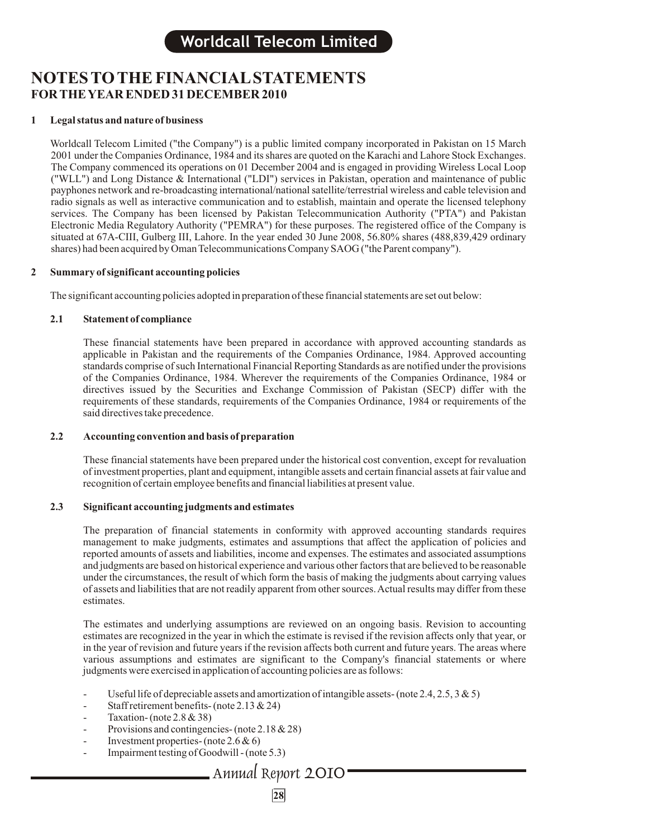### **NOTES TO THE FINANCIALSTATEMENTS FOR THE YEAR ENDED 31 DECEMBER 2010**

### **1 Legal status and nature of business**

Worldcall Telecom Limited ("the Company") is a public limited company incorporated in Pakistan on 15 March 2001 under the Companies Ordinance, 1984 and its shares are quoted on the Karachi and Lahore Stock Exchanges. The Company commenced its operations on 01 December 2004 and is engaged in providing Wireless Local Loop ("WLL") and Long Distance & International ("LDI") services in Pakistan, operation and maintenance of public payphones network and re-broadcasting international/national satellite/terrestrial wireless and cable television and radio signals as well as interactive communication and to establish, maintain and operate the licensed telephony services. The Company has been licensed by Pakistan Telecommunication Authority ("PTA") and Pakistan Electronic Media Regulatory Authority ("PEMRA") for these purposes. The registered office of the Company is situated at 67A-CIII, Gulberg III, Lahore. In the year ended 30 June 2008, 56.80% shares (488,839,429 ordinary shares) had been acquired by Oman Telecommunications Company SAOG ("the Parent company").

### **2 Summary of significant accounting policies**

The significant accounting policies adopted in preparation of these financial statements are set out below:

### **2.1 Statement of compliance**

These financial statements have been prepared in accordance with approved accounting standards as applicable in Pakistan and the requirements of the Companies Ordinance, 1984. Approved accounting standards comprise of such International Financial Reporting Standards as are notified under the provisions of the Companies Ordinance, 1984. Wherever the requirements of the Companies Ordinance, 1984 or directives issued by the Securities and Exchange Commission of Pakistan (SECP) differ with the requirements of these standards, requirements of the Companies Ordinance, 1984 or requirements of the said directives take precedence.

### **2.2 Accounting convention and basis of preparation**

These financial statements have been prepared under the historical cost convention, except for revaluation of investment properties, plant and equipment, intangible assets and certain financial assets at fair value and recognition of certain employee benefits and financial liabilities at present value.

### **2.3 Significant accounting judgments and estimates**

The preparation of financial statements in conformity with approved accounting standards requires management to make judgments, estimates and assumptions that affect the application of policies and reported amounts of assets and liabilities, income and expenses. The estimates and associated assumptions and judgments are based on historical experience and various other factors that are believed to be reasonable under the circumstances, the result of which form the basis of making the judgments about carrying values of assets and liabilities that are not readily apparent from other sources. Actual results may differ from these estimates.

The estimates and underlying assumptions are reviewed on an ongoing basis. Revision to accounting estimates are recognized in the year in which the estimate is revised if the revision affects only that year, or in the year of revision and future years if the revision affects both current and future years. The areas where various assumptions and estimates are significant to the Company's financial statements or where judgments were exercised in application of accounting policies are as follows:

- Useful life of depreciable assets and amortization of intangible assets- (note 2.4, 2.5, 3 & 5)
- Staff retirement benefits- (note 2.13 & 24)
- Taxation- (note  $2.8 \& 38$ )
- Provisions and contingencies- (note 2.18 & 28)
- Investment properties- (note  $2.6 \& 6$ )
- Impairment testing of Goodwill (note 5.3)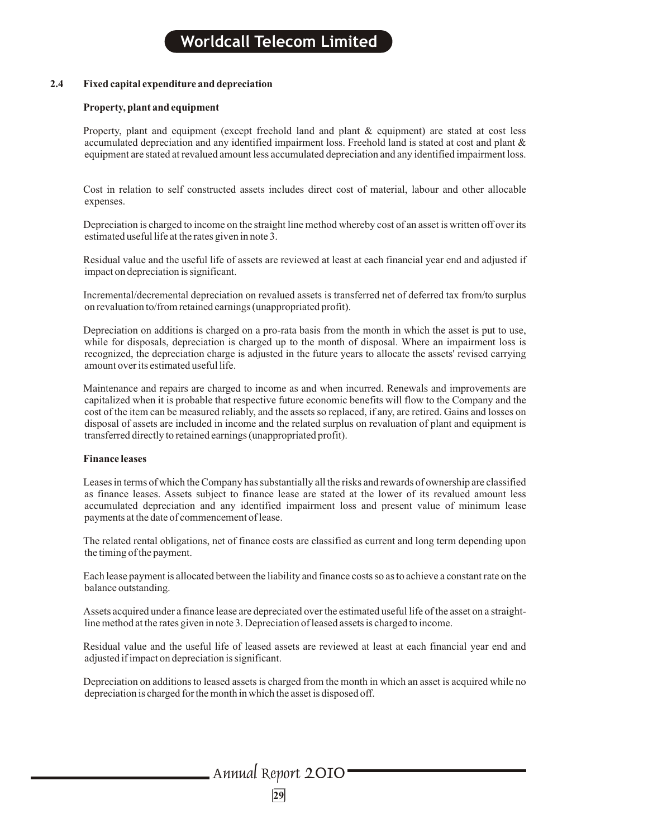### **2.4 Fixed capital expenditure and depreciation**

### **Property, plant and equipment**

Property, plant and equipment (except freehold land and plant & equipment) are stated at cost less accumulated depreciation and any identified impairment loss. Freehold land is stated at cost and plant & equipment are stated at revalued amount less accumulated depreciation and any identified impairment loss.

Cost in relation to self constructed assets includes direct cost of material, labour and other allocable expenses.

Depreciation is charged to income on the straight line method whereby cost of an asset is written off over its estimated useful life at the rates given in note 3.

Residual value and the useful life of assets are reviewed at least at each financial year end and adjusted if impact on depreciation is significant.

Incremental/decremental depreciation on revalued assets is transferred net of deferred tax from/to surplus on revaluation to/from retained earnings (unappropriated profit).

Depreciation on additions is charged on a pro-rata basis from the month in which the asset is put to use, while for disposals, depreciation is charged up to the month of disposal. Where an impairment loss is recognized, the depreciation charge is adjusted in the future years to allocate the assets' revised carrying amount over its estimated useful life.

Maintenance and repairs are charged to income as and when incurred. Renewals and improvements are capitalized when it is probable that respective future economic benefits will flow to the Company and the cost of the item can be measured reliably, and the assets so replaced, if any, are retired. Gains and losses on disposal of assets are included in income and the related surplus on revaluation of plant and equipment is transferred directly to retained earnings (unappropriated profit).

### **Finance leases**

Leases in terms of which the Company has substantially all the risks and rewards of ownership are classified as finance leases. Assets subject to finance lease are stated at the lower of its revalued amount less accumulated depreciation and any identified impairment loss and present value of minimum lease payments at the date of commencement of lease.

The related rental obligations, net of finance costs are classified as current and long term depending upon the timing of the payment.

Each lease payment is allocated between the liability and finance costs so as to achieve a constant rate on the balance outstanding.

Assets acquired under a finance lease are depreciated over the estimated useful life of the asset on a straightline method at the rates given in note 3. Depreciation of leased assets is charged to income.

Residual value and the useful life of leased assets are reviewed at least at each financial year end and adjusted if impact on depreciation is significant.

Depreciation on additions to leased assets is charged from the month in which an asset is acquired while no depreciation is charged for the month in which the asset is disposed off.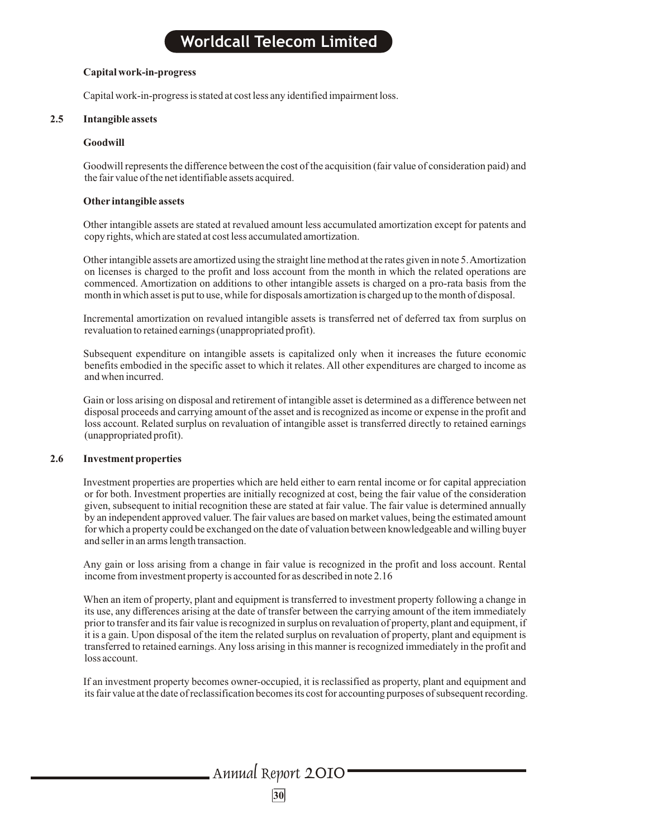### **Capital work-in-progress**

Capital work-in-progress is stated at cost less any identified impairment loss.

### **2.5 Intangible assets**

### **Goodwill**

Goodwill represents the difference between the cost of the acquisition (fair value of consideration paid) and the fair value of the net identifiable assets acquired.

### **Other intangible assets**

Other intangible assets are stated at revalued amount less accumulated amortization except for patents and copy rights, which are stated at cost less accumulated amortization.

Other intangible assets are amortized using the straight line method at the rates given in note 5. Amortization on licenses is charged to the profit and loss account from the month in which the related operations are commenced. Amortization on additions to other intangible assets is charged on a pro-rata basis from the month in which asset is put to use, while for disposals amortization is charged up to the month of disposal.

Incremental amortization on revalued intangible assets is transferred net of deferred tax from surplus on revaluation to retained earnings (unappropriated profit).

Subsequent expenditure on intangible assets is capitalized only when it increases the future economic benefits embodied in the specific asset to which it relates. All other expenditures are charged to income as and when incurred.

Gain or loss arising on disposal and retirement of intangible asset is determined as a difference between net disposal proceeds and carrying amount of the asset and is recognized as income or expense in the profit and loss account. Related surplus on revaluation of intangible asset is transferred directly to retained earnings (unappropriated profit).

### **2.6 Investment properties**

Investment properties are properties which are held either to earn rental income or for capital appreciation or for both. Investment properties are initially recognized at cost, being the fair value of the consideration given, subsequent to initial recognition these are stated at fair value. The fair value is determined annually by an independent approved valuer. The fair values are based on market values, being the estimated amount for which a property could be exchanged on the date of valuation between knowledgeable and willing buyer and seller in an arms length transaction.

Any gain or loss arising from a change in fair value is recognized in the profit and loss account. Rental income from investment property is accounted for as described in note 2.16

When an item of property, plant and equipment is transferred to investment property following a change in its use, any differences arising at the date of transfer between the carrying amount of the item immediately prior to transfer and its fair value is recognized in surplus on revaluation of property, plant and equipment, if it is a gain. Upon disposal of the item the related surplus on revaluation of property, plant and equipment is transferred to retained earnings. Any loss arising in this manner is recognized immediately in the profit and loss account.

If an investment property becomes owner-occupied, it is reclassified as property, plant and equipment and its fair value at the date of reclassification becomes its cost for accounting purposes of subsequent recording.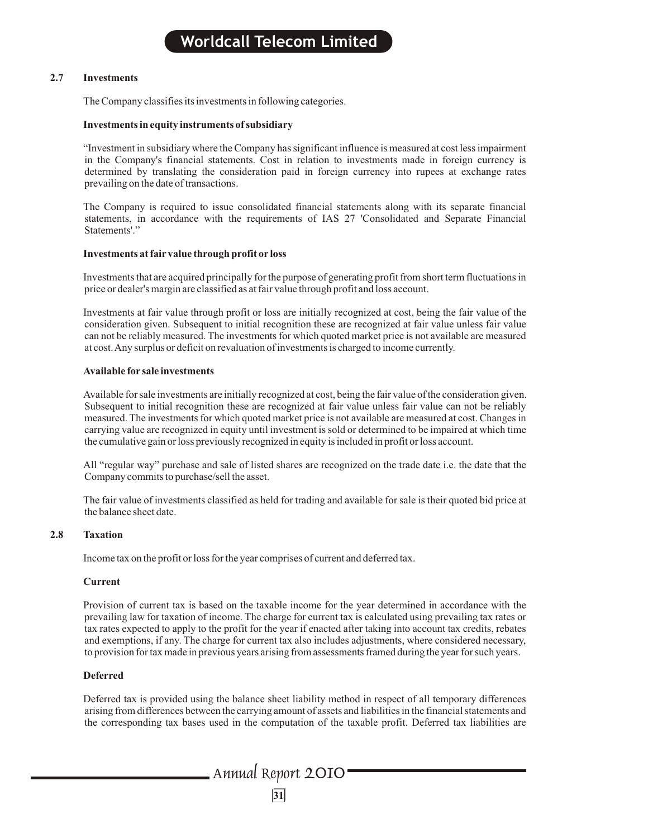### **2.7 Investments**

The Company classifies its investments in following categories.

#### **Investments in equity instruments of subsidiary**

"Investment in subsidiary where the Company has significant influence is measured at cost less impairment in the Company's financial statements. Cost in relation to investments made in foreign currency is determined by translating the consideration paid in foreign currency into rupees at exchange rates prevailing on the date of transactions.

The Company is required to issue consolidated financial statements along with its separate financial statements, in accordance with the requirements of IAS 27 'Consolidated and Separate Financial Statements'."

#### **Investments at fair value through profit or loss**

Investments that are acquired principally for the purpose of generating profit from short term fluctuations in price or dealer's margin are classified as at fair value through profit and loss account.

Investments at fair value through profit or loss are initially recognized at cost, being the fair value of the consideration given. Subsequent to initial recognition these are recognized at fair value unless fair value can not be reliably measured. The investments for which quoted market price is not available are measured at cost. Any surplus or deficit on revaluation of investments is charged to income currently.

#### **Available for sale investments**

Available for sale investments are initially recognized at cost, being the fair value of the consideration given. Subsequent to initial recognition these are recognized at fair value unless fair value can not be reliably measured. The investments for which quoted market price is not available are measured at cost. Changes in carrying value are recognized in equity until investment is sold or determined to be impaired at which time the cumulative gain or loss previously recognized in equity is included in profit or loss account.

All "regular way" purchase and sale of listed shares are recognized on the trade date i.e. the date that the Company commits to purchase/sell the asset.

The fair value of investments classified as held for trading and available for sale is their quoted bid price at the balance sheet date.

### **2.8 Taxation**

Income tax on the profit or loss for the year comprises of current and deferred tax.

### **Current**

Provision of current tax is based on the taxable income for the year determined in accordance with the prevailing law for taxation of income. The charge for current tax is calculated using prevailing tax rates or tax rates expected to apply to the profit for the year if enacted after taking into account tax credits, rebates and exemptions, if any. The charge for current tax also includes adjustments, where considered necessary, to provision for tax made in previous years arising from assessments framed during the year for such years.

### **Deferred**

Deferred tax is provided using the balance sheet liability method in respect of all temporary differences arising from differences between the carrying amount of assets and liabilities in the financial statements and the corresponding tax bases used in the computation of the taxable profit. Deferred tax liabilities are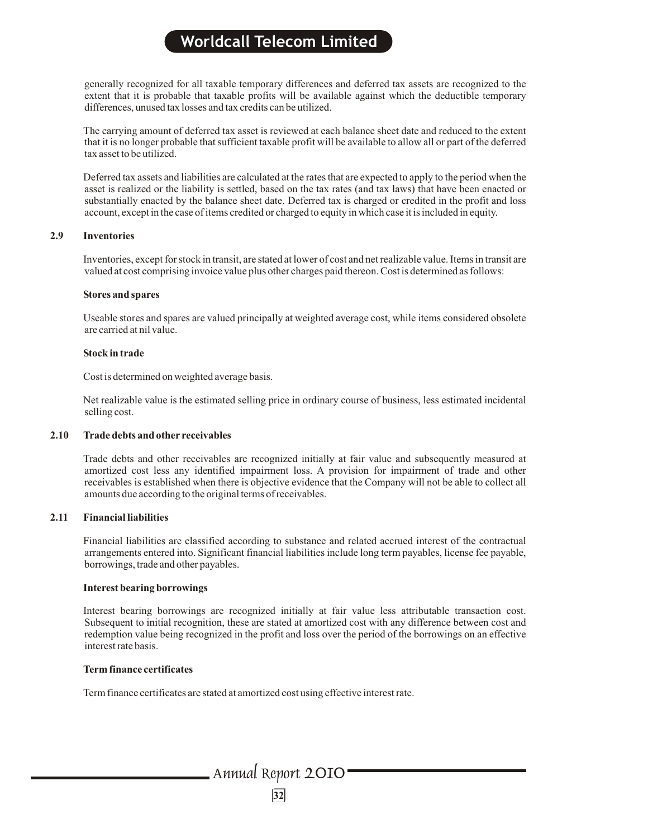generally recognized for all taxable temporary differences and deferred tax assets are recognized to the extent that it is probable that taxable profits will be available against which the deductible temporary differences, unused tax losses and tax credits can be utilized.

The carrying amount of deferred tax asset is reviewed at each balance sheet date and reduced to the extent that it is no longer probable that sufficient taxable profit will be available to allow all or part of the deferred tax asset to be utilized.

Deferred tax assets and liabilities are calculated at the rates that are expected to apply to the period when the asset is realized or the liability is settled, based on the tax rates (and tax laws) that have been enacted or substantially enacted by the balance sheet date. Deferred tax is charged or credited in the profit and loss account, except in the case of items credited or charged to equity in which case it is included in equity.

### **2.9 Inventories**

Inventories, except for stock in transit, are stated at lower of cost and net realizable value. Items in transit are valued at cost comprising invoice value plus other charges paid thereon. Cost is determined as follows:

#### **Stores and spares**

Useable stores and spares are valued principally at weighted average cost, while items considered obsolete are carried at nil value.

#### **Stock in trade**

Cost is determined on weighted average basis.

Net realizable value is the estimated selling price in ordinary course of business, less estimated incidental selling cost.

### **2.10 Trade debts and other receivables**

Trade debts and other receivables are recognized initially at fair value and subsequently measured at amortized cost less any identified impairment loss. A provision for impairment of trade and other receivables is established when there is objective evidence that the Company will not be able to collect all amounts due according to the original terms of receivables.

### **2.11 Financial liabilities**

Financial liabilities are classified according to substance and related accrued interest of the contractual arrangements entered into. Significant financial liabilities include long term payables, license fee payable, borrowings, trade and other payables.

### **Interest bearing borrowings**

Interest bearing borrowings are recognized initially at fair value less attributable transaction cost. Subsequent to initial recognition, these are stated at amortized cost with any difference between cost and redemption value being recognized in the profit and loss over the period of the borrowings on an effective interest rate basis.

### **Term finance certificates**

Term finance certificates are stated at amortized cost using effective interest rate.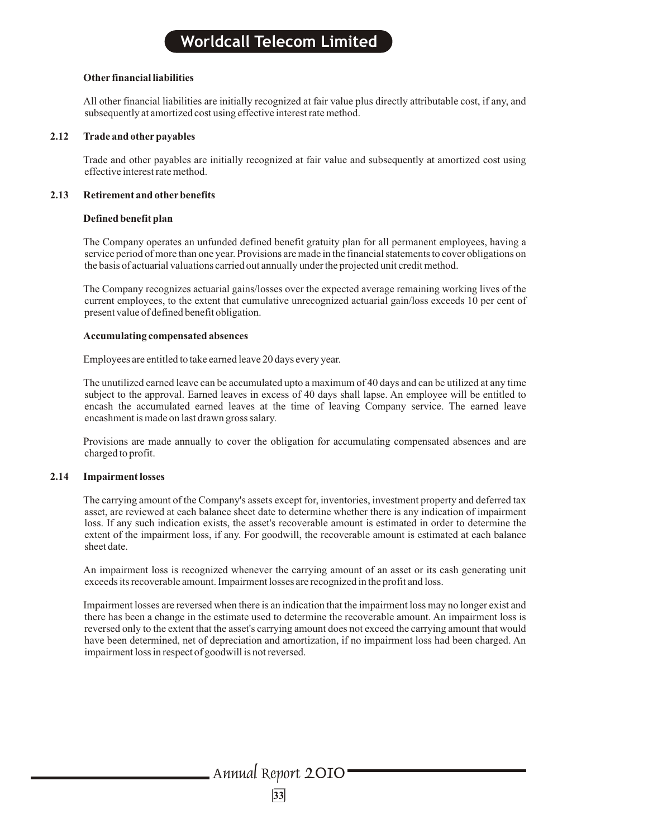### **Other financial liabilities**

All other financial liabilities are initially recognized at fair value plus directly attributable cost, if any, and subsequently at amortized cost using effective interest rate method.

### **2.12 Trade and other payables**

Trade and other payables are initially recognized at fair value and subsequently at amortized cost using effective interest rate method.

### **2.13 Retirement and other benefits**

### **Defined benefit plan**

The Company operates an unfunded defined benefit gratuity plan for all permanent employees, having a service period of more than one year. Provisions are made in the financial statements to cover obligations on the basis of actuarial valuations carried out annually under the projected unit credit method.

The Company recognizes actuarial gains/losses over the expected average remaining working lives of the current employees, to the extent that cumulative unrecognized actuarial gain/loss exceeds 10 per cent of present value of defined benefit obligation.

### **Accumulating compensatedabsences**

Employees are entitled to take earned leave 20 days every year.

The unutilized earned leave can be accumulated upto a maximum of 40 days and can be utilized at any time subject to the approval. Earned leaves in excess of 40 days shall lapse. An employee will be entitled to encash the accumulated earned leaves at the time of leaving Company service. The earned leave encashment is made on last drawn gross salary.

Provisions are made annually to cover the obligation for accumulating compensated absences and are charged to profit.

### **2.14 Impairment losses**

The carrying amount of the Company's assets except for, inventories, investment property and deferred tax asset, are reviewed at each balance sheet date to determine whether there is any indication of impairment loss. If any such indication exists, the asset's recoverable amount is estimated in order to determine the extent of the impairment loss, if any. For goodwill, the recoverable amount is estimated at each balance sheet date.

An impairment loss is recognized whenever the carrying amount of an asset or its cash generating unit exceeds its recoverable amount. Impairment losses are recognized in the profit and loss.

Impairment losses are reversed when there is an indication that the impairment loss may no longer exist and there has been a change in the estimate used to determine the recoverable amount. An impairment loss is reversed only to the extent that the asset's carrying amount does not exceed the carrying amount that would have been determined, net of depreciation and amortization, if no impairment loss had been charged. An impairment loss in respect of goodwill is not reversed.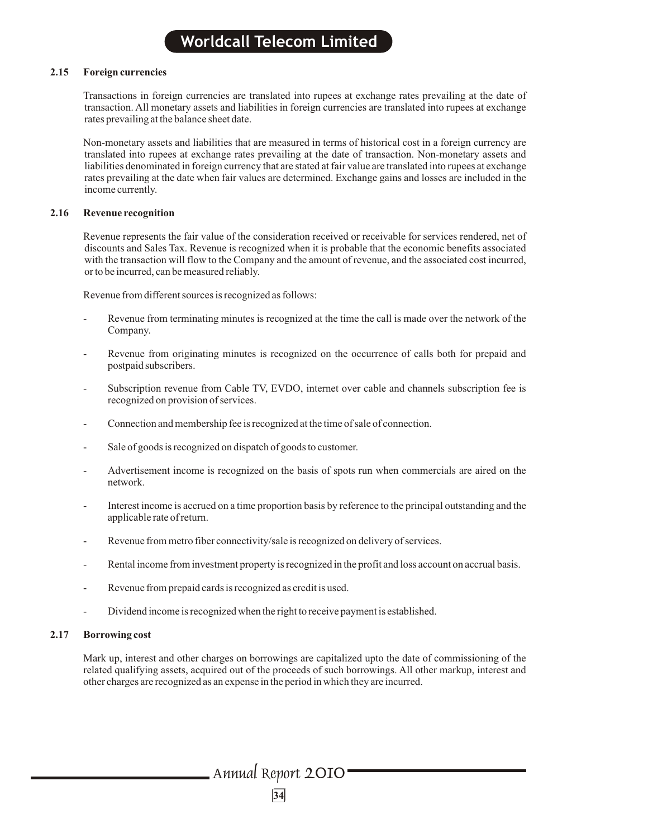### **2.15 Foreign currencies**

Transactions in foreign currencies are translated into rupees at exchange rates prevailing at the date of transaction. All monetary assets and liabilities in foreign currencies are translated into rupees at exchange rates prevailing at the balance sheet date.

Non-monetary assets and liabilities that are measured in terms of historical cost in a foreign currency are translated into rupees at exchange rates prevailing at the date of transaction. Non-monetary assets and liabilities denominated in foreign currency that are stated at fair value are translated into rupees at exchange rates prevailing at the date when fair values are determined. Exchange gains and losses are included in the income currently.

### **2.16 Revenue recognition**

Revenue represents the fair value of the consideration received or receivable for services rendered, net of discounts and Sales Tax. Revenue is recognized when it is probable that the economic benefits associated with the transaction will flow to the Company and the amount of revenue, and the associated cost incurred, or to be incurred, can be measured reliably.

Revenue from different sources is recognized as follows:

- Revenue from terminating minutes is recognized at the time the call is made over the network of the Company.
- Revenue from originating minutes is recognized on the occurrence of calls both for prepaid and postpaid subscribers.
- Subscription revenue from Cable TV, EVDO, internet over cable and channels subscription fee is recognized on provision of services.
- Connection and membership fee is recognized at the time of sale of connection.
- Sale of goods is recognized on dispatch of goods to customer.
- Advertisement income is recognized on the basis of spots run when commercials are aired on the network.
- Interest income is accrued on a time proportion basis by reference to the principal outstanding and the applicable rate of return.
- Revenue from metro fiber connectivity/sale is recognized on delivery of services.
- Rental income from investment property is recognized in the profit and loss account on accrual basis.
- Revenue from prepaid cards is recognized as credit is used.
- Dividend income is recognized when the right to receive payment is established.

### **2.17 Borrowing cost**

Mark up, interest and other charges on borrowings are capitalized upto the date of commissioning of the related qualifying assets, acquired out of the proceeds of such borrowings. All other markup, interest and other charges are recognized as an expense in the period in which they are incurred.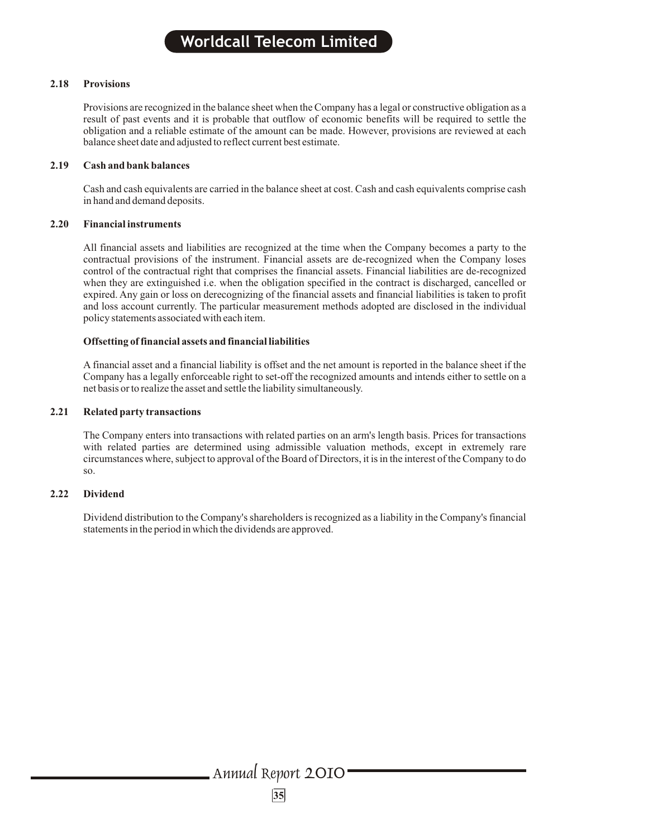### **2.18 Provisions**

Provisions are recognized in the balance sheet when the Company has a legal or constructive obligation as a result of past events and it is probable that outflow of economic benefits will be required to settle the obligation and a reliable estimate of the amount can be made. However, provisions are reviewed at each balance sheet date and adjusted to reflect current best estimate.

### **2.19 Cash and bank balances**

Cash and cash equivalents are carried in the balance sheet at cost. Cash and cash equivalents comprise cash in hand and demand deposits.

### **2.20 Financial instruments**

All financial assets and liabilities are recognized at the time when the Company becomes a party to the contractual provisions of the instrument. Financial assets are de-recognized when the Company loses control of the contractual right that comprises the financial assets. Financial liabilities are de-recognized when they are extinguished i.e. when the obligation specified in the contract is discharged, cancelled or expired. Any gain or loss on derecognizing of the financial assets and financial liabilities is taken to profit and loss account currently. The particular measurement methods adopted are disclosed in the individual policy statements associated with each item.

### **Offsetting of financial assets and financial liabilities**

A financial asset and a financial liability is offset and the net amount is reported in the balance sheet if the Company has a legally enforceable right to set-off the recognized amounts and intends either to settle on a net basis or to realize the asset and settle the liability simultaneously.

### **2.21 Related party transactions**

The Company enters into transactions with related parties on an arm's length basis. Prices for transactions with related parties are determined using admissible valuation methods, except in extremely rare circumstances where, subject to approval of the Board of Directors, it is in the interest of the Company to do so.

### **2.22 Dividend**

Dividend distribution to the Company's shareholders is recognized as a liability in the Company's financial statements in the period in which the dividends are approved.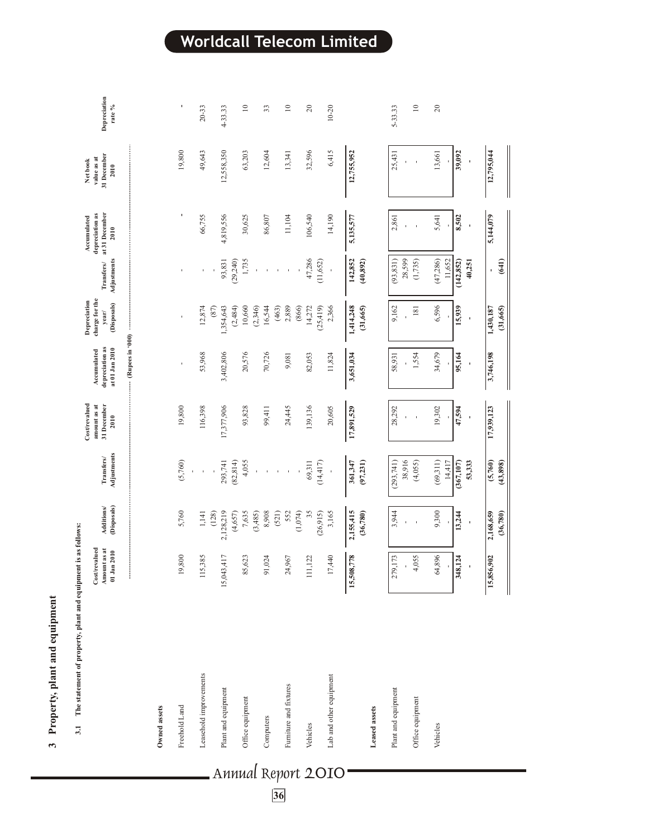3 Property, plant and equipment **Property, plant and equipment**

| í                    |
|----------------------|
| $\sim$ and<br>i<br>j |
| i                    |
| i<br>$\vdots$        |

|                         | <b>Cost/revalued</b><br>Amount as at<br>01 Jan 2010 | (Disposals)<br>Additions/  | Adjustments<br>Transfers/ | <b>Cost/revalued</b><br>31 December<br>amount as at<br>2010 | depreciation as<br>at 01 Jan 2010<br>Accumulated | charge for the<br>Depreciation<br>(Disposals)<br>year/ | Adjustments<br>Transfers/ | at 31 December<br>depreciation as<br>Accumulated<br>2010 | 31 December<br>value as at<br>Net book<br>2010 | Depreciation<br>rate $\%$ |
|-------------------------|-----------------------------------------------------|----------------------------|---------------------------|-------------------------------------------------------------|--------------------------------------------------|--------------------------------------------------------|---------------------------|----------------------------------------------------------|------------------------------------------------|---------------------------|
|                         | ł                                                   |                            |                           |                                                             |                                                  |                                                        |                           |                                                          |                                                |                           |
| Owned assets            |                                                     |                            |                           |                                                             |                                                  |                                                        |                           |                                                          |                                                |                           |
| Freehold Land           | 800<br>$\overline{e}$                               | 5,760                      | (5,760)                   | 19,800                                                      |                                                  |                                                        |                           |                                                          | 19,800                                         | ٠                         |
| Leasehold improvements  | ,385<br>115                                         | (128)<br>1,141             |                           | 116,398                                                     | 53,968                                           | 12,874<br>(87)                                         |                           | 66,755                                                   | 49,643                                         | $20 - 33$                 |
| Plant and equipment     | 417<br>15,043                                       | 2,128,219<br>(4, 657)      | (82, 814)<br>293,741      | 17,377,906                                                  | 3,402,806                                        | 1,354,643<br>(2,484)                                   | 93,831<br>(29,240)        | 4,819,556                                                | 12,558,350                                     | 4-33.33                   |
| Office equipment        | 623<br>85                                           | 7,635                      | 4,055                     | 93,828                                                      | 20,576                                           | 10,660                                                 | 1,735                     | 30,625                                                   | 63,203                                         | $\supseteq$               |
| Computers               | ,024<br>$\overline{9}$                              | (3,485)<br>8,908<br>(521)  |                           | 99,411                                                      | 70,726                                           | 16,544<br>(463)<br>(2,346)                             |                           | 86,807                                                   | 12,604                                         | 33                        |
| Furniture and fixtures  | ,967<br>$\overline{c}$                              | 552                        |                           | 24,445                                                      | 9,081                                            | 2,889                                                  |                           | 11,104                                                   | 13,341                                         | $\equiv$                  |
| Vehicles                | 122<br>$\Xi$                                        | (1,074)<br>35<br>(26, 915) | 69,311<br>(14, 417)       | 139,136                                                     | 82,053                                           | (25, 419)<br>(866)<br>14,272                           | 47,286<br>(11, 652)       | 106,540                                                  | 32,596                                         | $\approx$                 |
| Lab and other equipment | ,440<br>$\overline{17}$                             | 3,165                      | ï                         | 20,605                                                      | 11,824                                           | 2,366                                                  |                           | 14,190                                                   | 6,415                                          | $10 - 20$                 |
| Leased assets           | 15,508,778                                          | 2,155,415<br>(36,780)      | 361,347<br>(97,231)       | 17,891,529                                                  | 3,651,034                                        | 1,414,248<br>(31, 665)                                 | 142,852<br>(40, 892)      | 5,135,577                                                | 12,755,952                                     |                           |
|                         | 279,173                                             | 3,944                      |                           | 28,292                                                      | 58,931                                           | 9,162                                                  | (93, 831)                 |                                                          | 25,431                                         |                           |
| Plant and equipment     |                                                     |                            | 38,916<br>(293,741)       |                                                             |                                                  |                                                        | 28,599                    | 2,861                                                    |                                                | 5-33.33                   |
| Office equipment        | 4,055                                               |                            | (4,055)                   |                                                             | 1,554                                            | 181                                                    | (1,735)                   |                                                          |                                                | $\overline{10}$           |
| Vehicles                | 1,896<br>$\mathcal{R}$                              | 9,300                      | (69,311)<br>14,417        | 19,302                                                      | 34,679                                           | 6,596                                                  | (47,286)<br>11,652        | 5,641                                                    | 13,661                                         | 20                        |
|                         | 348,124                                             | 13,244<br>$\blacksquare$   | (367, 107)<br>53,333      | 47,594<br>$\blacksquare$                                    | 95,164<br>ï                                      | 15,939<br>ł,                                           | (142, 852)<br>40,251      | 8,502<br>$\bar{1}$                                       | 39,092<br>f,                                   |                           |
|                         | 15,856,902                                          | 2,168,659<br>(36,780)      | (5,760)<br>(43, 898)      | 17,939,123                                                  | 3,746,198                                        | (31, 665)<br>1,430,187                                 | (641)<br>ï                | 5,144,079                                                | 12,795,044                                     |                           |

# Annual Report 2010

## **Worldcall Telecom Limited**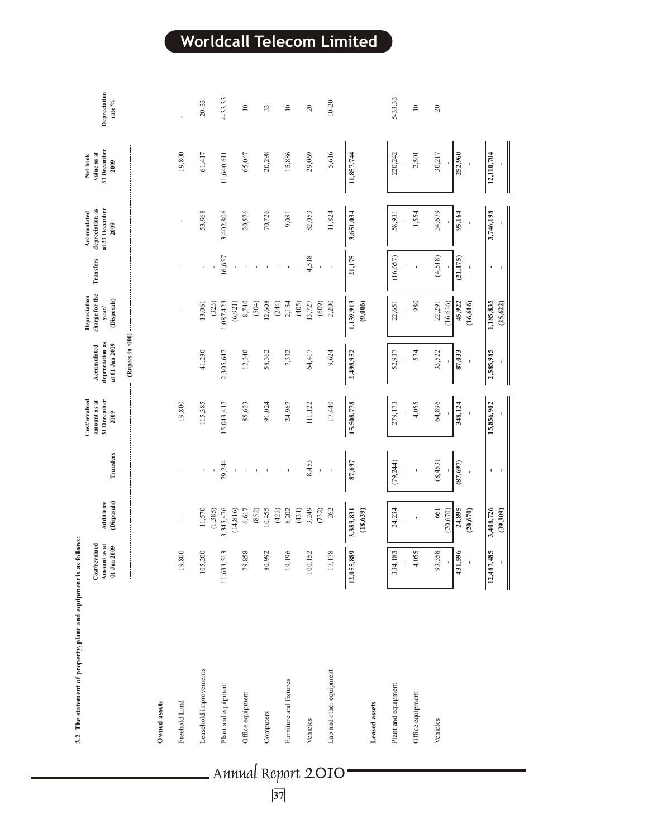| 3.2 The statement of property, plant and equipment is as follows: | Cost/revalued<br>Amount as at      | Additions/             |                | Cost/revalued<br>amount as at<br>31 December | depreciation as<br>Accumulated     | charge for the<br>Depreciation<br>year/ | Transfers | at 31 December<br>depreciation as<br>Accumulated | 31 December<br>value as at<br>Net book | Depreciation |
|-------------------------------------------------------------------|------------------------------------|------------------------|----------------|----------------------------------------------|------------------------------------|-----------------------------------------|-----------|--------------------------------------------------|----------------------------------------|--------------|
|                                                                   | 01 Jan 2009<br>ļ                   | (Disposals)            | Transfers      | 2009                                         | (Rupees in '000)<br>at 01 Jan 2009 | (Disposals)                             |           | 2009                                             | 2009                                   | rate $\%$    |
| Owned assets                                                      |                                    |                        |                |                                              |                                    |                                         |           |                                                  |                                        |              |
| Freehold Land                                                     | ,800<br>$\overline{5}$             | ï                      |                | 19,800                                       |                                    | $\mathbf{I}$                            |           | ٠                                                | 19,800                                 | ı            |
| Leasehold improvements                                            | ,200<br>105                        | 11,570<br>(1,385)      |                | 115,385                                      | 41,230                             | 13,061<br>(323)                         | ı,        | 53,968                                           | 61,417                                 | $20 - 33$    |
| Plant and equipment                                               | 513<br>11,633,                     | 3,345,476              | 79,244         | 15,043,417                                   | 2,305,647                          | 1,087,423                               | 16,657    | 3,402,806                                        | 11,640,611                             | 4-33.33      |
| Office equipment                                                  | 858<br>$\mathcal{L}_{\mathcal{L}}$ | 6,617<br>(14, 816)     |                | 85,623                                       | 12,340                             | 8,740<br>(6, 921)                       |           | 20,576                                           | 65,047                                 | $\approx$    |
| Computers                                                         | 992<br>80                          | (852)<br>10,455        |                | 91,024                                       | 58,362                             | 12,608<br>(504)                         |           | 70,726                                           | 20,298                                 | 33           |
| Furniture and fixtures                                            | 19,196                             | (423)<br>6,202         |                | 24,967                                       | 7,332                              | 2,154<br>(244)                          |           | 9,081                                            | 15,886                                 | $\approx$    |
| Vehicles                                                          | 100,152                            | (431)<br>3,249         | 8,453          | 111,122                                      | 64,417                             | (405)<br>13,727                         | 4,518     | 82,053                                           | 29,069                                 | $20$         |
| Lab and other equipment                                           | ,178<br>$\overline{17}$            | (732)<br>262           | $\blacksquare$ | 17,440                                       | 9,624                              | 2,200<br>(609)                          |           | 11,824                                           | 5,616                                  | $10 - 20$    |
|                                                                   | 12,055,889                         | 3,383,831<br>(18, 639) | 87,697         | 15,508,778                                   | 2,498,952                          | 1,139,913<br>(9,006)                    | 21,175    | 3,651,034                                        | 11,857,744                             |              |
| Leased assets                                                     |                                    |                        |                |                                              |                                    |                                         |           |                                                  |                                        |              |
| Plant and equipment                                               | 334,183                            | 24,234                 | (79,244)       | 279,173                                      | 52,937                             | 22,651                                  | (16, 657) | 58,931                                           | 220,242                                | 5-33.33      |
| Office equipment                                                  | 4,055                              |                        |                | 4,055                                        | 574                                | 980                                     |           | 1,554                                            | 2,501                                  | $\supseteq$  |
| Vehicles                                                          | ,358<br>93                         | 661<br>(20, 670)       | (8,453)        | 64,896                                       | 33,522                             | 22,291<br>(16, 616)                     | (4, 518)  | 34,679                                           | 30,217                                 | $20\,$       |
|                                                                   | 431,596                            | 24,895<br>(20, 670)    | (87,697)       | 348,124<br>$\blacksquare$                    | 87,033<br>ï                        | 45,922<br>(16, 616)                     | (21, 175) | 95,164<br>ï                                      | 252,960                                |              |
|                                                                   | 12,487,485                         | 3,408,726              | ٠              | 15,856,902                                   | 2,585,985                          | 1,185,835                               | ٠         | 3,746,198                                        | 12,110,704                             |              |
|                                                                   |                                    | (39,309)               |                | ï                                            | ï                                  | (25, 622)                               |           | $\bar{1}$                                        | ï                                      |              |

 $\blacksquare$  Annual Report 2010 $\blacksquare$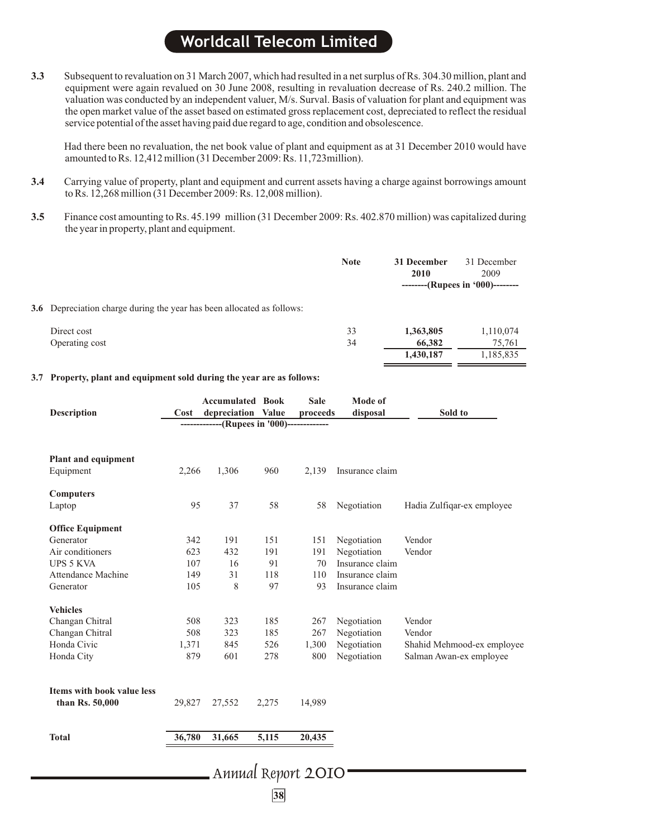**3.3** Subsequent to revaluation on 31 March 2007, which had resulted in a net surplus of Rs. 304.30 million, plant and equipment were again revalued on 30 June 2008, resulting in revaluation decrease of Rs. 240.2 million. The valuation was conducted by an independent valuer, M/s. Surval. Basis of valuation for plant and equipment was the open market value of the asset based on estimated gross replacement cost, depreciated to reflect the residual service potential of the asset having paid due regard to age, condition and obsolescence.

Had there been no revaluation, the net book value of plant and equipment as at 31 December 2010 would have amounted to Rs. 12,412 million (31 December 2009: Rs. 11,723million).

- **3.4** Carrying value of property, plant and equipment and current assets having a charge against borrowings amount to Rs. 12,268 million (31 December 2009: Rs. 12,008 million).
- **3.5** Finance cost amounting to Rs. 45.199 million (31 December 2009: Rs. 402.870 million) was capitalized during the year in property, plant and equipment.

|                                                                               | <b>Note</b> | 31 December<br>2010 | 31 December<br>2009<br>$-----$ (Rupees in '000)-------- |
|-------------------------------------------------------------------------------|-------------|---------------------|---------------------------------------------------------|
| <b>3.6</b> Depreciation charge during the year has been allocated as follows: |             |                     |                                                         |
| Direct cost                                                                   | 33          | 1,363,805           | 1,110,074                                               |
| Operating cost                                                                | 34          | 66,382              | 75,761                                                  |

**1,430,187** 1,185,835

#### **3.7 Property, plant and equipment sold during the year are as follows:**

| <b>Description</b>               | Cost   | <b>Accumulated Book</b><br>depreciation Value |       | <b>Sale</b><br>proceeds | Mode of<br>disposal | Sold to                    |
|----------------------------------|--------|-----------------------------------------------|-------|-------------------------|---------------------|----------------------------|
|                                  |        | -------------(Rupees in '000)-------------    |       |                         |                     |                            |
|                                  |        |                                               |       |                         |                     |                            |
| Plant and equipment<br>Equipment | 2,266  | 1,306                                         | 960   | 2,139                   | Insurance claim     |                            |
|                                  |        |                                               |       |                         |                     |                            |
| <b>Computers</b>                 |        |                                               |       |                         |                     |                            |
| Laptop                           | 95     | 37                                            | 58    | 58                      | Negotiation         | Hadia Zulfigar-ex employee |
| <b>Office Equipment</b>          |        |                                               |       |                         |                     |                            |
| Generator                        | 342    | 191                                           | 151   | 151                     | Negotiation         | Vendor                     |
| Air conditioners                 | 623    | 432                                           | 191   | 191                     | Negotiation         | Vendor                     |
| <b>UPS 5 KVA</b>                 | 107    | 16                                            | 91    | 70                      | Insurance claim     |                            |
| <b>Attendance Machine</b>        | 149    | 31                                            | 118   | 110                     | Insurance claim     |                            |
| Generator                        | 105    | 8                                             | 97    | 93                      | Insurance claim     |                            |
| <b>Vehicles</b>                  |        |                                               |       |                         |                     |                            |
| Changan Chitral                  | 508    | 323                                           | 185   | 267                     | Negotiation         | Vendor                     |
| Changan Chitral                  | 508    | 323                                           | 185   | 267                     | Negotiation         | Vendor                     |
| Honda Civic                      | 1,371  | 845                                           | 526   | 1,300                   | Negotiation         | Shahid Mehmood-ex employee |
| Honda City                       | 879    | 601                                           | 278   | 800                     | Negotiation         | Salman Awan-ex employee    |
| Items with book value less       |        |                                               |       |                         |                     |                            |
| than Rs. 50,000                  | 29,827 | 27,552                                        | 2,275 | 14,989                  |                     |                            |
| <b>Total</b>                     | 36,780 | 31,665                                        | 5,115 | 20,435                  |                     |                            |
|                                  |        | $\Delta$                                      |       |                         |                     |                            |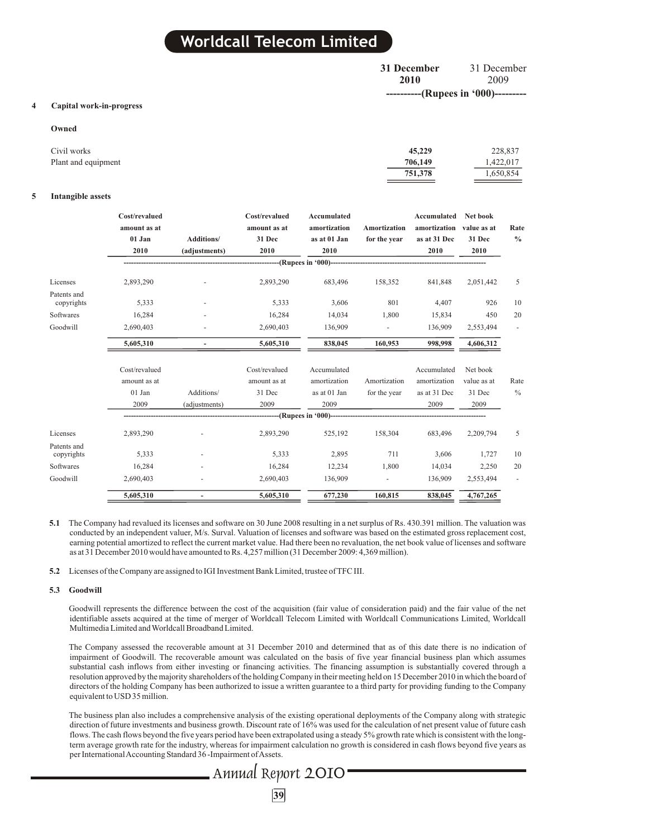| 31 December | 31 December                         |
|-------------|-------------------------------------|
| 2010        | 2009                                |
|             | ----------(Rupees in '000)--------- |

#### **4 Capital work-in-progress**

| Civil works         | 45,229  | 228,837   |
|---------------------|---------|-----------|
| Plant and equipment | 706,149 | 1,422,017 |
|                     | 751,378 | 1.650.854 |

#### **5 Intangible assets**

|                           | Cost/revalued<br>amount as at |                          | Cost/revalued<br>amount as at | Accumulated<br>amortization | <b>Amortization</b> | Accumulated<br>amortization | Net book<br>value as at | Rate          |
|---------------------------|-------------------------------|--------------------------|-------------------------------|-----------------------------|---------------------|-----------------------------|-------------------------|---------------|
|                           | 01 Jan                        | <b>Additions/</b>        | 31 Dec                        | as at 01 Jan                | for the year        | as at 31 Dec                | 31 Dec                  | $\frac{0}{0}$ |
|                           | 2010                          | (adjustments)            | 2010                          | 2010                        |                     | 2010                        | 2010                    |               |
|                           |                               |                          |                               | -(Rupees in '000)---        |                     |                             |                         |               |
| Licenses                  | 2,893,290                     |                          | 2,893,290                     | 683,496                     | 158,352             | 841.848                     | 2,051,442               | 5             |
| Patents and<br>copyrights | 5,333                         |                          | 5,333                         | 3,606                       | 801                 | 4,407                       | 926                     | 10            |
| Softwares                 | 16,284                        |                          | 16,284                        | 14,034                      | 1.800               | 15,834                      | 450                     | 20            |
| Goodwill                  | 2,690,403                     |                          | 2,690,403                     | 136,909                     |                     | 136,909                     | 2,553,494               |               |
|                           | 5,605,310                     | $\overline{\phantom{0}}$ | 5,605,310                     | 838,045                     | 160,953             | 998,998                     | 4,606,312               |               |
|                           | Cost/revalued                 |                          | Cost/revalued                 | Accumulated                 |                     | Accumulated                 | Net book                |               |
|                           | amount as at                  |                          | amount as at                  | amortization                | Amortization        | amortization                | value as at             | Rate          |
|                           | $01$ Jan                      | Additions/               | 31 Dec                        | as at 01 Jan                | for the year        | as at 31 Dec                | 31 Dec                  | $\frac{0}{0}$ |
|                           | 2009                          | (adjustments)            | 2009                          | 2009                        |                     | 2009                        | 2009                    |               |
|                           |                               |                          |                               | --(Rupees in '000)--------  |                     |                             |                         |               |
| Licenses                  | 2,893,290                     |                          | 2,893,290                     | 525,192                     | 158,304             | 683,496                     | 2,209,794               | 5             |
| Patents and<br>copyrights | 5,333                         |                          | 5,333                         | 2,895                       | 711                 | 3,606                       | 1,727                   | 10            |
| Softwares                 | 16,284                        |                          | 16,284                        | 12,234                      | 1,800               | 14,034                      | 2,250                   | 20            |
| Goodwill                  | 2,690,403                     |                          | 2,690,403                     | 136,909                     |                     | 136,909                     | 2,553,494               |               |
|                           | 5,605,310                     | $\overline{\phantom{a}}$ | 5,605,310                     | 677,230                     | 160,815             | 838,045                     | 4,767,265               |               |

**5.1** The Company had revalued its licenses and software on 30 June 2008 resulting in a net surplus of Rs. 430.391 million. The valuation was conducted by an independent valuer, M/s. Surval. Valuation of licenses and software was based on the estimated gross replacement cost, earning potential amortized to reflect the current market value. Had there been no revaluation, the net book value of licenses and software as at 31 December 2010 would have amounted to Rs. 4,257 million (31 December 2009: 4,369 million).

5.2 Licenses of the Company are assigned to IGI Investment Bank Limited, trustee of TFC III.

#### **5.3 Goodwill**

Goodwill represents the difference between the cost of the acquisition (fair value of consideration paid) and the fair value of the net identifiable assets acquired at the time of merger of Worldcall Telecom Limited with Worldcall Communications Limited, Worldcall Multimedia Limited and Worldcall Broadband Limited.

The Company assessed the recoverable amount at 31 December 2010 and determined that as of this date there is no indication of impairment of Goodwill. The recoverable amount was calculated on the basis of five year financial business plan which assumes substantial cash inflows from either investing or financing activities. The financing assumption is substantially covered through a resolution approved by the majority shareholders of the holding Company in their meeting held on 15 December 2010 in which the board of directors of the holding Company has been authorized to issue a written guarantee to a third party for providing funding to the Company equivalent to USD 35 million.

The business plan also includes a comprehensive analysis of the existing operational deployments of the Company along with strategic direction of future investments and business growth. Discount rate of 16% was used for the calculation of net present value of future cash flows. The cash flows beyond the five years period have been extrapolated using a steady 5% growth rate which is consistent with the longterm average growth rate for the industry, whereas for impairment calculation no growth is considered in cash flows beyond five years as per International Accounting Standard 36 -Impairment of Assets.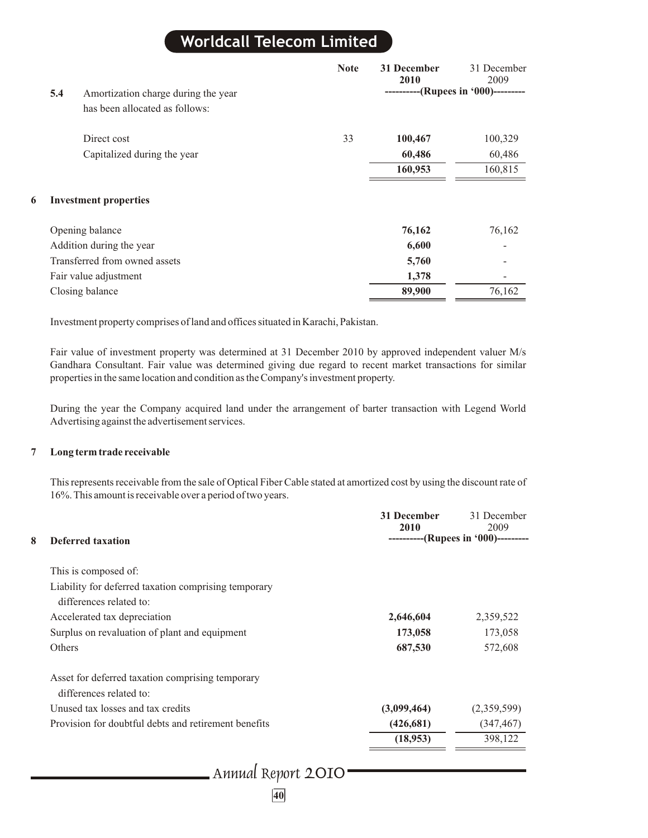|   |     |                                     | <b>Note</b> | 31 December<br>2010 | 31 December<br>2009                 |
|---|-----|-------------------------------------|-------------|---------------------|-------------------------------------|
|   | 5.4 | Amortization charge during the year |             |                     | ----------(Rupees in '000)--------- |
|   |     | has been allocated as follows:      |             |                     |                                     |
|   |     | Direct cost                         | 33          | 100,467             | 100,329                             |
|   |     | Capitalized during the year         |             | 60,486              | 60,486                              |
|   |     |                                     |             | 160,953             | 160,815                             |
| 6 |     | <b>Investment properties</b>        |             |                     |                                     |
|   |     | Opening balance                     |             | 76,162              | 76,162                              |
|   |     | Addition during the year            |             | 6,600               |                                     |
|   |     | Transferred from owned assets       |             | 5,760               |                                     |
|   |     | Fair value adjustment               |             | 1,378               |                                     |
|   |     | Closing balance                     |             | 89,900              | 76,162                              |
|   |     |                                     |             |                     |                                     |

Investment property comprises of land and offices situated in Karachi, Pakistan.

Fair value of investment property was determined at 31 December 2010 by approved independent valuer M/s Gandhara Consultant. Fair value was determined giving due regard to recent market transactions for similar properties in the same location and condition as the Company's investment property.

During the year the Company acquired land under the arrangement of barter transaction with Legend World Advertising against the advertisement services.

### **7 Long term trade receivable**

This represents receivable from the sale of Optical Fiber Cable stated at amortized cost by using the discount rate of 16%. This amount is receivable over a period of two years.

| 8 | <b>Deferred taxation</b>                             | 31 December<br>2010 | 31 December<br>2009<br>----------(Rupees in '000)--------- |
|---|------------------------------------------------------|---------------------|------------------------------------------------------------|
|   |                                                      |                     |                                                            |
|   | This is composed of:                                 |                     |                                                            |
|   | Liability for deferred taxation comprising temporary |                     |                                                            |
|   | differences related to:                              |                     |                                                            |
|   | Accelerated tax depreciation                         | 2,646,604           | 2,359,522                                                  |
|   | Surplus on revaluation of plant and equipment        | 173,058             | 173,058                                                    |
|   | Others                                               | 687,530             | 572,608                                                    |
|   | Asset for deferred taxation comprising temporary     |                     |                                                            |
|   | differences related to:                              |                     |                                                            |
|   | Unused tax losses and tax credits                    | (3,099,464)         | (2,359,599)                                                |
|   | Provision for doubtful debts and retirement benefits | (426, 681)          | (347, 467)                                                 |
|   |                                                      | (18,953)            | 398,122                                                    |
|   |                                                      |                     |                                                            |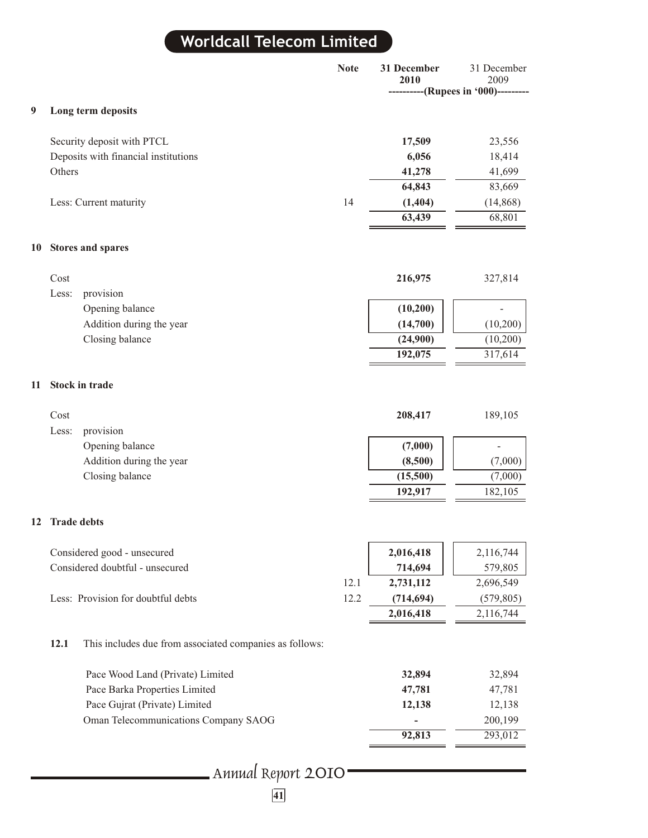|    |                          |                                                         | <b>Note</b> | 31 December<br>2010 | 31 December<br>2009                |
|----|--------------------------|---------------------------------------------------------|-------------|---------------------|------------------------------------|
|    |                          |                                                         |             |                     | ----------(Rupees in '000)-------- |
| 9  | Long term deposits       |                                                         |             |                     |                                    |
|    |                          | Security deposit with PTCL                              |             | 17,509              | 23,556                             |
|    |                          | Deposits with financial institutions                    |             | 6,056               | 18,414                             |
|    | Others                   |                                                         |             | 41,278              | 41,699                             |
|    |                          |                                                         |             | 64,843              | 83,669                             |
|    | Less: Current maturity   |                                                         | 14          | (1, 404)            | (14, 868)                          |
|    |                          |                                                         |             | 63,439              | 68,801                             |
| 10 | <b>Stores and spares</b> |                                                         |             |                     |                                    |
|    | Cost                     |                                                         |             | 216,975             | 327,814                            |
|    | provision<br>Less:       |                                                         |             |                     |                                    |
|    |                          | Opening balance                                         |             | (10, 200)           |                                    |
|    |                          | Addition during the year                                |             | (14,700)            | (10,200)                           |
|    |                          | Closing balance                                         |             | (24,900)            | (10,200)                           |
|    |                          |                                                         |             | 192,075             | 317,614                            |
| 11 | <b>Stock in trade</b>    |                                                         |             |                     |                                    |
|    | Cost                     |                                                         |             | 208,417             | 189,105                            |
|    | provision<br>Less:       |                                                         |             |                     |                                    |
|    |                          | Opening balance                                         |             | (7,000)             |                                    |
|    |                          | Addition during the year                                |             | (8,500)             | (7,000)                            |
|    |                          | Closing balance                                         |             | (15,500)            | (7,000)                            |
|    |                          |                                                         |             | 192,917             | 182,105                            |
| 12 | <b>Trade debts</b>       |                                                         |             |                     |                                    |
|    |                          | Considered good - unsecured                             |             | 2,016,418           | 2,116,744                          |
|    |                          | Considered doubtful - unsecured                         |             | 714,694             | 579,805                            |
|    |                          |                                                         | 12.1        | 2,731,112           | 2,696,549                          |
|    |                          | Less: Provision for doubtful debts                      | 12.2        | (714, 694)          | (579, 805)                         |
|    |                          |                                                         |             | 2,016,418           | 2,116,744                          |
|    | 12.1                     | This includes due from associated companies as follows: |             |                     |                                    |
|    |                          | Pace Wood Land (Private) Limited                        |             | 32,894              | 32,894                             |
|    |                          | Pace Barka Properties Limited                           |             | 47,781              | 47,781                             |
|    |                          | Pace Gujrat (Private) Limited                           |             | 12,138              | 12,138                             |
|    |                          | Oman Telecommunications Company SAOG                    |             |                     | 200,199                            |
|    |                          |                                                         |             | 92,813              | 293,012                            |
|    |                          |                                                         |             |                     |                                    |

 $\_$ Annual Report 2010 $-$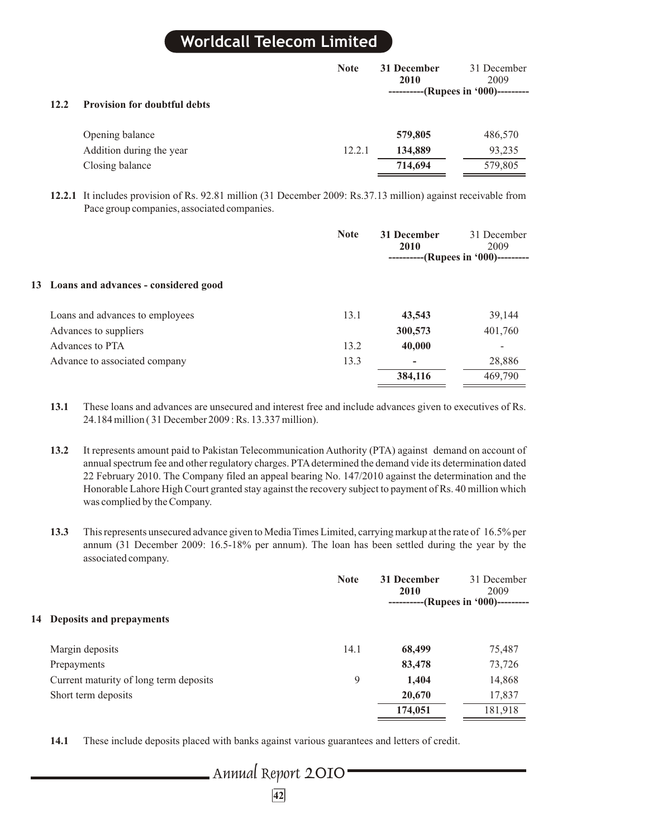|      |                                     | <b>Note</b> | 31 December<br>2010 | 31 December<br>2009<br>----------(Rupees in '000)--------- |
|------|-------------------------------------|-------------|---------------------|------------------------------------------------------------|
| 12.2 | <b>Provision for doubtful debts</b> |             |                     |                                                            |
|      | Opening balance                     |             | 579,805             | 486,570                                                    |
|      | Addition during the year            | 12.2.1      | 134,889             | 93,235                                                     |
|      | Closing balance                     |             | 714,694             | 579,805                                                    |
|      |                                     |             |                     |                                                            |

**12.2.1** It includes provision of Rs. 92.81 million (31 December 2009: Rs.37.13 million) against receivable from Pace group companies, associated companies.

|                                         | <b>Note</b> | 31 December<br>2010 | 31 December<br>2009<br>----------(Rupees in '000)--------- |
|-----------------------------------------|-------------|---------------------|------------------------------------------------------------|
| 13 Loans and advances - considered good |             |                     |                                                            |
| Loans and advances to employees         | 13.1        | 43,543              | 39,144                                                     |
| Advances to suppliers                   |             | 300,573             | 401,760                                                    |
| Advances to PTA                         | 13.2        | 40,000              |                                                            |
| Advance to associated company           | 13.3        | -                   | 28,886                                                     |
|                                         |             | 384,116             | 469,790                                                    |

**13.1** These loans and advances are unsecured and interest free and include advances given to executives of Rs. 24.184 million ( 31 December 2009 : Rs. 13.337 million).

**13.2** It represents amount paid to Pakistan Telecommunication Authority (PTA) against demand on account of annual spectrum fee and other regulatory charges. PTA determined the demand vide its determination dated 22 February 2010. The Company filed an appeal bearing No. 147/2010 against the determination and the Honorable Lahore High Court granted stay against the recovery subject to payment of Rs. 40 million which was complied by the Company.

**13.3** This represents unsecured advance given to Media Times Limited, carrying markup at the rate of 16.5% per annum (31 December 2009: 16.5-18% per annum). The loan has been settled during the year by the associated company.

|                                        | <b>Note</b> | 31 December<br><b>2010</b> | 31 December<br>2009<br>----------(Rupees in '000)--------- |
|----------------------------------------|-------------|----------------------------|------------------------------------------------------------|
| 14 Deposits and prepayments            |             |                            |                                                            |
| Margin deposits                        | 14.1        | 68,499                     | 75,487                                                     |
| Prepayments                            |             | 83,478                     | 73,726                                                     |
| Current maturity of long term deposits | 9           | 1,404                      | 14,868                                                     |
| Short term deposits                    |             | 20,670                     | 17,837                                                     |
|                                        |             | 174,051                    | 181,918                                                    |

**14.1** These include deposits placed with banks against various guarantees and letters of credit.

Annual Report 2010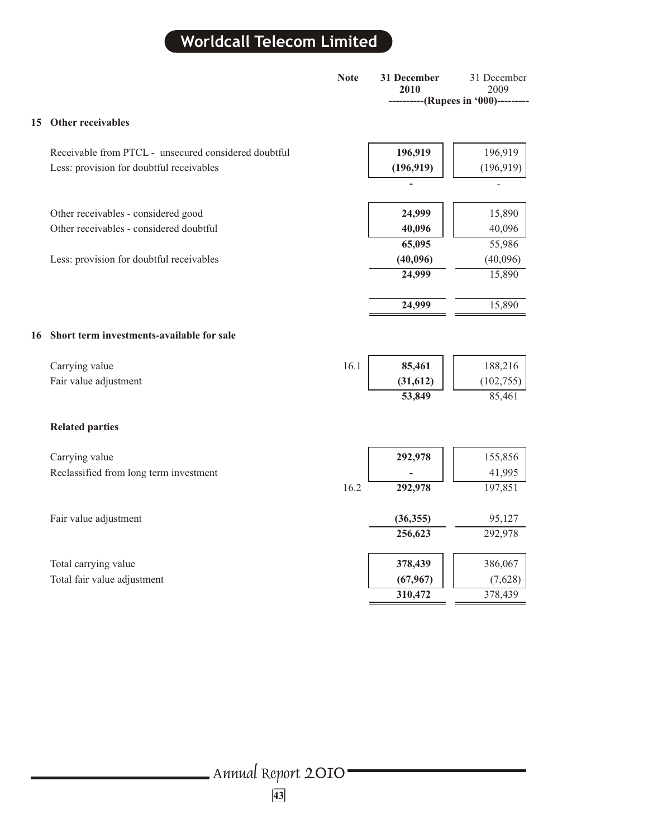**15** 

|    |                                                      | <b>Note</b> | 31 December<br>2010<br>----------(Rupees in '000)- | 31 December<br>2009 |
|----|------------------------------------------------------|-------------|----------------------------------------------------|---------------------|
| 15 | Other receivables                                    |             |                                                    |                     |
|    | Receivable from PTCL - unsecured considered doubtful |             | 196,919                                            | 196,919             |
|    | Less: provision for doubtful receivables             |             | (196, 919)                                         | (196, 919)          |
|    |                                                      |             |                                                    |                     |
|    | Other receivables - considered good                  |             | 24,999                                             | 15,890              |
|    | Other receivables - considered doubtful              |             | 40,096                                             | 40,096              |
|    |                                                      |             | 65,095                                             | 55,986              |
|    | Less: provision for doubtful receivables             |             | (40,096)                                           | (40,096)            |
|    |                                                      |             | 24,999                                             | 15,890              |
|    |                                                      |             | 24,999                                             | 15,890              |
| 16 | Short term investments-available for sale            |             |                                                    |                     |
|    | Carrying value                                       | 16.1        | 85,461                                             | 188,216             |
|    | Fair value adjustment                                |             | (31, 612)                                          | (102, 755)          |
|    |                                                      |             | 53,849                                             | 85,461              |
|    | <b>Related parties</b>                               |             |                                                    |                     |
|    | Carrying value                                       |             | 292,978                                            | 155,856             |
|    | Reclassified from long term investment               |             |                                                    | 41,995              |
|    |                                                      | 16.2        | 292,978                                            | 197,851             |
|    | Fair value adjustment                                |             | (36, 355)                                          | 95,127              |
|    |                                                      |             | 256,623                                            | 292,978             |
|    | Total carrying value                                 |             | 378,439                                            | 386,067             |
|    | Total fair value adjustment                          |             | (67, 967)                                          | (7,628)             |
|    |                                                      |             | 310,472                                            | 378,439             |
|    |                                                      |             |                                                    |                     |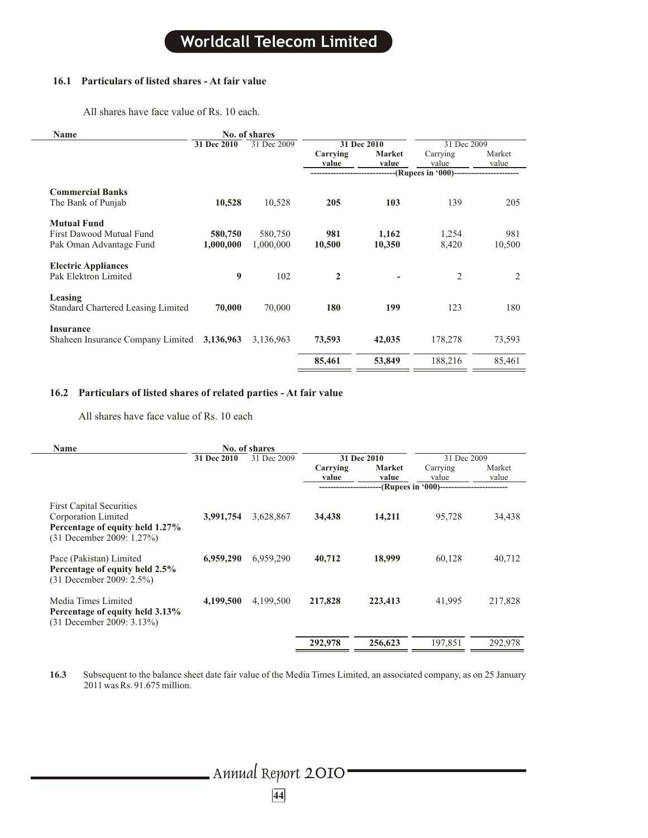### **16.1 Particulars of listed shares - At fair value**

All shares have face value of Rs. 10 each.

| Name                               |             | No. of shares |                |               |                      |        |
|------------------------------------|-------------|---------------|----------------|---------------|----------------------|--------|
|                                    | 31 Dec 2010 | 31 Dec 2009   |                | 31 Dec 2010   | 31 Dec 2009          |        |
|                                    |             |               | Carrying       | <b>Market</b> | Carrying             | Market |
|                                    |             |               | value          | value         | value                | value  |
|                                    |             |               |                |               | -(Rupees in '000)--- |        |
| <b>Commercial Banks</b>            |             |               |                |               |                      |        |
| The Bank of Punjab                 | 10,528      | 10,528        | 205            | 103           | 139                  | 205    |
|                                    |             |               |                |               |                      |        |
| <b>Mutual Fund</b>                 |             |               |                |               |                      |        |
| First Dawood Mutual Fund           | 580,750     | 580,750       | 981            | 1,162         | 1,254                | 981    |
| Pak Oman Advantage Fund            | 1,000,000   | 1,000,000     | 10,500         | 10,350        | 8,420                | 10,500 |
|                                    |             |               |                |               |                      |        |
| <b>Electric Appliances</b>         |             |               |                |               |                      |        |
| Pak Elektron Limited               | 9           | 102           | $\overline{2}$ |               | 2                    | 2      |
|                                    |             |               |                |               |                      |        |
| Leasing                            |             |               |                |               |                      |        |
| Standard Chartered Leasing Limited | 70,000      | 70,000        | 180            | 199           | 123                  | 180    |
| Insurance                          |             |               |                |               |                      |        |
| Shaheen Insurance Company Limited  | 3,136,963   | 3,136,963     | 73,593         | 42,035        | 178,278              | 73,593 |
|                                    |             |               |                |               |                      |        |
|                                    |             |               | 85,461         | 53,849        | 188,216              | 85,461 |
|                                    |             |               |                |               |                      |        |

### **16.2 Particulars of listed shares of related parties - At fair value**

All shares have face value of Rs. 10 each

| Name                                                                                    |             | No. of shares |          |             |                                   |         |
|-----------------------------------------------------------------------------------------|-------------|---------------|----------|-------------|-----------------------------------|---------|
|                                                                                         | 31 Dec 2010 | 31 Dec 2009   |          | 31 Dec 2010 | 31 Dec 2009                       |         |
|                                                                                         |             |               | Carrying | Market      | Carrying                          | Market  |
|                                                                                         |             |               | value    | value       | value                             | value   |
|                                                                                         |             |               |          |             | --(Rupees in '000)--------------- |         |
| <b>First Capital Securities</b><br>Corporation Limited                                  | 3,991,754   | 3,628,867     | 34,438   | 14,211      | 95,728                            | 34,438  |
| Percentage of equity held 1.27%<br>(31 December 2009: 1.27%)                            |             |               |          |             |                                   |         |
| Pace (Pakistan) Limited<br>Percentage of equity held 2.5%<br>$(31$ December 2009: 2.5%) | 6,959,290   | 6,959,290     | 40,712   | 18,999      | 60,128                            | 40,712  |
| Media Times Limited<br>Percentage of equity held 3.13%<br>$(31$ December 2009: 3.13%)   | 4,199,500   | 4.199.500     | 217,828  | 223,413     | 41,995                            | 217,828 |
|                                                                                         |             |               | 292,978  | 256,623     | 197.851                           | 292,978 |

**16.3** Subsequent to the balance sheet date fair value of the Media Times Limited, an associated company, as on 25 January 2011 was Rs. 91.675 million.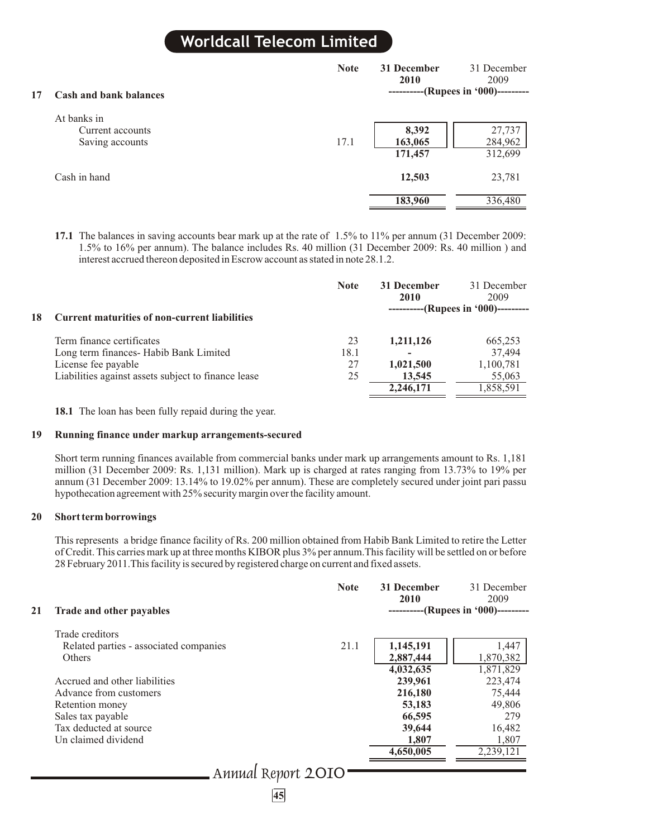| 17 | <b>Cash and bank balances</b>                      | <b>Note</b> | <b>31 December</b><br>2010  | 31 December<br>2009<br>----------(Rupees in '000)--------- |
|----|----------------------------------------------------|-------------|-----------------------------|------------------------------------------------------------|
|    | At banks in<br>Current accounts<br>Saving accounts | 17.1        | 8,392<br>163,065<br>171,457 | 27,737<br>284,962<br>312,699                               |
|    | Cash in hand                                       |             | 12,503                      | 23,781                                                     |
|    |                                                    |             | 183,960                     | 336,480                                                    |

**17.1** The balances in saving accounts bear mark up at the rate of 1.5% to 11% per annum (31 December 2009: 1.5% to 16% per annum). The balance includes Rs. 40 million (31 December 2009: Rs. 40 million ) and interest accrued thereon deposited in Escrow account as stated in note 28.1.2.

|    |                                                      | <b>Note</b> | 31 December<br>2010 | 31 December<br>2009                   |
|----|------------------------------------------------------|-------------|---------------------|---------------------------------------|
| 18 | <b>Current maturities of non-current liabilities</b> |             |                     | -----------(Rupees in '000)---------- |
|    | Term finance certificates                            | 23          | 1,211,126           | 665,253                               |
|    | Long term finances- Habib Bank Limited               | 18.1        |                     | 37,494                                |
|    | License fee payable                                  | 27          | 1,021,500           | 1,100,781                             |
|    | Liabilities against assets subject to finance lease  | 25          | 13.545              | 55,063                                |
|    |                                                      |             | 2,246,171           | 1,858,591                             |
|    |                                                      |             |                     |                                       |

**18.1** The loan has been fully repaid during the year.

#### **19 Running finance under markup arrangements-secured**

Short term running finances available from commercial banks under mark up arrangements amount to Rs. 1,181 million (31 December 2009: Rs. 1,131 million). Mark up is charged at rates ranging from 13.73% to 19% per annum (31 December 2009: 13.14% to 19.02% per annum). These are completely secured under joint pari passu hypothecation agreement with 25% security margin over the facility amount.

#### **20 Short term borrowings**

This represents a bridge finance facility of Rs. 200 million obtained from Habib Bank Limited to retire the Letter of Credit. This carries mark up at three months KIBOR plus 3% per annum.This facility will be settled on or before 28 February 2011.This facility is secured by registered charge on current and fixed assets.

| 21 | Trade and other payables               | <b>Note</b> | <b>31 December</b><br>2010 | 31 December<br>2009<br>----------(Rupees in '000)--------- |
|----|----------------------------------------|-------------|----------------------------|------------------------------------------------------------|
|    | Trade creditors                        |             |                            |                                                            |
|    | Related parties - associated companies | 21.1        | 1,145,191                  | 1,447                                                      |
|    | Others                                 |             | 2,887,444                  | 1,870,382                                                  |
|    |                                        |             | 4,032,635                  | 1,871,829                                                  |
|    | Accrued and other liabilities          |             | 239,961                    | 223,474                                                    |
|    | Advance from customers                 |             | 216,180                    | 75,444                                                     |
|    | Retention money                        |             | 53,183                     | 49,806                                                     |
|    | Sales tax payable                      |             | 66,595                     | 279                                                        |
|    | Tax deducted at source                 |             | 39,644                     | 16,482                                                     |
|    | Un claimed dividend                    |             | 1.807                      | 1,807                                                      |
|    |                                        |             | 4,650,005                  | 2,239,121                                                  |
|    |                                        |             |                            |                                                            |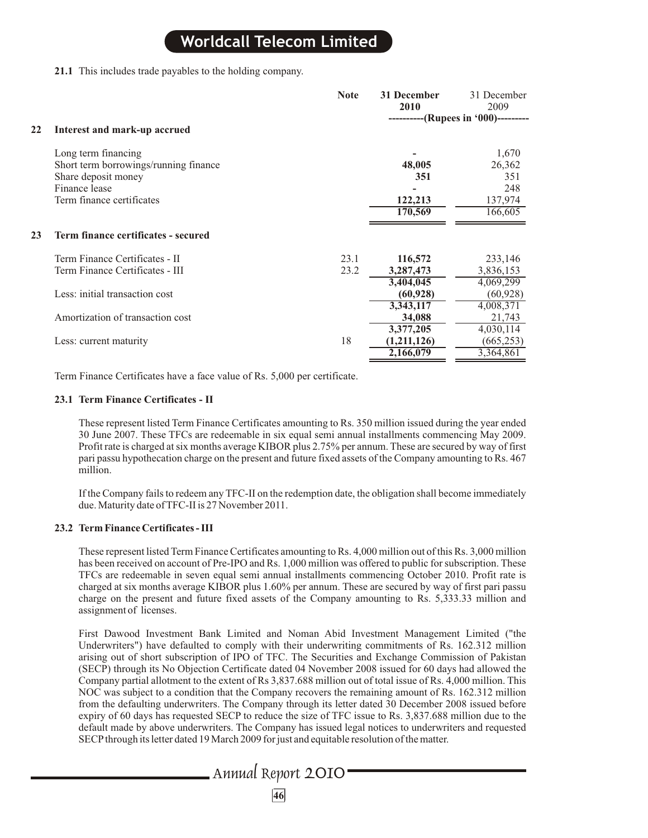**21.1** This includes trade payables to the holding company.

|    |                                       | <b>Note</b> | 31 December<br>2010 | 31 December<br>2009                 |
|----|---------------------------------------|-------------|---------------------|-------------------------------------|
|    |                                       |             |                     | ----------(Rupees in '000)--------- |
| 22 | Interest and mark-up accrued          |             |                     |                                     |
|    | Long term financing                   |             |                     | 1,670                               |
|    | Short term borrowings/running finance |             | 48,005              | 26,362                              |
|    | Share deposit money                   |             | 351                 | 351                                 |
|    | Finance lease                         |             |                     | 248                                 |
|    | Term finance certificates             |             | 122,213             | 137,974                             |
|    |                                       |             | 170,569             | 166,605                             |
| 23 | Term finance certificates - secured   |             |                     |                                     |
|    | Term Finance Certificates - II        | 23.1        | 116,572             | 233,146                             |
|    | Term Finance Certificates - III       | 23.2        | 3,287,473           | 3,836,153                           |
|    |                                       |             | 3,404,045           | 4,069,299                           |
|    | Less: initial transaction cost        |             | (60, 928)           | (60, 928)                           |
|    |                                       |             | 3,343,117           | 4,008,371                           |
|    | Amortization of transaction cost      |             | 34,088              | 21,743                              |
|    |                                       |             | 3,377,205           | 4,030,114                           |
|    | Less: current maturity                | 18          | (1,211,126)         | (665, 253)                          |
|    |                                       |             | 2,166,079           | 3,364,861                           |

Term Finance Certificates have a face value of Rs. 5,000 per certificate.

### **23.1 Term Finance Certificates - II**

These represent listed Term Finance Certificates amounting to Rs. 350 million issued during the year ended 30 June 2007. These TFCs are redeemable in six equal semi annual installments commencing May 2009. Profit rate is charged at six months average KIBOR plus 2.75% per annum. These are secured by way of first pari passu hypothecation charge on the present and future fixed assets of the Company amounting to Rs. 467 million.

If the Company fails to redeem any TFC-II on the redemption date, the obligation shall become immediately due. Maturity date of TFC-II is 27 November 2011.

#### **23.2 Term Finance Certificates - III**

These represent listed Term Finance Certificates amounting to Rs. 4,000 million out of this Rs. 3,000 million has been received on account of Pre-IPO and Rs. 1,000 million was offered to public for subscription. These TFCs are redeemable in seven equal semi annual installments commencing October 2010. Profit rate is charged at six months average KIBOR plus 1.60% per annum. These are secured by way of first pari passu charge on the present and future fixed assets of the Company amounting to Rs. 5,333.33 million and assignment of licenses.

First Dawood Investment Bank Limited and Noman Abid Investment Management Limited ("the Underwriters") have defaulted to comply with their underwriting commitments of Rs. 162.312 million arising out of short subscription of IPO of TFC. The Securities and Exchange Commission of Pakistan (SECP) through its No Objection Certificate dated 04 November 2008 issued for 60 days had allowed the Company partial allotment to the extent of Rs 3,837.688 million out of total issue of Rs. 4,000 million. This NOC was subject to a condition that the Company recovers the remaining amount of Rs. 162.312 million from the defaulting underwriters. The Company through its letter dated 30 December 2008 issued before expiry of 60 days has requested SECP to reduce the size of TFC issue to Rs. 3,837.688 million due to the default made by above underwriters. The Company has issued legal notices to underwriters and requested SECP through its letter dated 19 March 2009 for just and equitable resolution of the matter.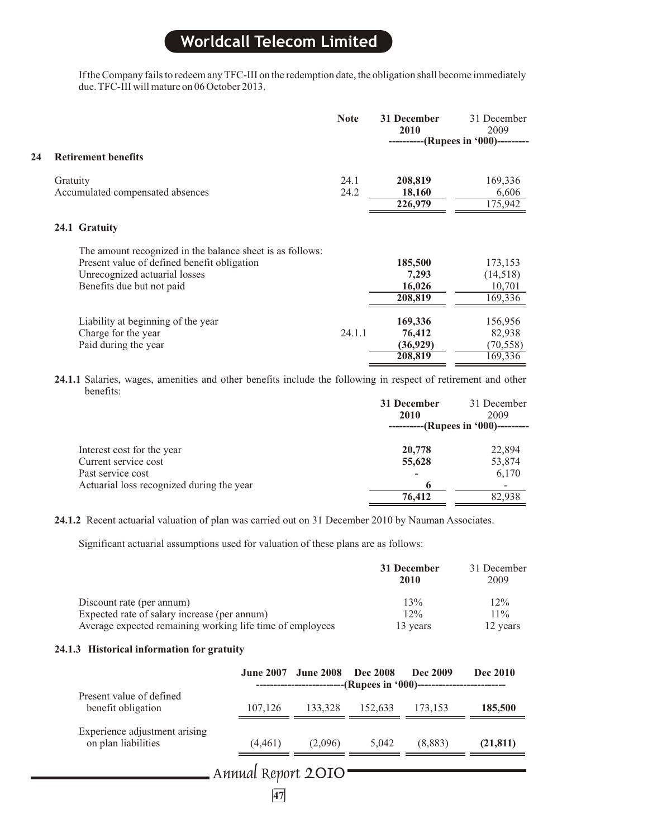If the Company fails to redeem any TFC-III on the redemption date, the obligation shall become immediately due. TFC-III will mature on 06 October 2013.

|    |                                                           | <b>Note</b> | 31 December<br>2010 | 31 December<br>2009                 |
|----|-----------------------------------------------------------|-------------|---------------------|-------------------------------------|
|    |                                                           |             |                     | ----------(Rupees in '000)--------- |
| 24 | <b>Retirement benefits</b>                                |             |                     |                                     |
|    | Gratuity                                                  | 24.1        | 208,819             | 169,336                             |
|    | Accumulated compensated absences                          | 24.2        | 18,160              | 6,606                               |
|    |                                                           |             | 226,979             | 175,942                             |
|    | 24.1 Gratuity                                             |             |                     |                                     |
|    | The amount recognized in the balance sheet is as follows: |             |                     |                                     |
|    | Present value of defined benefit obligation               |             | 185,500             | 173,153                             |
|    | Unrecognized actuarial losses                             |             | 7,293               | (14,518)                            |
|    | Benefits due but not paid                                 |             | 16,026              | 10,701                              |
|    |                                                           |             | 208,819             | 169,336                             |
|    | Liability at beginning of the year                        |             | 169,336             | 156,956                             |
|    | Charge for the year                                       | 24.1.1      | 76,412              | 82,938                              |
|    | Paid during the year                                      |             | (36, 929)           | (70, 558)                           |
|    |                                                           |             | 208,819             | 169,336                             |

**24.1.1** Salaries, wages, amenities and other benefits include the following in respect of retirement and other benefits:

|                                           | 31 December | 31 December                         |
|-------------------------------------------|-------------|-------------------------------------|
|                                           | 2010        | 2009                                |
|                                           |             | ----------(Rupees in '000)--------- |
| Interest cost for the year                | 20,778      | 22,894                              |
| Current service cost                      | 55,628      | 53,874                              |
| Past service cost                         |             | 6,170                               |
| Actuarial loss recognized during the year |             |                                     |
|                                           | 76,412      | 82.938                              |

**24.1.2** Recent actuarial valuation of plan was carried out on 31 December 2010 by Nauman Associates.

Significant actuarial assumptions used for valuation of these plans are as follows:

|                                                           | 31 December<br>2010 | 31 December<br>2009 |
|-----------------------------------------------------------|---------------------|---------------------|
| Discount rate (per annum)                                 | 13%                 | $12\%$              |
| Expected rate of salary increase (per annum)              | $12\%$              | $11\%$              |
| Average expected remaining working life time of employees | 13 years            | 12 years            |

#### **24.1.3 Historical information for gratuity**

|                                                      |          | <b>June 2007</b> June 2008 Dec 2008 |         | Dec 2009<br>---------------------------(Rupees in '000)------------------------ | Dec 2010  |  |
|------------------------------------------------------|----------|-------------------------------------|---------|---------------------------------------------------------------------------------|-----------|--|
| Present value of defined<br>benefit obligation       | 107,126  | 133,328                             | 152,633 | 173.153                                                                         | 185,500   |  |
| Experience adjustment arising<br>on plan liabilities | (4, 461) | (2,096)                             | 5.042   | (8,883)                                                                         | (21, 811) |  |
| Annual Report 2010'                                  |          |                                     |         |                                                                                 |           |  |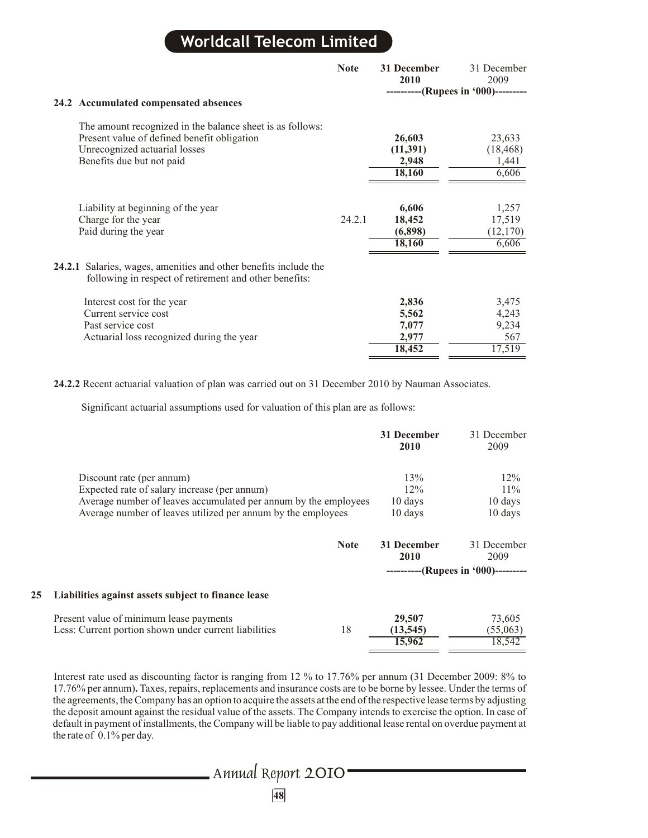|        |                                                                                                                     | <b>Note</b> | 31 December<br>2010 | 31 December<br>2009<br>----------(Rupees in '000)--------- |
|--------|---------------------------------------------------------------------------------------------------------------------|-------------|---------------------|------------------------------------------------------------|
|        | 24.2 Accumulated compensated absences                                                                               |             |                     |                                                            |
|        | The amount recognized in the balance sheet is as follows:                                                           |             |                     |                                                            |
|        | Present value of defined benefit obligation<br>Unrecognized actuarial losses                                        |             | 26,603              | 23,633                                                     |
|        | Benefits due but not paid                                                                                           |             | (11, 391)<br>2,948  | (18, 468)<br>1,441                                         |
|        |                                                                                                                     |             | 18,160              | 6,606                                                      |
|        | Liability at beginning of the year                                                                                  |             | 6,606               | 1,257                                                      |
|        | Charge for the year                                                                                                 | 24.2.1      | 18,452              | 17,519                                                     |
|        | Paid during the year                                                                                                |             | (6,898)             | (12, 170)                                                  |
|        |                                                                                                                     |             | 18,160              | 6,606                                                      |
| 24.2.1 | Salaries, wages, amenities and other benefits include the<br>following in respect of retirement and other benefits: |             |                     |                                                            |
|        | Interest cost for the year                                                                                          |             | 2,836               | 3,475                                                      |
|        | Current service cost                                                                                                |             | 5,562               | 4,243                                                      |
|        | Past service cost                                                                                                   |             | 7,077               | 9,234                                                      |
|        | Actuarial loss recognized during the year                                                                           |             | 2,977               | 567                                                        |
|        |                                                                                                                     |             | 18,452              | 17,519                                                     |
|        |                                                                                                                     |             |                     |                                                            |

**24.2.2** Recent actuarial valuation of plan was carried out on 31 December 2010 by Nauman Associates.

Significant actuarial assumptions used for valuation of this plan are as follows:

|    |                                                                 | 31 December<br>2010 | 31 December<br>2009                   |
|----|-----------------------------------------------------------------|---------------------|---------------------------------------|
|    | Discount rate (per annum)                                       | 13%                 | 12%                                   |
|    | Expected rate of salary increase (per annum)                    | $12\%$              | $11\%$                                |
|    | Average number of leaves accumulated per annum by the employees | 10 days             | 10 days                               |
|    | Average number of leaves utilized per annum by the employees    | 10 days             | 10 days                               |
|    | <b>Note</b>                                                     | 31 December<br>2010 | 31 December<br>2009                   |
|    |                                                                 |                     | -----------(Rupees in '000)---------- |
| 25 | Liabilities against assets subject to finance lease             |                     |                                       |

| Present value of minimum lease payments               | 29,507   | 73,605   |
|-------------------------------------------------------|----------|----------|
| Less: Current portion shown under current liabilities | (13.545) | (55,063) |
|                                                       | 15.962   | 18.542   |

Interest rate used as discounting factor is ranging from 12 % to 17.76% per annum (31 December 2009: 8% to 17.76% per annum)**.** Taxes, repairs, replacements and insurance costs are to be borne by lessee. Under the terms of the agreements, the Company has an option to acquire the assets at the end of the respective lease terms by adjusting the deposit amount against the residual value of the assets. The Company intends to exercise the option. In case of default in payment of installments, the Company will be liable to pay additional lease rental on overdue payment at the rate of 0.1% per day.

Annual Report 2010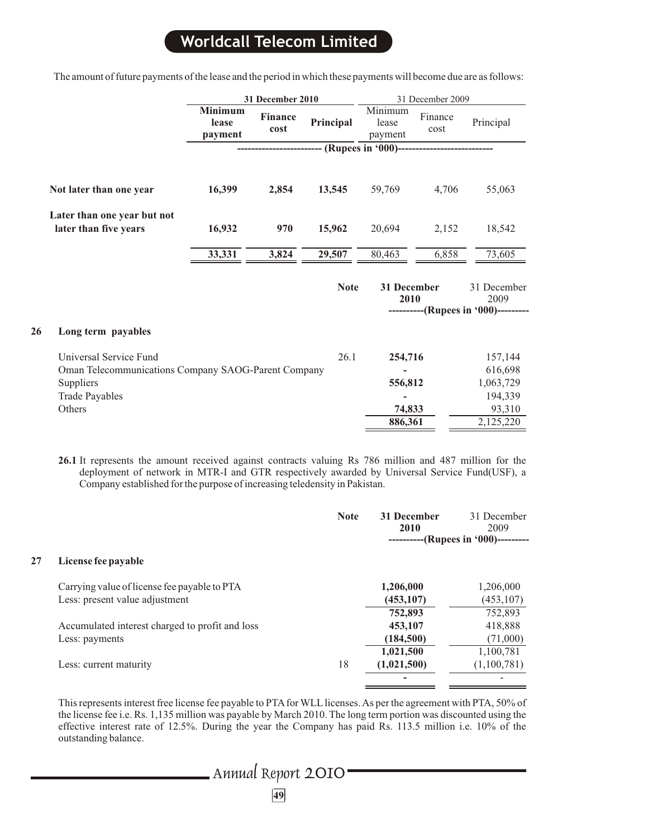|    |                                                     | 31 December 2010                   |                        | 31 December 2009 |                             |                 |                                                            |
|----|-----------------------------------------------------|------------------------------------|------------------------|------------------|-----------------------------|-----------------|------------------------------------------------------------|
|    |                                                     | <b>Minimum</b><br>lease<br>payment | <b>Finance</b><br>cost | Principal        | Minimum<br>lease<br>payment | Finance<br>cost | Principal                                                  |
|    |                                                     |                                    |                        |                  |                             |                 |                                                            |
|    |                                                     |                                    |                        |                  |                             |                 |                                                            |
|    | Not later than one year                             | 16,399                             | 2,854                  | 13,545           | 59,769                      | 4,706           | 55,063                                                     |
|    | Later than one year but not                         |                                    |                        |                  |                             |                 |                                                            |
|    | later than five years                               | 16,932                             | 970                    | 15,962           | 20,694                      | 2,152           | 18,542                                                     |
|    |                                                     | 33,331                             | 3,824                  | 29,507           | 80,463                      | 6,858           | 73,605                                                     |
|    |                                                     |                                    |                        | <b>Note</b>      | 31 December<br>2010         |                 | 31 December<br>2009<br>----------(Rupees in '000)--------- |
|    |                                                     |                                    |                        |                  |                             |                 |                                                            |
| 26 | Long term payables                                  |                                    |                        |                  |                             |                 |                                                            |
|    | Universal Service Fund                              |                                    |                        | 26.1             | 254,716                     |                 | 157,144                                                    |
|    | Oman Telecommunications Company SAOG-Parent Company |                                    |                        |                  |                             |                 | 616,698                                                    |
|    | Suppliers                                           |                                    |                        |                  | 556,812                     |                 | 1,063,729                                                  |
|    | <b>Trade Payables</b>                               |                                    |                        |                  |                             |                 | 194,339                                                    |
|    | Others                                              |                                    |                        |                  | 74,833                      |                 | 93,310                                                     |
|    |                                                     |                                    |                        |                  | 886,361                     |                 | 2,125,220                                                  |

The amount of future payments of the lease and the period in which these payments will become due are as follows:

**26.1** It represents the amount received against contracts valuing Rs 786 million and 487 million for the deployment of network in MTR-I and GTR respectively awarded by Universal Service Fund(USF), a Company established for the purpose of increasing teledensity in Pakistan.

|    |                                                 | <b>Note</b> | <b>31 December</b><br>2010<br>-----------(Rupees in '000)---- | 31 December<br>2009 |
|----|-------------------------------------------------|-------------|---------------------------------------------------------------|---------------------|
| 27 | License fee payable                             |             |                                                               |                     |
|    | Carrying value of license fee payable to PTA    |             | 1,206,000                                                     | 1,206,000           |
|    | Less: present value adjustment                  |             | (453, 107)                                                    | (453, 107)          |
|    |                                                 |             | 752,893                                                       | 752,893             |
|    | Accumulated interest charged to profit and loss |             | 453,107                                                       | 418,888             |
|    | Less: payments                                  |             | (184, 500)                                                    | (71,000)            |
|    |                                                 |             | 1,021,500                                                     | 1,100,781           |
|    | Less: current maturity                          | 18          | (1,021,500)                                                   | (1,100,781)         |
|    |                                                 |             |                                                               |                     |
|    |                                                 |             |                                                               |                     |

This represents interest free license fee payable to PTA for WLL licenses. As per the agreement with PTA, 50% of the license fee i.e. Rs. 1,135 million was payable by March 2010. The long term portion was discounted using the effective interest rate of 12.5%. During the year the Company has paid Rs. 113.5 million i.e. 10% of the outstanding balance.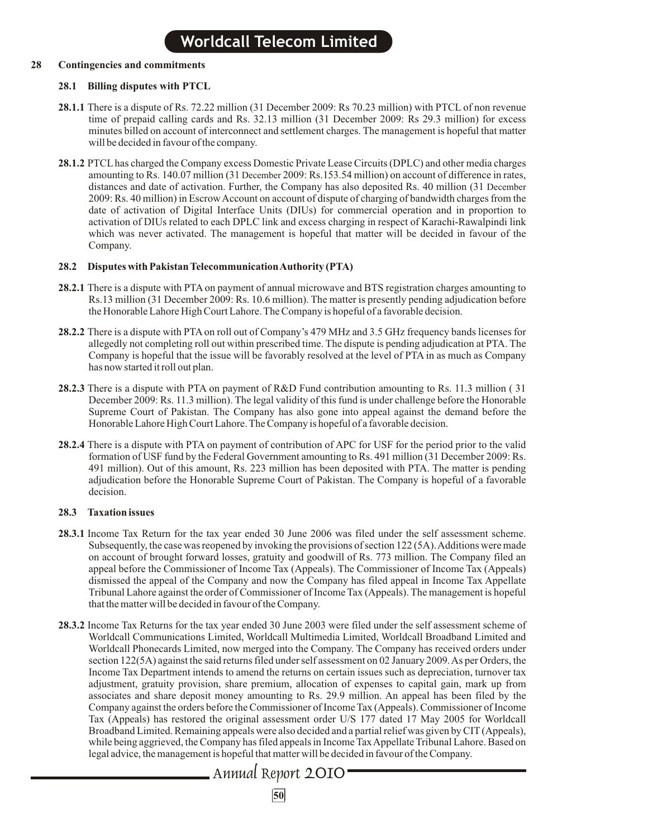### **28 Contingencies and commitments**

#### **28.1 Billing disputes with PTCL**

- **28.1.1** There is a dispute of Rs. 72.22 million (31 December 2009: Rs 70.23 million) with PTCL of non revenue time of prepaid calling cards and Rs. 32.13 million (31 December 2009: Rs 29.3 million) for excess minutes billed on account of interconnect and settlement charges. The management is hopeful that matter will be decided in favour of the company.
- **28.1.2** PTCL has charged the Company excess Domestic Private Lease Circuits (DPLC) and other media charges amounting to Rs. 140.07 million (31 December 2009: Rs.153.54 million) on account of difference in rates, distances and date of activation. Further, the Company has also deposited Rs. 40 million (31 December 2009: Rs. 40 million) in Escrow Account on account of dispute of charging of bandwidth charges from the date of activation of Digital Interface Units (DIUs) for commercial operation and in proportion to activation of DIUs related to each DPLC link and excess charging in respect of Karachi-Rawalpindi link which was never activated. The management is hopeful that matter will be decided in favour of the Company.

#### **28.2 Disputes with Pakistan Telecommunication Authority (PTA)**

- **28.2.1** There is a dispute with PTA on payment of annual microwave and BTS registration charges amounting to Rs.13 million (31 December 2009: Rs. 10.6 million). The matter is presently pending adjudication before the Honorable Lahore High Court Lahore. The Company is hopeful of a favorable decision.
- **28.2.2** There is a dispute with PTA on roll out of Company's 479 MHz and 3.5 GHz frequency bands licenses for allegedly not completing roll out within prescribed time. The dispute is pending adjudication at PTA. The Company is hopeful that the issue will be favorably resolved at the level of PTA in as much as Company has now started it roll out plan.
- **28.2.3** There is a dispute with PTA on payment of R&D Fund contribution amounting to Rs. 11.3 million ( 31 December 2009: Rs. 11.3 million). The legal validity of this fund is under challenge before the Honorable Supreme Court of Pakistan. The Company has also gone into appeal against the demand before the Honorable Lahore High Court Lahore. The Company is hopeful of a favorable decision.
- **28.2.4** There is a dispute with PTA on payment of contribution of APC for USF for the period prior to the valid formation of USF fund by the Federal Government amounting to Rs. 491 million (31 December 2009: Rs. 491 million). Out of this amount, Rs. 223 million has been deposited with PTA. The matter is pending adjudication before the Honorable Supreme Court of Pakistan. The Company is hopeful of a favorable decision.

### **28.3 Taxation issues**

- **28.3.1** Income Tax Return for the tax year ended 30 June 2006 was filed under the self assessment scheme. Subsequently, the case was reopened by invoking the provisions of section 122 (5A). Additions were made on account of brought forward losses, gratuity and goodwill of Rs. 773 million. The Company filed an appeal before the Commissioner of Income Tax (Appeals). The Commissioner of Income Tax (Appeals) dismissed the appeal of the Company and now the Company has filed appeal in Income Tax Appellate Tribunal Lahore against the order of Commissioner of Income Tax (Appeals). The management is hopeful that the matter will be decided in favour of the Company.
- **28.3.2** Income Tax Returns for the tax year ended 30 June 2003 were filed under the self assessment scheme of Worldcall Communications Limited, Worldcall Multimedia Limited, Worldcall Broadband Limited and Worldcall Phonecards Limited, now merged into the Company. The Company has received orders under section 122(5A) against the said returns filed under self assessment on 02 January 2009. As per Orders, the Income Tax Department intends to amend the returns on certain issues such as depreciation, turnover tax adjustment, gratuity provision, share premium, allocation of expenses to capital gain, mark up from associates and share deposit money amounting to Rs. 29.9 million. An appeal has been filed by the Company against the orders before the Commissioner of Income Tax (Appeals). Commissioner of Income Tax (Appeals) has restored the original assessment order U/S 177 dated 17 May 2005 for Worldcall Broadband Limited. Remaining appeals were also decided and a partial relief was given by CIT (Appeals), while being aggrieved, the Company has filed appeals in Income Tax Appellate Tribunal Lahore. Based on legal advice, the management is hopeful that matter will be decided in favour of the Company.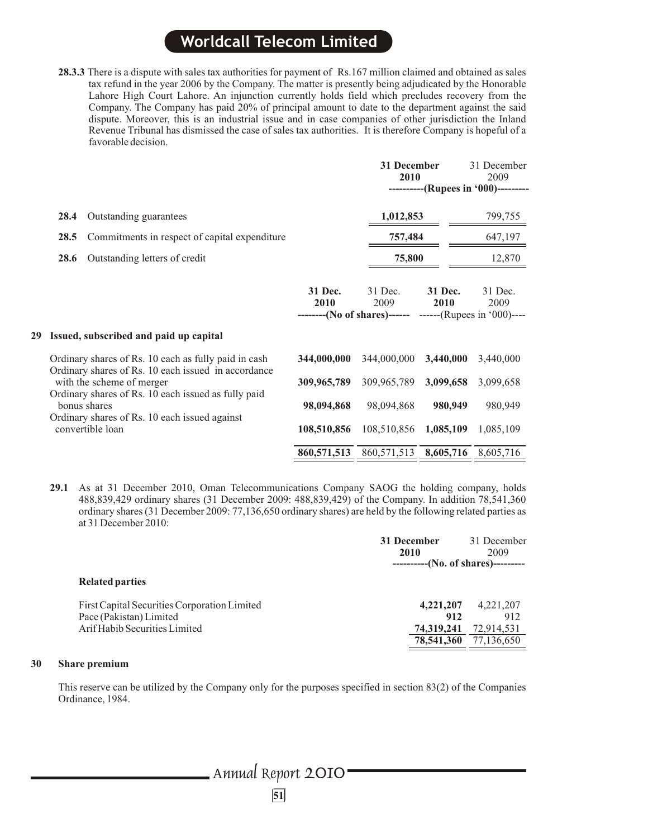**28.3.3** There is a dispute with sales tax authorities for payment of Rs.167 million claimed and obtained as sales tax refund in the year 2006 by the Company. The matter is presently being adjudicated by the Honorable Lahore High Court Lahore. An injunction currently holds field which precludes recovery from the Company. The Company has paid 20% of principal amount to date to the department against the said dispute. Moreover, this is an industrial issue and in case companies of other jurisdiction the Inland Revenue Tribunal has dismissed the case of sales tax authorities. It is therefore Company is hopeful of a favorable decision.

|    |      |                                                                                  |                                            | 31 December<br>2010 |                 | 31 December<br>2009<br>----------(Rupees in '000)--------- |
|----|------|----------------------------------------------------------------------------------|--------------------------------------------|---------------------|-----------------|------------------------------------------------------------|
|    | 28.4 | Outstanding guarantees                                                           |                                            | 1,012,853           |                 | 799,755                                                    |
|    | 28.5 | Commitments in respect of capital expenditure                                    |                                            | 757,484             |                 | 647,197                                                    |
|    | 28.6 | Outstanding letters of credit                                                    |                                            | 75,800              |                 | 12,870                                                     |
|    |      |                                                                                  | 31 Dec.<br>2010<br>$----(No of shares)---$ | 31 Dec.<br>2009     | 31 Dec.<br>2010 | 31 Dec.<br>2009<br>$---(Rupees in '000)---$                |
| 29 |      | Issued, subscribed and paid up capital                                           |                                            |                     |                 |                                                            |
|    |      | Ordinary shares of Rs. 10 each as fully paid in cash                             | 344,000,000                                | 344,000,000         | 3,440,000       | 3,440,000                                                  |
|    |      | Ordinary shares of Rs. 10 each issued in accordance<br>with the scheme of merger | 309,965,789                                | 309,965,789         | 3,099,658       | 3,099,658                                                  |
|    |      | Ordinary shares of Rs. 10 each issued as fully paid<br>bonus shares              | 98,094,868                                 | 98,094,868          | 980,949         | 980,949                                                    |
|    |      | Ordinary shares of Rs. 10 each issued against<br>convertible loan                | 108,510,856                                | 108,510,856         | 1,085,109       | 1,085,109                                                  |
|    |      |                                                                                  | 860, 571, 513                              | 860, 571, 513       | 8,605,716       | 8,605,716                                                  |

29.1 As at 31 December 2010, Oman Telecommunications Company SAOG the holding company, holds 488,839,429 ordinary shares (31 December 2009: 488,839,429) of the Company. In addition 78,541,360 ordinary shares (31 December 2009: 77,136,650 ordinary shares) are held by the following related parties as at 31 December 2010:

|                                                                         | 31 December<br>2010           | 31 December<br>2009      |
|-------------------------------------------------------------------------|-------------------------------|--------------------------|
| <b>Related parties</b>                                                  | $------(No. of shares)------$ |                          |
| First Capital Securities Corporation Limited<br>Pace (Pakistan) Limited | 4,221,207<br>912              | 4,221,207<br>912         |
| Arif Habib Securities Limited                                           | 74.319.241<br>78,541,360      | 72.914.531<br>77,136,650 |

### **30 Share premium**

This reserve can be utilized by the Company only for the purposes specified in section 83(2) of the Companies Ordinance, 1984.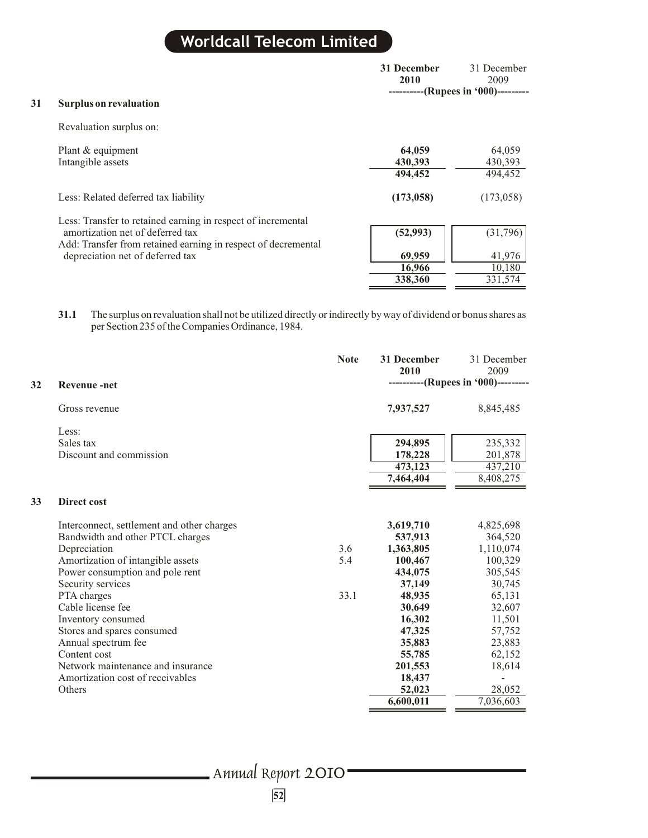|    |                                                               | 31 December<br>2010 | 31 December<br>2009<br>----------(Rupees in '000)--------- |
|----|---------------------------------------------------------------|---------------------|------------------------------------------------------------|
| 31 | <b>Surplus on revaluation</b>                                 |                     |                                                            |
|    | Revaluation surplus on:                                       |                     |                                                            |
|    | Plant & equipment                                             | 64,059              | 64,059                                                     |
|    | Intangible assets                                             | 430,393             | 430,393                                                    |
|    |                                                               | 494,452             | 494,452                                                    |
|    | Less: Related deferred tax liability                          | (173, 058)          | (173, 058)                                                 |
|    | Less: Transfer to retained earning in respect of incremental  |                     |                                                            |
|    | amortization net of deferred tax                              | (52, 993)           | (31,796)                                                   |
|    | Add: Transfer from retained earning in respect of decremental |                     |                                                            |
|    | depreciation net of deferred tax                              | 69,959              | 41,976                                                     |
|    |                                                               | 16,966              | 10,180                                                     |
|    |                                                               | 338,360             | 331,574                                                    |

**31.1** The surplus on revaluation shall not be utilized directly or indirectly by way of dividend or bonus shares as per Section 235 of the Companies Ordinance, 1984.

|    |                                            | <b>Note</b> | 31 December<br>2010 | 31 December<br>2009                 |
|----|--------------------------------------------|-------------|---------------------|-------------------------------------|
| 32 | <b>Revenue</b> -net                        |             |                     | ----------(Rupees in '000)--------- |
|    | Gross revenue                              |             | 7,937,527           | 8,845,485                           |
|    | Less:                                      |             |                     |                                     |
|    | Sales tax                                  |             | 294,895             | 235,332                             |
|    | Discount and commission                    |             | 178,228             | 201,878                             |
|    |                                            |             | 473,123             | 437,210                             |
|    |                                            |             | 7,464,404           | 8,408,275                           |
| 33 | <b>Direct cost</b>                         |             |                     |                                     |
|    | Interconnect, settlement and other charges |             | 3,619,710           | 4,825,698                           |
|    | Bandwidth and other PTCL charges           |             | 537,913             | 364,520                             |
|    | Depreciation                               | 3.6         | 1,363,805           | 1,110,074                           |
|    | Amortization of intangible assets          | 5.4         | 100,467             | 100,329                             |
|    | Power consumption and pole rent            |             | 434,075             | 305,545                             |
|    | Security services                          |             | 37,149              | 30,745                              |
|    | PTA charges                                | 33.1        | 48,935              | 65,131                              |
|    | Cable license fee                          |             | 30,649              | 32,607                              |
|    | Inventory consumed                         |             | 16,302              | 11,501                              |
|    | Stores and spares consumed                 |             | 47,325              | 57,752                              |
|    | Annual spectrum fee                        |             | 35,883              | 23,883                              |
|    | Content cost                               |             | 55,785              | 62,152                              |
|    | Network maintenance and insurance          |             | 201,553             | 18,614                              |
|    | Amortization cost of receivables           |             | 18,437              |                                     |
|    | Others                                     |             | 52,023              | 28,052                              |
|    |                                            |             | 6,600,011           | 7,036,603                           |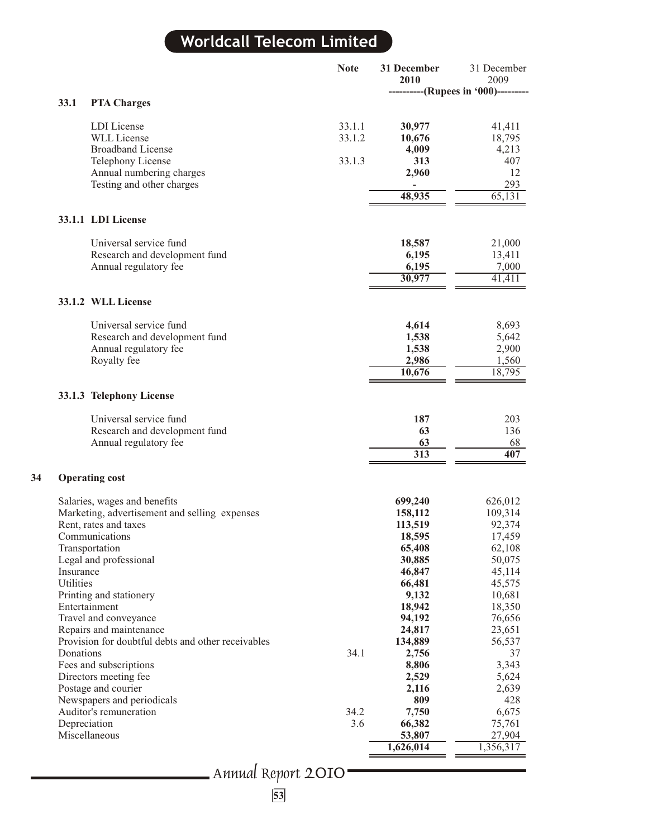|           |                                                    | <b>Note</b> | 31 December<br>2010      | 31 December<br>2009                |
|-----------|----------------------------------------------------|-------------|--------------------------|------------------------------------|
|           |                                                    |             |                          | ----------(Rupees in '000)-------- |
| 33.1      | <b>PTA Charges</b>                                 |             |                          |                                    |
|           | LDI License                                        | 33.1.1      | 30,977                   | 41,411                             |
|           | <b>WLL</b> License                                 | 33.1.2      | 10,676                   | 18,795                             |
|           | <b>Broadband License</b>                           |             | 4,009                    | 4,213                              |
|           | Telephony License                                  | 33.1.3      | 313                      | 407                                |
|           | Annual numbering charges                           |             | 2,960                    | 12                                 |
|           | Testing and other charges                          |             | $\overline{\phantom{0}}$ | 293                                |
|           |                                                    |             | 48,935                   | 65,131                             |
|           | 33.1.1 LDI License                                 |             |                          |                                    |
|           | Universal service fund                             |             | 18,587                   | 21,000                             |
|           | Research and development fund                      |             | 6,195                    | 13,411                             |
|           | Annual regulatory fee                              |             | 6,195                    | 7,000                              |
|           |                                                    |             | 30,977                   | 41,411                             |
|           | 33.1.2 WLL License                                 |             |                          |                                    |
|           | Universal service fund                             |             | 4,614                    | 8,693                              |
|           | Research and development fund                      |             | 1,538                    | 5,642                              |
|           | Annual regulatory fee                              |             | 1,538                    | 2,900                              |
|           | Royalty fee                                        |             | 2,986                    | 1,560                              |
|           |                                                    |             | 10,676                   | 18,795                             |
|           | 33.1.3 Telephony License                           |             |                          |                                    |
|           | Universal service fund                             |             | 187                      | 203                                |
|           | Research and development fund                      |             | 63                       | 136                                |
|           | Annual regulatory fee                              |             | 63                       | 68                                 |
|           |                                                    |             | 313                      | 407                                |
|           | <b>Operating cost</b>                              |             |                          |                                    |
|           | Salaries, wages and benefits                       |             | 699,240                  | 626,012                            |
|           | Marketing, advertisement and selling expenses      |             | 158,112                  | 109,314                            |
|           | Rent, rates and taxes                              |             | 113,519                  | 92,374                             |
|           | Communications                                     |             | 18,595                   | 17,459                             |
|           | Transportation                                     |             | 65,408                   | 62,108                             |
|           | Legal and professional                             |             | 30,885                   | 50,075                             |
| Insurance |                                                    |             | 46,847                   | 45,114                             |
| Utilities |                                                    |             | 66,481                   | 45,575                             |
|           | Printing and stationery                            |             | 9,132                    | 10,681                             |
|           | Entertainment                                      |             | 18,942                   | 18,350                             |
|           | Travel and conveyance<br>Repairs and maintenance   |             | 94,192<br>24,817         | 76,656<br>23,651                   |
|           | Provision for doubtful debts and other receivables |             | 134,889                  | 56,537                             |
| Donations |                                                    | 34.1        | 2,756                    | 37                                 |
|           | Fees and subscriptions                             |             | 8,806                    | 3,343                              |
|           | Directors meeting fee                              |             | 2,529                    | 5,624                              |
|           | Postage and courier                                |             | 2,116                    | 2,639                              |
|           | Newspapers and periodicals                         |             | 809                      | 428                                |
|           | Auditor's remuneration                             | 34.2        | 7,750                    | 6,675                              |
|           | Depreciation                                       | 3.6         | 66,382                   | 75,761                             |
|           | Miscellaneous                                      |             | 53,807                   | 27,904                             |
|           |                                                    |             | 1,626,014                | 1,356,317                          |

**34 Operating cost**

 $\_$ Annual Report 2010 $-$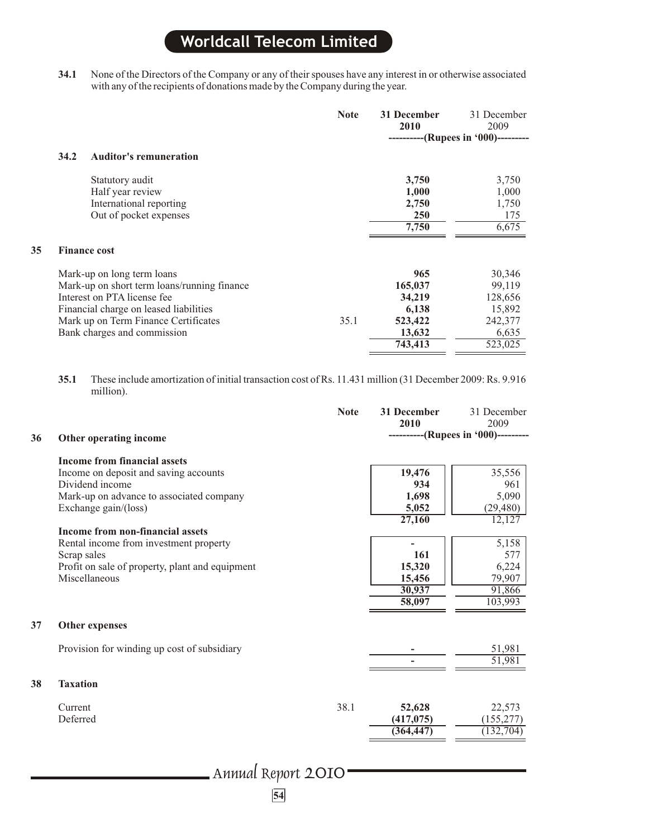**34.1** None of the Directors of the Company or any of their spouses have any interest in or otherwise associated with any of the recipients of donations made by the Company during the year.

|                                             | <b>Note</b> | 31 December<br>2010 | 31 December<br>2009<br>----------(Rupees in '000)--------- |
|---------------------------------------------|-------------|---------------------|------------------------------------------------------------|
| <b>Auditor's remuneration</b><br>34.2       |             |                     |                                                            |
| Statutory audit                             |             | 3,750               | 3,750                                                      |
| Half year review                            |             | 1,000               | 1,000                                                      |
| International reporting                     |             | 2,750               | 1,750                                                      |
| Out of pocket expenses                      |             | 250                 | 175                                                        |
|                                             |             | 7,750               | 6,675                                                      |
| <b>Finance cost</b>                         |             |                     |                                                            |
| Mark-up on long term loans                  |             | 965                 | 30,346                                                     |
| Mark-up on short term loans/running finance |             | 165,037             | 99,119                                                     |
| Interest on PTA license fee                 |             | 34,219              | 128,656                                                    |
| Financial charge on leased liabilities      |             | 6,138               | 15,892                                                     |
| Mark up on Term Finance Certificates        | 35.1        | 523,422             | 242,377                                                    |
| Bank charges and commission                 |             | 13,632              | 6,635                                                      |
|                                             |             | 743,413             | 523,025                                                    |

**35 Finance cost**

**35.1** These include amortization of initial transaction cost of Rs. 11.431 million (31 December 2009: Rs. 9.916 million).

|    |                                                 | <b>Note</b> | 31 December<br>2010 | 31 December<br>2009                 |
|----|-------------------------------------------------|-------------|---------------------|-------------------------------------|
| 36 | Other operating income                          |             |                     | ----------(Rupees in '000)--------- |
|    | Income from financial assets                    |             |                     |                                     |
|    | Income on deposit and saving accounts           |             | 19,476              | 35,556                              |
|    | Dividend income                                 |             | 934                 | 961                                 |
|    | Mark-up on advance to associated company        |             | 1,698               | 5,090                               |
|    | Exchange gain/(loss)                            |             | 5,052               | (29, 480)                           |
|    |                                                 |             | 27,160              | 12,127                              |
|    | Income from non-financial assets                |             |                     |                                     |
|    | Rental income from investment property          |             |                     | 5,158                               |
|    | Scrap sales                                     |             | 161                 | 577                                 |
|    | Profit on sale of property, plant and equipment |             | 15,320              | 6,224                               |
|    | Miscellaneous                                   |             | 15,456              | 79,907                              |
|    |                                                 |             | 30,937              | 91,866                              |
|    |                                                 |             | 58,097              | 103,993                             |
| 37 | Other expenses                                  |             |                     |                                     |
|    | Provision for winding up cost of subsidiary     |             |                     | 51,981                              |
|    |                                                 |             |                     | 51,981                              |
| 38 | <b>Taxation</b>                                 |             |                     |                                     |
|    | Current                                         | 38.1        | 52,628              | 22,573                              |
|    | Deferred                                        |             | (417, 075)          | (155, 277)                          |
|    |                                                 |             | (364, 447)          | (132,704)                           |
|    |                                                 |             |                     |                                     |

Annual Report 2010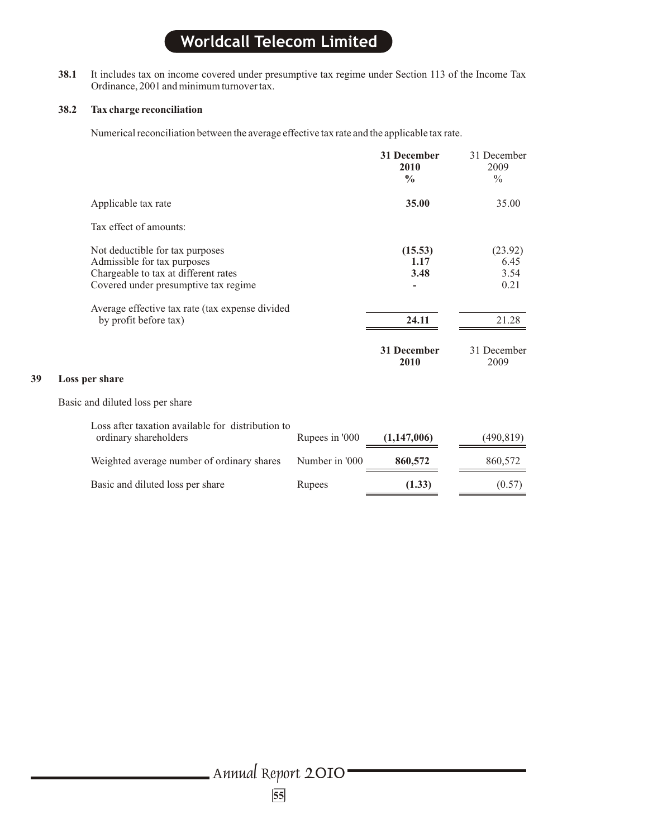**38.1** It includes tax on income covered under presumptive tax regime under Section 113 of the Income Tax Ordinance, 2001 and minimum turnover tax.

### **38.2 Tax charge reconciliation**

Numerical reconciliation between the average effective tax rate and the applicable tax rate.

|                                                                                                                                                | 31 December<br>2010<br>$\frac{0}{0}$ | 31 December<br>2009<br>$\frac{0}{0}$ |
|------------------------------------------------------------------------------------------------------------------------------------------------|--------------------------------------|--------------------------------------|
| Applicable tax rate                                                                                                                            | 35.00                                | 35.00                                |
| Tax effect of amounts:                                                                                                                         |                                      |                                      |
| Not deductible for tax purposes<br>Admissible for tax purposes<br>Chargeable to tax at different rates<br>Covered under presumptive tax regime | (15.53)<br>1.17<br>3.48              | (23.92)<br>6.45<br>3.54<br>0.21      |
| Average effective tax rate (tax expense divided<br>by profit before tax)                                                                       | 24.11                                | 21.28                                |
|                                                                                                                                                | 31 December<br>2010                  | 31 December<br>2009                  |

### **39 Loss per share**

Basic and diluted loss per share

| Loss after taxation available for distribution to<br>ordinary shareholders | Rupees in '000 | (1,147,006) | (490, 819) |
|----------------------------------------------------------------------------|----------------|-------------|------------|
| Weighted average number of ordinary shares                                 | Number in '000 | 860,572     | 860,572    |
| Basic and diluted loss per share                                           | Rupees         | (1.33)      | (0.57)     |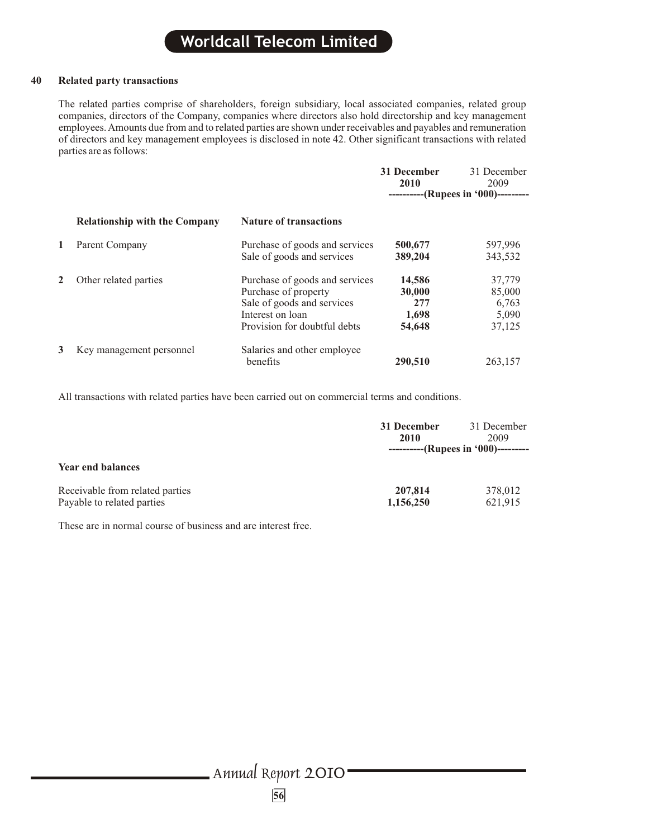### **40 Related party transactions**

The related parties comprise of shareholders, foreign subsidiary, local associated companies, related group companies, directors of the Company, companies where directors also hold directorship and key management employees. Amounts due from and to related parties are shown under receivables and payables and remuneration of directors and key management employees is disclosed in note 42. Other significant transactions with related parties are as follows:

|   |                                      |                                | <b>31 December</b><br>2010 | 31 December<br>2009<br>----------(Rupees in '000)--------- |
|---|--------------------------------------|--------------------------------|----------------------------|------------------------------------------------------------|
|   |                                      |                                |                            |                                                            |
|   | <b>Relationship with the Company</b> | <b>Nature of transactions</b>  |                            |                                                            |
|   | Parent Company                       | Purchase of goods and services | 500,677                    | 597,996                                                    |
|   |                                      | Sale of goods and services     | 389,204                    | 343,532                                                    |
| 2 | Other related parties                | Purchase of goods and services | 14,586                     | 37,779                                                     |
|   |                                      | Purchase of property           | 30,000                     | 85,000                                                     |
|   |                                      | Sale of goods and services     | 277                        | 6,763                                                      |
|   |                                      | Interest on loan               | 1,698                      | 5,090                                                      |
|   |                                      | Provision for doubtful debts   | 54,648                     | 37,125                                                     |
| 3 | Key management personnel             | Salaries and other employee    |                            |                                                            |
|   |                                      | benefits                       | 290,510                    | 263,157                                                    |

All transactions with related parties have been carried out on commercial terms and conditions.

|                                                               | 31 December<br>2010  | 31 December<br>2009<br>----------(Rupees in '000)--------- |
|---------------------------------------------------------------|----------------------|------------------------------------------------------------|
| Year end balances                                             |                      |                                                            |
| Receivable from related parties<br>Payable to related parties | 207,814<br>1,156,250 | 378,012<br>621,915                                         |

These are in normal course of business and are interest free.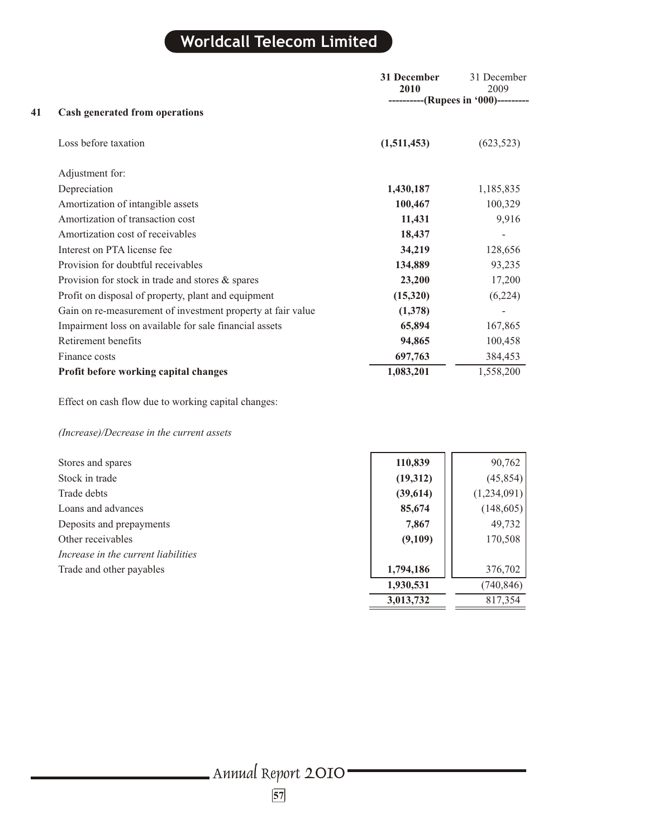|    |                                                             | 31 December<br>2010 | 31 December<br>2009                 |
|----|-------------------------------------------------------------|---------------------|-------------------------------------|
| 41 | Cash generated from operations                              |                     | ----------(Rupees in '000)--------- |
|    | Loss before taxation                                        | (1,511,453)         | (623, 523)                          |
|    | Adjustment for:                                             |                     |                                     |
|    | Depreciation                                                | 1,430,187           | 1,185,835                           |
|    | Amortization of intangible assets                           | 100,467             | 100,329                             |
|    | Amortization of transaction cost                            | 11,431              | 9,916                               |
|    | Amortization cost of receivables                            | 18,437              |                                     |
|    | Interest on PTA license fee                                 | 34,219              | 128,656                             |
|    | Provision for doubtful receivables                          | 134,889             | 93,235                              |
|    | Provision for stock in trade and stores $\&$ spares         | 23,200              | 17,200                              |
|    | Profit on disposal of property, plant and equipment         | (15,320)            | (6,224)                             |
|    | Gain on re-measurement of investment property at fair value | (1,378)             |                                     |
|    | Impairment loss on available for sale financial assets      | 65,894              | 167,865                             |
|    | Retirement benefits                                         | 94,865              | 100,458                             |
|    | Finance costs                                               | 697,763             | 384,453                             |
|    | <b>Profit before working capital changes</b>                | 1,083,201           | 1,558,200                           |
|    |                                                             |                     |                                     |

Effect on cash flow due to working capital changes:

### *(Increase)/Decrease in the current assets*

| Stores and spares                   | 110,839   | 90,762      |
|-------------------------------------|-----------|-------------|
| Stock in trade                      | (19,312)  | (45, 854)   |
| Trade debts                         | (39, 614) | (1,234,091) |
| Loans and advances                  | 85,674    | (148,605)   |
| Deposits and prepayments            | 7,867     | 49,732      |
| Other receivables                   | (9,109)   | 170,508     |
| Increase in the current liabilities |           |             |
| Trade and other payables            | 1,794,186 | 376,702     |
|                                     | 1,930,531 | (740, 846)  |
|                                     | 3,013,732 | 817,354     |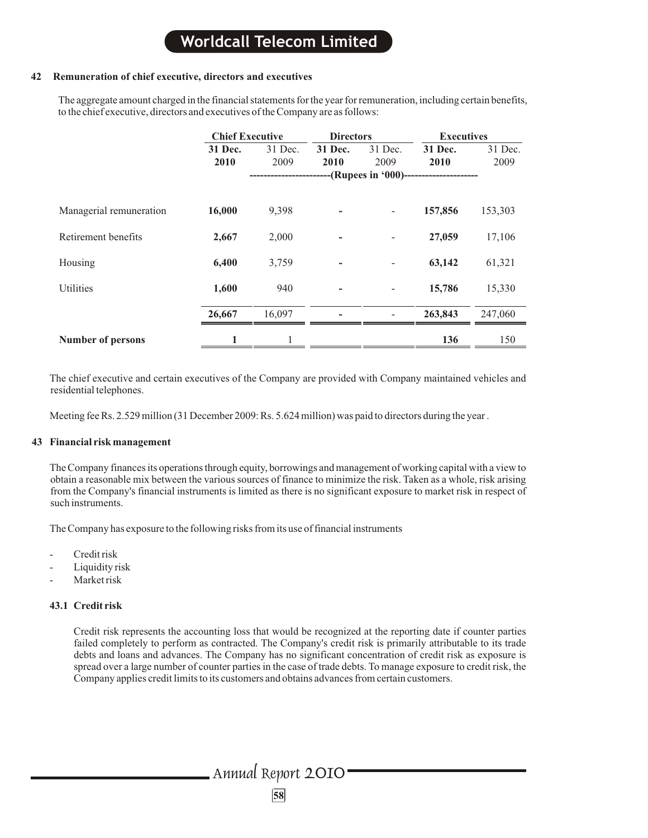### **42 Remuneration of chief executive, directors and executives**

The aggregate amount charged in the financial statements for the year for remuneration, including certain benefits, to the chief executive, directors and executives of the Company are as follows:

|                          | <b>Chief Executive</b> |         | <b>Directors</b>         |         | <b>Executives</b>                         |         |
|--------------------------|------------------------|---------|--------------------------|---------|-------------------------------------------|---------|
|                          | 31 Dec.                | 31 Dec. | 31 Dec.                  | 31 Dec. | 31 Dec.                                   | 31 Dec. |
|                          | 2010                   | 2009    | 2010                     | 2009    | 2010                                      | 2009    |
|                          |                        |         |                          |         | ---(Rupees in '000)---------------------- |         |
| Managerial remuneration  | 16,000                 | 9,398   | -                        | -       | 157,856                                   | 153,303 |
| Retirement benefits      | 2,667                  | 2,000   | $\overline{\phantom{a}}$ |         | 27,059                                    | 17,106  |
| Housing                  | 6,400                  | 3,759   | -                        |         | 63,142                                    | 61,321  |
| <b>Utilities</b>         | 1,600                  | 940     |                          |         | 15,786                                    | 15,330  |
|                          | 26,667                 | 16,097  |                          |         | 263,843                                   | 247,060 |
| <b>Number of persons</b> | 1                      | 1       |                          |         | 136                                       | 150     |

The chief executive and certain executives of the Company are provided with Company maintained vehicles and residential telephones.

Meeting fee Rs. 2.529 million (31 December 2009: Rs. 5.624 million) was paid to directors during the year.

### **43 Financial risk management**

The Company finances its operations through equity, borrowings and management of working capital with a view to obtain a reasonable mix between the various sources of finance to minimize the risk. Taken as a whole, risk arising from the Company's financial instruments is limited as there is no significant exposure to market risk in respect of such instruments.

The Company has exposure to the following risks from its use of financial instruments

- Credit risk
- Liquidity risk
- Market risk

### **43.1 Credit risk**

Credit risk represents the accounting loss that would be recognized at the reporting date if counter parties failed completely to perform as contracted. The Company's credit risk is primarily attributable to its trade debts and loans and advances. The Company has no significant concentration of credit risk as exposure is spread over a large number of counter parties in the case of trade debts. To manage exposure to credit risk, the Company applies credit limits to its customers and obtains advances from certain customers.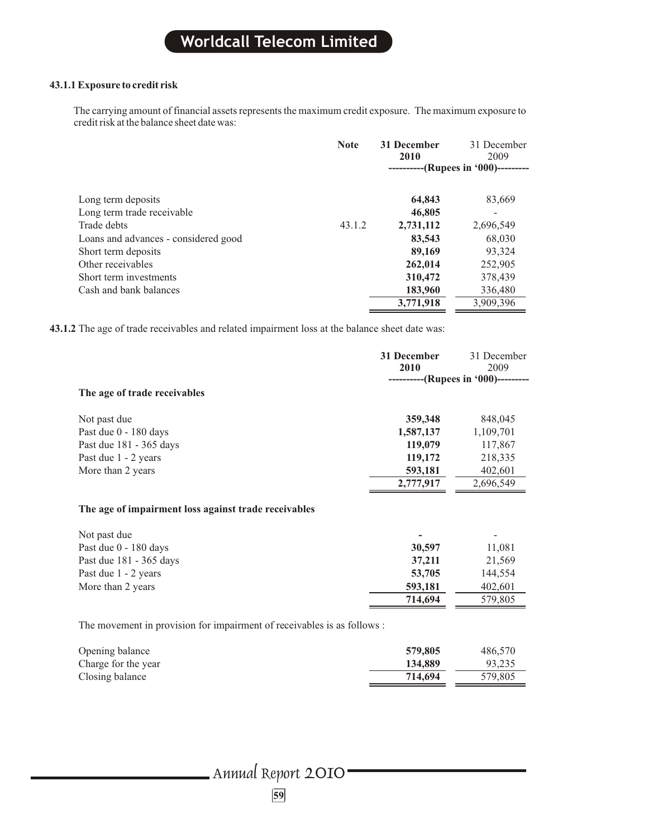### **43.1.1 Exposure to credit risk**

The carrying amount of financial assets represents the maximum credit exposure. The maximum exposure to credit risk at the balance sheet date was:

|                                      | <b>Note</b>                | 31 December<br>2010 | 31 December<br>2009 |  |
|--------------------------------------|----------------------------|---------------------|---------------------|--|
|                                      | -(Rupees in '000)--------- |                     |                     |  |
| Long term deposits                   |                            | 64,843              | 83,669              |  |
| Long term trade receivable           |                            | 46,805              |                     |  |
| Trade debts                          | 43.1.2                     | 2,731,112           | 2,696,549           |  |
| Loans and advances - considered good |                            | 83,543              | 68,030              |  |
| Short term deposits                  |                            | 89,169              | 93,324              |  |
| Other receivables                    |                            | 262,014             | 252,905             |  |
| Short term investments               |                            | 310,472             | 378,439             |  |
| Cash and bank balances               |                            | 183,960             | 336,480             |  |
|                                      |                            | 3,771,918           | 3,909,396           |  |

**43.1.2** The age of trade receivables and related impairment loss at the balance sheet date was:

|                                                                                                                                   | 31 December<br>2010 | 31 December<br>2009<br>----------(Rupees in '000)--------- |
|-----------------------------------------------------------------------------------------------------------------------------------|---------------------|------------------------------------------------------------|
| The age of trade receivables                                                                                                      |                     |                                                            |
| Not past due                                                                                                                      | 359,348             | 848,045                                                    |
| Past due 0 - 180 days                                                                                                             | 1,587,137           | 1,109,701                                                  |
| Past due 181 - 365 days                                                                                                           | 119,079             | 117,867                                                    |
| Past due 1 - 2 years                                                                                                              | 119,172             | 218,335                                                    |
| More than 2 years                                                                                                                 | 593,181             | 402,601                                                    |
|                                                                                                                                   | 2,777,917           | 2,696,549                                                  |
| The age of impairment loss against trade receivables                                                                              |                     |                                                            |
| Not past due                                                                                                                      |                     |                                                            |
| Past due 0 - 180 days                                                                                                             | 30,597              | 11,081                                                     |
| Past due 181 - 365 days                                                                                                           | 37,211              | 21,569                                                     |
| Past due 1 - 2 years                                                                                                              | 53,705              | 144,554                                                    |
| More than 2 years                                                                                                                 | 593,181             | 402,601                                                    |
|                                                                                                                                   | 714,694             | 579,805                                                    |
| The movement in provision for impairment of receivables is as follows :                                                           |                     |                                                            |
| $\bigcap_{i=1}^{n}$ , $\bigcap_{i=1}^{n}$ , $\bigcap_{i=1}^{n}$ , $\bigcap_{i=1}^{n}$ , $\bigcap_{i=1}^{n}$ , $\bigcap_{i=1}^{n}$ | $FFA$ oaf           | 107.570                                                    |

| Opening balance     | 579,805 | 486,570 |
|---------------------|---------|---------|
| Charge for the year | 134,889 | 93.235  |
| Closing balance     | 714.694 | 579.805 |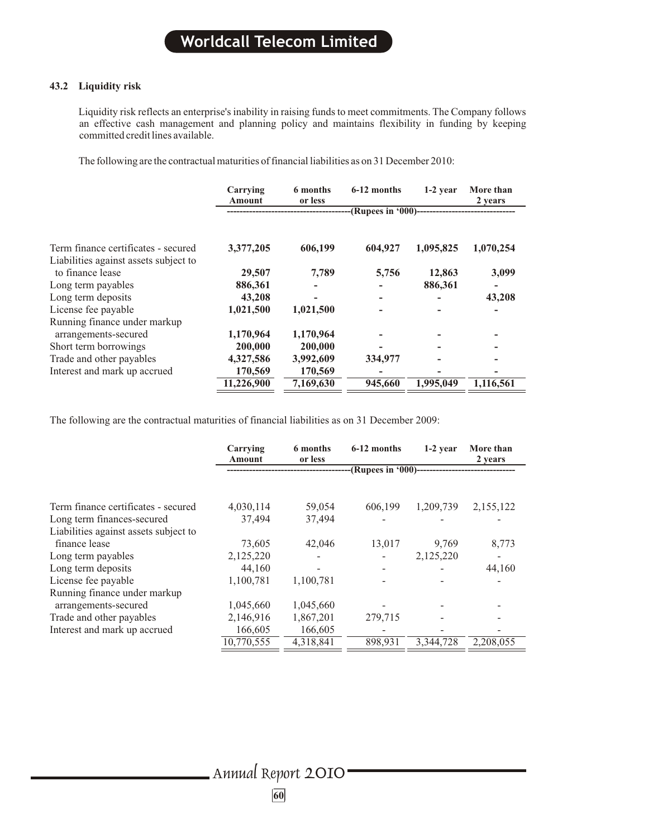### **43.2 Liquidity risk**

Liquidity risk reflects an enterprise's inability in raising funds to meet commitments. The Company follows an effective cash management and planning policy and maintains flexibility in funding by keeping committed credit lines available.

The following are the contractual maturities of financial liabilities as on 31 December 2010:

|                                       | Carrying<br>Amount | 6 months<br>or less | 6-12 months                    | 1-2 year  | More than<br>2 years |
|---------------------------------------|--------------------|---------------------|--------------------------------|-----------|----------------------|
|                                       |                    |                     | -(Rupees in '000)------------- |           |                      |
| Term finance certificates - secured   | 3,377,205          | 606,199             | 604,927                        | 1,095,825 | 1,070,254            |
| Liabilities against assets subject to |                    |                     |                                |           |                      |
| to finance lease                      | 29,507             | 7,789               | 5,756                          | 12,863    | 3,099                |
| Long term payables                    | 886,361            |                     |                                | 886,361   |                      |
| Long term deposits                    | 43,208             |                     |                                |           | 43,208               |
| License fee payable                   | 1,021,500          | 1,021,500           |                                |           |                      |
| Running finance under markup          |                    |                     |                                |           |                      |
| arrangements-secured                  | 1,170,964          | 1,170,964           |                                |           |                      |
| Short term borrowings                 | 200,000            | 200,000             |                                |           |                      |
| Trade and other payables              | 4,327,586          | 3,992,609           | 334,977                        |           |                      |
| Interest and mark up accrued          | 170,569            | 170,569             |                                |           |                      |
|                                       | 11,226,900         | 7,169,630           | 945,660                        | 1,995,049 | 1.116.561            |

The following are the contractual maturities of financial liabilities as on 31 December 2009:

|                                       | Carrying<br>Amount             | 6 months<br>or less | 6-12 months | 1-2 year  | More than<br>2 years |
|---------------------------------------|--------------------------------|---------------------|-------------|-----------|----------------------|
|                                       | --(Rupees in '000)------------ |                     |             |           |                      |
|                                       |                                |                     |             |           |                      |
| Term finance certificates - secured   | 4,030,114                      | 59,054              | 606,199     | 1,209,739 | 2,155,122            |
| Long term finances-secured            | 37,494                         | 37,494              |             |           |                      |
| Liabilities against assets subject to |                                |                     |             |           |                      |
| finance lease                         | 73,605                         | 42,046              | 13,017      | 9,769     | 8,773                |
| Long term payables                    | 2,125,220                      |                     |             | 2,125,220 |                      |
| Long term deposits                    | 44,160                         |                     |             |           | 44,160               |
| License fee payable                   | 1,100,781                      | 1,100,781           |             |           |                      |
| Running finance under markup          |                                |                     |             |           |                      |
| arrangements-secured                  | 1,045,660                      | 1,045,660           |             |           |                      |
| Trade and other payables              | 2,146,916                      | 1,867,201           | 279,715     |           |                      |
| Interest and mark up accrued          | 166,605                        | 166,605             |             |           |                      |
|                                       | 10,770,555                     | 4,318,841           | 898,931     | 3,344,728 | 2,208,055            |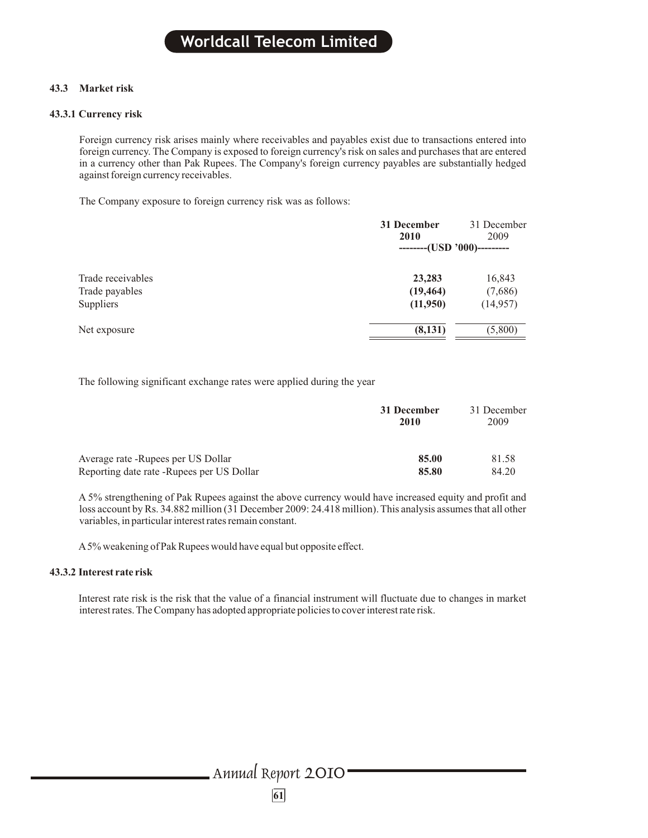### **43.3 Market risk**

### **43.3.1 Currency risk**

Foreign currency risk arises mainly where receivables and payables exist due to transactions entered into foreign currency. The Company is exposed to foreign currency's risk on sales and purchases that are entered in a currency other than Pak Rupees. The Company's foreign currency payables are substantially hedged against foreign currency receivables.

The Company exposure to foreign currency risk was as follows:

|                   | 31 December              | 31 December |
|-------------------|--------------------------|-------------|
|                   | 2010                     | 2009        |
|                   | $------(USD '000)------$ |             |
| Trade receivables | 23,283                   | 16,843      |
| Trade payables    | (19, 464)                | (7,686)     |
| Suppliers         | (11,950)                 | (14,957)    |
| Net exposure      | (8,131)                  | (5,800)     |
|                   |                          |             |

The following significant exchange rates were applied during the year

|                                           | 31 December<br>2010 | 31 December<br>2009 |  |
|-------------------------------------------|---------------------|---------------------|--|
| Average rate -Rupees per US Dollar        | 85.00               | 81.58               |  |
| Reporting date rate -Rupees per US Dollar | 85.80               | 84.20               |  |

A 5% strengthening of Pak Rupees against the above currency would have increased equity and profit and loss account by Rs. 34.882 million (31 December 2009: 24.418 million). This analysis assumes that all other variables, in particular interest rates remain constant.

A 5% weakening of Pak Rupees would have equal but opposite effect.

### **43.3.2 Interest rate risk**

Interest rate risk is the risk that the value of a financial instrument will fluctuate due to changes in market interest rates. The Company has adopted appropriate policies to cover interest rate risk.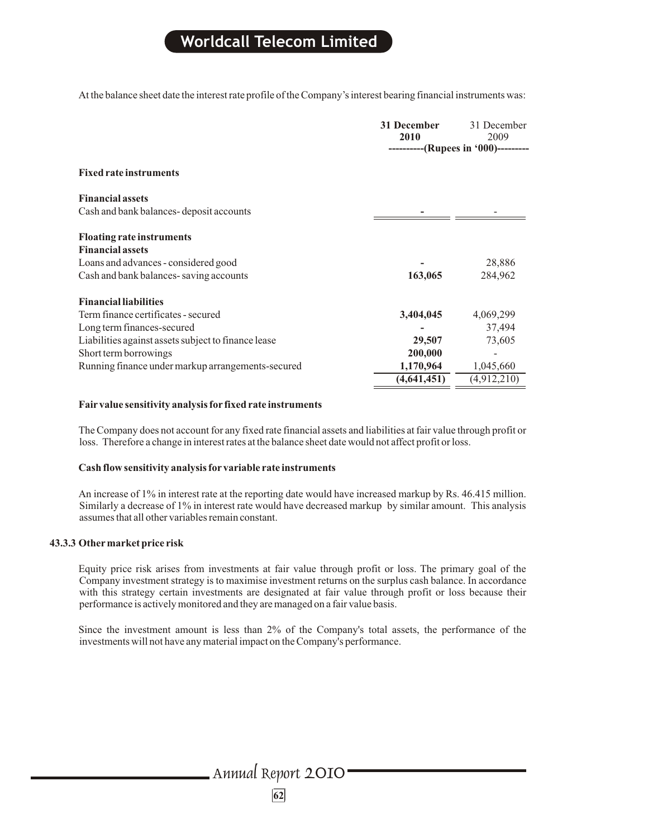At the balance sheet date the interest rate profile of the Company's interest bearing financial instruments was:

|                                                     | 31 December<br>2010 | 31 December<br>2009<br>----------(Rupees in '000)--------- |
|-----------------------------------------------------|---------------------|------------------------------------------------------------|
| <b>Fixed rate instruments</b>                       |                     |                                                            |
| <b>Financial assets</b>                             |                     |                                                            |
| Cash and bank balances-deposit accounts             |                     |                                                            |
| <b>Floating rate instruments</b>                    |                     |                                                            |
| <b>Financial assets</b>                             |                     |                                                            |
| Loans and advances - considered good                |                     | 28,886                                                     |
| Cash and bank balances-saving accounts              | 163,065             | 284,962                                                    |
| <b>Financial liabilities</b>                        |                     |                                                            |
| Term finance certificates - secured                 | 3,404,045           | 4,069,299                                                  |
| Long term finances-secured                          |                     | 37,494                                                     |
| Liabilities against assets subject to finance lease | 29,507              | 73,605                                                     |
| Short term borrowings                               | 200,000             |                                                            |
| Running finance under markup arrangements-secured   | 1,170,964           | 1,045,660                                                  |
|                                                     | (4,641,451)         | (4,912,210)                                                |

#### **Fair value sensitivity analysis for fixed rate instruments**

The Company does not account for any fixed rate financial assets and liabilities at fair value through profit or loss. Therefore a change in interest rates at the balance sheet date would not affect profit or loss.

#### **Cash flow sensitivity analysis for variable rate instruments**

An increase of 1% in interest rate at the reporting date would have increased markup by Rs. 46.415 million. Similarly a decrease of 1% in interest rate would have decreased markup by similar amount. This analysis assumes that all other variables remain constant.

#### **43.3.3 Other market price risk**

Equity price risk arises from investments at fair value through profit or loss. The primary goal of the Company investment strategy is to maximise investment returns on the surplus cash balance. In accordance with this strategy certain investments are designated at fair value through profit or loss because their performance is actively monitored and they are managed on a fair value basis.

Since the investment amount is less than 2% of the Company's total assets, the performance of the investments will not have any material impact on the Company's performance.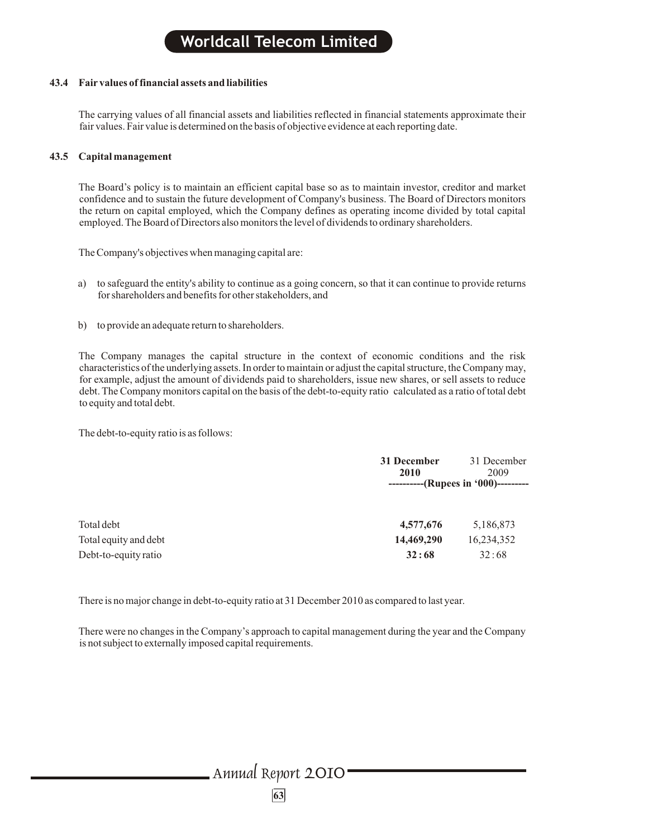### **43.4 Fair values of financial assets and liabilities**

The carrying values of all financial assets and liabilities reflected in financial statements approximate their fair values. Fair value is determined on the basis of objective evidence at each reporting date.

#### **43.5 Capital management**

The Board's policy is to maintain an efficient capital base so as to maintain investor, creditor and market confidence and to sustain the future development of Company's business. The Board of Directors monitors the return on capital employed, which the Company defines as operating income divided by total capital employed. The Board of Directors also monitors the level of dividends to ordinary shareholders.

The Company's objectives when managing capital are:

- a) to safeguard the entity's ability to continue as a going concern, so that it can continue to provide returns for shareholders and benefits for other stakeholders, and
- b) to provide an adequate return to shareholders.

The Company manages the capital structure in the context of economic conditions and the risk characteristics of the underlying assets. In order to maintain or adjust the capital structure, the Company may, for example, adjust the amount of dividends paid to shareholders, issue new shares, or sell assets to reduce debt. The Company monitors capital on the basis of the debt-to-equity ratio calculated as a ratio of total debt to equity and total debt.

The debt-to-equity ratio is as follows:

|                       | 31 December<br>2010 | 31 December<br>2009                 |
|-----------------------|---------------------|-------------------------------------|
|                       |                     | ----------(Rupees in '000)--------- |
| Total debt            | 4,577,676           | 5,186,873                           |
| Total equity and debt | 14,469,290          | 16,234,352                          |
| Debt-to-equity ratio  | 32:68               | 32:68                               |

There is no major change in debt-to-equity ratio at 31 December 2010 as compared to last year.

There were no changes in the Company's approach to capital management during the year and the Company is not subject to externally imposed capital requirements.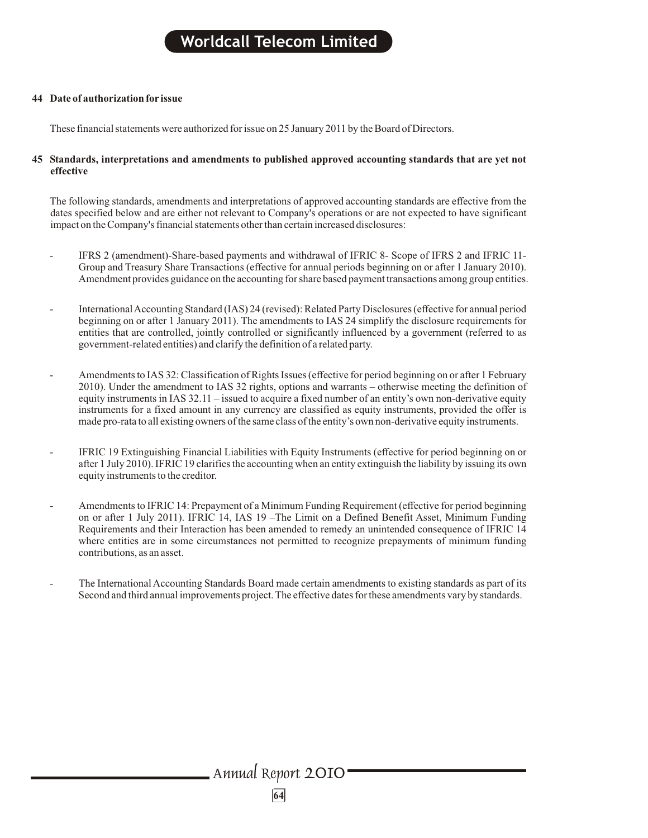### **44 Date of authorization for issue**

These financial statements were authorized for issue on 25 January 2011 by the Board of Directors.

### **45 Standards, interpretations and amendments to published approved accounting standards that are yet not effective**

The following standards, amendments and interpretations of approved accounting standards are effective from the dates specified below and are either not relevant to Company's operations or are not expected to have significant impact on the Company's financial statements other than certain increased disclosures:

- IFRS 2 (amendment)-Share-based payments and withdrawal of IFRIC 8- Scope of IFRS 2 and IFRIC 11- Group and Treasury Share Transactions (effective for annual periods beginning on or after 1 January 2010). Amendment provides guidance on the accounting for share based payment transactions among group entities.
- International Accounting Standard (IAS) 24 (revised): Related Party Disclosures (effective for annual period beginning on or after 1 January 2011). The amendments to IAS 24 simplify the disclosure requirements for entities that are controlled, jointly controlled or significantly influenced by a government (referred to as government-related entities) and clarify the definition of a related party.
- Amendments to IAS 32: Classification of Rights Issues (effective for period beginning on or after 1 February 2010). Under the amendment to IAS 32 rights, options and warrants – otherwise meeting the definition of equity instruments in IAS 32.11 – issued to acquire a fixed number of an entity's own non-derivative equity instruments for a fixed amount in any currency are classified as equity instruments, provided the offer is made pro-rata to all existing owners of the same class of the entity's own non-derivative equity instruments.
- IFRIC 19 Extinguishing Financial Liabilities with Equity Instruments (effective for period beginning on or after 1 July 2010). IFRIC 19 clarifies the accounting when an entity extinguish the liability by issuing its own equity instruments to the creditor.
- Amendments to IFRIC 14: Prepayment of a Minimum Funding Requirement (effective for period beginning on or after 1 July 2011). IFRIC 14, IAS 19 –The Limit on a Defined Benefit Asset, Minimum Funding Requirements and their Interaction has been amended to remedy an unintended consequence of IFRIC 14 where entities are in some circumstances not permitted to recognize prepayments of minimum funding contributions, as an asset.
- The International Accounting Standards Board made certain amendments to existing standards as part of its Second and third annual improvements project. The effective dates for these amendments vary by standards.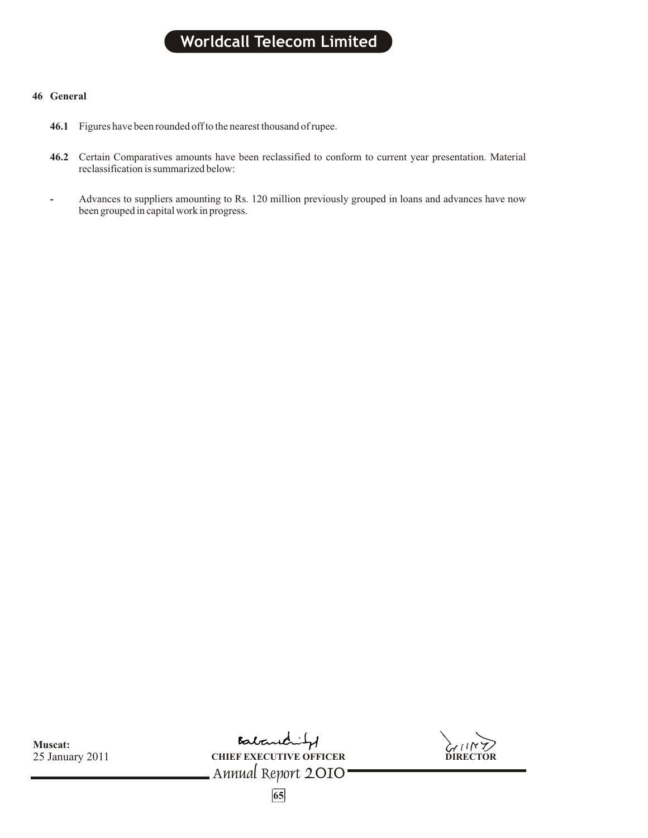### **46 General**

- **46.1** Figures have been rounded off to the nearest thousand of rupee.
- **46.2** Certain Comparatives amounts have been reclassified to conform to current year presentation. Material reclassification is summarized below:
- **-** Advances to suppliers amounting to Rs. 120 million previously grouped in loans and advances have now been grouped in capital work in progress.

**Muscat:** 25 January 2011

**CHIEF EXECUTIVE OFFICER** 

**DIRECTOR**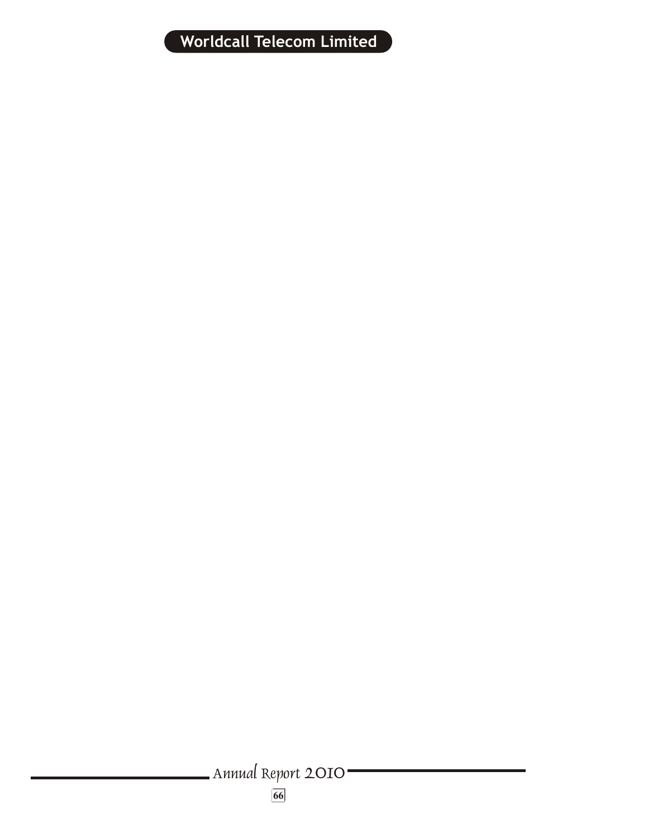$\_$ Annual Report 2010 $-$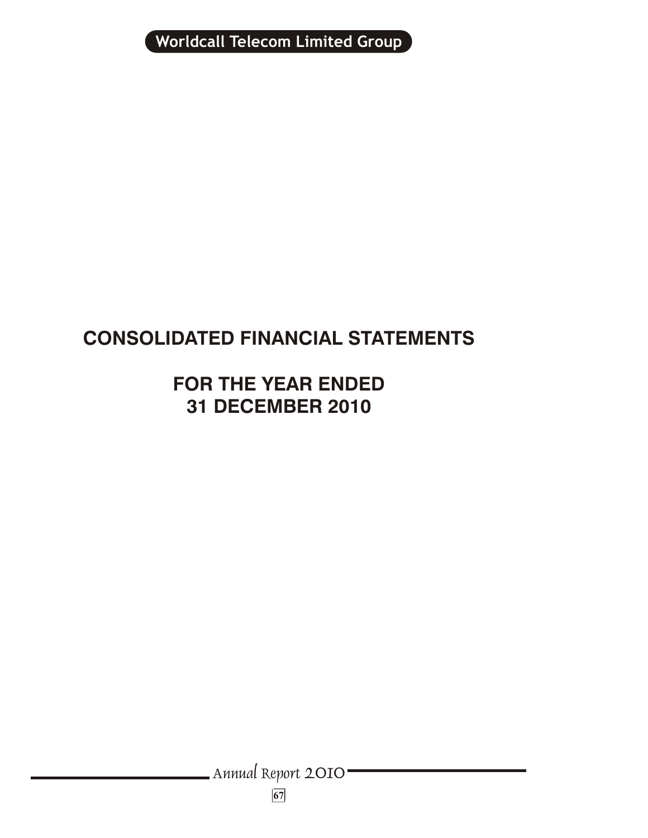# **CONSOLIDATED FINANCIAL STATEMENTS**

# **FOR THE YEAR ENDED 31 DECEMBER 2010**

 $\_$ Annual Report 2010 $-$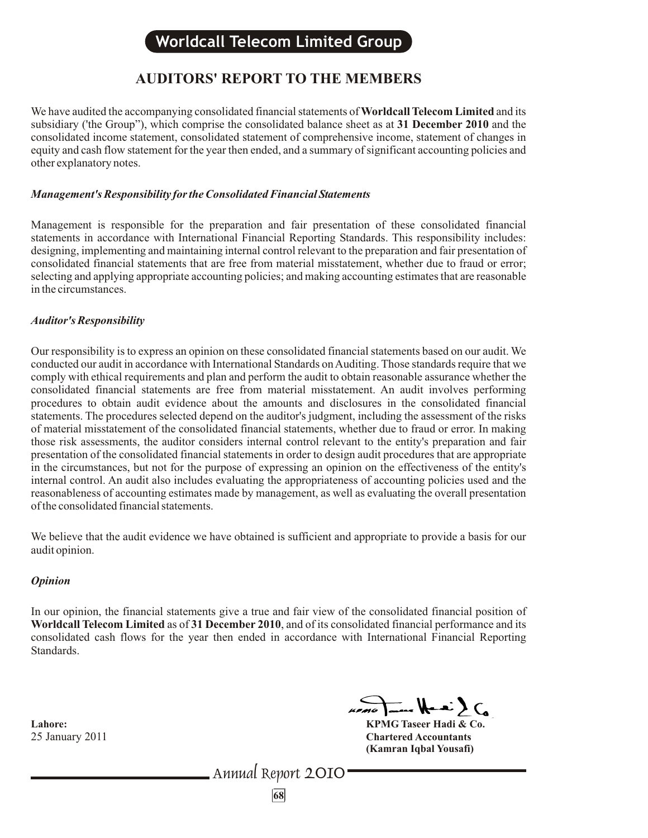### **AUDITORS' REPORT TO THE MEMBERS**

We have audited the accompanying consolidated financial statements of **Worldcall Telecom Limited** and its subsidiary ('the Group"), which comprise the consolidated balance sheet as at **31 December 2010** and the consolidated income statement, consolidated statement of comprehensive income, statement of changes in equity and cash flow statement for the year then ended, and a summary of significant accounting policies and other explanatory notes.

### *Management's Responsibility for the Consolidated Financial Statements*

Management is responsible for the preparation and fair presentation of these consolidated financial statements in accordance with International Financial Reporting Standards. This responsibility includes: designing, implementing and maintaining internal control relevant to the preparation and fair presentation of consolidated financial statements that are free from material misstatement, whether due to fraud or error; selecting and applying appropriate accounting policies; and making accounting estimates that are reasonable in the circumstances.

### *Auditor's Responsibility*

Our responsibility is to express an opinion on these consolidated financial statements based on our audit. We conducted our audit in accordance with International Standards on Auditing. Those standards require that we comply with ethical requirements and plan and perform the audit to obtain reasonable assurance whether the consolidated financial statements are free from material misstatement. An audit involves performing procedures to obtain audit evidence about the amounts and disclosures in the consolidated financial statements. The procedures selected depend on the auditor's judgment, including the assessment of the risks of material misstatement of the consolidated financial statements, whether due to fraud or error. In making those risk assessments, the auditor considers internal control relevant to the entity's preparation and fair presentation of the consolidated financial statements in order to design audit procedures that are appropriate in the circumstances, but not for the purpose of expressing an opinion on the effectiveness of the entity's internal control. An audit also includes evaluating the appropriateness of accounting policies used and the reasonableness of accounting estimates made by management, as well as evaluating the overall presentation of the consolidated financial statements.

We believe that the audit evidence we have obtained is sufficient and appropriate to provide a basis for our audit opinion.

### *Opinion*

In our opinion, the financial statements give a true and fair view of the consolidated financial position of **Worldcall Telecom Limited** as of **31 December 2010**, and of its consolidated financial performance and its consolidated cash flows for the year then ended in accordance with International Financial Reporting Standards.

 $k$  and  $k = \frac{1}{2} C_0$ 

**Lahore: KPMG Taseer Hadi & Co.** 25 January 2011 **Chartered Accountants (Kamran Iqbal Yousafi)**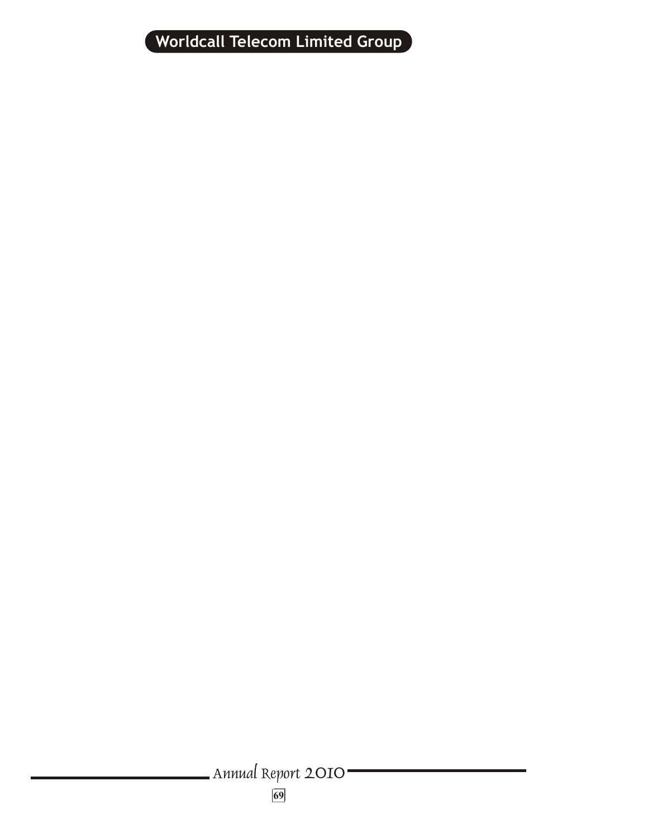$\_$ Annual Report 2010 $-$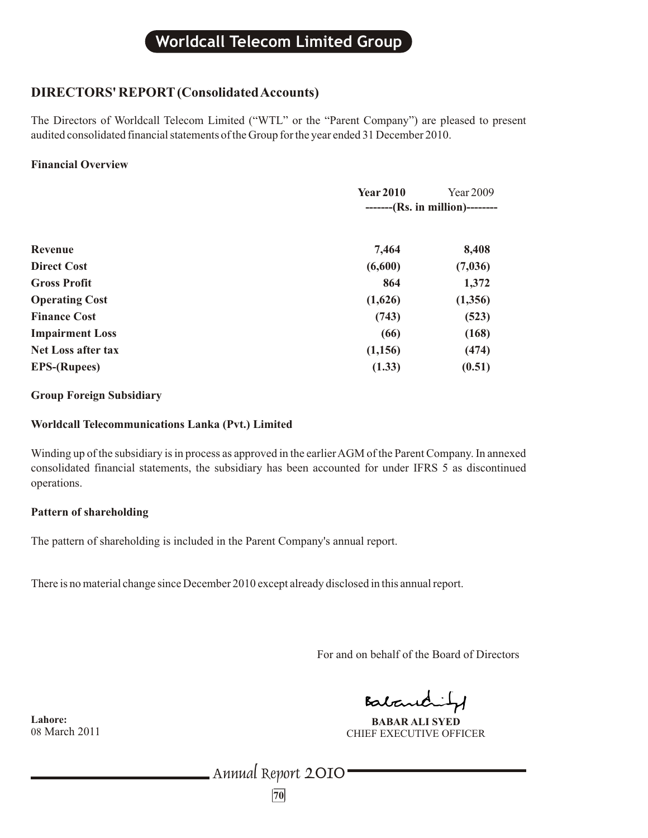### **DIRECTORS' REPORT (Consolidated Accounts)**

The Directors of Worldcall Telecom Limited ("WTL" or the "Parent Company") are pleased to present audited consolidated financial statements of the Group for the year ended 31 December 2010.

### **Financial Overview**

|                           | <b>Year 2010</b> | Year $2009$<br>-------(Rs. in million)-------- |
|---------------------------|------------------|------------------------------------------------|
| Revenue                   | 7,464            | 8,408                                          |
| <b>Direct Cost</b>        | (6,600)          | (7,036)                                        |
| <b>Gross Profit</b>       | 864              | 1,372                                          |
| <b>Operating Cost</b>     | (1,626)          | (1,356)                                        |
| <b>Finance Cost</b>       | (743)            | (523)                                          |
| <b>Impairment Loss</b>    | (66)             | (168)                                          |
| <b>Net Loss after tax</b> | (1,156)          | (474)                                          |
| <b>EPS-(Rupees)</b>       | (1.33)           | (0.51)                                         |

**Group Foreign Subsidiary**

### **Worldcall Telecommunications Lanka (Pvt.) Limited**

Winding up of the subsidiary is in process as approved in the earlier AGM of the Parent Company. In annexed consolidated financial statements, the subsidiary has been accounted for under IFRS 5 as discontinued operations.

### **Pattern of shareholding**

The pattern of shareholding is included in the Parent Company's annual report.

There is no material change since December 2010 except already disclosed in this annual report.

For and on behalf of the Board of Directors

Babandity

**BABAR ALI SYED** CHIEF EXECUTIVE OFFICER

**Lahore:** 08 March 2011

 $\blacksquare$  Annual Report 2010 $\blacksquare$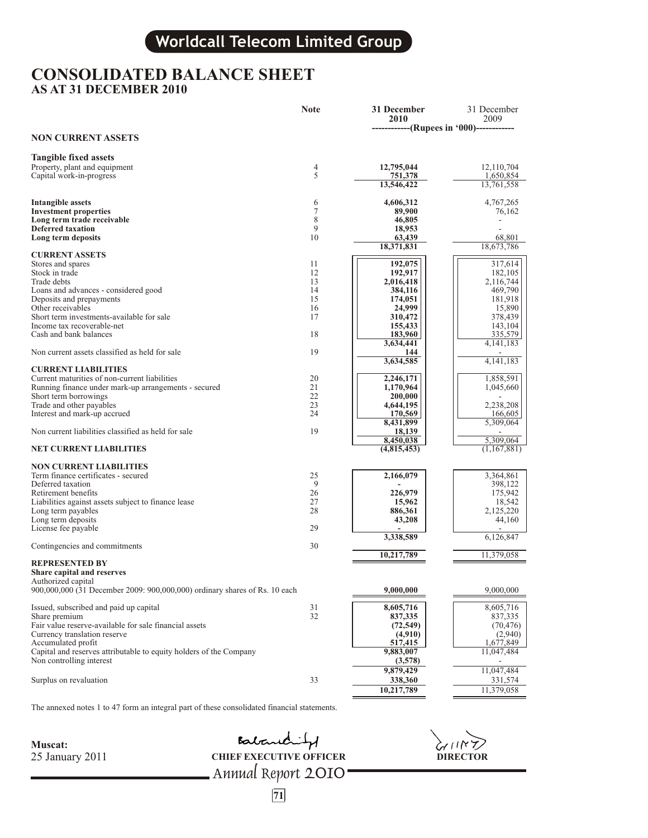### **CONSOLIDATED BALANCE SHEET AS AT 31 DECEMBER 2010**

|                                                                            | <b>Note</b> | 31 December<br>2010                | 31 December<br>2009                   |
|----------------------------------------------------------------------------|-------------|------------------------------------|---------------------------------------|
|                                                                            |             | ------------(Rupees in '000)------ |                                       |
| <b>NON CURRENT ASSETS</b>                                                  |             |                                    |                                       |
| <b>Tangible fixed assets</b>                                               |             |                                    |                                       |
| Property, plant and equipment                                              | 4           | 12,795,044                         | 12,110,704                            |
| Capital work-in-progress                                                   | 5           | 751,378                            | 1,650,854                             |
|                                                                            |             | 13,546,422                         | 13,761,558                            |
| <b>Intangible assets</b>                                                   | 6           | 4,606,312                          | 4,767,265                             |
| <b>Investment properties</b>                                               | 7           | 89,900                             | 76,162                                |
| Long term trade receivable                                                 | 8           | 46,805                             | $\qquad \qquad \blacksquare$          |
| <b>Deferred taxation</b>                                                   | 9           | 18,953                             |                                       |
| Long term deposits                                                         | 10          | 63,439                             | 68,801                                |
| <b>CURRENT ASSETS</b>                                                      |             | 18,371,831                         | 18,673,786                            |
| Stores and spares                                                          | 11          | 192,075                            | 317,614                               |
| Stock in trade                                                             | 12          | 192,917                            | 182,105                               |
| Trade debts                                                                | 13          | 2,016,418                          | 2,116,744                             |
| Loans and advances - considered good                                       | 14          | 384,116                            | 469,790                               |
| Deposits and prepayments                                                   | 15          | 174,051                            | 181,918                               |
| Other receivables                                                          | 16          | 24,999                             | 15,890                                |
| Short term investments-available for sale                                  | 17          | 310,472                            | 378,439                               |
| Income tax recoverable-net                                                 |             | 155,433                            | 143,104                               |
| Cash and bank balances                                                     | 18          | 183,960                            | 335,579                               |
|                                                                            |             | 3,634,441                          | 4,141,183                             |
| Non current assets classified as held for sale                             | 19          | 144<br>3,634,585                   | 4, 141, 183                           |
| <b>CURRENT LIABILITIES</b>                                                 |             |                                    |                                       |
| Current maturities of non-current liabilities                              | 20          | 2,246,171                          | 1,858,591                             |
| Running finance under mark-up arrangements - secured                       | 21          | 1,170,964                          | 1,045,660                             |
| Short term borrowings                                                      | 22          | 200,000                            |                                       |
| Trade and other payables                                                   | 23          | 4,644,195                          | 2,238,208                             |
| Interest and mark-up accrued                                               | 24          | 170,569                            | 166,605                               |
| Non current liabilities classified as held for sale                        | 19          | 8,431,899<br>18,139                | 5,309,064                             |
|                                                                            |             | 8,450,038                          | 5,309,064                             |
| <b>NET CURRENT LIABILITIES</b>                                             |             | (4,815,453)                        | (1,167,881)                           |
| <b>NON CURRENT LIABILITIES</b>                                             |             |                                    |                                       |
| Term finance certificates - secured                                        | 25          | 2,166,079                          | 3,364,861                             |
| Deferred taxation                                                          | 9           |                                    | 398,122                               |
| Retirement benefits                                                        | 26          | 226,979                            | 175,942                               |
| Liabilities against assets subject to finance lease                        | 27          | 15,962                             | 18,542                                |
| Long term payables                                                         | 28          | 886,361                            | 2,125,220                             |
| Long term deposits                                                         |             | 43,208                             | 44,160                                |
| License fee payable                                                        | 29          | 3,338,589                          | $\overline{\phantom{a}}$<br>6,126,847 |
| Contingencies and commitments                                              | 30          |                                    |                                       |
| <b>REPRESENTED BY</b>                                                      |             | 10,217,789                         | 11,379,058                            |
| Share capital and reserves                                                 |             |                                    |                                       |
| Authorized capital                                                         |             |                                    |                                       |
| 900,000,000 (31 December 2009: 900,000,000) ordinary shares of Rs. 10 each |             | 9,000,000                          | 9,000,000                             |
| Issued, subscribed and paid up capital                                     | 31          | 8,605,716                          | 8,605,716                             |
| Share premium                                                              | 32          | 837,335                            | 837,335                               |
| Fair value reserve-available for sale financial assets                     |             | (72, 549)                          | (70, 476)                             |
| Currency translation reserve                                               |             | (4,910)                            | (2,940)                               |
| Accumulated profit                                                         |             | 517,415                            | 1,677,849                             |
| Capital and reserves attributable to equity holders of the Company         |             | 9,883,007                          | 11,047,484                            |
| Non controlling interest                                                   |             | (3,578)                            |                                       |
|                                                                            |             | 9,879,429                          | 11,047,484                            |
| Surplus on revaluation                                                     | 33          | 338,360                            | 331,574                               |
|                                                                            |             | 10,217,789                         | 11,379,058                            |
|                                                                            |             |                                    |                                       |

The annexed notes 1 to 47 form an integral part of these consolidated financial statements.

**Muscat:** 25 January 2011 **CHIEF EXECUTIVE OFFICER DIRECTOR** Annual Report 2010



**71**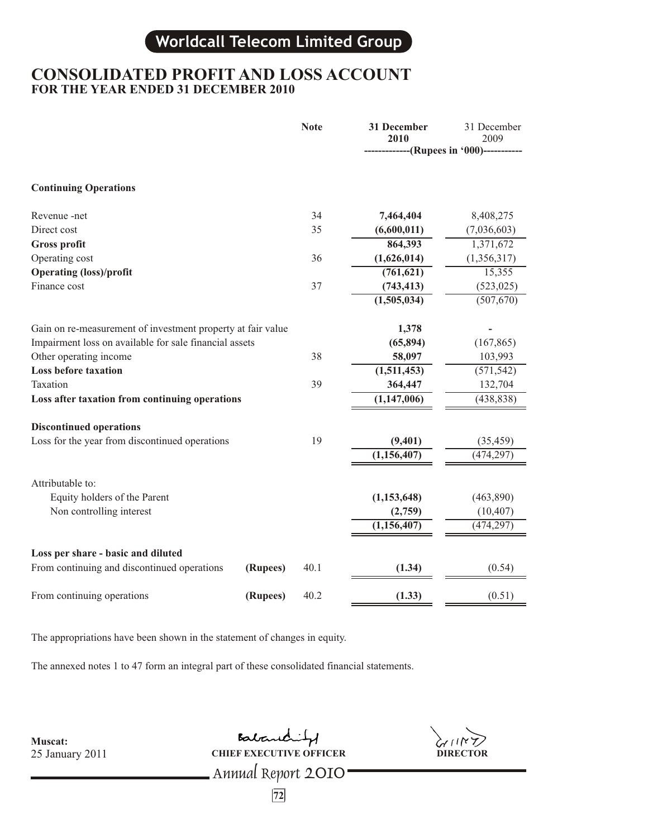### **CONSOLIDATED PROFIT AND LOSS ACCOUNT FOR THE YEAR ENDED 31 DECEMBER 2010**

|                                                             |          | <b>Note</b> | 31 December<br>2010 | 31 December<br>2009            |
|-------------------------------------------------------------|----------|-------------|---------------------|--------------------------------|
|                                                             |          |             |                     | -------(Rupees in '000)------- |
| <b>Continuing Operations</b>                                |          |             |                     |                                |
| Revenue -net                                                |          | 34          | 7,464,404           | 8,408,275                      |
| Direct cost                                                 |          | 35          | (6,600,011)         | (7,036,603)                    |
| <b>Gross profit</b>                                         |          |             | 864,393             | $\overline{1,}371,672$         |
| Operating cost                                              |          | 36          | (1,626,014)         | (1,356,317)                    |
| <b>Operating (loss)/profit</b>                              |          |             | (761, 621)          | 15,355                         |
| Finance cost                                                |          | 37          | (743, 413)          | (523, 025)                     |
|                                                             |          |             | (1,505,034)         | (507, 670)                     |
| Gain on re-measurement of investment property at fair value |          |             | 1,378               |                                |
| Impairment loss on available for sale financial assets      |          |             | (65, 894)           | (167, 865)                     |
| Other operating income                                      |          | 38          | 58,097              | 103,993                        |
| <b>Loss before taxation</b>                                 |          |             | (1,511,453)         | (571, 542)                     |
| Taxation                                                    |          | 39          | 364,447             | 132,704                        |
| Loss after taxation from continuing operations              |          |             | (1, 147, 006)       | (438, 838)                     |
| <b>Discontinued operations</b>                              |          |             |                     |                                |
| Loss for the year from discontinued operations              |          | 19          | (9,401)             | (35, 459)                      |
|                                                             |          |             | (1, 156, 407)       | (474, 297)                     |
| Attributable to:                                            |          |             |                     |                                |
| Equity holders of the Parent                                |          |             | (1, 153, 648)       | (463,890)                      |
| Non controlling interest                                    |          |             | (2,759)             | (10, 407)                      |
|                                                             |          |             | (1,156,407)         | (474, 297)                     |
| Loss per share - basic and diluted                          |          |             |                     |                                |
| From continuing and discontinued operations                 | (Rupees) | 40.1        | (1.34)              | (0.54)                         |
| From continuing operations                                  | (Rupees) | 40.2        | (1.33)              | (0.51)                         |

The appropriations have been shown in the statement of changes in equity.

The annexed notes 1 to 47 form an integral part of these consolidated financial statements.

**Muscat:** 25 January 2011

**CHIEF EXECUTIVE OFFICER** DIRECTOR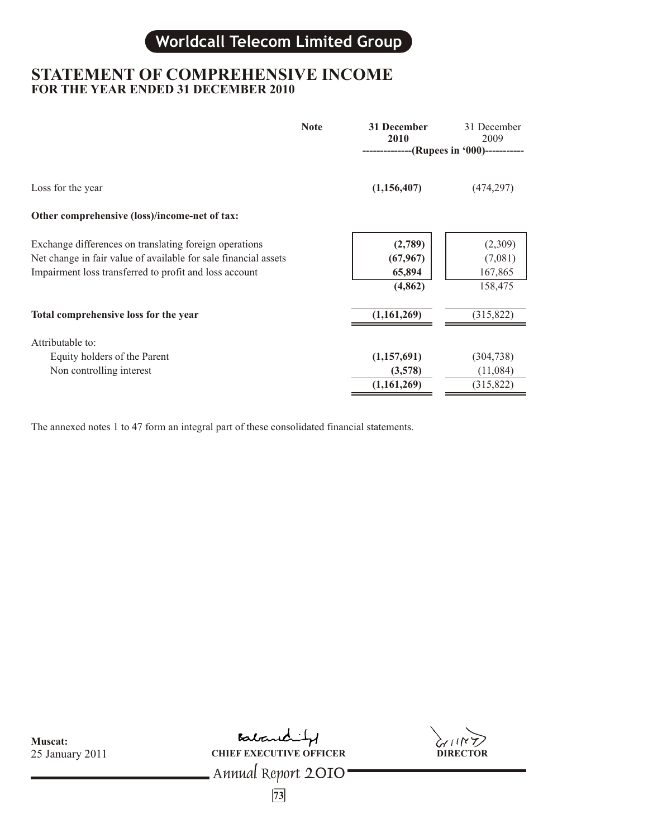## **STATEMENT OF COMPREHENSIVE INCOME FOR THE YEAR ENDED 31 DECEMBER 2010**

|                                                                 | <b>Note</b> | 31 December<br>2010<br>--------------(Rupees in '000)----------- | 31 December<br>2009 |
|-----------------------------------------------------------------|-------------|------------------------------------------------------------------|---------------------|
| Loss for the year                                               |             | (1,156,407)                                                      | (474, 297)          |
| Other comprehensive (loss)/income-net of tax:                   |             |                                                                  |                     |
| Exchange differences on translating foreign operations          |             | (2,789)                                                          | (2,309)             |
| Net change in fair value of available for sale financial assets |             | (67, 967)                                                        | (7,081)             |
| Impairment loss transferred to profit and loss account          |             | 65,894                                                           | 167,865             |
|                                                                 |             | (4, 862)                                                         | 158,475             |
| Total comprehensive loss for the year                           |             | (1,161,269)                                                      | (315, 822)          |
| Attributable to:                                                |             |                                                                  |                     |
| Equity holders of the Parent                                    |             | (1,157,691)                                                      | (304, 738)          |
| Non controlling interest                                        |             | (3,578)                                                          | (11,084)            |
|                                                                 |             | (1,161,269)                                                      | (315, 822)          |

The annexed notes 1 to 47 form an integral part of these consolidated financial statements.

**Muscat:** 25 January 2011

**CHIEF EXECUTIVE OFFICER** DIRECTOR Annual Report 2010

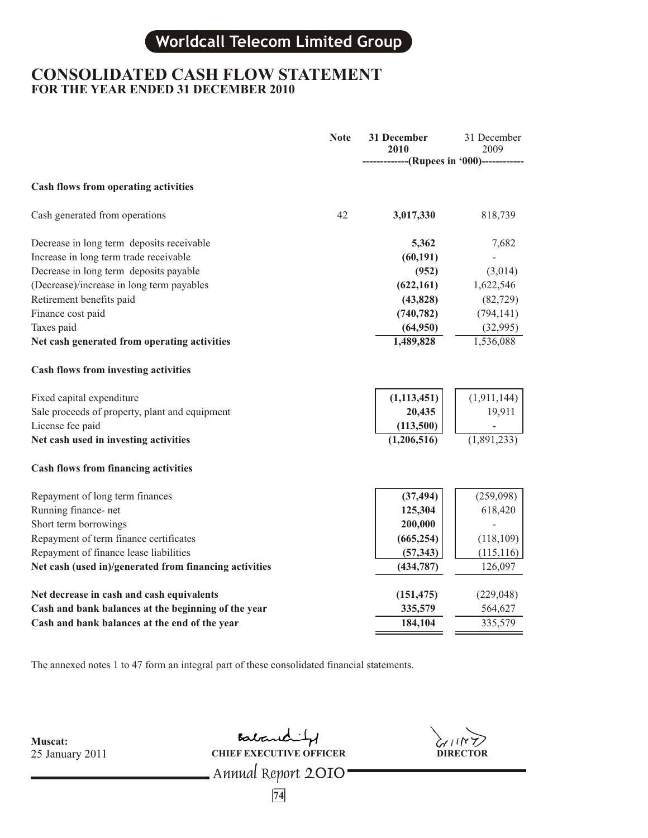## **CONSOLIDATED CASH FLOW STATEMENT FOR THE YEAR ENDED 31 DECEMBER 2010**

|                                                                                                  | <b>Note</b> | 31 December<br>2010           | 31 December<br>2009   |
|--------------------------------------------------------------------------------------------------|-------------|-------------------------------|-----------------------|
|                                                                                                  |             | ------(Rupees in '000)------- |                       |
| Cash flows from operating activities                                                             |             |                               |                       |
| Cash generated from operations                                                                   | 42          | 3,017,330                     | 818,739               |
| Decrease in long term deposits receivable                                                        |             | 5,362                         | 7,682                 |
| Increase in long term trade receivable                                                           |             | (60, 191)                     |                       |
| Decrease in long term deposits payable                                                           |             | (952)                         | (3,014)               |
| (Decrease)/increase in long term payables                                                        |             | (622, 161)                    | 1,622,546             |
| Retirement benefits paid                                                                         |             | (43,828)                      | (82, 729)             |
| Finance cost paid                                                                                |             | (740, 782)                    | (794, 141)            |
| Taxes paid                                                                                       |             | (64,950)                      | (32,995)              |
| Net cash generated from operating activities                                                     |             | 1,489,828                     | 1,536,088             |
| Cash flows from investing activities                                                             |             |                               |                       |
| Fixed capital expenditure                                                                        |             | (1, 113, 451)                 | (1, 911, 144)         |
| Sale proceeds of property, plant and equipment                                                   |             | 20,435                        | 19,911                |
| License fee paid                                                                                 |             | (113,500)                     |                       |
| Net cash used in investing activities                                                            |             | (1,206,516)                   | (1,891,233)           |
| <b>Cash flows from financing activities</b>                                                      |             |                               |                       |
| Repayment of long term finances                                                                  |             | (37, 494)                     | (259,098)             |
| Running finance-net                                                                              |             | 125,304                       | 618,420               |
| Short term borrowings                                                                            |             | 200,000                       |                       |
| Repayment of term finance certificates                                                           |             | (665, 254)                    | (118, 109)            |
| Repayment of finance lease liabilities                                                           |             | (57, 343)                     | (115, 116)            |
| Net cash (used in)/generated from financing activities                                           |             | (434,787)                     | 126,097               |
|                                                                                                  |             |                               |                       |
| Net decrease in cash and cash equivalents<br>Cash and bank balances at the beginning of the year |             | (151, 475)<br>335,579         | (229, 048)<br>564,627 |
| Cash and bank balances at the end of the year                                                    |             | 184,104                       | 335,579               |
|                                                                                                  |             |                               |                       |

The annexed notes 1 to 47 form an integral part of these consolidated financial statements.

**Muscat:** 25 January 2011

**CHIEF EXECUTIVE OFFICER** DIRECTOR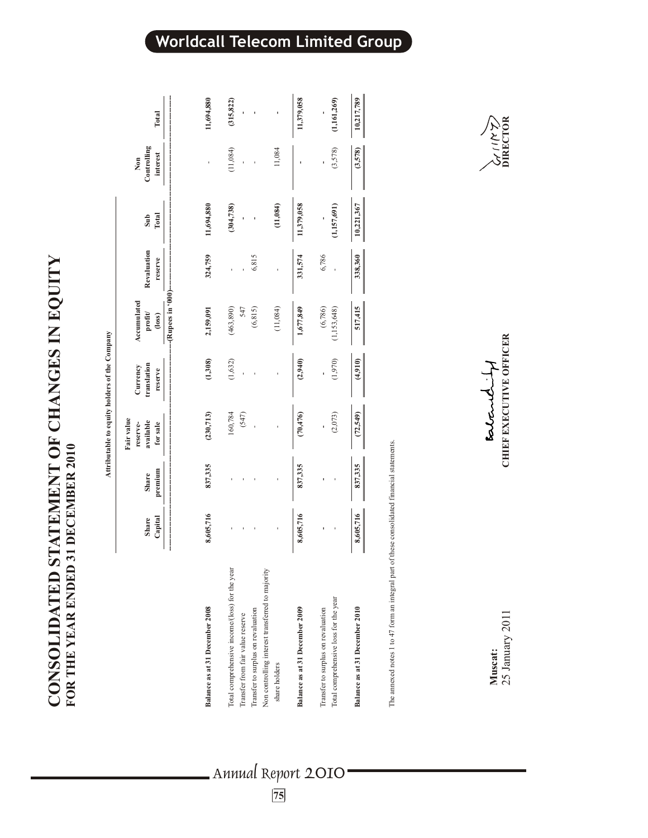| VULLOU N EN FRI                 |                                     |
|---------------------------------|-------------------------------------|
| CONSOLIDATED STATEMENT OF CHANG | FOR THE YEAR ENDED 31 DECEMBER 2010 |
|                                 |                                     |

**Attributable to equity holders of the Company**

Attributable to equity holders of the Company

|                                                  |           |         | Fair value            |                         |                                  |             |             |                    |               |
|--------------------------------------------------|-----------|---------|-----------------------|-------------------------|----------------------------------|-------------|-------------|--------------------|---------------|
|                                                  | Share     | Share   | available<br>reserve- | translation<br>Currency | Accumulated<br>$\mathbf{profit}$ | Revaluation | Sub         | Controlling<br>Non |               |
|                                                  | Capital   | premium | for sale              | reserve                 | (loss)                           | reserve     | Total       | interest           | Total         |
|                                                  |           |         |                       |                         | -(Rupees in '000)-               |             |             |                    |               |
|                                                  |           |         |                       |                         |                                  |             |             |                    |               |
| Balance as at 31 December 2008                   | 8,605,716 | 837,335 | (230,713)             | (1,308)                 | 2,159,091                        | 324,759     | 1,694,880   |                    | 1,694,880     |
| Total comprehensive income/(loss) for the year   |           |         | 160,784               | (1, 632)                | (463, 890)                       |             | (304, 738)  | (11, 084)          | (315, 822)    |
| Transfer from fair value reserve                 |           |         | (547)                 |                         | 547                              |             | I           |                    |               |
| Transfer to surplus on revaluation               |           |         |                       |                         | (6, 815)                         | 6,815       |             |                    |               |
| Non controlling interest transferred to majority |           |         |                       |                         |                                  |             |             |                    |               |
| share holders                                    |           |         |                       |                         | (11, 084)                        |             | (11, 084)   | 11,084             |               |
| Balance as at 31 December 2009                   | 8,605,716 | 837,335 | (70, 476)             | (2,940)                 | 1,677,849                        | 331,574     | 11,379,058  |                    | 11,379,058    |
| Transfer to surplus on revaluation               |           |         |                       |                         | (6,786)                          | 6,786       | ł           |                    | ï             |
| Total comprehensive loss for the year            |           |         | (2,073)               | (1,970)                 | (1, 153, 648)                    |             | (1,157,691) | (3,578)            | (1, 161, 269) |
| Balance as at 31 December 2010                   | 8,605,716 | 837,335 | (72, 549)             | (4,910)                 | 517,415                          | 338,360     | 10,221,367  | (3,578)            | 10,217,789    |
|                                                  |           |         |                       |                         |                                  |             |             |                    |               |

The annexed notes 1 to 47 form an integral part of these consolidated financial statements. The annexed notes 1 to 47 form an integral part of these consolidated financial statements.

**Muscat:**<br>25 January 2011

25 January 2011 **DIRECTORCHIEF EXECUTIVE OFFICER CHIEF EXECUTIVE OFFICER** Hidemara



# **Worldcall Telecom Limited Group**

**75**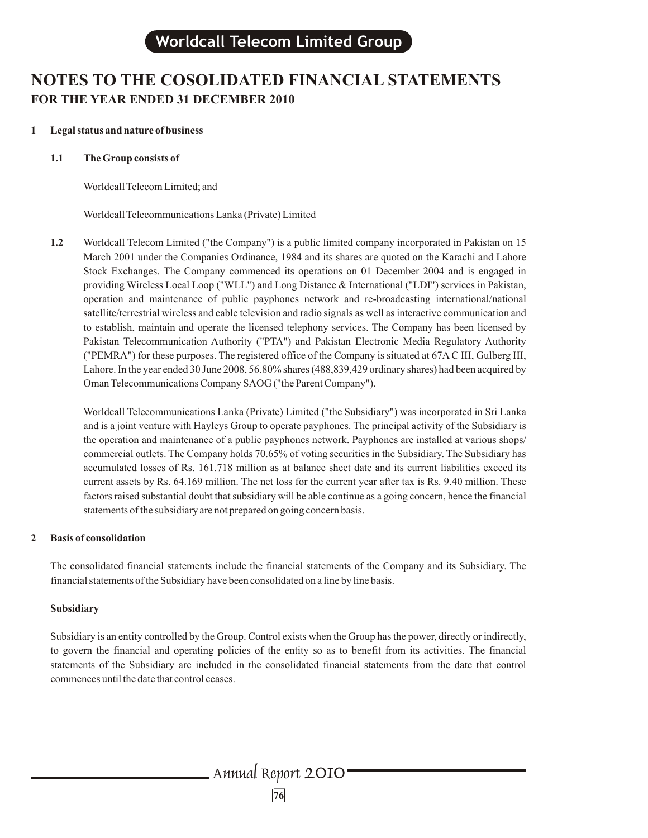# **NOTES TO THE COSOLIDATED FINANCIAL STATEMENTS FOR THE YEAR ENDED 31 DECEMBER 2010**

### **1 Legal status and nature of business**

### **1.1 The Group consists of**

Worldcall Telecom Limited; and

Worldcall Telecommunications Lanka (Private) Limited

**1.2** Worldcall Telecom Limited ("the Company") is a public limited company incorporated in Pakistan on 15 March 2001 under the Companies Ordinance, 1984 and its shares are quoted on the Karachi and Lahore Stock Exchanges. The Company commenced its operations on 01 December 2004 and is engaged in providing Wireless Local Loop ("WLL") and Long Distance & International ("LDI") services in Pakistan, operation and maintenance of public payphones network and re-broadcasting international/national satellite/terrestrial wireless and cable television and radio signals as well as interactive communication and to establish, maintain and operate the licensed telephony services. The Company has been licensed by Pakistan Telecommunication Authority ("PTA") and Pakistan Electronic Media Regulatory Authority ("PEMRA") for these purposes. The registered office of the Company is situated at 67A C III, Gulberg III, Lahore. In the year ended 30 June 2008, 56.80% shares (488,839,429 ordinary shares) had been acquired by Oman Telecommunications Company SAOG ("the Parent Company").

Worldcall Telecommunications Lanka (Private) Limited ("the Subsidiary") was incorporated in Sri Lanka and is a joint venture with Hayleys Group to operate payphones. The principal activity of the Subsidiary is the operation and maintenance of a public payphones network. Payphones are installed at various shops/ commercial outlets. The Company holds 70.65% of voting securities in the Subsidiary. The Subsidiary has accumulated losses of Rs. 161.718 million as at balance sheet date and its current liabilities exceed its current assets by Rs. 64.169 million. The net loss for the current year after tax is Rs. 9.40 million. These factors raised substantial doubt that subsidiary will be able continue as a going concern, hence the financial statements of the subsidiary are not prepared on going concern basis.

### **2 Basis of consolidation**

The consolidated financial statements include the financial statements of the Company and its Subsidiary. The financial statements of the Subsidiary have been consolidated on a line by line basis.

### **Subsidiary**

Subsidiary is an entity controlled by the Group. Control exists when the Group has the power, directly or indirectly, to govern the financial and operating policies of the entity so as to benefit from its activities. The financial statements of the Subsidiary are included in the consolidated financial statements from the date that control commences until the date that control ceases.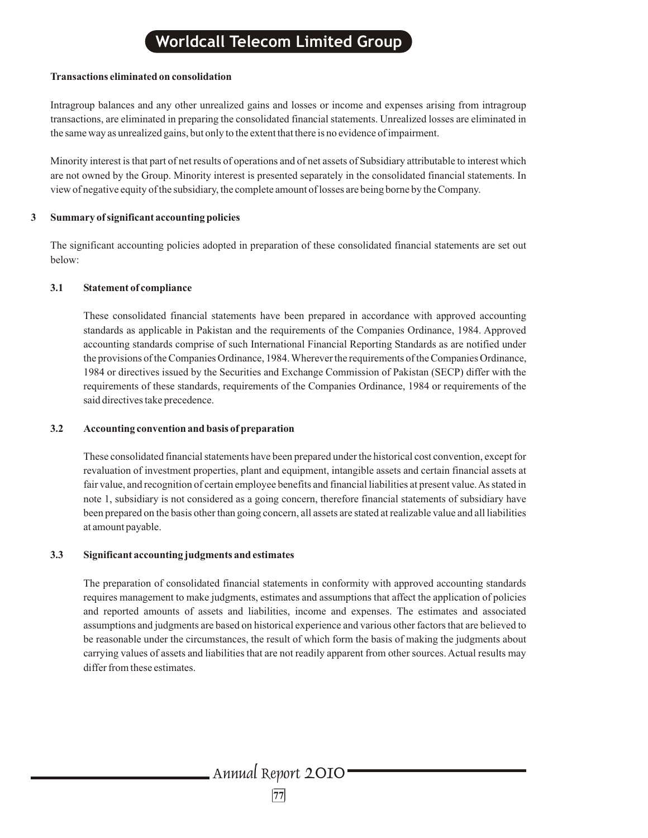#### **Transactions eliminated on consolidation**

Intragroup balances and any other unrealized gains and losses or income and expenses arising from intragroup transactions, are eliminated in preparing the consolidated financial statements. Unrealized losses are eliminated in the same way as unrealized gains, but only to the extent that there is no evidence of impairment.

Minority interest is that part of net results of operations and of net assets of Subsidiary attributable to interest which are not owned by the Group. Minority interest is presented separately in the consolidated financial statements. In view of negative equity of the subsidiary, the complete amount of losses are being borne by the Company.

### **3 Summary of significant accounting policies**

The significant accounting policies adopted in preparation of these consolidated financial statements are set out below:

### **3.1 Statement of compliance**

These consolidated financial statements have been prepared in accordance with approved accounting standards as applicable in Pakistan and the requirements of the Companies Ordinance, 1984. Approved accounting standards comprise of such International Financial Reporting Standards as are notified under the provisions of the Companies Ordinance, 1984. Wherever the requirements of the Companies Ordinance, 1984 or directives issued by the Securities and Exchange Commission of Pakistan (SECP) differ with the requirements of these standards, requirements of the Companies Ordinance, 1984 or requirements of the said directives take precedence.

### **3.2 Accounting convention and basis of preparation**

These consolidated financial statements have been prepared under the historical cost convention, except for revaluation of investment properties, plant and equipment, intangible assets and certain financial assets at fair value, and recognition of certain employee benefits and financial liabilities at present value. As stated in note 1, subsidiary is not considered as a going concern, therefore financial statements of subsidiary have been prepared on the basis other than going concern, all assets are stated at realizable value and all liabilities at amount payable.

### **3.3 Significant accounting judgments and estimates**

The preparation of consolidated financial statements in conformity with approved accounting standards requires management to make judgments, estimates and assumptions that affect the application of policies and reported amounts of assets and liabilities, income and expenses. The estimates and associated assumptions and judgments are based on historical experience and various other factors that are believed to be reasonable under the circumstances, the result of which form the basis of making the judgments about carrying values of assets and liabilities that are not readily apparent from other sources. Actual results may differ from these estimates.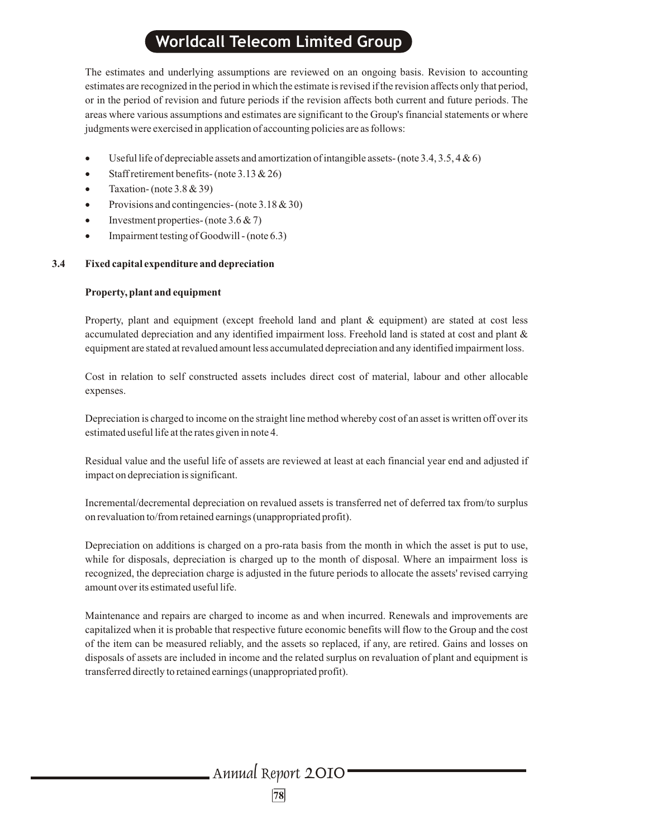The estimates and underlying assumptions are reviewed on an ongoing basis. Revision to accounting estimates are recognized in the period in which the estimate is revised if the revision affects only that period, or in the period of revision and future periods if the revision affects both current and future periods. The areas where various assumptions and estimates are significant to the Group's financial statements or where judgments were exercised in application of accounting policies are as follows:

Useful life of depreciable assets and amortization of intangible assets- (note 3.4, 3.5, 4 & 6) Staff retirement benefits- (note 3.13 & 26) Taxation- (note 3.8 & 39) Provisions and contingencies- (note 3.18 & 30) Investment properties- (note 3.6 & 7) Impairment testing of Goodwill - (note 6.3)

### **3.4 Fixed capital expenditure and depreciation**

### **Property, plant and equipment**

Property, plant and equipment (except freehold land and plant & equipment) are stated at cost less accumulated depreciation and any identified impairment loss. Freehold land is stated at cost and plant & equipment are stated at revalued amount less accumulated depreciation and any identified impairment loss.

Cost in relation to self constructed assets includes direct cost of material, labour and other allocable expenses.

Depreciation is charged to income on the straight line method whereby cost of an asset is written off over its estimated useful life at the rates given in note 4.

Residual value and the useful life of assets are reviewed at least at each financial year end and adjusted if impact on depreciation is significant.

Incremental/decremental depreciation on revalued assets is transferred net of deferred tax from/to surplus on revaluation to/from retained earnings (unappropriated profit).

Depreciation on additions is charged on a pro-rata basis from the month in which the asset is put to use, while for disposals, depreciation is charged up to the month of disposal. Where an impairment loss is recognized, the depreciation charge is adjusted in the future periods to allocate the assets' revised carrying amount over its estimated useful life.

Maintenance and repairs are charged to income as and when incurred. Renewals and improvements are capitalized when it is probable that respective future economic benefits will flow to the Group and the cost of the item can be measured reliably, and the assets so replaced, if any, are retired. Gains and losses on disposals of assets are included in income and the related surplus on revaluation of plant and equipment is transferred directly to retained earnings (unappropriated profit).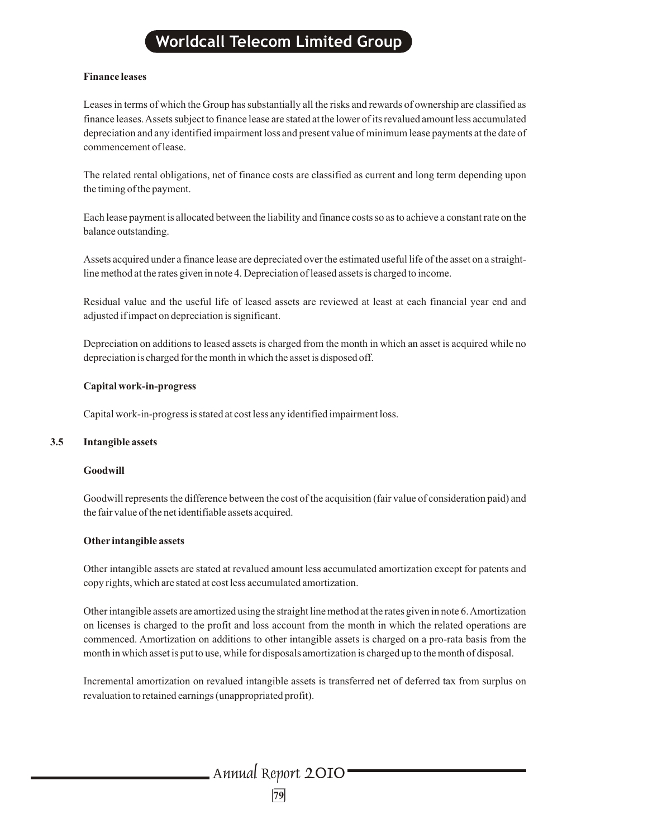#### **Finance leases**

Leases in terms of which the Group has substantially all the risks and rewards of ownership are classified as finance leases. Assets subject to finance lease are stated at the lower of its revalued amount less accumulated depreciation and any identified impairment loss and present value of minimum lease payments at the date of commencement of lease.

The related rental obligations, net of finance costs are classified as current and long term depending upon the timing of the payment.

Each lease payment is allocated between the liability and finance costs so as to achieve a constant rate on the balance outstanding.

Assets acquired under a finance lease are depreciated over the estimated useful life of the asset on a straightline method at the rates given in note 4. Depreciation of leased assets is charged to income.

Residual value and the useful life of leased assets are reviewed at least at each financial year end and adjusted if impact on depreciation is significant.

Depreciation on additions to leased assets is charged from the month in which an asset is acquired while no depreciation is charged for the month in which the asset is disposed off.

#### **Capital work-in-progress**

Capital work-in-progress is stated at cost less any identified impairment loss.

### **3.5 Intangible assets**

#### **Goodwill**

Goodwill represents the difference between the cost of the acquisition (fair value of consideration paid) and the fair value of the net identifiable assets acquired.

#### **Other intangible assets**

Other intangible assets are stated at revalued amount less accumulated amortization except for patents and copy rights, which are stated at cost less accumulated amortization.

Other intangible assets are amortized using the straight line method at the rates given in note 6. Amortization on licenses is charged to the profit and loss account from the month in which the related operations are commenced. Amortization on additions to other intangible assets is charged on a pro-rata basis from the month in which asset is put to use, while for disposals amortization is charged up to the month of disposal.

Incremental amortization on revalued intangible assets is transferred net of deferred tax from surplus on revaluation to retained earnings (unappropriated profit).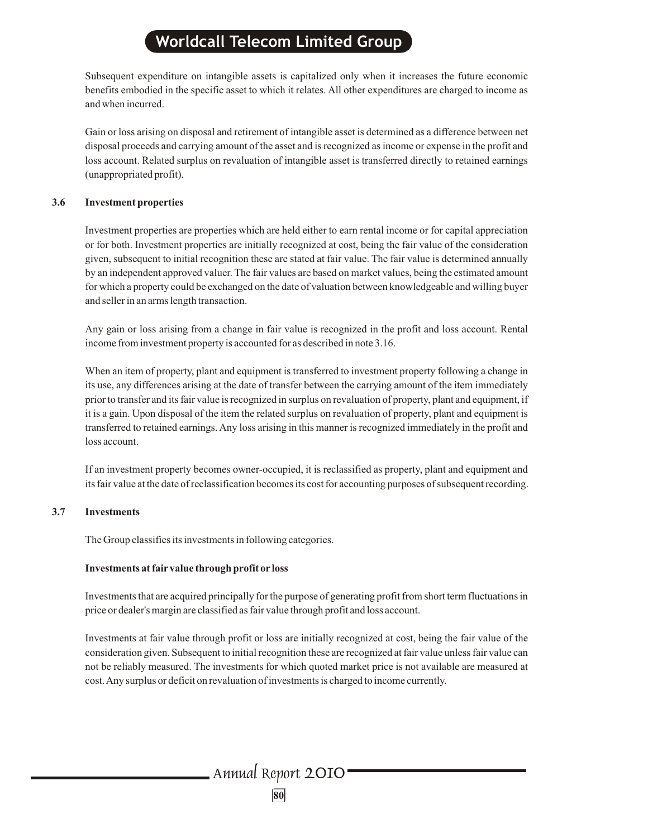Subsequent expenditure on intangible assets is capitalized only when it increases the future economic benefits embodied in the specific asset to which it relates. All other expenditures are charged to income as and when incurred.

Gain or loss arising on disposal and retirement of intangible asset is determined as a difference between net disposal proceeds and carrying amount of the asset and is recognized as income or expense in the profit and loss account. Related surplus on revaluation of intangible asset is transferred directly to retained earnings (unappropriated profit).

### **3.6 Investment properties**

Investment properties are properties which are held either to earn rental income or for capital appreciation or for both. Investment properties are initially recognized at cost, being the fair value of the consideration given, subsequent to initial recognition these are stated at fair value. The fair value is determined annually by an independent approved valuer. The fair values are based on market values, being the estimated amount for which a property could be exchanged on the date of valuation between knowledgeable and willing buyer and seller in an arms length transaction.

Any gain or loss arising from a change in fair value is recognized in the profit and loss account. Rental income from investment property is accounted for as described in note 3.16.

When an item of property, plant and equipment is transferred to investment property following a change in its use, any differences arising at the date of transfer between the carrying amount of the item immediately prior to transfer and its fair value is recognized in surplus on revaluation of property, plant and equipment, if it is a gain. Upon disposal of the item the related surplus on revaluation of property, plant and equipment is transferred to retained earnings. Any loss arising in this manner is recognized immediately in the profit and loss account.

If an investment property becomes owner-occupied, it is reclassified as property, plant and equipment and its fair value at the date of reclassification becomes its cost for accounting purposes of subsequent recording.

### **3.7 Investments**

The Group classifies its investments in following categories.

### **Investments at fair value through profit or loss**

Investments that are acquired principally for the purpose of generating profit from short term fluctuations in price or dealer's margin are classified as fair value through profit and loss account.

Investments at fair value through profit or loss are initially recognized at cost, being the fair value of the consideration given. Subsequent to initial recognition these are recognized at fair value unless fair value can not be reliably measured. The investments for which quoted market price is not available are measured at cost. Any surplus or deficit on revaluation of investments is charged to income currently.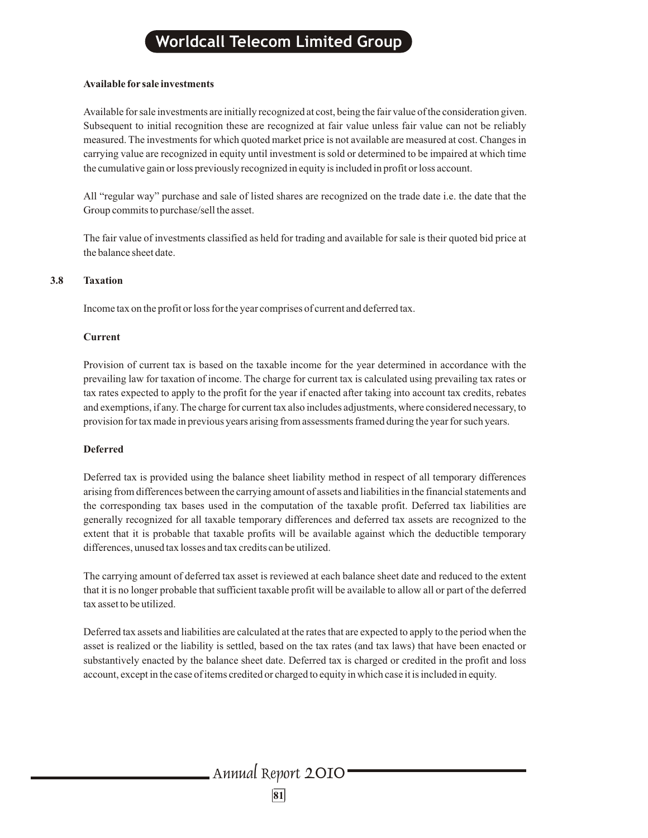#### **Available for sale investments**

Available for sale investments are initially recognized at cost, being the fair value of the consideration given. Subsequent to initial recognition these are recognized at fair value unless fair value can not be reliably measured. The investments for which quoted market price is not available are measured at cost. Changes in carrying value are recognized in equity until investment is sold or determined to be impaired at which time the cumulative gain or loss previously recognized in equity is included in profit or loss account.

All "regular way" purchase and sale of listed shares are recognized on the trade date i.e. the date that the Group commits to purchase/sell the asset.

The fair value of investments classified as held for trading and available for sale is their quoted bid price at the balance sheet date.

#### **3.8 Taxation**

Income tax on the profit or loss for the year comprises of current and deferred tax.

#### **Current**

Provision of current tax is based on the taxable income for the year determined in accordance with the prevailing law for taxation of income. The charge for current tax is calculated using prevailing tax rates or tax rates expected to apply to the profit for the year if enacted after taking into account tax credits, rebates and exemptions, if any. The charge for current tax also includes adjustments, where considered necessary, to provision for tax made in previous years arising from assessments framed during the year for such years.

#### **Deferred**

Deferred tax is provided using the balance sheet liability method in respect of all temporary differences arising from differences between the carrying amount of assets and liabilities in the financial statements and the corresponding tax bases used in the computation of the taxable profit. Deferred tax liabilities are generally recognized for all taxable temporary differences and deferred tax assets are recognized to the extent that it is probable that taxable profits will be available against which the deductible temporary differences, unused tax losses and tax credits can be utilized.

The carrying amount of deferred tax asset is reviewed at each balance sheet date and reduced to the extent that it is no longer probable that sufficient taxable profit will be available to allow all or part of the deferred tax asset to be utilized.

Deferred tax assets and liabilities are calculated at the rates that are expected to apply to the period when the asset is realized or the liability is settled, based on the tax rates (and tax laws) that have been enacted or substantively enacted by the balance sheet date. Deferred tax is charged or credited in the profit and loss account, except in the case of items credited or charged to equity in which case it is included in equity.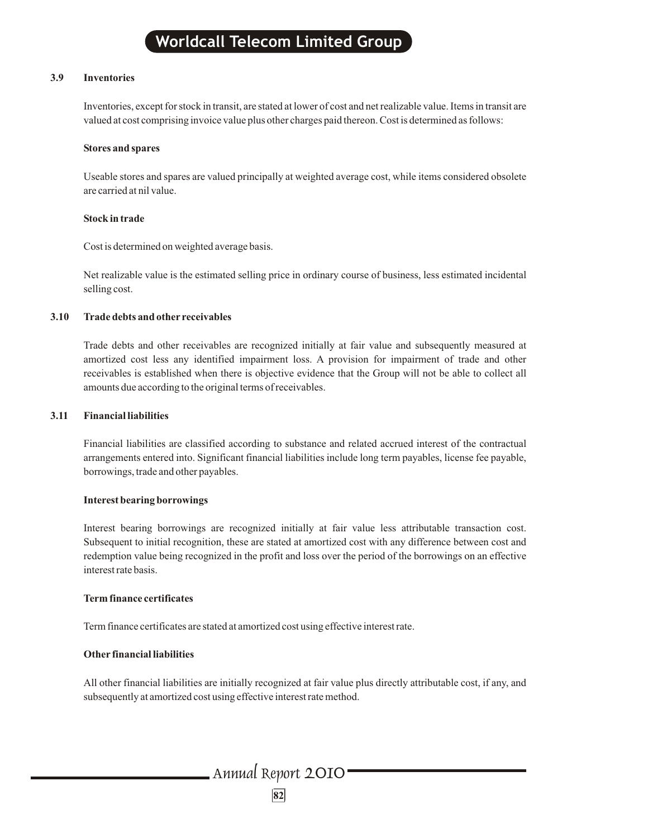### **3.9 Inventories**

Inventories, except for stock in transit, are stated at lower of cost and net realizable value. Items in transit are valued at cost comprising invoice value plus other charges paid thereon. Cost is determined as follows:

#### **Stores and spares**

Useable stores and spares are valued principally at weighted average cost, while items considered obsolete are carried at nil value.

#### **Stock in trade**

Cost is determined on weighted average basis.

Net realizable value is the estimated selling price in ordinary course of business, less estimated incidental selling cost.

### **3.10 Trade debts and other receivables**

Trade debts and other receivables are recognized initially at fair value and subsequently measured at amortized cost less any identified impairment loss. A provision for impairment of trade and other receivables is established when there is objective evidence that the Group will not be able to collect all amounts due according to the original terms of receivables.

#### **3.11 Financial liabilities**

Financial liabilities are classified according to substance and related accrued interest of the contractual arrangements entered into. Significant financial liabilities include long term payables, license fee payable, borrowings, trade and other payables.

#### **Interest bearing borrowings**

Interest bearing borrowings are recognized initially at fair value less attributable transaction cost. Subsequent to initial recognition, these are stated at amortized cost with any difference between cost and redemption value being recognized in the profit and loss over the period of the borrowings on an effective interest rate basis.

#### **Term finance certificates**

Term finance certificates are stated at amortized cost using effective interest rate.

#### **Other financial liabilities**

All other financial liabilities are initially recognized at fair value plus directly attributable cost, if any, and subsequently at amortized cost using effective interest rate method.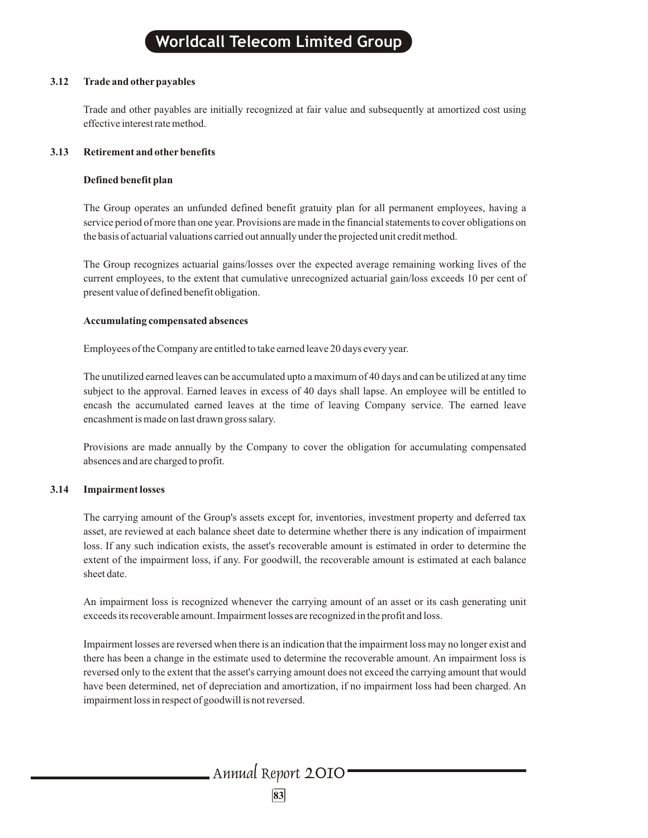### **3.12 Trade and other payables**

Trade and other payables are initially recognized at fair value and subsequently at amortized cost using effective interest rate method.

### **3.13 Retirement and other benefits**

#### **Defined benefit plan**

The Group operates an unfunded defined benefit gratuity plan for all permanent employees, having a service period of more than one year. Provisions are made in the financial statements to cover obligations on the basis of actuarial valuations carried out annually under the projected unit credit method.

The Group recognizes actuarial gains/losses over the expected average remaining working lives of the current employees, to the extent that cumulative unrecognized actuarial gain/loss exceeds 10 per cent of present value of defined benefit obligation.

#### **Accumulating compensated absences**

Employees of the Company are entitled to take earned leave 20 days every year.

The unutilized earned leaves can be accumulated upto a maximum of 40 days and can be utilized at any time subject to the approval. Earned leaves in excess of 40 days shall lapse. An employee will be entitled to encash the accumulated earned leaves at the time of leaving Company service. The earned leave encashment is made on last drawn gross salary.

Provisions are made annually by the Company to cover the obligation for accumulating compensated absences and are charged to profit.

### **3.14 Impairment losses**

The carrying amount of the Group's assets except for, inventories, investment property and deferred tax asset, are reviewed at each balance sheet date to determine whether there is any indication of impairment loss. If any such indication exists, the asset's recoverable amount is estimated in order to determine the extent of the impairment loss, if any. For goodwill, the recoverable amount is estimated at each balance sheet date.

An impairment loss is recognized whenever the carrying amount of an asset or its cash generating unit exceeds its recoverable amount. Impairment losses are recognized in the profit and loss.

Impairment losses are reversed when there is an indication that the impairment loss may no longer exist and there has been a change in the estimate used to determine the recoverable amount. An impairment loss is reversed only to the extent that the asset's carrying amount does not exceed the carrying amount that would have been determined, net of depreciation and amortization, if no impairment loss had been charged. An impairment loss in respect of goodwill is not reversed.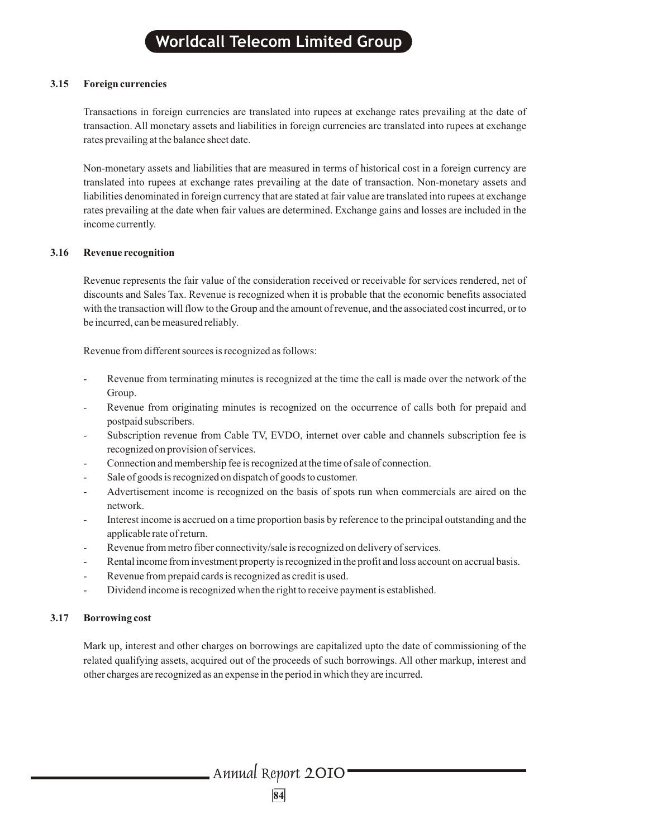### **3.15 Foreign currencies**

Transactions in foreign currencies are translated into rupees at exchange rates prevailing at the date of transaction. All monetary assets and liabilities in foreign currencies are translated into rupees at exchange rates prevailing at the balance sheet date.

Non-monetary assets and liabilities that are measured in terms of historical cost in a foreign currency are translated into rupees at exchange rates prevailing at the date of transaction. Non-monetary assets and liabilities denominated in foreign currency that are stated at fair value are translated into rupees at exchange rates prevailing at the date when fair values are determined. Exchange gains and losses are included in the income currently.

### **3.16 Revenue recognition**

Revenue represents the fair value of the consideration received or receivable for services rendered, net of discounts and Sales Tax. Revenue is recognized when it is probable that the economic benefits associated with the transaction will flow to the Group and the amount of revenue, and the associated cost incurred, or to be incurred, can be measured reliably.

Revenue from different sources is recognized as follows:

- Revenue from terminating minutes is recognized at the time the call is made over the network of the Group.
- Revenue from originating minutes is recognized on the occurrence of calls both for prepaid and postpaid subscribers.
- Subscription revenue from Cable TV, EVDO, internet over cable and channels subscription fee is recognized on provision of services.
- Connection and membership fee is recognized at the time of sale of connection.
- Sale of goods is recognized on dispatch of goods to customer.
- Advertisement income is recognized on the basis of spots run when commercials are aired on the network.
- Interest income is accrued on a time proportion basis by reference to the principal outstanding and the applicable rate of return.
- Revenue from metro fiber connectivity/sale is recognized on delivery of services.
- Rental income from investment property is recognized in the profit and loss account on accrual basis.
- Revenue from prepaid cards is recognized as credit is used.
- Dividend income is recognized when the right to receive payment is established.

### **3.17 Borrowing cost**

Mark up, interest and other charges on borrowings are capitalized upto the date of commissioning of the related qualifying assets, acquired out of the proceeds of such borrowings. All other markup, interest and other charges are recognized as an expense in the period in which they are incurred.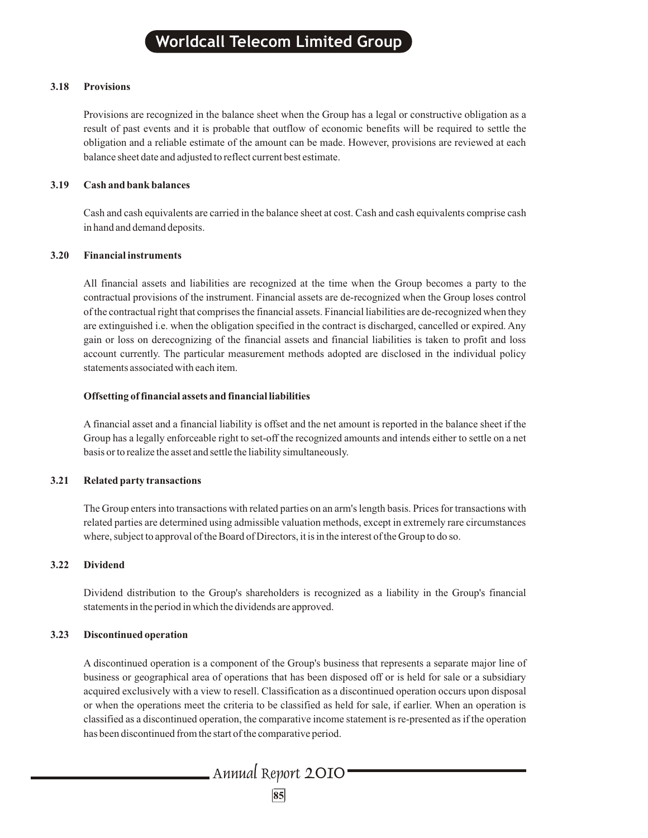### **3.18 Provisions**

Provisions are recognized in the balance sheet when the Group has a legal or constructive obligation as a result of past events and it is probable that outflow of economic benefits will be required to settle the obligation and a reliable estimate of the amount can be made. However, provisions are reviewed at each balance sheet date and adjusted to reflect current best estimate.

#### **3.19 Cash and bank balances**

Cash and cash equivalents are carried in the balance sheet at cost. Cash and cash equivalents comprise cash in hand and demand deposits.

### **3.20 Financial instruments**

All financial assets and liabilities are recognized at the time when the Group becomes a party to the contractual provisions of the instrument. Financial assets are de-recognized when the Group loses control of the contractual right that comprises the financial assets. Financial liabilities are de-recognized when they are extinguished i.e. when the obligation specified in the contract is discharged, cancelled or expired. Any gain or loss on derecognizing of the financial assets and financial liabilities is taken to profit and loss account currently. The particular measurement methods adopted are disclosed in the individual policy statements associated with each item.

#### **Offsetting of financial assets and financial liabilities**

A financial asset and a financial liability is offset and the net amount is reported in the balance sheet if the Group has a legally enforceable right to set-off the recognized amounts and intends either to settle on a net basis or to realize the asset and settle the liability simultaneously.

### **3.21 Related party transactions**

The Group enters into transactions with related parties on an arm's length basis. Prices for transactions with related parties are determined using admissible valuation methods, except in extremely rare circumstances where, subject to approval of the Board of Directors, it is in the interest of the Group to do so.

### **3.22 Dividend**

Dividend distribution to the Group's shareholders is recognized as a liability in the Group's financial statements in the period in which the dividends are approved.

#### **3.23 Discontinued operation**

A discontinued operation is a component of the Group's business that represents a separate major line of business or geographical area of operations that has been disposed off or is held for sale or a subsidiary acquired exclusively with a view to resell. Classification as a discontinued operation occurs upon disposal or when the operations meet the criteria to be classified as held for sale, if earlier. When an operation is classified as a discontinued operation, the comparative income statement is re-presented as if the operation has been discontinued from the start of the comparative period.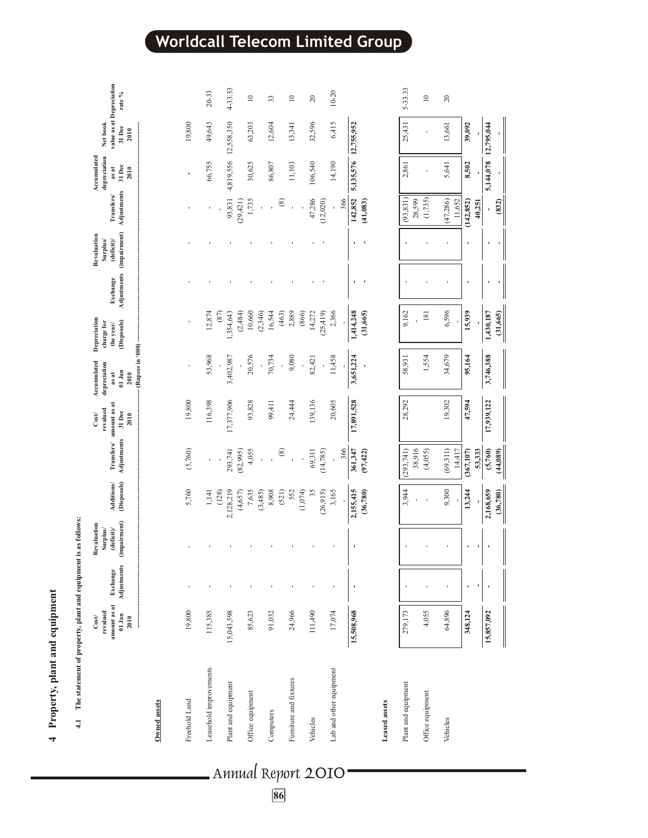|                         | amount as at<br>revalued<br>01 Jan<br>2010<br>Cost | Adjustments<br>Exchange | (impairment)<br>Revaluation<br>(deficit)/<br><b>Surplus</b> | (Disposals)<br>Additions/ | Adjustments<br><b>Transfers</b> | amount as at<br>revalued<br>31 Dec<br>Cost<br>2010 | Accumulated<br>depreciation<br>$01$ Jan<br>as at<br>2010 | Depreciation<br>(Disposals)<br>charge for<br>the year/ | Adjustments<br>Exchange | (impairment)<br>Revaluation<br>(deffcit)<br>Surplus/ | Adjustments<br><b>Transfers</b> | Accumulated<br>depreciation<br>31 Dec<br>as at<br>2010 | value as at Depreciation<br>Net book<br>31 Dec<br>2010 | rate $\%$       |
|-------------------------|----------------------------------------------------|-------------------------|-------------------------------------------------------------|---------------------------|---------------------------------|----------------------------------------------------|----------------------------------------------------------|--------------------------------------------------------|-------------------------|------------------------------------------------------|---------------------------------|--------------------------------------------------------|--------------------------------------------------------|-----------------|
| Owned assets            |                                                    |                         |                                                             |                           |                                 |                                                    | (Rupees in '000)-                                        |                                                        |                         |                                                      |                                 |                                                        |                                                        |                 |
| Freehold Land           | 19,800                                             | $\,$                    |                                                             | 5,760                     | (5,760)                         | 19,800                                             |                                                          | ï                                                      |                         |                                                      |                                 | J,                                                     | 19,800                                                 |                 |
| Leasehold improvements  | 115,385                                            | $\,$                    |                                                             | 1,141                     |                                 | 116,398                                            | 53,968                                                   | 12,874                                                 |                         |                                                      |                                 | 66,755                                                 | 49,643                                                 | $20 - 33$       |
| Plant and equipment     | 15,043,598                                         | $\mathbf{I}$            |                                                             | 2,128,219<br>(128)        | 293,741                         | 17,377,906                                         | 3,402,987                                                | 1,354,643<br>(87)                                      |                         |                                                      | 93,831                          | 4,819,556 12,558,350                                   |                                                        | $4 - 33.33$     |
|                         |                                                    |                         |                                                             | (4, 657)                  | (82,995)                        |                                                    |                                                          | (2,484)                                                |                         |                                                      | (29, 421)                       |                                                        |                                                        |                 |
| Office equipment        | 85,623                                             |                         |                                                             | 7,635<br>(3,485)          | 4,055                           | 93,828                                             | 20,576                                                   | 10,660<br>(2,346)                                      |                         |                                                      | 1,735                           | 30,625                                                 | 63,203                                                 | $\approx$       |
| Computers               | 91,032                                             |                         |                                                             | 8,908                     |                                 | 99,411                                             | 70,734                                                   | 16,544                                                 |                         |                                                      |                                 | 86,807                                                 | 12,604                                                 | 33              |
|                         |                                                    |                         |                                                             | (521)                     | $^\circledR$                    |                                                    | Î,                                                       | (463)                                                  |                         |                                                      | $^\circledR$                    |                                                        |                                                        |                 |
| Furniture and fixtures  | 24,966                                             |                         |                                                             | 552<br>(1,074)            |                                 | 24,444                                             | 9,080<br>J.                                              | 2,889<br>(866)                                         |                         |                                                      |                                 | 11,103                                                 | 13,341                                                 | $\overline{10}$ |
| Vehicles                | 111,490                                            |                         |                                                             | 35                        | 69,311                          | 139,136                                            | 82,421                                                   | 14,272                                                 |                         |                                                      | 47,286                          | 106,540                                                | 32,596                                                 | 20              |
|                         |                                                    |                         |                                                             | (26, 915)                 | (14,785)                        |                                                    |                                                          | (25, 419)                                              |                         |                                                      | (12, 020)                       |                                                        |                                                        |                 |
| Lab and other equipment | 17,074                                             |                         |                                                             | 3,165                     | 366                             | 20,605                                             | 11,458                                                   | 2,366                                                  |                         |                                                      | 366                             | 14,190                                                 | 6,415                                                  | $10 - 20$       |
|                         | 15,508,968                                         | $\blacksquare$          |                                                             | 2,155,415                 | 361,347                         | 17,891,528                                         | 3,651,224                                                | 1,414,248                                              |                         | ٠                                                    | 142,852                         | 5,135,576                                              | 12,755,952                                             |                 |
|                         |                                                    |                         |                                                             | (36,780)                  | (97, 422)                       |                                                    |                                                          | (31, 665)                                              | J,                      | J.                                                   | (41, 083)                       |                                                        |                                                        |                 |
| Leased assets           |                                                    |                         |                                                             |                           |                                 |                                                    |                                                          |                                                        |                         |                                                      |                                 |                                                        |                                                        |                 |
| Plant and equipment     | 279,173                                            | $\mathbf{I}$            |                                                             | 3,944                     | (293, 741)                      | 28,292                                             | 58,931                                                   | 9,162                                                  |                         |                                                      | (93, 831)                       | 2,861                                                  | 25,431                                                 | 5-33.33         |
|                         |                                                    |                         |                                                             |                           | 38,916                          |                                                    |                                                          |                                                        |                         |                                                      | 28,599                          |                                                        |                                                        |                 |
| Office equipment        | 4,055                                              | ï                       |                                                             |                           | (4,055)                         |                                                    | 1,554                                                    | 181                                                    |                         |                                                      | (1, 735)                        |                                                        |                                                        | $\supseteq$     |
| Vehicles                | 64,896                                             | ×,                      |                                                             | 9,300                     | (69,311)                        | 19,302                                             | 34,679                                                   | 6,596                                                  |                         |                                                      | (47, 286)                       | 5,641                                                  | 13,661                                                 | $20\,$          |
|                         |                                                    |                         |                                                             |                           | 14,417                          |                                                    |                                                          |                                                        |                         |                                                      | 11,652                          |                                                        |                                                        |                 |
|                         | 348,124                                            | ٠                       | J.                                                          | 13,244                    | (367, 107)                      | 47,594                                             | 95,164                                                   | 15,939                                                 |                         | J.                                                   | (142, 852)                      | 8,502                                                  | 39,092                                                 |                 |
|                         |                                                    | ٠                       |                                                             | f,                        | 53,333                          |                                                    |                                                          | í.                                                     |                         |                                                      | 40,251                          |                                                        |                                                        |                 |
|                         | 15,857,092                                         |                         |                                                             | 2,168,659<br>(36,780)     | (5,760)<br>(44,089)             | 17,939,122                                         | 3,746,388                                                | 1,430,187<br>(31,665)                                  | $\blacksquare$          | $\blacksquare$<br>٠                                  | (832)                           | 5,144,078 12,795,044                                   |                                                        |                 |
|                         |                                                    |                         |                                                             |                           |                                 |                                                    |                                                          |                                                        |                         |                                                      |                                 |                                                        |                                                        |                 |

Annual Report 2010

4 Property, plant and equipment **Property, plant and equipment**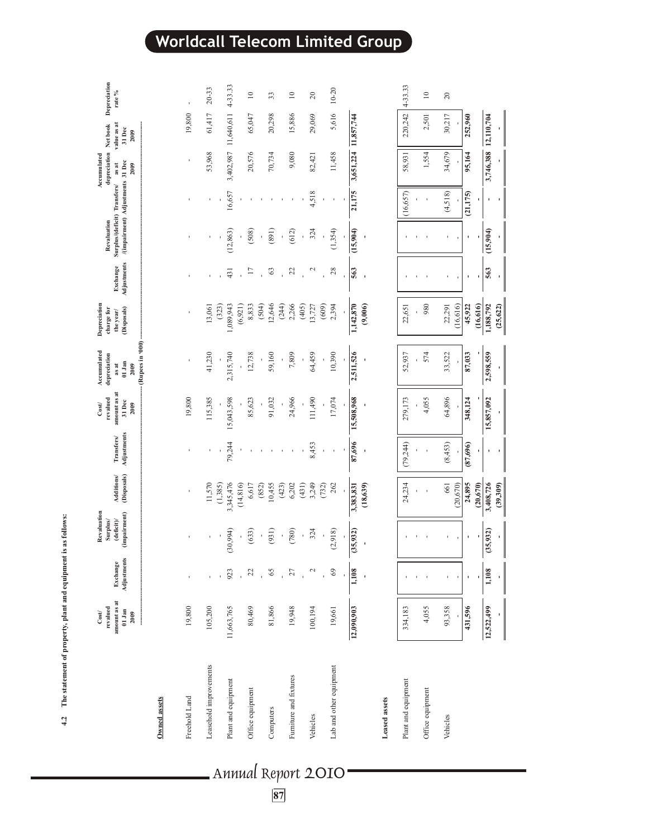

Annual Report 2010

 $4.2$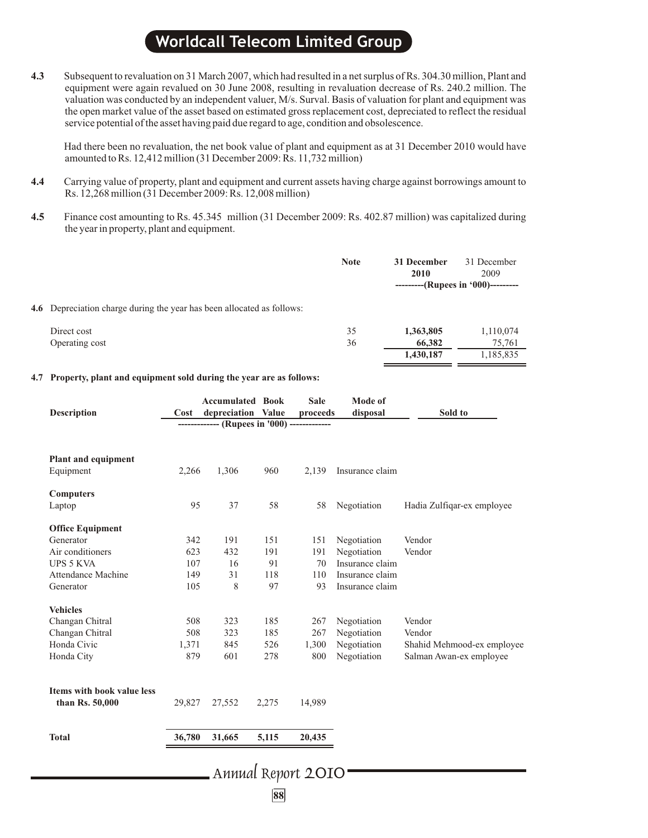**4.3** Subsequent to revaluation on 31 March 2007, which had resulted in a net surplus of Rs. 304.30 million, Plant and equipment were again revalued on 30 June 2008, resulting in revaluation decrease of Rs. 240.2 million. The valuation was conducted by an independent valuer, M/s. Surval. Basis of valuation for plant and equipment was the open market value of the asset based on estimated gross replacement cost, depreciated to reflect the residual service potential of the asset having paid due regard to age, condition and obsolescence.

Had there been no revaluation, the net book value of plant and equipment as at 31 December 2010 would have amounted to Rs. 12,412 million (31 December 2009: Rs. 11,732 million)

- **4.4** Carrying value of property, plant and equipment and current assets having charge against borrowings amount to Rs. 12,268 million (31 December 2009: Rs. 12,008 million)
- **4.5** Finance cost amounting to Rs. 45.345 million (31 December 2009: Rs. 402.87 million) was capitalized during the year in property, plant and equipment.

|                                                                               | <b>Note</b> | 31 December<br>2010 | 31 December<br>2009<br>$------(Runees in '000)$ |
|-------------------------------------------------------------------------------|-------------|---------------------|-------------------------------------------------|
| <b>4.6</b> Depreciation charge during the year has been allocated as follows: |             |                     |                                                 |
| Direct cost                                                                   | 35          | 1,363,805           | 1,110,074                                       |
| Operating cost                                                                | 36          | 66,382              | 75.761                                          |

**1,430,187** 1,185,835

#### **4.7 Property, plant and equipment sold during the year are as follows:**

| <b>Description</b>                | Cost   | <b>Accumulated Book</b><br>depreciation Value |       | <b>Sale</b><br>proceeds | Mode of<br>disposal | Sold to                    |
|-----------------------------------|--------|-----------------------------------------------|-------|-------------------------|---------------------|----------------------------|
|                                   |        | ------------- (Rupees in '000) -------------- |       |                         |                     |                            |
| Plant and equipment               |        |                                               |       |                         |                     |                            |
| Equipment                         | 2,266  | 1,306                                         | 960   | 2,139                   | Insurance claim     |                            |
| <b>Computers</b>                  |        |                                               |       |                         |                     |                            |
| Laptop                            | 95     | 37                                            | 58    | 58                      | Negotiation         | Hadia Zulfiqar-ex employee |
| <b>Office Equipment</b>           |        |                                               |       |                         |                     |                            |
| Generator                         | 342    | 191                                           | 151   | 151                     | Negotiation         | Vendor                     |
| Air conditioners                  | 623    | 432                                           | 191   | 191                     | Negotiation         | Vendor                     |
| <b>UPS 5 KVA</b>                  | 107    | 16                                            | 91    | 70                      | Insurance claim     |                            |
| <b>Attendance Machine</b>         | 149    | 31                                            | 118   | 110                     | Insurance claim     |                            |
| Generator                         | 105    | 8                                             | 97    | 93                      | Insurance claim     |                            |
| <b>Vehicles</b>                   |        |                                               |       |                         |                     |                            |
| Changan Chitral                   | 508    | 323                                           | 185   | 267                     | Negotiation         | Vendor                     |
| Changan Chitral                   | 508    | 323                                           | 185   | 267                     | Negotiation         | Vendor                     |
| Honda Civic                       | 1,371  | 845                                           | 526   | 1,300                   | Negotiation         | Shahid Mehmood-ex employee |
| Honda City                        | 879    | 601                                           | 278   | 800                     | Negotiation         | Salman Awan-ex employee    |
| <b>Items with book value less</b> |        |                                               |       |                         |                     |                            |
| than Rs. 50,000                   | 29,827 | 27,552                                        | 2,275 | 14,989                  |                     |                            |
| <b>Total</b>                      | 36,780 | 31,665                                        | 5,115 | 20,435                  |                     |                            |
|                                   |        | $\Lambda$                                     |       |                         |                     |                            |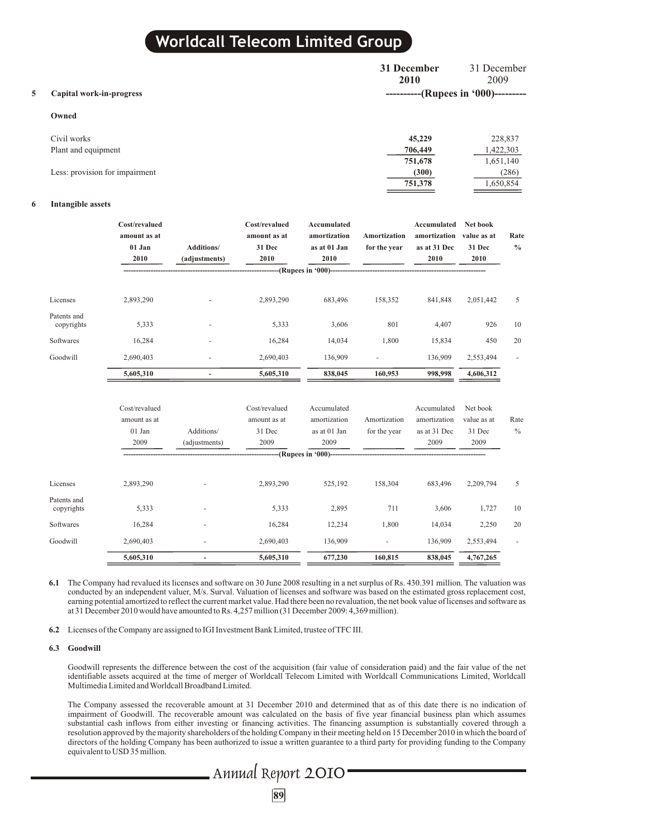|    |                                | 31 December | 31 December                         |
|----|--------------------------------|-------------|-------------------------------------|
|    |                                | 2010        | 2009                                |
| 5. | Capital work-in-progress       |             | ----------(Rupees in '000)--------- |
|    |                                |             |                                     |
|    | Owned                          |             |                                     |
|    | Civil works                    | 45,229      | 228,837                             |
|    | Plant and equipment            | 706,449     | 422,303                             |
|    |                                | 751,678     | 1,651,140                           |
|    | Less: provision for impairment | (300)       | (286)                               |
|    |                                | 751,378     | 1,650,854                           |

#### **6 Intangible assets**

|                           | Cost/revalued<br>amount as at<br>01 Jan<br>2010 | <b>Additions/</b><br>(adjustments) | Cost/revalued<br>amount as at<br>31 Dec<br>2010 | <b>Accumulated</b><br>amortization<br>as at 01 Jan<br>2010 | Amortization<br>for the year | Accumulated<br>amortization<br>as at 31 Dec<br>2010 | Net book<br>value as at<br>31 Dec<br>2010 | Rate<br>$\frac{0}{0}$ |
|---------------------------|-------------------------------------------------|------------------------------------|-------------------------------------------------|------------------------------------------------------------|------------------------------|-----------------------------------------------------|-------------------------------------------|-----------------------|
|                           |                                                 |                                    |                                                 | -(Rupees in '000)---                                       |                              |                                                     |                                           |                       |
|                           |                                                 |                                    |                                                 |                                                            |                              |                                                     |                                           |                       |
| Licenses                  | 2,893,290                                       |                                    | 2,893,290                                       | 683,496                                                    | 158,352                      | 841,848                                             | 2,051,442                                 | 5                     |
| Patents and<br>copyrights | 5,333                                           |                                    | 5,333                                           | 3,606                                                      | 801                          | 4,407                                               | 926                                       | 10                    |
| Softwares                 | 16,284                                          |                                    | 16,284                                          | 14,034                                                     | 1,800                        | 15,834                                              | 450                                       | 20                    |
| Goodwill                  | 2,690,403                                       |                                    | 2,690,403                                       | 136,909                                                    |                              | 136,909                                             | 2,553,494                                 |                       |
|                           | 5,605,310                                       | $\overline{a}$                     | 5,605,310                                       | 838,045                                                    | 160,953                      | 998,998                                             | 4,606,312                                 |                       |
|                           |                                                 |                                    |                                                 |                                                            |                              |                                                     |                                           |                       |
|                           | Cost/revalued                                   |                                    | Cost/revalued                                   | Accumulated                                                |                              | Accumulated                                         | Net book                                  |                       |
|                           | amount as at                                    |                                    | amount as at                                    | amortization                                               | Amortization                 | amortization                                        | value as at                               | Rate                  |
|                           | 01 Jan                                          | Additions/                         | 31 Dec                                          | as at 01 Jan                                               | for the year                 | as at 31 Dec                                        | 31 Dec                                    | $\%$                  |
|                           | 2009                                            | (adjustments)                      | 2009                                            | 2009                                                       |                              | 2009                                                | 2009                                      |                       |
|                           |                                                 |                                    |                                                 | -(Rupees in '000)---                                       |                              |                                                     |                                           |                       |
| Licenses                  | 2,893,290                                       |                                    | 2,893,290                                       | 525,192                                                    | 158,304                      | 683,496                                             | 2,209,794                                 | 5                     |
| Patents and<br>copyrights | 5,333                                           |                                    | 5,333                                           | 2,895                                                      | 711                          | 3,606                                               | 1,727                                     | 10                    |
| Softwares                 | 16,284                                          |                                    | 16,284                                          | 12,234                                                     | 1,800                        | 14,034                                              | 2,250                                     | 20                    |
| Goodwill                  | 2,690,403                                       |                                    | 2,690,403                                       | 136,909                                                    |                              | 136,909                                             | 2,553,494                                 |                       |
|                           | 5,605,310                                       | ÷,                                 | 5,605,310                                       | 677,230                                                    | 160,815                      | 838,045                                             | 4,767,265                                 |                       |

**6.1** The Company had revalued its licenses and software on 30 June 2008 resulting in a net surplus of Rs. 430.391 million. The valuation was conducted by an independent valuer, M/s. Surval. Valuation of licenses and software was based on the estimated gross replacement cost, earning potential amortized to reflect the current market value. Had there been no revaluation, the net book value of licenses and software as at 31 December 2010 would have amounted to Rs. 4,257 million (31 December 2009: 4,369 million).

**6.2** Licenses of the Company are assigned to IGI Investment Bank Limited, trustee of TFC III.

#### **6.3 Goodwill**

Goodwill represents the difference between the cost of the acquisition (fair value of consideration paid) and the fair value of the net identifiable assets acquired at the time of merger of Worldcall Telecom Limited with Worldcall Communications Limited, Worldcall Multimedia Limited and Worldcall Broadband Limited.

The Company assessed the recoverable amount at 31 December 2010 and determined that as of this date there is no indication of impairment of Goodwill. The recoverable amount was calculated on the basis of five year financial business plan which assumes substantial cash inflows from either investing or financing activities. The financing assumption is substantially covered through a resolution approved by the majority shareholders of the holding Company in their meeting held on 15 December 2010 in which the board of directors of the holding Company has been authorized to issue a written guarantee to a third party for providing funding to the Company equivalent to USD 35 million.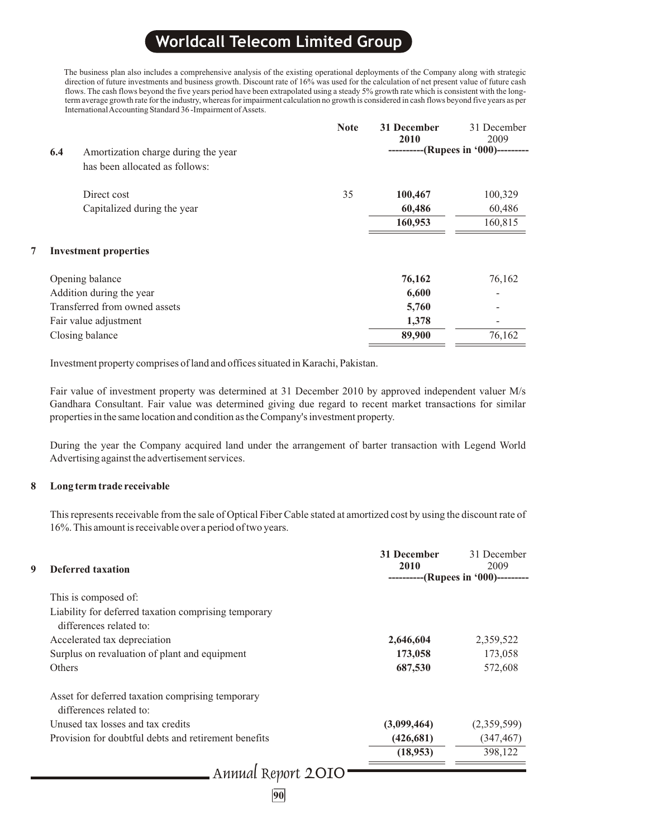The business plan also includes a comprehensive analysis of the existing operational deployments of the Company along with strategic direction of future investments and business growth. Discount rate of 16% was used for the calculation of net present value of future cash flows. The cash flows beyond the five years period have been extrapolated using a steady 5% growth rate which is consistent with the longterm average growth rate for the industry, whereas for impairment calculation no growth is considered in cash flows beyond five years as per International Accounting Standard 36 -Impairment of Assets.

|     |                                     | <b>Note</b> | 31 December<br>2010 | 31 December<br>2009                 |
|-----|-------------------------------------|-------------|---------------------|-------------------------------------|
| 6.4 | Amortization charge during the year |             |                     | ----------(Rupees in '000)--------- |
|     | has been allocated as follows:      |             |                     |                                     |
|     | Direct cost                         | 35          | 100,467             | 100,329                             |
|     | Capitalized during the year         |             | 60,486              | 60,486                              |
|     |                                     |             | 160,953             | 160,815                             |
| 7   | <b>Investment properties</b>        |             |                     |                                     |
|     | Opening balance                     |             | 76,162              | 76,162                              |
|     | Addition during the year            |             | 6,600               |                                     |
|     | Transferred from owned assets       |             | 5,760               |                                     |
|     | Fair value adjustment               |             | 1,378               |                                     |
|     | Closing balance                     |             | 89,900              | 76,162                              |

Investment property comprises of land and offices situated in Karachi, Pakistan.

Fair value of investment property was determined at 31 December 2010 by approved independent valuer M/s Gandhara Consultant. Fair value was determined giving due regard to recent market transactions for similar properties in the same location and condition as the Company's investment property.

During the year the Company acquired land under the arrangement of barter transaction with Legend World Advertising against the advertisement services.

### **8 Long term trade receivable**

This represents receivable from the sale of Optical Fiber Cable stated at amortized cost by using the discount rate of 16%. This amount is receivable over a period of two years.

| 9 | <b>Deferred taxation</b>                             | 31 December<br>2010 | 31 December<br>2009                 |
|---|------------------------------------------------------|---------------------|-------------------------------------|
|   |                                                      |                     | ----------(Rupees in '000)--------- |
|   | This is composed of:                                 |                     |                                     |
|   | Liability for deferred taxation comprising temporary |                     |                                     |
|   | differences related to:                              |                     |                                     |
|   | Accelerated tax depreciation                         | 2,646,604           | 2,359,522                           |
|   | Surplus on revaluation of plant and equipment        | 173,058             | 173,058                             |
|   | Others                                               | 687,530             | 572,608                             |
|   | Asset for deferred taxation comprising temporary     |                     |                                     |
|   | differences related to:                              |                     |                                     |
|   | Unused tax losses and tax credits                    | (3,099,464)         | (2,359,599)                         |
|   | Provision for doubtful debts and retirement benefits | (426, 681)          | (347, 467)                          |
|   |                                                      | (18,953)            | 398,122                             |
|   | Annual Report 2010                                   |                     |                                     |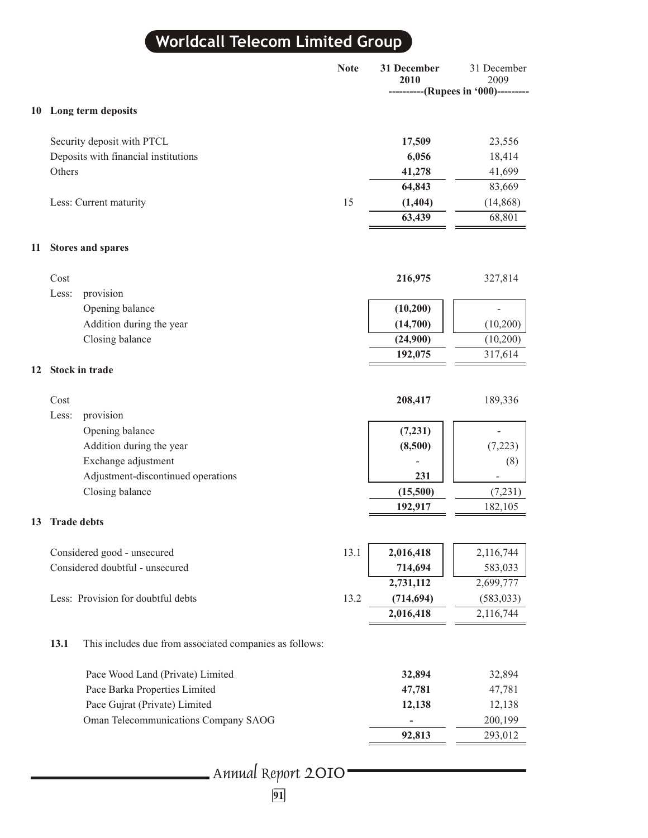|    |                                                                 | <b>Note</b> | 31 December<br>2010 | 31 December<br>2009              |
|----|-----------------------------------------------------------------|-------------|---------------------|----------------------------------|
|    |                                                                 |             |                     | ----------(Rupees in '000)------ |
|    | 10 Long term deposits                                           |             |                     |                                  |
|    |                                                                 |             |                     |                                  |
|    | Security deposit with PTCL                                      |             | 17,509              | 23,556                           |
|    | Deposits with financial institutions<br>Others                  |             | 6,056<br>41,278     | 18,414                           |
|    |                                                                 |             |                     | 41,699                           |
|    |                                                                 | 15          | 64,843              | 83,669                           |
|    | Less: Current maturity                                          |             | (1, 404)            | (14, 868)                        |
|    |                                                                 |             | 63,439              | 68,801                           |
| 11 | <b>Stores and spares</b>                                        |             |                     |                                  |
|    | Cost                                                            |             | 216,975             | 327,814                          |
|    | provision<br>Less:                                              |             |                     |                                  |
|    | Opening balance                                                 |             | (10, 200)           |                                  |
|    | Addition during the year                                        |             | (14,700)            | (10,200)                         |
|    | Closing balance                                                 |             | (24,900)            | (10,200)                         |
|    |                                                                 |             | 192,075             | 317,614                          |
| 12 | <b>Stock in trade</b>                                           |             |                     |                                  |
|    | Cost                                                            |             | 208,417             | 189,336                          |
|    | provision<br>Less:                                              |             |                     |                                  |
|    | Opening balance                                                 |             | (7, 231)            |                                  |
|    | Addition during the year                                        |             | (8,500)             | (7,223)                          |
|    | Exchange adjustment                                             |             |                     | (8)                              |
|    | Adjustment-discontinued operations                              |             | 231                 |                                  |
|    | Closing balance                                                 |             | (15,500)            | (7,231)                          |
|    |                                                                 |             | 192,917             | 182,105                          |
| 13 | <b>Trade debts</b>                                              |             |                     |                                  |
|    | Considered good - unsecured                                     | 13.1        | 2,016,418           | 2,116,744                        |
|    | Considered doubtful - unsecured                                 |             | 714,694             | 583,033                          |
|    |                                                                 |             | 2,731,112           | 2,699,777                        |
|    | Less: Provision for doubtful debts                              | 13.2        | (714, 694)          | (583, 033)                       |
|    |                                                                 |             | 2,016,418           | 2,116,744                        |
|    | 13.1<br>This includes due from associated companies as follows: |             |                     |                                  |
|    | Pace Wood Land (Private) Limited                                |             | 32,894              | 32,894                           |
|    | Pace Barka Properties Limited                                   |             | 47,781              | 47,781                           |
|    | Pace Gujrat (Private) Limited                                   |             | 12,138              | 12,138                           |
|    | Oman Telecommunications Company SAOG                            |             |                     | 200,199                          |
|    |                                                                 |             | 92,813              | 293,012                          |
|    |                                                                 |             |                     |                                  |

 $\_$ Annual Report 2010 $-$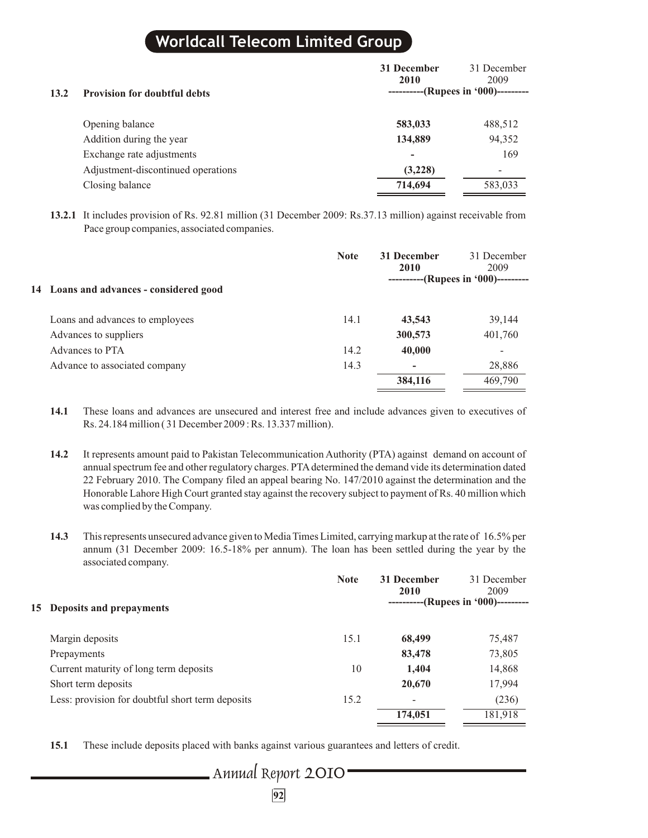|      |                                     | 31 December<br>2010      | 31 December<br>2009                 |
|------|-------------------------------------|--------------------------|-------------------------------------|
| 13.2 | <b>Provision for doubtful debts</b> |                          | ----------(Rupees in '000)--------- |
|      | Opening balance                     | 583,033                  | 488,512                             |
|      | Addition during the year            | 134,889                  | 94,352                              |
|      | Exchange rate adjustments           | $\overline{\phantom{0}}$ | 169                                 |
|      | Adjustment-discontinued operations  | (3,228)                  | -                                   |
|      | Closing balance                     | 714,694                  | 583,033                             |

**13.2.1** It includes provision of Rs. 92.81 million (31 December 2009: Rs.37.13 million) against receivable from Pace group companies, associated companies.

| 14 Loans and advances - considered good | <b>Note</b> | 31 December<br>2010      | 31 December<br>2009<br>----------(Rupees in '000)--------- |
|-----------------------------------------|-------------|--------------------------|------------------------------------------------------------|
| Loans and advances to employees         | 14.1        | 43,543                   | 39,144                                                     |
| Advances to suppliers                   |             | 300,573                  | 401,760                                                    |
| Advances to PTA                         | 14.2        | 40,000                   |                                                            |
| Advance to associated company           | 14.3        | $\overline{\phantom{a}}$ | 28,886                                                     |
|                                         |             | 384,116                  | 469,790                                                    |

**14.1** These loans and advances are unsecured and interest free and include advances given to executives of Rs. 24.184 million ( 31 December 2009 : Rs. 13.337 million).

- **14.2** It represents amount paid to Pakistan Telecommunication Authority (PTA) against demand on account of annual spectrum fee and other regulatory charges. PTA determined the demand vide its determination dated 22 February 2010. The Company filed an appeal bearing No. 147/2010 against the determination and the Honorable Lahore High Court granted stay against the recovery subject to payment of Rs. 40 million which was complied by the Company.
- **14.3** This represents unsecured advance given to Media Times Limited, carrying markup at the rate of 16.5% per annum (31 December 2009: 16.5-18% per annum). The loan has been settled during the year by the associated company.

| 15 | Deposits and prepayments                         | <b>Note</b> | 31 December<br>2010<br>-----------(Rupees in '000)------ | 31 December<br>2009 |
|----|--------------------------------------------------|-------------|----------------------------------------------------------|---------------------|
|    | Margin deposits                                  | 15.1        | 68,499                                                   | 75,487              |
|    | Prepayments                                      |             | 83,478                                                   | 73,805              |
|    | Current maturity of long term deposits           | 10          | 1,404                                                    | 14,868              |
|    | Short term deposits                              |             | 20,670                                                   | 17,994              |
|    | Less: provision for doubtful short term deposits | 15.2        | -                                                        | (236)               |
|    |                                                  |             | 174,051                                                  | 181,918             |
|    |                                                  |             |                                                          |                     |

**15.1** These include deposits placed with banks against various guarantees and letters of credit.

Annual Report 2010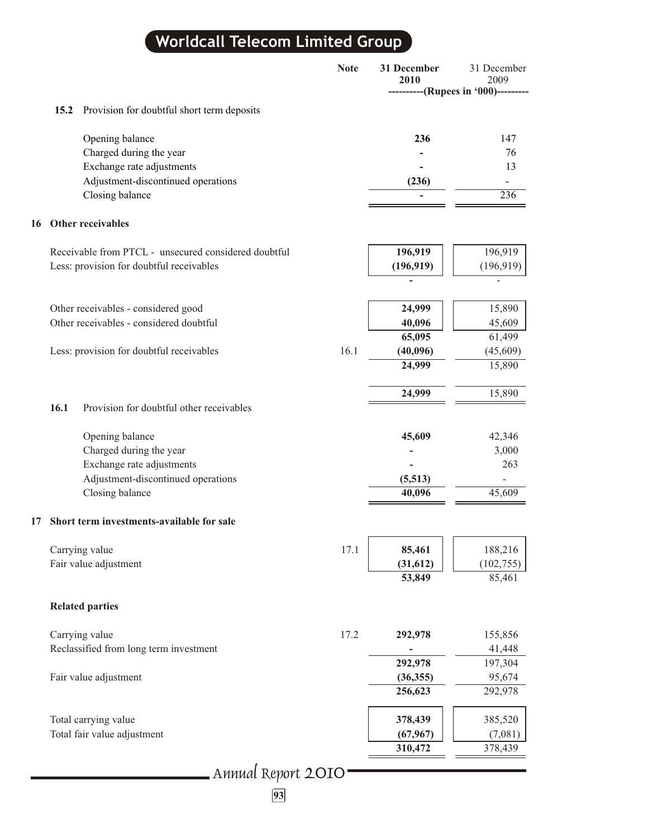|    |      |                                                      | <b>Note</b> | 31 December<br>2010 | 31 December<br>2009<br>----------(Rupees in '000)------ |
|----|------|------------------------------------------------------|-------------|---------------------|---------------------------------------------------------|
|    | 15.2 | Provision for doubtful short term deposits           |             |                     |                                                         |
|    |      |                                                      |             |                     |                                                         |
|    |      | Opening balance                                      |             | 236                 | 147                                                     |
|    |      | Charged during the year                              |             |                     | 76                                                      |
|    |      | Exchange rate adjustments                            |             |                     | 13                                                      |
|    |      | Adjustment-discontinued operations                   |             | (236)               |                                                         |
|    |      | Closing balance                                      |             |                     | 236                                                     |
| 16 |      | Other receivables                                    |             |                     |                                                         |
|    |      | Receivable from PTCL - unsecured considered doubtful |             | 196,919             | 196,919                                                 |
|    |      | Less: provision for doubtful receivables             |             | (196, 919)          | (196, 919)                                              |
|    |      |                                                      |             |                     |                                                         |
|    |      | Other receivables - considered good                  |             | 24,999              | 15,890                                                  |
|    |      | Other receivables - considered doubtful              |             | 40,096              | 45,609                                                  |
|    |      |                                                      |             | 65,095              | 61,499                                                  |
|    |      | Less: provision for doubtful receivables             | 16.1        | (40,096)            | (45,609)                                                |
|    |      |                                                      |             | 24,999              | 15,890                                                  |
|    |      |                                                      |             | 24,999              | 15,890                                                  |
|    | 16.1 | Provision for doubtful other receivables             |             |                     |                                                         |
|    |      | Opening balance                                      |             | 45,609              | 42,346                                                  |
|    |      | Charged during the year                              |             |                     | 3,000                                                   |
|    |      | Exchange rate adjustments                            |             |                     | 263                                                     |
|    |      | Adjustment-discontinued operations                   |             | (5,513)             |                                                         |
|    |      | Closing balance                                      |             | 40,096              | 45,609                                                  |
| 17 |      | Short term investments-available for sale            |             |                     |                                                         |
|    |      | Carrying value                                       | 17.1        | 85,461              | 188,216                                                 |
|    |      | Fair value adjustment                                |             | (31, 612)           | (102, 755)                                              |
|    |      |                                                      |             | 53,849              | 85,461                                                  |
|    |      | <b>Related parties</b>                               |             |                     |                                                         |
|    |      | Carrying value                                       | 17.2        | 292,978             | 155,856                                                 |
|    |      | Reclassified from long term investment               |             |                     | 41,448                                                  |
|    |      |                                                      |             | 292,978             | 197,304                                                 |
|    |      | Fair value adjustment                                |             | (36, 355)           | 95,674                                                  |
|    |      |                                                      |             | 256,623             | 292,978                                                 |
|    |      | Total carrying value                                 |             | 378,439             | 385,520                                                 |
|    |      | Total fair value adjustment                          |             | (67, 967)           | (7,081)                                                 |
|    |      |                                                      |             | 310,472             | 378,439                                                 |
|    |      |                                                      |             |                     |                                                         |

 $\_$ Annual Report 2010 $-$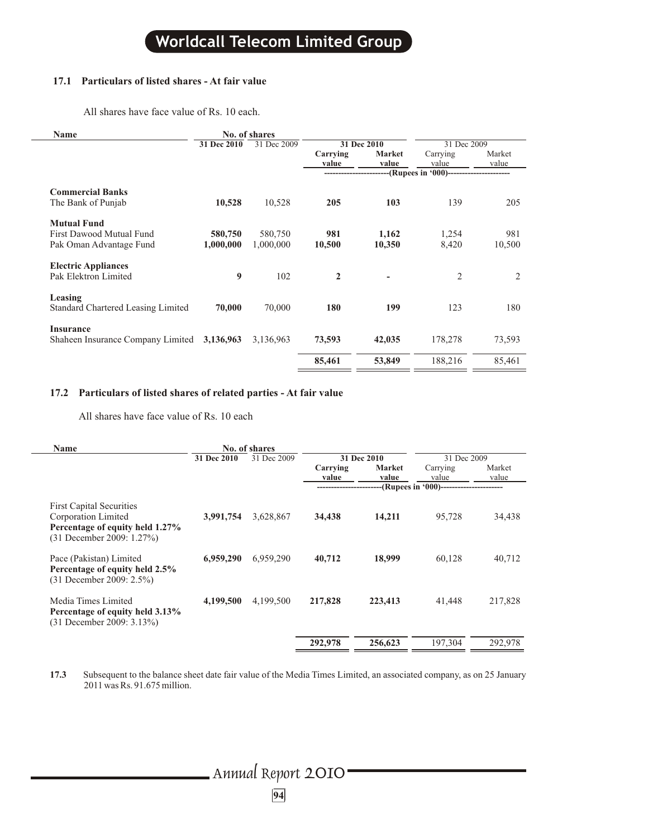## **17.1 Particulars of listed shares - At fair value**

All shares have face value of Rs. 10 each.

| Name                                      | No. of shares |             |              |             |                          |        |
|-------------------------------------------|---------------|-------------|--------------|-------------|--------------------------|--------|
|                                           | 31 Dec 2010   | 31 Dec 2009 |              | 31 Dec 2010 | 31 Dec 2009              |        |
|                                           |               |             | Carrying     | Market      | Carrying                 | Market |
|                                           |               |             | value        | value       | value                    | value  |
|                                           |               |             |              |             | $-$ (Rupees in '000) $-$ |        |
| <b>Commercial Banks</b>                   |               |             |              |             |                          |        |
| The Bank of Punjab                        | 10,528        | 10,528      | 205          | 103         | 139                      | 205    |
|                                           |               |             |              |             |                          |        |
| <b>Mutual Fund</b>                        |               |             |              |             |                          |        |
| First Dawood Mutual Fund                  | 580,750       | 580,750     | 981          | 1,162       | 1,254                    | 981    |
| Pak Oman Advantage Fund                   | 1,000,000     | 1,000,000   | 10,500       | 10,350      | 8,420                    | 10,500 |
|                                           |               |             |              |             |                          |        |
| <b>Electric Appliances</b>                |               |             |              |             |                          |        |
| Pak Elektron Limited                      | 9             | 102         | $\mathbf{2}$ |             | 2                        | 2      |
|                                           |               |             |              |             |                          |        |
| Leasing                                   |               |             |              |             |                          |        |
| <b>Standard Chartered Leasing Limited</b> | 70,000        | 70,000      | 180          | 199         | 123                      | 180    |
|                                           |               |             |              |             |                          |        |
| <b>Insurance</b>                          |               |             |              |             |                          |        |
| Shaheen Insurance Company Limited         | 3,136,963     | 3,136,963   | 73,593       | 42,035      | 178,278                  | 73,593 |
|                                           |               |             |              |             |                          |        |
|                                           |               |             | 85,461       | 53,849      | 188,216                  | 85,461 |
|                                           |               |             |              |             |                          |        |

### **17.2 Particulars of listed shares of related parties - At fair value**

All shares have face value of Rs. 10 each

| Name                                                                                    |             | No. of shares |          |               |             |         |
|-----------------------------------------------------------------------------------------|-------------|---------------|----------|---------------|-------------|---------|
|                                                                                         | 31 Dec 2010 | 31 Dec 2009   |          | 31 Dec 2010   | 31 Dec 2009 |         |
|                                                                                         |             |               | Carrying | <b>Market</b> | Carrying    | Market  |
|                                                                                         |             |               | value    | value         | value       | value   |
|                                                                                         |             |               |          |               |             |         |
| <b>First Capital Securities</b><br>Corporation Limited                                  | 3,991,754   | 3,628,867     | 34,438   | 14,211        | 95,728      | 34,438  |
| Percentage of equity held 1.27%<br>(31 December 2009: 1.27%)                            |             |               |          |               |             |         |
| Pace (Pakistan) Limited<br>Percentage of equity held 2.5%<br>$(31$ December 2009: 2.5%) | 6,959,290   | 6,959,290     | 40,712   | 18,999        | 60,128      | 40,712  |
| Media Times Limited<br>Percentage of equity held 3.13%<br>$(31$ December 2009: 3.13%)   | 4,199,500   | 4.199.500     | 217,828  | 223,413       | 41,448      | 217,828 |
|                                                                                         |             |               | 292,978  | 256,623       | 197.304     | 292,978 |

**17.3** Subsequent to the balance sheet date fair value of the Media Times Limited, an associated company, as on 25 January 2011 was Rs. 91.675 million.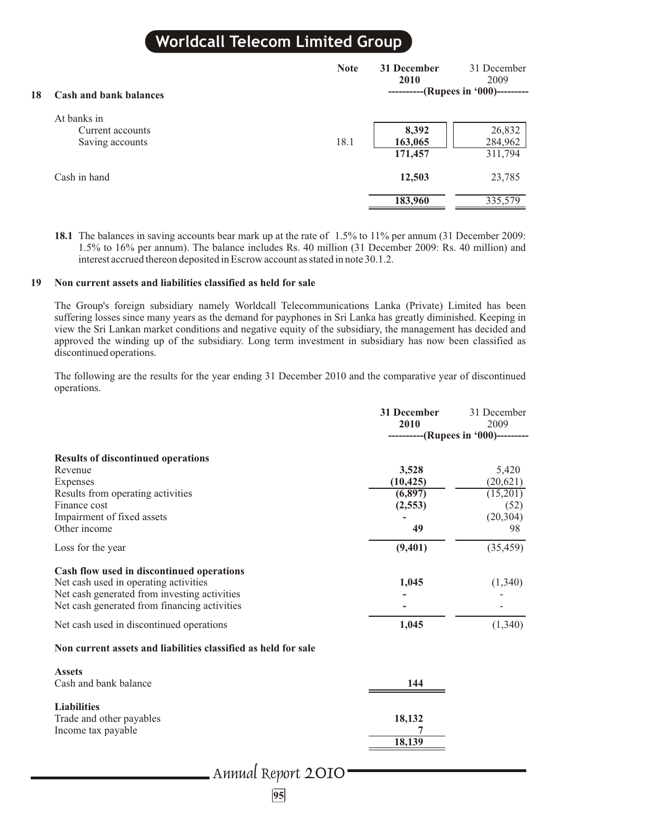|    |                                                                                     | <b>Note</b> | 31 December<br>2010          | 31 December<br>2009<br>----------(Rupees in '000)--------- |
|----|-------------------------------------------------------------------------------------|-------------|------------------------------|------------------------------------------------------------|
| 18 | <b>Cash and bank balances</b><br>At banks in<br>Current accounts<br>Saving accounts | 18.1        | 8,392<br>163,065             | 26,832<br>284,962                                          |
|    | Cash in hand                                                                        |             | 171,457<br>12,503<br>183,960 | 311,794<br>23,785<br>335,579                               |

**18.1** The balances in saving accounts bear mark up at the rate of 1.5% to 11% per annum (31 December 2009: 1.5% to 16% per annum). The balance includes Rs. 40 million (31 December 2009: Rs. 40 million) and interest accrued thereon deposited in Escrow account as stated in note 30.1.2.

#### **19 Non current assets and liabilities classified as held for sale**

The Group's foreign subsidiary namely Worldcall Telecommunications Lanka (Private) Limited has been suffering losses since many years as the demand for payphones in Sri Lanka has greatly diminished. Keeping in view the Sri Lankan market conditions and negative equity of the subsidiary, the management has decided and approved the winding up of the subsidiary. Long term investment in subsidiary has now been classified as discontinued operations.

The following are the results for the year ending 31 December 2010 and the comparative year of discontinued operations.

|                                                                | 31 December<br>2010                 | 31 December<br>2009 |
|----------------------------------------------------------------|-------------------------------------|---------------------|
|                                                                | ----------(Rupees in '000)--------- |                     |
| <b>Results of discontinued operations</b>                      |                                     |                     |
| Revenue                                                        | 3,528                               | 5,420               |
| Expenses                                                       | (10, 425)                           | (20,621)            |
| Results from operating activities                              | (6,897)                             | (15,201)            |
| Finance cost                                                   | (2,553)                             | (52)                |
| Impairment of fixed assets                                     |                                     | (20, 304)           |
| Other income                                                   | 49                                  | 98                  |
| Loss for the year                                              | (9, 401)                            | (35, 459)           |
| Cash flow used in discontinued operations                      |                                     |                     |
| Net cash used in operating activities                          | 1,045                               | (1,340)             |
| Net cash generated from investing activities                   |                                     |                     |
| Net cash generated from financing activities                   |                                     |                     |
| Net cash used in discontinued operations                       | 1,045                               | (1,340)             |
| Non current assets and liabilities classified as held for sale |                                     |                     |
| <b>Assets</b>                                                  |                                     |                     |
| Cash and bank balance                                          | 144                                 |                     |
| <b>Liabilities</b>                                             |                                     |                     |
| Trade and other payables                                       | 18,132                              |                     |
| Income tax payable                                             |                                     |                     |
|                                                                | 18,139                              |                     |
|                                                                |                                     |                     |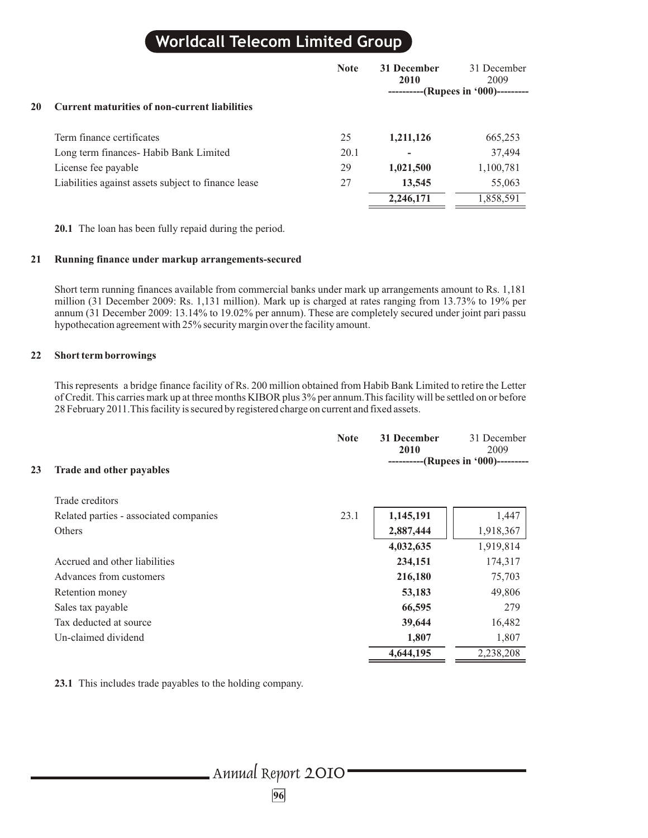|    |                                                      | <b>Note</b> | 31 December<br>2010 | 31 December<br>2009                 |
|----|------------------------------------------------------|-------------|---------------------|-------------------------------------|
| 20 | <b>Current maturities of non-current liabilities</b> |             |                     | ----------(Rupees in '000)--------- |
|    | Term finance certificates                            | 25          | 1,211,126           | 665,253                             |
|    | Long term finances Habib Bank Limited                | 20.1        | $\,$                | 37,494                              |
|    | License fee payable                                  | 29          | 1,021,500           | 1,100,781                           |
|    | Liabilities against assets subject to finance lease  | 27          | 13,545              | 55,063                              |
|    |                                                      |             | 2,246,171           | 1,858,591                           |

**20.1** The loan has been fully repaid during the period.

### **21 Running finance under markup arrangements-secured**

Short term running finances available from commercial banks under mark up arrangements amount to Rs. 1,181 million (31 December 2009: Rs. 1,131 million). Mark up is charged at rates ranging from 13.73% to 19% per annum (31 December 2009: 13.14% to 19.02% per annum). These are completely secured under joint pari passu hypothecation agreement with 25% security margin over the facility amount.

### **22 Short term borrowings**

This represents a bridge finance facility of Rs. 200 million obtained from Habib Bank Limited to retire the Letter of Credit. This carries mark up at three months KIBOR plus 3% per annum.This facility will be settled on or before 28 February 2011.This facility is secured by registered charge on current and fixed assets.

|     |                                        | <b>Note</b> | <b>31 December</b><br>2010 | 31 December<br>2009<br>----------(Rupees in '000)--------- |
|-----|----------------------------------------|-------------|----------------------------|------------------------------------------------------------|
| 23. | Trade and other payables               |             |                            |                                                            |
|     | Trade creditors                        |             |                            |                                                            |
|     | Related parties - associated companies | 23.1        | 1,145,191                  | 1,447                                                      |
|     | Others                                 |             | 2,887,444                  | 1,918,367                                                  |
|     |                                        |             | 4,032,635                  | 1,919,814                                                  |
|     | Accrued and other liabilities          |             | 234,151                    | 174,317                                                    |
|     | Advances from customers                |             | 216,180                    | 75,703                                                     |
|     | Retention money                        |             | 53,183                     | 49,806                                                     |
|     | Sales tax payable                      |             | 66,595                     | 279                                                        |
|     | Tax deducted at source                 |             | 39,644                     | 16,482                                                     |
|     | Un-claimed dividend                    |             | 1,807                      | 1,807                                                      |
|     |                                        |             | 4,644,195                  | 2,238,208                                                  |

**23.1** This includes trade payables to the holding company.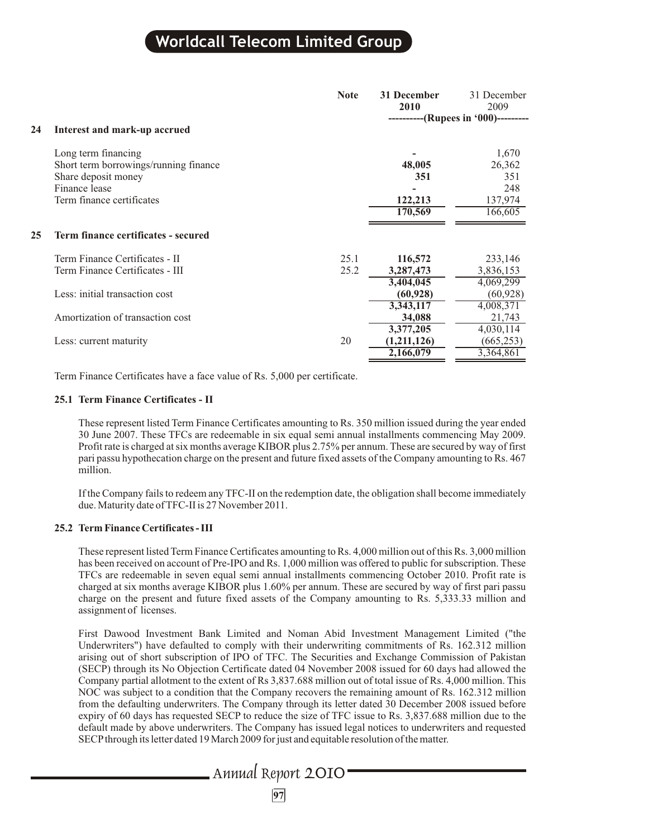|    |                                       | <b>Note</b> | 31 December<br>2010 | 31 December<br>2009                 |
|----|---------------------------------------|-------------|---------------------|-------------------------------------|
| 24 | Interest and mark-up accrued          |             |                     | ----------(Rupees in '000)--------- |
|    | Long term financing                   |             |                     | 1,670                               |
|    | Short term borrowings/running finance |             | 48,005              | 26,362                              |
|    | Share deposit money                   |             | 351                 | 351                                 |
|    | Finance lease                         |             |                     | 248                                 |
|    | Term finance certificates             |             | 122,213             | 137,974                             |
|    |                                       |             | 170,569             | 166,605                             |
| 25 | Term finance certificates - secured   |             |                     |                                     |
|    | Term Finance Certificates - II        | 25.1        | 116,572             | 233,146                             |
|    | Term Finance Certificates - III       | 25.2        | 3,287,473           | 3,836,153                           |
|    |                                       |             | 3,404,045           | 4,069,299                           |
|    | Less: initial transaction cost        |             | (60, 928)           | (60, 928)                           |
|    |                                       |             | 3,343,117           | 4,008,371                           |
|    | Amortization of transaction cost      |             | 34,088              | 21,743                              |
|    |                                       |             | 3,377,205           | 4,030,114                           |
|    | Less: current maturity                | 20          | (1,211,126)         | (665, 253)                          |
|    |                                       |             | 2,166,079           | 3,364,861                           |

Term Finance Certificates have a face value of Rs. 5,000 per certificate.

### **25.1 Term Finance Certificates - II**

These represent listed Term Finance Certificates amounting to Rs. 350 million issued during the year ended 30 June 2007. These TFCs are redeemable in six equal semi annual installments commencing May 2009. Profit rate is charged at six months average KIBOR plus 2.75% per annum. These are secured by way of first pari passu hypothecation charge on the present and future fixed assets of the Company amounting to Rs. 467 million.

If the Company fails to redeem any TFC-II on the redemption date, the obligation shall become immediately due. Maturity date of TFC-II is 27 November 2011.

### **25.2 Term Finance Certificates - III**

These represent listed Term Finance Certificates amounting to Rs. 4,000 million out of this Rs. 3,000 million has been received on account of Pre-IPO and Rs. 1,000 million was offered to public for subscription. These TFCs are redeemable in seven equal semi annual installments commencing October 2010. Profit rate is charged at six months average KIBOR plus 1.60% per annum. These are secured by way of first pari passu charge on the present and future fixed assets of the Company amounting to Rs. 5,333.33 million and assignment of licenses.

First Dawood Investment Bank Limited and Noman Abid Investment Management Limited ("the Underwriters") have defaulted to comply with their underwriting commitments of Rs. 162.312 million arising out of short subscription of IPO of TFC. The Securities and Exchange Commission of Pakistan (SECP) through its No Objection Certificate dated 04 November 2008 issued for 60 days had allowed the Company partial allotment to the extent of Rs 3,837.688 million out of total issue of Rs. 4,000 million. This NOC was subject to a condition that the Company recovers the remaining amount of Rs. 162.312 million from the defaulting underwriters. The Company through its letter dated 30 December 2008 issued before expiry of 60 days has requested SECP to reduce the size of TFC issue to Rs. 3,837.688 million due to the default made by above underwriters. The Company has issued legal notices to underwriters and requested SECP through its letter dated 19 March 2009 for just and equitable resolution of the matter.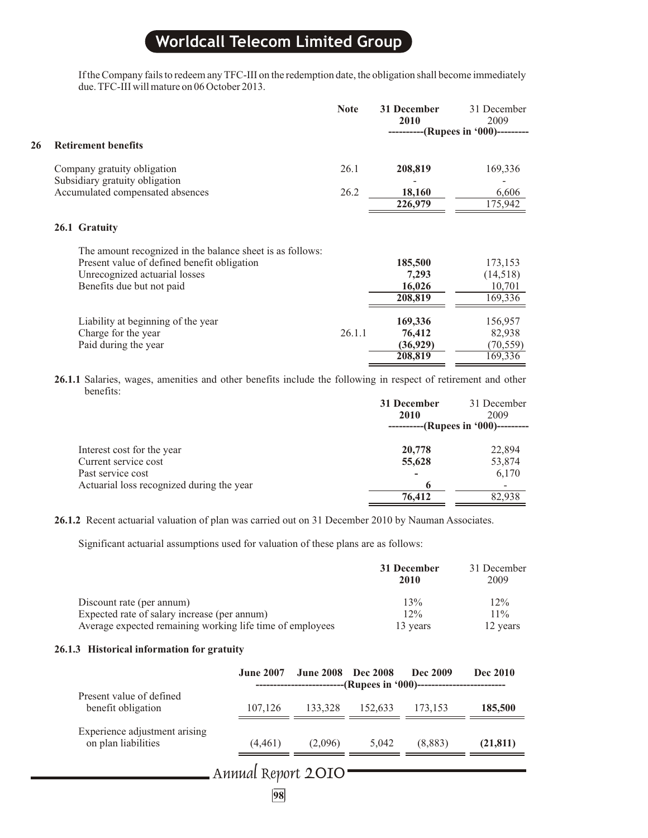If the Company fails to redeem any TFC-III on the redemption date, the obligation shall become immediately due. TFC-III will mature on 06 October 2013.

|    |                                                               | <b>Note</b> | 31 December<br>2010 | 31 December<br>2009<br>----------(Rupees in '000)--------- |
|----|---------------------------------------------------------------|-------------|---------------------|------------------------------------------------------------|
| 26 | <b>Retirement benefits</b>                                    |             |                     |                                                            |
|    | Company gratuity obligation<br>Subsidiary gratuity obligation | 26.1        | 208,819             | 169,336                                                    |
|    | Accumulated compensated absences                              | 26.2        | 18,160<br>226,979   | 6,606<br>175,942                                           |
|    | 26.1 Gratuity                                                 |             |                     |                                                            |
|    | The amount recognized in the balance sheet is as follows:     |             |                     |                                                            |
|    | Present value of defined benefit obligation                   |             | 185,500             | 173,153                                                    |
|    | Unrecognized actuarial losses                                 |             | 7,293               | (14,518)                                                   |
|    | Benefits due but not paid                                     |             | 16,026              | 10,701                                                     |
|    |                                                               |             | 208,819             | 169,336                                                    |
|    | Liability at beginning of the year                            |             | 169,336             | 156,957                                                    |
|    | Charge for the year                                           | 26.1.1      | 76,412              | 82,938                                                     |
|    | Paid during the year                                          |             | (36, 929)           | (70, 559)                                                  |
|    |                                                               |             | 208,819             | 169,336                                                    |
|    |                                                               |             |                     |                                                            |

**26.1.1** Salaries, wages, amenities and other benefits include the following in respect of retirement and other benefits:

| 31 December | 31 December                         |
|-------------|-------------------------------------|
| 2010        | 2009                                |
|             | ----------(Rupees in '000)--------- |
| 20,778      | 22,894                              |
| 55,628      | 53,874                              |
|             | 6,170                               |
|             |                                     |
| 76,412      | 82.938                              |
|             |                                     |

**26.1.2** Recent actuarial valuation of plan was carried out on 31 December 2010 by Nauman Associates.

Significant actuarial assumptions used for valuation of these plans are as follows:

|                                                           | 31 December<br>2010 | 31 December<br>2009 |
|-----------------------------------------------------------|---------------------|---------------------|
| Discount rate (per annum)                                 | 13%                 | $12\%$              |
| Expected rate of salary increase (per annum)              | $12\%$              | $11\%$              |
| Average expected remaining working life time of employees | 13 years            | 12 years            |

#### **26.1.3 Historical information for gratuity**

|                                                      | June 2007. | June 2008 Dec 2008 |         | Dec 2009<br>---------------------------(Rupees in '000)-------------------------- | Dec 2010  |  |
|------------------------------------------------------|------------|--------------------|---------|-----------------------------------------------------------------------------------|-----------|--|
| Present value of defined<br>benefit obligation       | 107,126    | 133.328            | 152,633 | 173.153                                                                           | 185,500   |  |
| Experience adjustment arising<br>on plan liabilities | (4, 461)   | (2,096)            | 5.042   | (8,883)                                                                           | (21, 811) |  |
| Annual Report 2010                                   |            |                    |         |                                                                                   |           |  |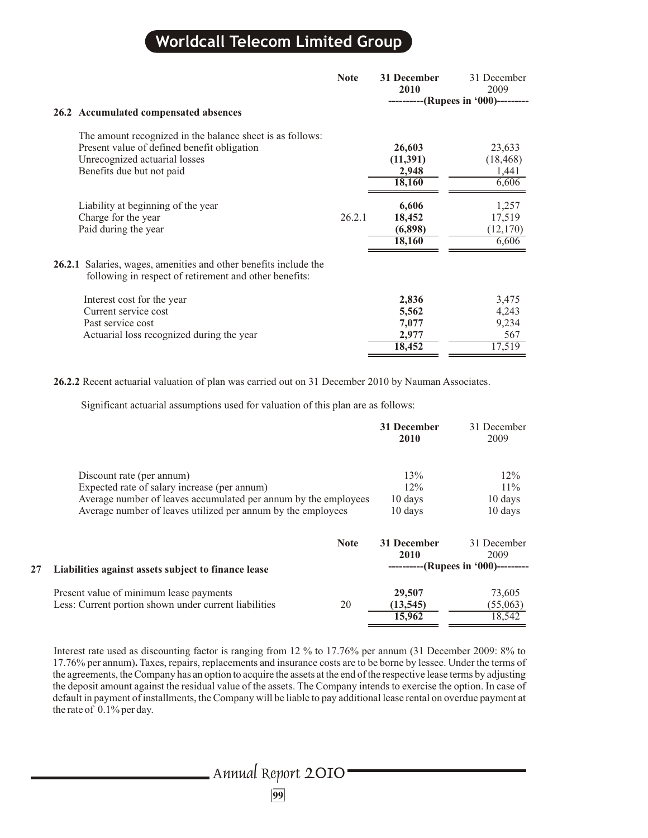|                                                                                                                                                                        | <b>Note</b> | 31 December<br>2010                        | 31 December<br>2009<br>----------(Rupees in '000)--------- |
|------------------------------------------------------------------------------------------------------------------------------------------------------------------------|-------------|--------------------------------------------|------------------------------------------------------------|
| 26.2 Accumulated compensated absences                                                                                                                                  |             |                                            |                                                            |
| The amount recognized in the balance sheet is as follows:<br>Present value of defined benefit obligation<br>Unrecognized actuarial losses<br>Benefits due but not paid |             | 26,603<br>(11, 391)<br>2,948<br>18,160     | 23,633<br>(18, 468)<br>1,441<br>6,606                      |
| Liability at beginning of the year<br>Charge for the year<br>Paid during the year                                                                                      | 26.2.1      | 6,606<br>18,452<br>(6,898)<br>18,160       | 1,257<br>17,519<br>(12, 170)<br>6,606                      |
| 26.2.1 Salaries, wages, amenities and other benefits include the<br>following in respect of retirement and other benefits:                                             |             |                                            |                                                            |
| Interest cost for the year<br>Current service cost<br>Past service cost<br>Actuarial loss recognized during the year                                                   |             | 2,836<br>5,562<br>7,077<br>2,977<br>18,452 | 3,475<br>4,243<br>9,234<br>567<br>17,519                   |

**26.2.2** Recent actuarial valuation of plan was carried out on 31 December 2010 by Nauman Associates.

Significant actuarial assumptions used for valuation of this plan are as follows:

|    |                                                                 | 31 December<br>2010 | 31 December<br>2009                 |
|----|-----------------------------------------------------------------|---------------------|-------------------------------------|
|    | Discount rate (per annum)                                       | 13%                 | $12\%$                              |
|    | Expected rate of salary increase (per annum)                    | 12%                 | $11\%$                              |
|    | Average number of leaves accumulated per annum by the employees | 10 days             | 10 days                             |
|    | Average number of leaves utilized per annum by the employees    | 10 days             | 10 days                             |
|    | <b>Note</b>                                                     | 31 December<br>2010 | 31 December<br>2009                 |
| 27 | Liabilities against assets subject to finance lease             |                     | ----------(Rupees in '000)--------- |
|    | Present value of minimum lease payments                         | 29,507              | 73,605                              |
|    | Less: Current portion shown under current liabilities<br>20     | (13, 545)           | (55,063)                            |
|    |                                                                 | 15,962              | 18,542                              |

Interest rate used as discounting factor is ranging from 12 % to 17.76% per annum (31 December 2009: 8% to 17.76% per annum)**.** Taxes, repairs, replacements and insurance costs are to be borne by lessee. Under the terms of the agreements, the Company has an option to acquire the assets at the end of the respective lease terms by adjusting the deposit amount against the residual value of the assets. The Company intends to exercise the option. In case of default in payment of installments, the Company will be liable to pay additional lease rental on overdue payment at the rate of 0.1% per day.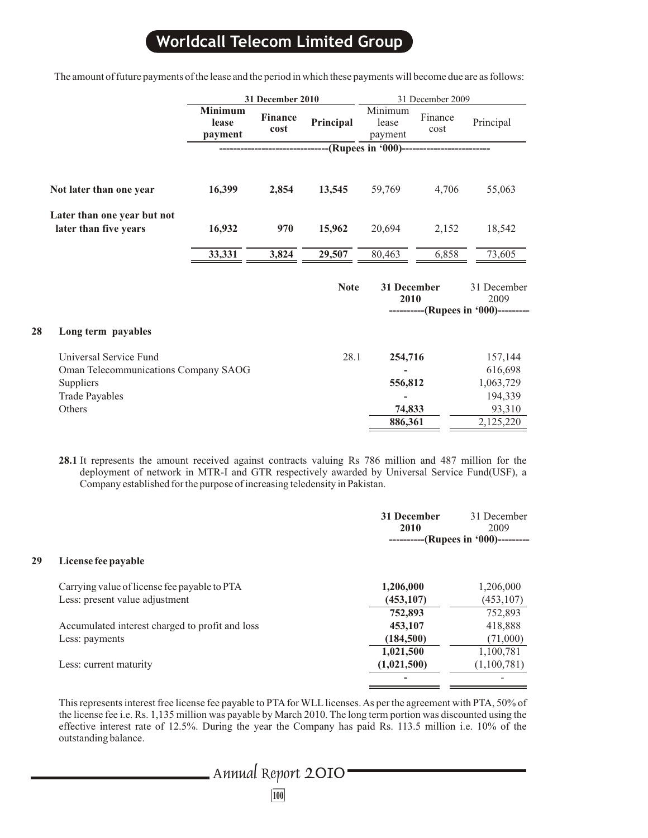|                                                                        | 31 December 2010                   |                                      |             |                  |                 |                                                                                                                                                                    |
|------------------------------------------------------------------------|------------------------------------|--------------------------------------|-------------|------------------|-----------------|--------------------------------------------------------------------------------------------------------------------------------------------------------------------|
|                                                                        | <b>Minimum</b><br>lease<br>payment | <b>Finance</b><br>cost               | Principal   | lease<br>payment | Finance<br>cost | Principal                                                                                                                                                          |
|                                                                        |                                    |                                      |             |                  |                 |                                                                                                                                                                    |
| Not later than one year                                                | 16,399                             | 2,854                                | 13,545      | 59,769           | 4,706           | 55,063                                                                                                                                                             |
| Later than one year but not<br>later than five years                   | 16,932                             | 970                                  | 15,962      | 20,694           | 2,152           | 18,542                                                                                                                                                             |
|                                                                        | 33,331                             | 3,824                                | 29,507      | 80,463           | 6,858           | 73,605                                                                                                                                                             |
|                                                                        |                                    |                                      | <b>Note</b> |                  |                 | 31 December<br>2009                                                                                                                                                |
| Long term payables                                                     |                                    |                                      |             |                  |                 |                                                                                                                                                                    |
| Universal Service Fund<br>Suppliers<br><b>Trade Payables</b><br>Others |                                    |                                      | 28.1        |                  |                 | 157,144<br>616,698<br>1,063,729<br>194,339<br>93,310<br>2,125,220                                                                                                  |
|                                                                        |                                    | Oman Telecommunications Company SAOG |             |                  | Minimum         | 31 December 2009<br>-(Rupees in '000)--------------------<br>31 December<br>2010<br>----------(Rupees in '000)---------<br>254,716<br>556,812<br>74,833<br>886,361 |

The amount of future payments of the lease and the period in which these payments will become due are as follows:

**28.1** It represents the amount received against contracts valuing Rs 786 million and 487 million for the deployment of network in MTR-I and GTR respectively awarded by Universal Service Fund(USF), a Company established for the purpose of increasing teledensity in Pakistan.

|    |                                                 | 31 December<br>2010<br>-----------(Rupees in '000)--- | 31 December<br>2009 |
|----|-------------------------------------------------|-------------------------------------------------------|---------------------|
| 29 | License fee payable                             |                                                       |                     |
|    | Carrying value of license fee payable to PTA    | 1,206,000                                             | 1,206,000           |
|    | Less: present value adjustment                  | (453, 107)                                            | (453, 107)          |
|    |                                                 | 752,893                                               | 752,893             |
|    | Accumulated interest charged to profit and loss | 453,107                                               | 418,888             |
|    | Less: payments                                  | (184, 500)                                            | (71,000)            |
|    |                                                 | 1,021,500                                             | 1,100,781           |
|    | Less: current maturity                          | (1,021,500)                                           | (1,100,781)         |
|    |                                                 |                                                       |                     |
|    |                                                 |                                                       |                     |

This represents interest free license fee payable to PTA for WLL licenses. As per the agreement with PTA, 50% of the license fee i.e. Rs. 1,135 million was payable by March 2010. The long term portion was discounted using the effective interest rate of 12.5%. During the year the Company has paid Rs. 113.5 million i.e. 10% of the outstanding balance.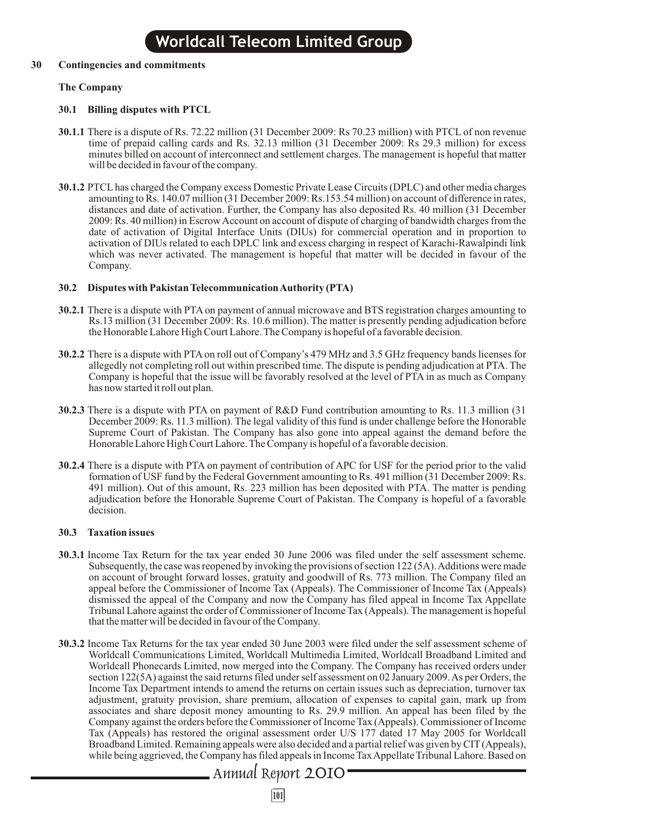#### **30 Contingencies and commitments**

### **The Company**

#### **30.1 Billing disputes with PTCL**

- **30.1.1** There is a dispute of Rs. 72.22 million (31 December 2009: Rs 70.23 million) with PTCL of non revenue time of prepaid calling cards and Rs. 32.13 million (31 December 2009: Rs 29.3 million) for excess minutes billed on account of interconnect and settlement charges. The management is hopeful that matter will be decided in favour of the company.
- **30.1.2** PTCL has charged the Company excess Domestic Private Lease Circuits (DPLC) and other media charges amounting to Rs. 140.07 million (31 December 2009: Rs.153.54 million) on account of difference in rates, distances and date of activation. Further, the Company has also deposited Rs. 40 million (31 December 2009: Rs. 40 million) in Escrow Account on account of dispute of charging of bandwidth charges from the date of activation of Digital Interface Units (DIUs) for commercial operation and in proportion to activation of DIUs related to each DPLC link and excess charging in respect of Karachi-Rawalpindi link which was never activated. The management is hopeful that matter will be decided in favour of the Company.

#### **30.2 Disputes with Pakistan Telecommunication Authority (PTA)**

- **30.2.1** There is a dispute with PTA on payment of annual microwave and BTS registration charges amounting to Rs.13 million (31 December 2009: Rs. 10.6 million). The matter is presently pending adjudication before the Honorable Lahore High Court Lahore. The Company is hopeful of a favorable decision.
- **30.2.2** There is a dispute with PTA on roll out of Company's 479 MHz and 3.5 GHz frequency bands licenses for allegedly not completing roll out within prescribed time. The dispute is pending adjudication at PTA. The Company is hopeful that the issue will be favorably resolved at the level of PTA in as much as Company has now started it roll out plan.
- **30.2.3** There is a dispute with PTA on payment of R&D Fund contribution amounting to Rs. 11.3 million (31 December 2009: Rs. 11.3 million). The legal validity of this fund is under challenge before the Honorable Supreme Court of Pakistan. The Company has also gone into appeal against the demand before the Honorable Lahore High Court Lahore. The Company is hopeful of a favorable decision.
- **30.2.4** There is a dispute with PTA on payment of contribution of APC for USF for the period prior to the valid formation of USF fund by the Federal Government amounting to Rs. 491 million (31 December 2009: Rs. 491 million). Out of this amount, Rs. 223 million has been deposited with PTA. The matter is pending adjudication before the Honorable Supreme Court of Pakistan. The Company is hopeful of a favorable decision.

#### **30.3 Taxation issues**

- **30.3.1** Income Tax Return for the tax year ended 30 June 2006 was filed under the self assessment scheme. Subsequently, the case was reopened by invoking the provisions of section 122 (5A). Additions were made on account of brought forward losses, gratuity and goodwill of Rs. 773 million. The Company filed an appeal before the Commissioner of Income Tax (Appeals). The Commissioner of Income Tax (Appeals) dismissed the appeal of the Company and now the Company has filed appeal in Income Tax Appellate Tribunal Lahore against the order of Commissioner of Income Tax (Appeals). The management is hopeful that the matter will be decided in favour of the Company.
- **30.3.2** Income Tax Returns for the tax year ended 30 June 2003 were filed under the self assessment scheme of Worldcall Communications Limited, Worldcall Multimedia Limited, Worldcall Broadband Limited and Worldcall Phonecards Limited, now merged into the Company. The Company has received orders under section 122(5A) against the said returns filed under self assessment on 02 January 2009. As per Orders, the Income Tax Department intends to amend the returns on certain issues such as depreciation, turnover tax adjustment, gratuity provision, share premium, allocation of expenses to capital gain, mark up from associates and share deposit money amounting to Rs. 29.9 million. An appeal has been filed by the Company against the orders before the Commissioner of Income Tax (Appeals). Commissioner of Income Tax (Appeals) has restored the original assessment order U/S 177 dated 17 May 2005 for Worldcall Broadband Limited. Remaining appeals were also decided and a partial relief was given by CIT (Appeals), while being aggrieved, the Company has filed appeals in Income Tax Appellate Tribunal Lahore. Based on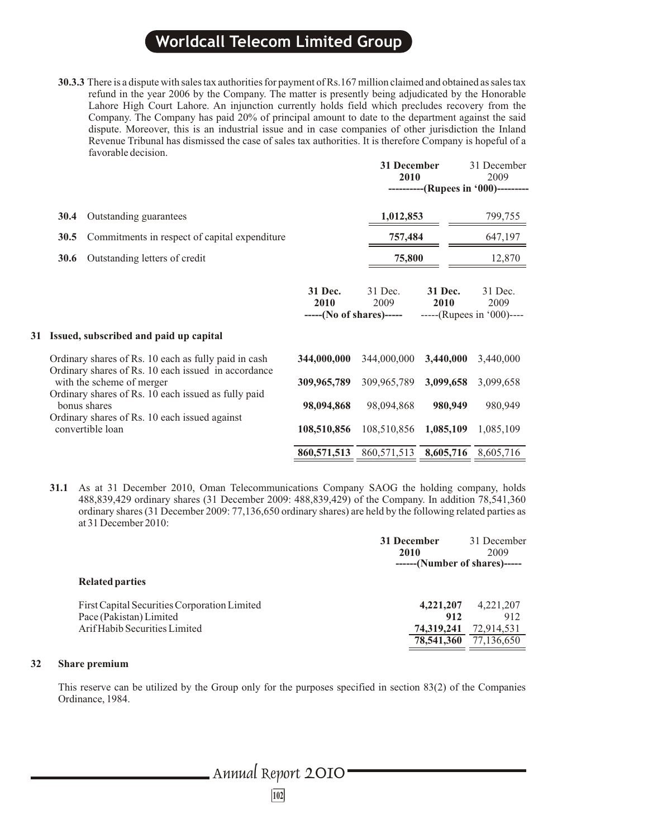**30.3.3** There is a dispute with sales tax authorities for payment of Rs.167 million claimed and obtained as sales tax refund in the year 2006 by the Company. The matter is presently being adjudicated by the Honorable Lahore High Court Lahore. An injunction currently holds field which precludes recovery from the Company. The Company has paid 20% of principal amount to date to the department against the said dispute. Moreover, this is an industrial issue and in case companies of other jurisdiction the Inland Revenue Tribunal has dismissed the case of sales tax authorities. It is therefore Company is hopeful of a favorable decision.

**31 December**

31 December

|    |      |                                                                                                             |                 | эт ресенюет<br>2010                         | ----------(Rupees in '000)--------           | эт песенноет<br>2009 |
|----|------|-------------------------------------------------------------------------------------------------------------|-----------------|---------------------------------------------|----------------------------------------------|----------------------|
|    | 30.4 | Outstanding guarantees                                                                                      |                 | 1,012,853                                   |                                              | 799,755              |
|    | 30.5 | Commitments in respect of capital expenditure                                                               |                 | 757,484                                     |                                              | 647,197              |
|    | 30.6 | Outstanding letters of credit                                                                               |                 | 75,800                                      |                                              | 12,870               |
|    |      |                                                                                                             | 31 Dec.<br>2010 | 31 Dec.<br>2009<br>-----(No of shares)----- | 31 Dec.<br>2010<br>-----(Rupees in '000)---- | 31 Dec.<br>2009      |
| 31 |      | Issued, subscribed and paid up capital                                                                      |                 |                                             |                                              |                      |
|    |      | Ordinary shares of Rs. 10 each as fully paid in cash<br>Ordinary shares of Rs. 10 each issued in accordance | 344,000,000     | 344,000,000                                 | 3,440,000                                    | 3,440,000            |
|    |      | with the scheme of merger                                                                                   | 309,965,789     | 309,965,789                                 | 3,099,658                                    | 3,099,658            |
|    |      | Ordinary shares of Rs. 10 each issued as fully paid<br>bonus shares                                         | 98,094,868      | 98,094,868                                  | 980,949                                      | 980,949              |
|    |      | Ordinary shares of Rs. 10 each issued against<br>convertible loan                                           | 108,510,856     | 108,510,856                                 | 1,085,109                                    | 1,085,109            |
|    |      |                                                                                                             | 860,571,513     | 860, 571, 513                               | 8,605,716                                    | 8,605,716            |

**31.1** As at 31 December 2010, Oman Telecommunications Company SAOG the holding company, holds 488,839,429 ordinary shares (31 December 2009: 488,839,429) of the Company. In addition 78,541,360 ordinary shares (31 December 2009: 77,136,650 ordinary shares) are held by the following related parties as at 31 December 2010:

|                                                                         | 31 December<br>2010        | 31 December<br>2009      |
|-------------------------------------------------------------------------|----------------------------|--------------------------|
| <b>Related parties</b>                                                  | $---(Number of shares)---$ |                          |
| First Capital Securities Corporation Limited<br>Pace (Pakistan) Limited | 4,221,207<br>912           | 4,221,207<br>912         |
| Arif Habib Securities Limited                                           | 74,319,241<br>78,541,360   | 72.914.531<br>77,136,650 |

### **32 Share premium**

This reserve can be utilized by the Group only for the purposes specified in section 83(2) of the Companies Ordinance, 1984.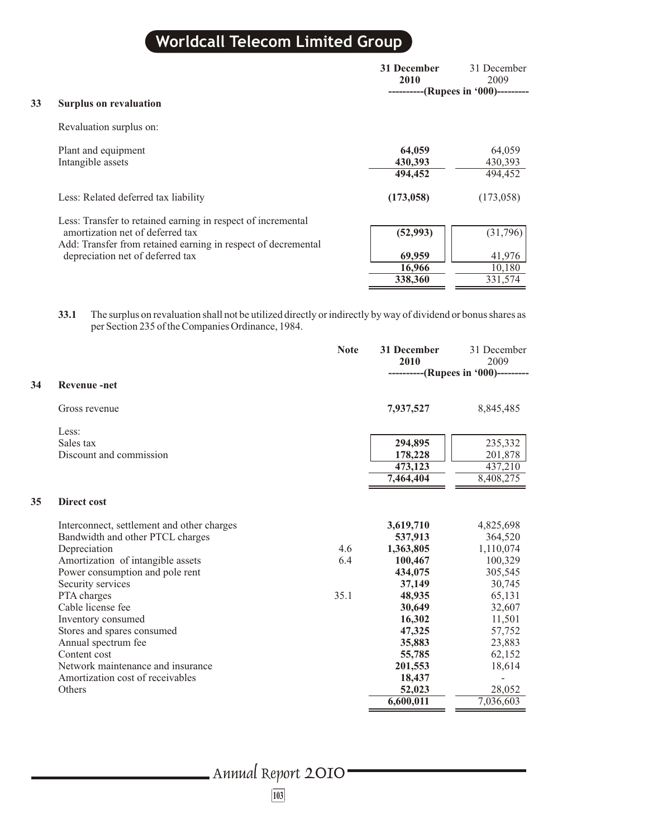|    |                                                               | 31 December<br>2010 | 31 December<br>2009<br>----------(Rupees in '000)--------- |
|----|---------------------------------------------------------------|---------------------|------------------------------------------------------------|
| 33 | <b>Surplus on revaluation</b>                                 |                     |                                                            |
|    | Revaluation surplus on:                                       |                     |                                                            |
|    | Plant and equipment                                           | 64,059              | 64,059                                                     |
|    | Intangible assets                                             | 430,393             | 430,393                                                    |
|    |                                                               | 494,452             | 494,452                                                    |
|    | Less: Related deferred tax liability                          | (173, 058)          | (173, 058)                                                 |
|    | Less: Transfer to retained earning in respect of incremental  |                     |                                                            |
|    | amortization net of deferred tax                              | (52, 993)           | (31,796)                                                   |
|    | Add: Transfer from retained earning in respect of decremental |                     |                                                            |
|    | depreciation net of deferred tax                              | 69,959              | 41,976                                                     |
|    |                                                               | 16,966              | 10,180                                                     |
|    |                                                               | 338,360             | 331,574                                                    |

**33.1** The surplus on revaluation shall not be utilized directly or indirectly by way of dividend or bonus shares as per Section 235 of the Companies Ordinance, 1984.

|    |                                            | <b>Note</b> | 31 December<br>2010 | 31 December<br>2009                 |
|----|--------------------------------------------|-------------|---------------------|-------------------------------------|
| 34 | <b>Revenue</b> -net                        |             |                     | ----------(Rupees in '000)--------- |
|    | Gross revenue                              |             | 7,937,527           | 8,845,485                           |
|    | Less:                                      |             |                     |                                     |
|    | Sales tax                                  |             | 294,895             | 235,332                             |
|    | Discount and commission                    |             | 178,228             | 201,878                             |
|    |                                            |             | 473,123             | 437,210                             |
|    |                                            |             | 7,464,404           | 8,408,275                           |
| 35 | <b>Direct cost</b>                         |             |                     |                                     |
|    | Interconnect, settlement and other charges |             | 3,619,710           | 4,825,698                           |
|    | Bandwidth and other PTCL charges           |             | 537,913             | 364,520                             |
|    | Depreciation                               | 4.6         | 1,363,805           | 1,110,074                           |
|    | Amortization of intangible assets          | 6.4         | 100,467             | 100,329                             |
|    | Power consumption and pole rent            |             | 434,075             | 305,545                             |
|    | Security services                          |             | 37,149              | 30,745                              |
|    | PTA charges                                | 35.1        | 48,935              | 65,131                              |
|    | Cable license fee                          |             | 30,649              | 32,607                              |
|    | Inventory consumed                         |             | 16,302              | 11,501                              |
|    | Stores and spares consumed                 |             | 47,325              | 57,752                              |
|    | Annual spectrum fee<br>Content cost        |             | 35,883              | 23,883                              |
|    | Network maintenance and insurance          |             | 55,785<br>201,553   | 62,152<br>18,614                    |
|    | Amortization cost of receivables           |             | 18,437              |                                     |
|    | Others                                     |             | 52,023              | 28,052                              |
|    |                                            |             | 6,600,011           | 7,036,603                           |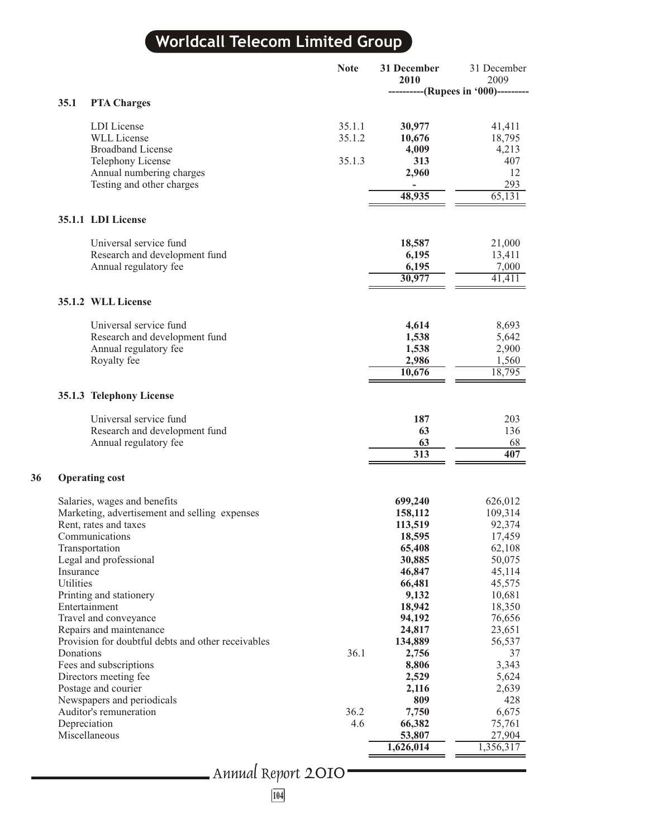|           |                                                                               | <b>Note</b> | 31 December<br>2010 | 31 December<br>2009                 |
|-----------|-------------------------------------------------------------------------------|-------------|---------------------|-------------------------------------|
|           |                                                                               |             |                     | ----------(Rupees in '000)--------- |
| 35.1      | <b>PTA Charges</b>                                                            |             |                     |                                     |
|           | LDI License                                                                   | 35.1.1      | 30,977              | 41,411                              |
|           | <b>WLL</b> License                                                            | 35.1.2      | 10,676              | 18,795                              |
|           | <b>Broadband License</b>                                                      |             | 4,009               | 4,213                               |
|           | <b>Telephony License</b>                                                      | 35.1.3      | 313                 | 407                                 |
|           | Annual numbering charges                                                      |             | 2,960               | 12                                  |
|           | Testing and other charges                                                     |             |                     | 293                                 |
|           |                                                                               |             | 48,935              | 65,131                              |
|           | 35.1.1 LDI License                                                            |             |                     |                                     |
|           | Universal service fund                                                        |             | 18,587              | 21,000                              |
|           | Research and development fund                                                 |             | 6,195               | 13,411                              |
|           | Annual regulatory fee                                                         |             | 6,195               | 7,000                               |
|           |                                                                               |             | 30,977              | $\overline{41,411}$                 |
|           | 35.1.2 WLL License                                                            |             |                     |                                     |
|           | Universal service fund                                                        |             | 4,614               | 8,693                               |
|           | Research and development fund                                                 |             | 1,538               | 5,642                               |
|           | Annual regulatory fee                                                         |             | 1,538               | 2,900                               |
|           | Royalty fee                                                                   |             | 2,986               | 1,560                               |
|           |                                                                               |             | 10,676              | 18,795                              |
|           | 35.1.3 Telephony License                                                      |             |                     |                                     |
|           | Universal service fund                                                        |             | 187                 | 203                                 |
|           | Research and development fund                                                 |             | 63                  | 136                                 |
|           | Annual regulatory fee                                                         |             | 63                  | 68                                  |
|           |                                                                               |             | 313                 | 407                                 |
|           | <b>Operating cost</b>                                                         |             |                     |                                     |
|           | Salaries, wages and benefits                                                  |             | 699,240             | 626,012                             |
|           | Marketing, advertisement and selling expenses                                 |             | 158,112             | 109,314                             |
|           | Rent, rates and taxes                                                         |             | 113,519             | 92,374                              |
|           | Communications                                                                |             | 18,595              | 17,459                              |
|           | Transportation                                                                |             | 65,408              | 62,108                              |
|           | Legal and professional                                                        |             | 30,885              | 50,075                              |
| Insurance |                                                                               |             | 46,847              | 45,114                              |
| Utilities |                                                                               |             | 66,481              | 45,575                              |
|           | Printing and stationery                                                       |             | 9,132               | 10,681                              |
|           | Entertainment                                                                 |             | 18,942              | 18,350                              |
|           | Travel and conveyance                                                         |             | 94,192              | 76,656                              |
|           | Repairs and maintenance<br>Provision for doubtful debts and other receivables |             | 24,817<br>134,889   | 23,651<br>56,537                    |
| Donations |                                                                               | 36.1        | 2,756               | 37                                  |
|           | Fees and subscriptions                                                        |             | 8,806               | 3,343                               |
|           | Directors meeting fee                                                         |             | 2,529               | 5,624                               |
|           | Postage and courier                                                           |             | 2,116               | 2,639                               |
|           | Newspapers and periodicals                                                    |             | 809                 | 428                                 |
|           | Auditor's remuneration                                                        | 36.2        | 7,750               | 6,675                               |
|           | Depreciation                                                                  | 4.6         | 66,382              | 75,761                              |
|           | Miscellaneous                                                                 |             | 53,807              | 27,904                              |
|           |                                                                               |             | 1,626,014           | 1,356,317                           |

**36 Operating cost**

 $\_$ Annual Report 2010 $-$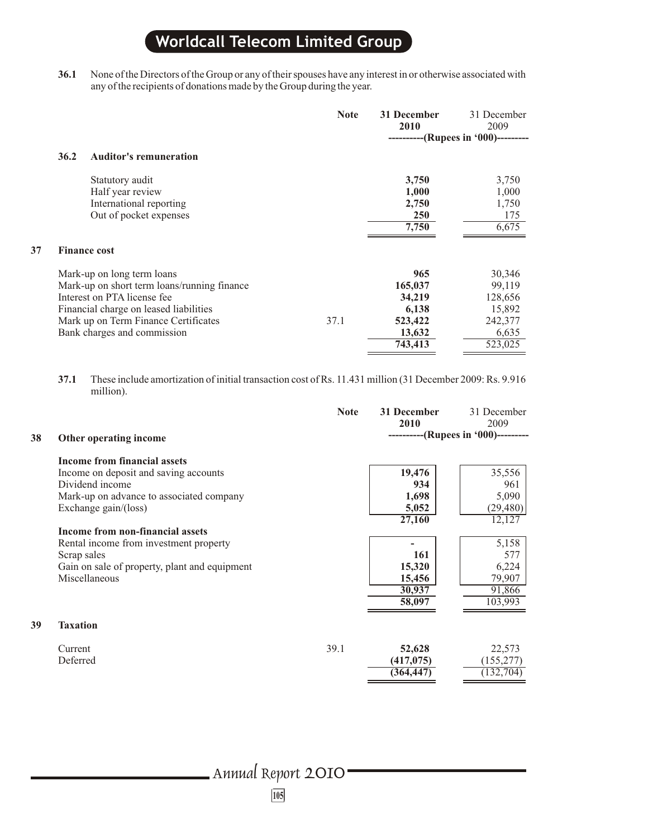**36.1** None of the Directors of the Group or any of their spouses have any interest in or otherwise associated with any of the recipients of donations made by the Group during the year.

|                                             | <b>Note</b> | 31 December<br>2010 | 31 December<br>2009                 |
|---------------------------------------------|-------------|---------------------|-------------------------------------|
| 36.2<br><b>Auditor's remuneration</b>       |             |                     | ----------(Rupees in '000)--------- |
| Statutory audit                             |             | 3,750               | 3,750                               |
| Half year review                            |             | 1,000               | 1,000                               |
| International reporting                     |             | 2,750               | 1,750                               |
| Out of pocket expenses                      |             | 250                 | 175                                 |
|                                             |             | 7,750               | 6,675                               |
| <b>Finance cost</b>                         |             |                     |                                     |
| Mark-up on long term loans                  |             | 965                 | 30,346                              |
| Mark-up on short term loans/running finance |             | 165,037             | 99,119                              |
| Interest on PTA license fee                 |             | 34,219              | 128,656                             |
| Financial charge on leased liabilities      |             | 6,138               | 15,892                              |
| Mark up on Term Finance Certificates        | 37.1        | 523,422             | 242,377                             |
| Bank charges and commission                 |             | 13,632              | 6,635                               |
|                                             |             | 743,413             | 523,025                             |

**37 Finance cost**

**37.1** These include amortization of initial transaction cost of Rs. 11.431 million (31 December 2009: Rs. 9.916 million).

| 38 | Other operating income                                                                                                                                                                           | <b>Note</b> | 31 December<br>2010                         | 31 December<br>2009<br>----------(Rupees in '000)--------- |
|----|--------------------------------------------------------------------------------------------------------------------------------------------------------------------------------------------------|-------------|---------------------------------------------|------------------------------------------------------------|
|    | Income from financial assets<br>Income on deposit and saving accounts<br>Dividend income<br>Mark-up on advance to associated company<br>Exchange gain/(loss)<br>Income from non-financial assets |             | 19,476<br>934<br>1,698<br>5,052<br>27,160   | 35,556<br>961<br>5,090<br>(29, 480)<br>12,127              |
|    | Rental income from investment property<br>Scrap sales<br>Gain on sale of property, plant and equipment<br>Miscellaneous                                                                          |             | 161<br>15,320<br>15,456<br>30,937<br>58,097 | 5,158<br>577<br>6,224<br>79,907<br>91,866<br>103,993       |
| 39 | <b>Taxation</b>                                                                                                                                                                                  |             |                                             |                                                            |
|    | Current<br>Deferred                                                                                                                                                                              | 39.1        | 52,628<br>(417,075)<br>(364,447             | 22,573<br>(155, 277)<br>(132, 704)                         |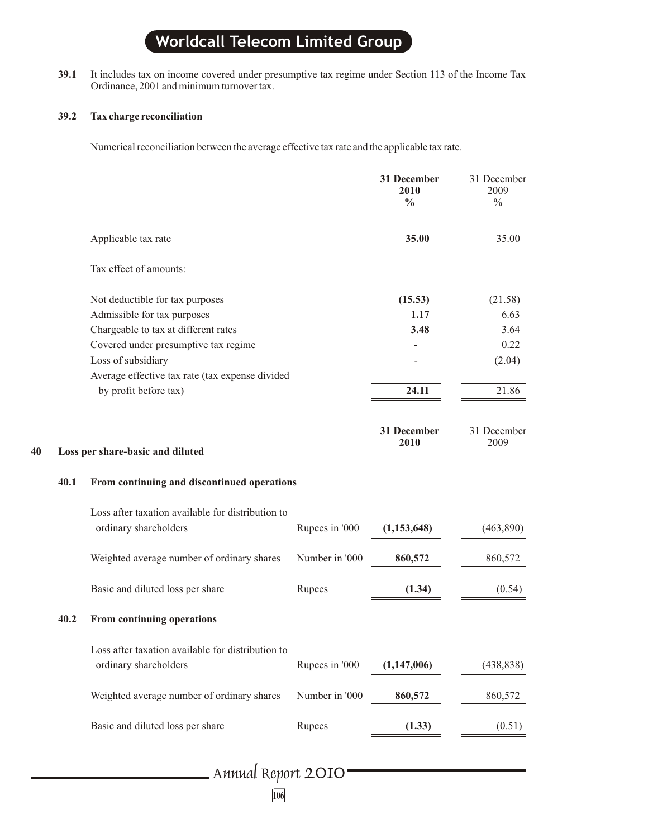**39.1** It includes tax on income covered under presumptive tax regime under Section 113 of the Income Tax Ordinance, 2001 and minimum turnover tax.

### **39.2 Tax charge reconciliation**

Numerical reconciliation between the average effective tax rate and the applicable tax rate.

|    |      |                                                                            |                | 31 December<br>2010<br>$\frac{0}{0}$ | 31 December<br>2009<br>$\frac{0}{0}$ |
|----|------|----------------------------------------------------------------------------|----------------|--------------------------------------|--------------------------------------|
|    |      | Applicable tax rate                                                        |                | 35.00                                | 35.00                                |
|    |      | Tax effect of amounts:                                                     |                |                                      |                                      |
|    |      | Not deductible for tax purposes                                            |                | (15.53)                              | (21.58)                              |
|    |      | Admissible for tax purposes                                                |                | 1.17                                 | 6.63                                 |
|    |      | Chargeable to tax at different rates                                       |                | 3.48                                 | 3.64                                 |
|    |      | Covered under presumptive tax regime                                       |                |                                      | 0.22                                 |
|    |      | Loss of subsidiary                                                         |                |                                      | (2.04)                               |
|    |      | Average effective tax rate (tax expense divided                            |                |                                      |                                      |
|    |      | by profit before tax)                                                      |                | 24.11                                | 21.86                                |
| 40 |      | Loss per share-basic and diluted                                           |                | 31 December<br>2010                  | 31 December<br>2009                  |
|    | 40.1 | From continuing and discontinued operations                                |                |                                      |                                      |
|    |      | Loss after taxation available for distribution to<br>ordinary shareholders | Rupees in '000 | (1, 153, 648)                        | (463, 890)                           |
|    |      | Weighted average number of ordinary shares                                 | Number in '000 | 860,572                              | 860,572                              |
|    |      | Basic and diluted loss per share                                           | Rupees         | (1.34)                               | (0.54)                               |
|    | 40.2 | From continuing operations                                                 |                |                                      |                                      |
|    |      | Loss after taxation available for distribution to<br>ordinary shareholders | Rupees in '000 | (1,147,006)                          | (438, 838)                           |
|    |      | Weighted average number of ordinary shares                                 | Number in '000 | 860,572                              | 860,572                              |
|    |      | Basic and diluted loss per share                                           | Rupees         | (1.33)                               | (0.51)                               |
|    |      |                                                                            |                |                                      |                                      |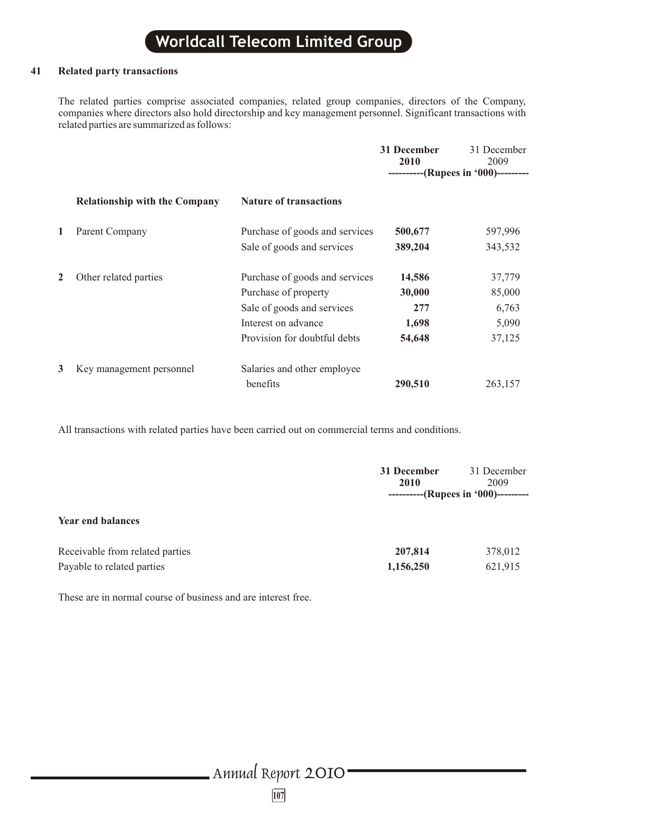## **41 Related party transactions**

The related parties comprise associated companies, related group companies, directors of the Company, companies where directors also hold directorship and key management personnel. Significant transactions with related parties are summarized as follows:

|   |                                      |                                | 31 December<br>2010 | 31 December<br>2009<br>----------(Rupees in '000)--------- |
|---|--------------------------------------|--------------------------------|---------------------|------------------------------------------------------------|
|   |                                      | <b>Nature of transactions</b>  |                     |                                                            |
|   | <b>Relationship with the Company</b> |                                |                     |                                                            |
| 1 | Parent Company                       | Purchase of goods and services | 500,677             | 597,996                                                    |
|   |                                      | Sale of goods and services     | 389,204             | 343,532                                                    |
|   | Other related parties                | Purchase of goods and services | 14,586              | 37,779                                                     |
|   |                                      | Purchase of property           | 30,000              | 85,000                                                     |
|   |                                      | Sale of goods and services     | 277                 | 6,763                                                      |
|   |                                      | Interest on advance            | 1,698               | 5,090                                                      |
|   |                                      | Provision for doubtful debts   | 54,648              | 37,125                                                     |
| 3 | Key management personnel             | Salaries and other employee    |                     |                                                            |
|   |                                      | benefits                       | 290,510             | 263,157                                                    |

All transactions with related parties have been carried out on commercial terms and conditions.

|                                                               | 31 December<br>2010  | 31 December<br>2009<br>----------(Rupees in '000)--------- |
|---------------------------------------------------------------|----------------------|------------------------------------------------------------|
| <b>Year end balances</b>                                      |                      |                                                            |
| Receivable from related parties<br>Payable to related parties | 207,814<br>1,156,250 | 378,012<br>621,915                                         |

These are in normal course of business and are interest free.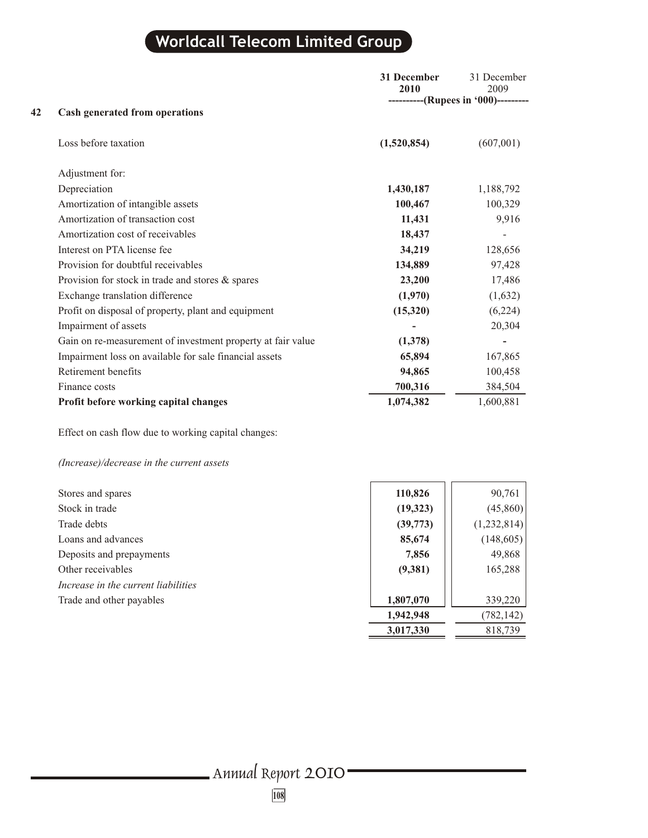|    |                                                             | 31 December<br>2010                 | 31 December<br>2009 |
|----|-------------------------------------------------------------|-------------------------------------|---------------------|
|    |                                                             | ----------(Rupees in '000)--------- |                     |
| 42 | Cash generated from operations                              |                                     |                     |
|    | Loss before taxation                                        | (1,520,854)                         | (607,001)           |
|    | Adjustment for:                                             |                                     |                     |
|    | Depreciation                                                | 1,430,187                           | 1,188,792           |
|    | Amortization of intangible assets                           | 100,467                             | 100,329             |
|    | Amortization of transaction cost                            | 11,431                              | 9,916               |
|    | Amortization cost of receivables                            | 18,437                              |                     |
|    | Interest on PTA license fee                                 | 34,219                              | 128,656             |
|    | Provision for doubtful receivables                          | 134,889                             | 97,428              |
|    | Provision for stock in trade and stores $\&$ spares         | 23,200                              | 17,486              |
|    | Exchange translation difference                             | (1,970)                             | (1,632)             |
|    | Profit on disposal of property, plant and equipment         | (15,320)                            | (6,224)             |
|    | Impairment of assets                                        |                                     | 20,304              |
|    | Gain on re-measurement of investment property at fair value | (1,378)                             |                     |
|    | Impairment loss on available for sale financial assets      | 65,894                              | 167,865             |
|    | Retirement benefits                                         | 94,865                              | 100,458             |
|    | Finance costs                                               | 700,316                             | 384,504             |
|    | Profit before working capital changes                       | 1,074,382                           | 1,600,881           |
|    |                                                             |                                     |                     |

Effect on cash flow due to working capital changes:

### *(Increase)/decrease in the current assets*

| Stores and spares                   | 110,826   | 90,761      |
|-------------------------------------|-----------|-------------|
| Stock in trade                      | (19, 323) | (45,860)    |
| Trade debts                         | (39,773)  | (1,232,814) |
| Loans and advances                  | 85,674    | (148,605)   |
| Deposits and prepayments            | 7,856     | 49,868      |
| Other receivables                   | (9, 381)  | 165,288     |
| Increase in the current liabilities |           |             |
| Trade and other payables            | 1,807,070 | 339,220     |
|                                     | 1,942,948 | (782, 142)  |
|                                     | 3,017,330 | 818,739     |

n e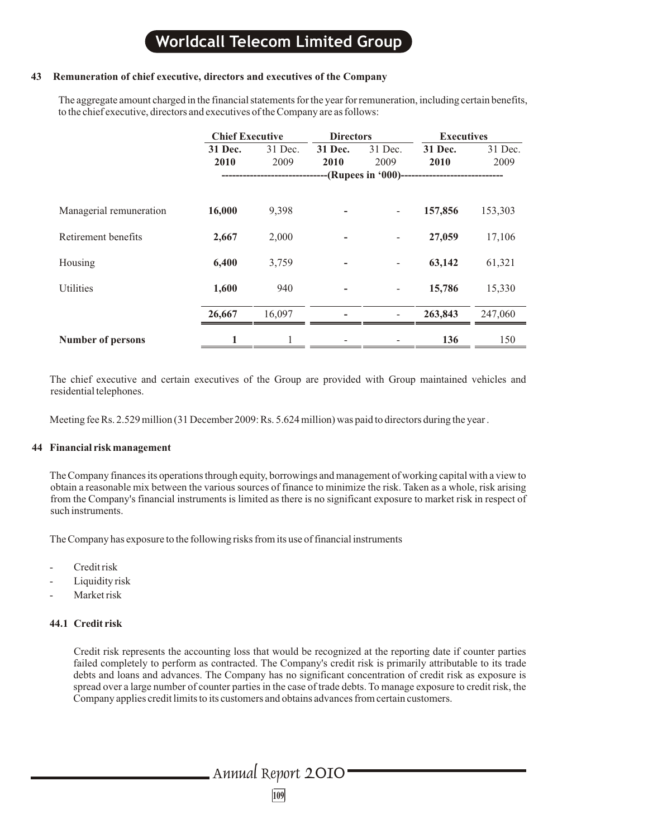### **43 Remuneration of chief executive, directors and executives of the Company**

The aggregate amount charged in the financial statements for the year for remuneration, including certain benefits, to the chief executive, directors and executives of the Company are as follows:

|                          |         | <b>Chief Executive</b> |         | <b>Directors</b>         |                                                  | <b>Executives</b> |  |
|--------------------------|---------|------------------------|---------|--------------------------|--------------------------------------------------|-------------------|--|
|                          | 31 Dec. | 31 Dec.                | 31 Dec. | 31 Dec.                  | 31 Dec.                                          | 31 Dec.           |  |
|                          | 2010    | 2009                   | 2010    | 2009                     | 2010                                             | 2009              |  |
|                          |         |                        |         |                          | --(Rupees in '000)------------------------------ |                   |  |
| Managerial remuneration  | 16,000  | 9,398                  | ۰       | ۰                        | 157,856                                          | 153,303           |  |
| Retirement benefits      | 2,667   | 2,000                  | -       | $\overline{\phantom{0}}$ | 27,059                                           | 17,106            |  |
| Housing                  | 6,400   | 3,759                  |         |                          | 63,142                                           | 61,321            |  |
| <b>Utilities</b>         | 1,600   | 940                    |         |                          | 15,786                                           | 15,330            |  |
|                          | 26,667  | 16,097                 |         |                          | 263,843                                          | 247,060           |  |
| <b>Number of persons</b> | 1       | 1                      |         |                          | 136                                              | 150               |  |

The chief executive and certain executives of the Group are provided with Group maintained vehicles and residential telephones.

Meeting fee Rs. 2.529 million (31 December 2009: Rs. 5.624 million) was paid to directors during the year .

#### **44 Financial risk management**

The Company finances its operations through equity, borrowings and management of working capital with a view to obtain a reasonable mix between the various sources of finance to minimize the risk. Taken as a whole, risk arising from the Company's financial instruments is limited as there is no significant exposure to market risk in respect of such instruments.

The Company has exposure to the following risks from its use of financial instruments

- Credit risk
- Liquidity risk
- Market risk

#### **44.1 Credit risk**

Credit risk represents the accounting loss that would be recognized at the reporting date if counter parties failed completely to perform as contracted. The Company's credit risk is primarily attributable to its trade debts and loans and advances. The Company has no significant concentration of credit risk as exposure is spread over a large number of counter parties in the case of trade debts. To manage exposure to credit risk, the Company applies credit limits to its customers and obtains advances from certain customers.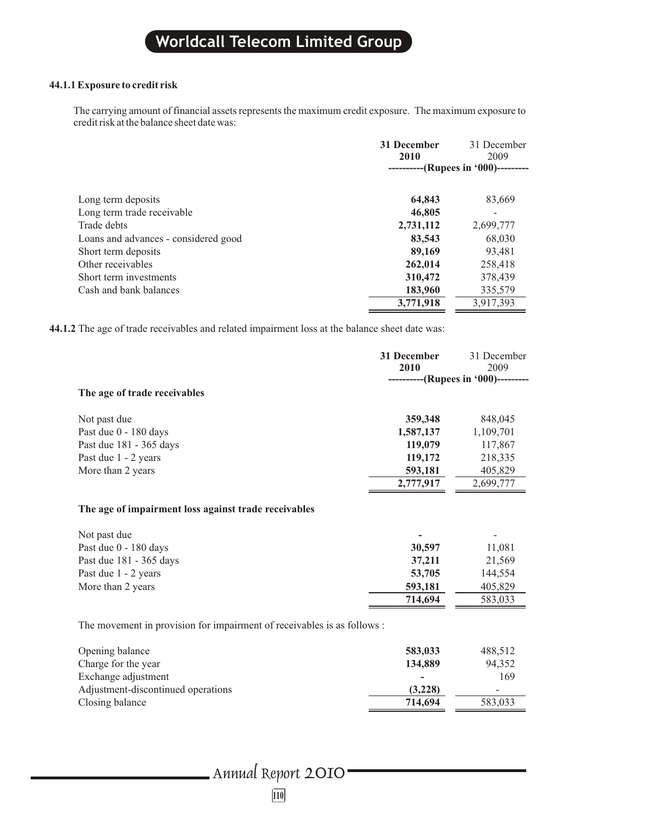### **44.1.1 Exposure to credit risk**

The carrying amount of financial assets represents the maximum credit exposure. The maximum exposure to credit risk at the balance sheet date was:

|                                      | 31 December<br>2010                 | 31 December<br>2009 |
|--------------------------------------|-------------------------------------|---------------------|
|                                      | ----------(Rupees in '000)--------- |                     |
| Long term deposits                   | 64,843                              | 83,669              |
| Long term trade receivable           | 46,805                              |                     |
| Trade debts                          | 2,731,112                           | 2,699,777           |
| Loans and advances - considered good | 83,543                              | 68,030              |
| Short term deposits                  | 89,169                              | 93,481              |
| Other receivables                    | 262,014                             | 258,418             |
| Short term investments               | 310,472                             | 378,439             |
| Cash and bank balances               | 183,960                             | 335,579             |
|                                      | 3,771,918                           | 3,917,393           |

**44.1.2** The age of trade receivables and related impairment loss at the balance sheet date was:

|                                                                         | 31 December | 31 December                         |
|-------------------------------------------------------------------------|-------------|-------------------------------------|
|                                                                         | 2010        | 2009                                |
|                                                                         |             | ----------(Rupees in '000)--------- |
| The age of trade receivables                                            |             |                                     |
| Not past due                                                            | 359,348     | 848,045                             |
| Past due 0 - 180 days                                                   | 1,587,137   | 1,109,701                           |
| Past due 181 - 365 days                                                 | 119,079     | 117,867                             |
| Past due 1 - 2 years                                                    | 119,172     | 218,335                             |
| More than 2 years                                                       | 593,181     | 405,829                             |
|                                                                         | 2,777,917   | 2,699,777                           |
| The age of impairment loss against trade receivables                    |             |                                     |
| Not past due                                                            |             |                                     |
| Past due 0 - 180 days                                                   | 30,597      | 11,081                              |
| Past due 181 - 365 days                                                 | 37,211      | 21,569                              |
| Past due 1 - 2 years                                                    | 53,705      | 144,554                             |
| More than 2 years                                                       | 593,181     | 405,829                             |
|                                                                         | 714,694     | 583,033                             |
| The movement in provision for impairment of receivables is as follows : |             |                                     |
| Opening balance                                                         | 583,033     | 488,512                             |
| Charge for the year                                                     | 134,889     | 94,352                              |
| Exchange adjustment                                                     |             | 169                                 |
| Adjustment-discontinued operations                                      | (3,228)     |                                     |
| Closing balance                                                         | 714,694     | 583,033                             |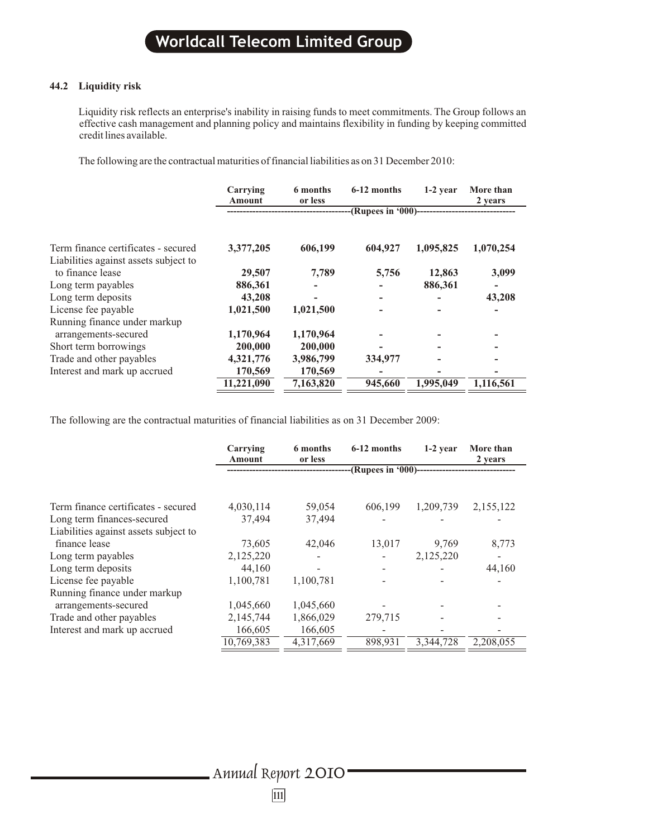### **44.2 Liquidity risk**

Liquidity risk reflects an enterprise's inability in raising funds to meet commitments. The Group follows an effective cash management and planning policy and maintains flexibility in funding by keeping committed credit lines available.

The following are the contractual maturities of financial liabilities as on 31 December 2010:

|                                       | Carrying<br>Amount | 6 months<br>or less | 6-12 months | $1-2$ year | More than<br>2 years |
|---------------------------------------|--------------------|---------------------|-------------|------------|----------------------|
|                                       |                    |                     |             |            |                      |
| Term finance certificates - secured   | 3,377,205          | 606,199             | 604,927     | 1,095,825  | 1,070,254            |
| Liabilities against assets subject to |                    |                     |             |            |                      |
| to finance lease                      | 29,507             | 7,789               | 5,756       | 12,863     | 3,099                |
| Long term payables                    | 886,361            |                     |             | 886,361    |                      |
| Long term deposits                    | 43,208             |                     |             |            | 43,208               |
| License fee payable                   | 1,021,500          | 1,021,500           |             |            |                      |
| Running finance under markup          |                    |                     |             |            |                      |
| arrangements-secured                  | 1,170,964          | 1,170,964           |             |            |                      |
| Short term borrowings                 | 200,000            | 200,000             |             |            |                      |
| Trade and other payables              | 4,321,776          | 3,986,799           | 334,977     |            |                      |
| Interest and mark up accrued          | 170,569            | 170,569             |             |            |                      |
|                                       | 11,221,090         | 7,163,820           | 945,660     | 1,995,049  | 1,116,561            |

The following are the contractual maturities of financial liabilities as on 31 December 2009:

|                                       | Carrying<br>Amount | 6 months<br>or less | 6-12 months | 1-2 year  | More than<br>2 years |
|---------------------------------------|--------------------|---------------------|-------------|-----------|----------------------|
|                                       |                    |                     |             |           |                      |
|                                       |                    |                     |             |           |                      |
| Term finance certificates - secured   | 4,030,114          | 59,054              | 606,199     | 1,209,739 | 2,155,122            |
| Long term finances-secured            | 37,494             | 37,494              |             |           |                      |
| Liabilities against assets subject to |                    |                     |             |           |                      |
| finance lease                         | 73,605             | 42,046              | 13,017      | 9,769     | 8,773                |
| Long term payables                    | 2,125,220          |                     |             | 2,125,220 |                      |
| Long term deposits                    | 44,160             |                     |             |           | 44,160               |
| License fee payable                   | 1,100,781          | 1,100,781           |             |           |                      |
| Running finance under markup          |                    |                     |             |           |                      |
| arrangements-secured                  | 1,045,660          | 1,045,660           |             |           |                      |
| Trade and other payables              | 2,145,744          | 1,866,029           | 279,715     |           |                      |
| Interest and mark up accrued          | 166,605            | 166,605             |             |           |                      |
|                                       | 10,769,383         | 4,317,669           | 898.931     | 3,344,728 | 2.208.055            |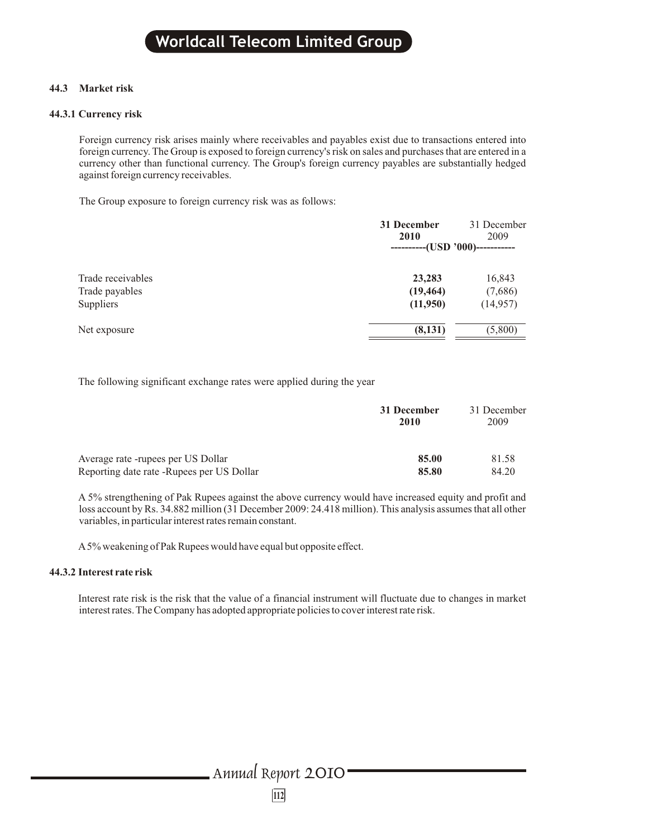### **44.3 Market risk**

### **44.3.1 Currency risk**

Foreign currency risk arises mainly where receivables and payables exist due to transactions entered into foreign currency. The Group is exposed to foreign currency's risk on sales and purchases that are entered in a currency other than functional currency. The Group's foreign currency payables are substantially hedged against foreign currency receivables.

The Group exposure to foreign currency risk was as follows:

|                   | 31 December              | 31 December |
|-------------------|--------------------------|-------------|
|                   | 2010                     | 2009        |
|                   | $------(USD '000)------$ |             |
| Trade receivables | 23,283                   | 16,843      |
| Trade payables    | (19, 464)                | (7,686)     |
| Suppliers         | (11,950)                 | (14,957)    |
| Net exposure      | (8,131)                  | (5,800)     |
|                   |                          |             |

The following significant exchange rates were applied during the year

|                                           | 31 December<br>2010 | 31 December<br>2009 |
|-------------------------------------------|---------------------|---------------------|
| Average rate -rupees per US Dollar        | 85.00               | 81.58               |
| Reporting date rate -Rupees per US Dollar | 85.80               | 84.20               |

A 5% strengthening of Pak Rupees against the above currency would have increased equity and profit and loss account by Rs. 34.882 million (31 December 2009: 24.418 million). This analysis assumes that all other variables, in particular interest rates remain constant.

A 5% weakening of Pak Rupees would have equal but opposite effect.

### **44.3.2 Interest rate risk**

Interest rate risk is the risk that the value of a financial instrument will fluctuate due to changes in market interest rates. The Company has adopted appropriate policies to cover interest rate risk.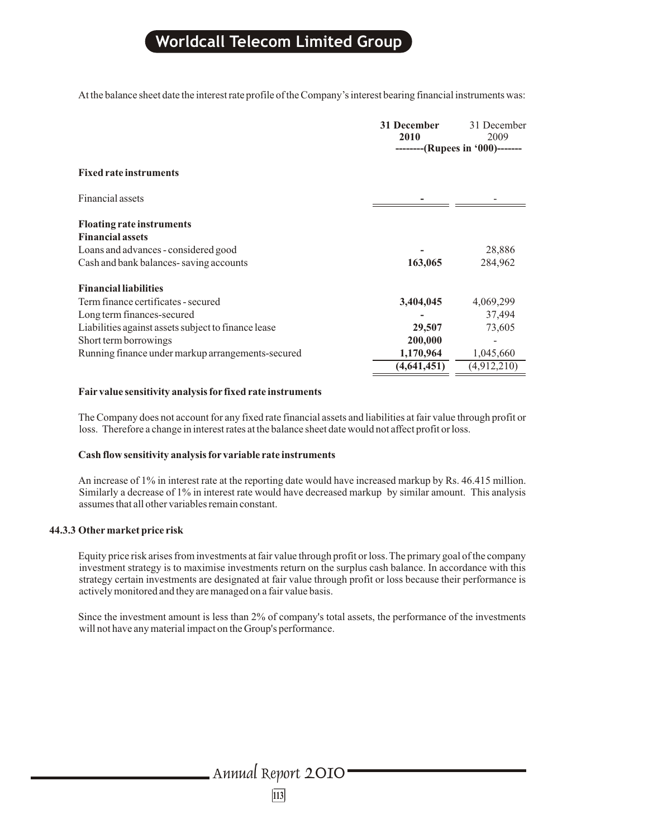At the balance sheet date the interest rate profile of the Company's interest bearing financial instruments was:

|                                                     | 31 December<br>2010 | 31 December<br>2009<br>--------(Rupees in '000)------- |
|-----------------------------------------------------|---------------------|--------------------------------------------------------|
| <b>Fixed rate instruments</b>                       |                     |                                                        |
| Financial assets                                    |                     |                                                        |
| <b>Floating rate instruments</b>                    |                     |                                                        |
| <b>Financial assets</b>                             |                     |                                                        |
| Loans and advances - considered good                |                     | 28,886                                                 |
| Cash and bank balances-saving accounts              | 163,065             | 284,962                                                |
| <b>Financial liabilities</b>                        |                     |                                                        |
| Term finance certificates - secured                 | 3,404,045           | 4,069,299                                              |
| Long term finances-secured                          |                     | 37,494                                                 |
| Liabilities against assets subject to finance lease | 29,507              | 73,605                                                 |
| Short term borrowings                               | 200,000             |                                                        |
| Running finance under markup arrangements-secured   | 1,170,964           | 1,045,660                                              |
|                                                     | (4,641,451)         | (4,912,210)                                            |

#### **Fair value sensitivity analysis for fixed rate instruments**

The Company does not account for any fixed rate financial assets and liabilities at fair value through profit or loss. Therefore a change in interest rates at the balance sheet date would not affect profit or loss.

#### **Cash flow sensitivity analysis for variable rate instruments**

An increase of 1% in interest rate at the reporting date would have increased markup by Rs. 46.415 million. Similarly a decrease of 1% in interest rate would have decreased markup by similar amount. This analysis assumes that all other variables remain constant.

### **44.3.3 Other market price risk**

Equity price risk arises from investments at fair value through profit or loss. The primary goal of the company investment strategy is to maximise investments return on the surplus cash balance. In accordance with this strategy certain investments are designated at fair value through profit or loss because their performance is actively monitored and they are managed on a fair value basis.

Since the investment amount is less than 2% of company's total assets, the performance of the investments will not have any material impact on the Group's performance.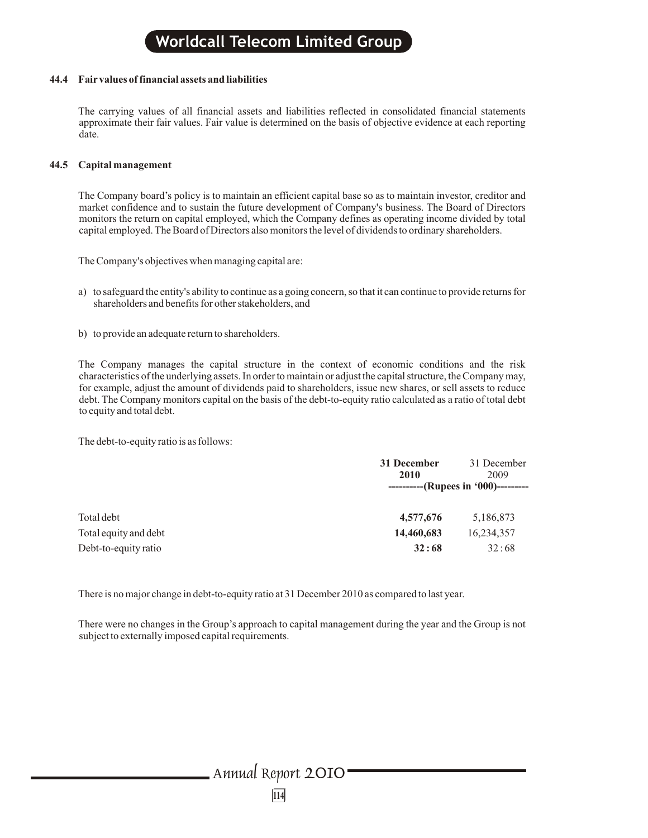### **44.4 Fair values of financial assets and liabilities**

The carrying values of all financial assets and liabilities reflected in consolidated financial statements approximate their fair values. Fair value is determined on the basis of objective evidence at each reporting date.

#### **44.5 Capital management**

The Company board's policy is to maintain an efficient capital base so as to maintain investor, creditor and market confidence and to sustain the future development of Company's business. The Board of Directors monitors the return on capital employed, which the Company defines as operating income divided by total capital employed. The Board of Directors also monitors the level of dividends to ordinary shareholders.

The Company's objectives when managing capital are:

- a) to safeguard the entity's ability to continue as a going concern, so that it can continue to provide returns for shareholders and benefits for other stakeholders, and
- b) to provide an adequate return to shareholders.

The Company manages the capital structure in the context of economic conditions and the risk characteristics of the underlying assets. In order to maintain or adjust the capital structure, the Company may, for example, adjust the amount of dividends paid to shareholders, issue new shares, or sell assets to reduce debt. The Company monitors capital on the basis of the debt-to-equity ratio calculated as a ratio of total debt to equity and total debt.

The debt-to-equity ratio is as follows:

|                       | 31 December<br>2010 | 31 December<br>2009                 |
|-----------------------|---------------------|-------------------------------------|
|                       |                     | ----------(Rupees in '000)--------- |
| Total debt            | 4,577,676           | 5,186,873                           |
| Total equity and debt | 14,460,683          | 16,234,357                          |
| Debt-to-equity ratio  | 32:68               | 32:68                               |

There is no major change in debt-to-equity ratio at 31 December 2010 as compared to last year.

There were no changes in the Group's approach to capital management during the year and the Group is not subject to externally imposed capital requirements.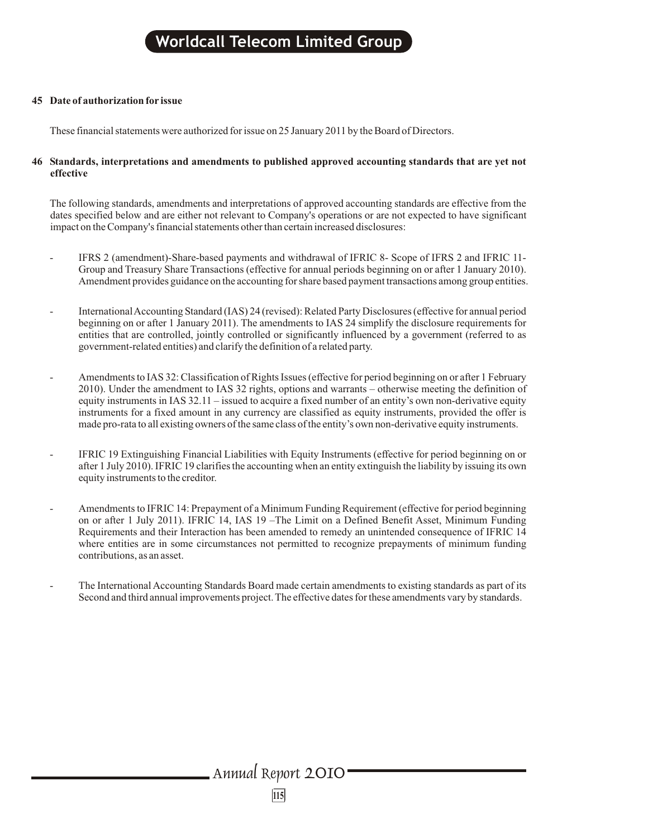### **45 Date of authorization for issue**

These financial statements were authorized for issue on 25 January 2011 by the Board of Directors.

### **46 Standards, interpretations and amendments to published approved accounting standards that are yet not effective**

The following standards, amendments and interpretations of approved accounting standards are effective from the dates specified below and are either not relevant to Company's operations or are not expected to have significant impact on the Company's financial statements other than certain increased disclosures:

- IFRS 2 (amendment)-Share-based payments and withdrawal of IFRIC 8- Scope of IFRS 2 and IFRIC 11- Group and Treasury Share Transactions (effective for annual periods beginning on or after 1 January 2010). Amendment provides guidance on the accounting for share based payment transactions among group entities.
- International Accounting Standard (IAS) 24 (revised): Related Party Disclosures (effective for annual period beginning on or after 1 January 2011). The amendments to IAS 24 simplify the disclosure requirements for entities that are controlled, jointly controlled or significantly influenced by a government (referred to as government-related entities) and clarify the definition of a related party.
- Amendments to IAS 32: Classification of Rights Issues (effective for period beginning on or after 1 February 2010). Under the amendment to IAS 32 rights, options and warrants – otherwise meeting the definition of equity instruments in IAS 32.11 – issued to acquire a fixed number of an entity's own non-derivative equity instruments for a fixed amount in any currency are classified as equity instruments, provided the offer is made pro-rata to all existing owners of the same class of the entity's own non-derivative equity instruments.
- IFRIC 19 Extinguishing Financial Liabilities with Equity Instruments (effective for period beginning on or after 1 July 2010). IFRIC 19 clarifies the accounting when an entity extinguish the liability by issuing its own equity instruments to the creditor.
- Amendments to IFRIC 14: Prepayment of a Minimum Funding Requirement (effective for period beginning on or after 1 July 2011). IFRIC 14, IAS 19 –The Limit on a Defined Benefit Asset, Minimum Funding Requirements and their Interaction has been amended to remedy an unintended consequence of IFRIC 14 where entities are in some circumstances not permitted to recognize prepayments of minimum funding contributions, as an asset.
- The International Accounting Standards Board made certain amendments to existing standards as part of its Second and third annual improvements project. The effective dates for these amendments vary by standards.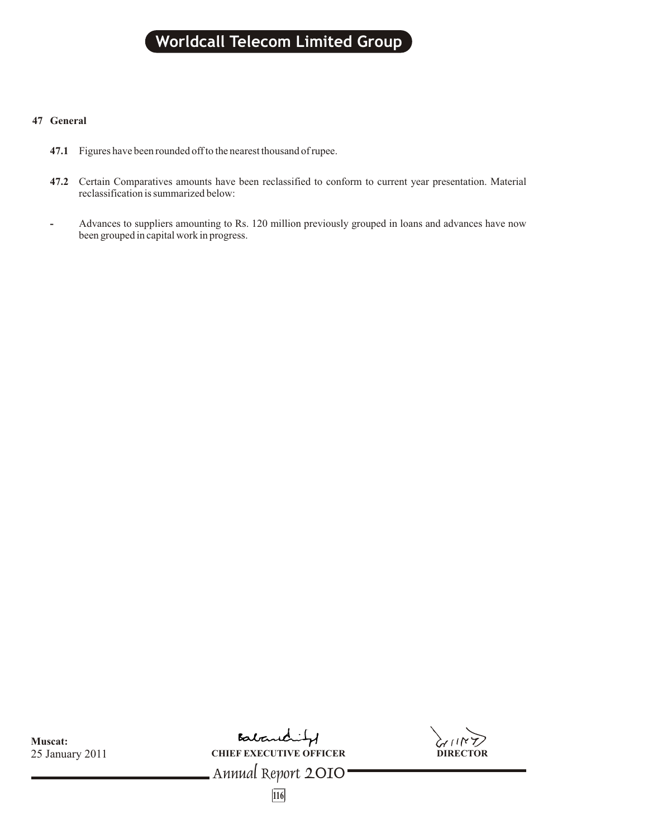### **47 General**

- **47.1** Figures have been rounded off to the nearest thousand of rupee.
- **47.2** Certain Comparatives amounts have been reclassified to conform to current year presentation. Material reclassification is summarized below:
- **-** Advances to suppliers amounting to Rs. 120 million previously grouped in loans and advances have now been grouped in capital work in progress.

**Muscat:** 25 January 2011

Babandity

**CHIEF EXECUTIVE OFFICER DIRECTOR** Annual Report 2010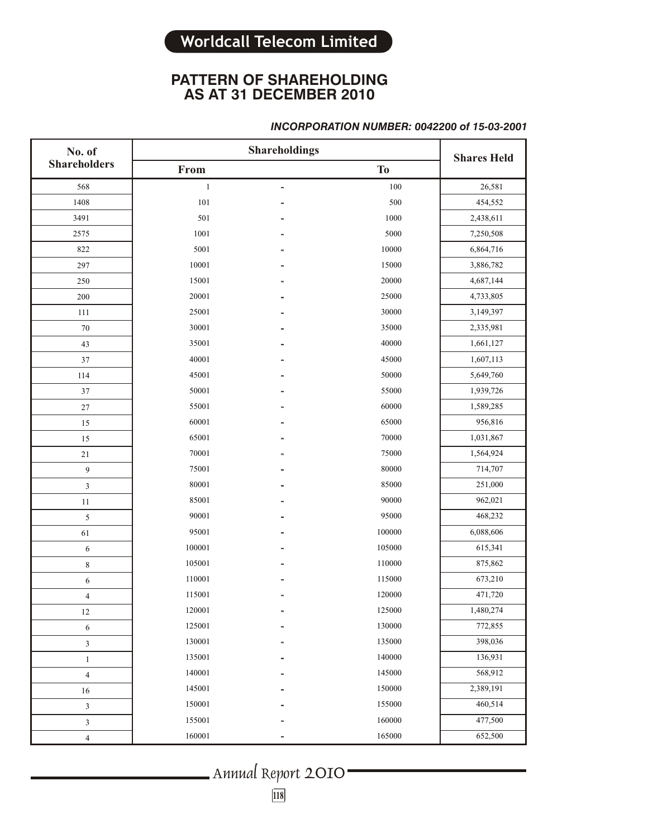### **PATTERN OF SHAREHOLDING AS AT 31 DECEMBER 2010**

#### **No. of Shareholders Shareholdings From To Shares Held - - - - - - - - - - - - - - - - - - - - - - - - - - - - - - - - - - - -** 568 1408 3491 2575 822 297 250 200 111 70 43 37 114 37 27 15 15 21 9 3 11 5 61 6 8 6 4 12 6 3 1 4 16 3 3 4 1 101 501 1001 5001 10001 15001 20001 25001 30001 35001 40001 45001 50001 55001 60001 65001 70001 75001 80001 85001 90001 95001 100001 105001 110001 115001 120001 125001 130001 135001 140001 145001 150001 155001 160001 100 500 1000 5000 10000 15000 20000 25000 30000 35000 40000 45000 50000 55000 60000 65000 70000 75000 80000 85000 90000 95000 100000 105000 110000 115000 120000 125000 130000 135000 140000 145000 150000 155000 160000 165000 26,581 454,552 2,438,611 7,250,508 6,864,716 3,886,782 4,687,144 4,733,805 3,149,397 2,335,981 1,661,127 1,607,113 5,649,760 1,939,726 1,589,285 956,816 1,031,867 1,564,924 714,707 251,000 962,021 468,232 6,088,606 615,341 875,862 673,210 471,720 1,480,274 772,855 398,036 136,931 568,912 2,389,191 460,514 477,500 652,500

### *INCORPORATION NUMBER: 0042200 of 15-03-2001*

Annual Report 2010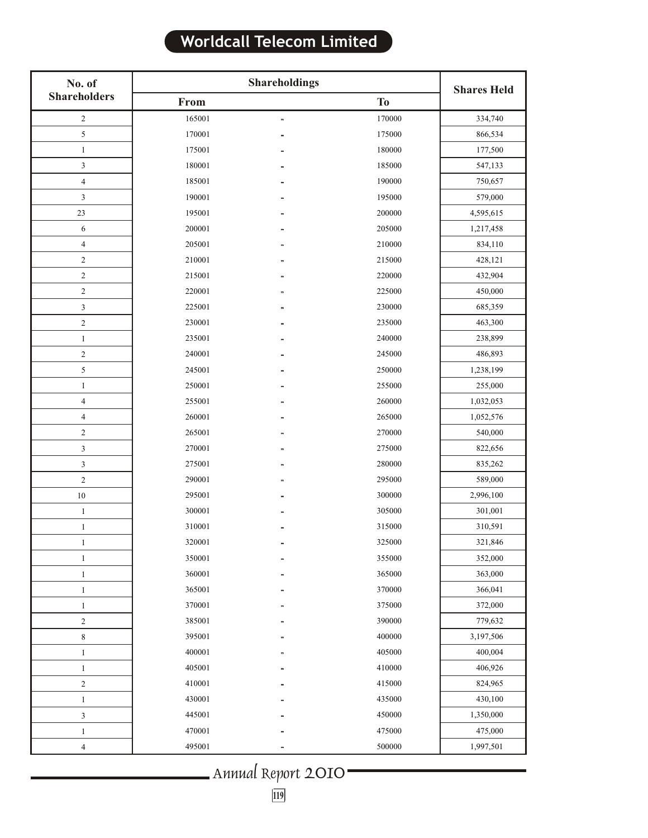| No. of                   | <b>Shareholdings</b> |   |                | <b>Shares Held</b> |  |
|--------------------------|----------------------|---|----------------|--------------------|--|
| <b>Shareholders</b>      | From                 |   | T <sub>o</sub> |                    |  |
| 2                        | 165001               | ۰ | 170000         | 334,740            |  |
| 5                        | 170001               |   | 175000         | 866,534            |  |
| $\mathbf{1}$             | 175001               |   | 180000         | 177,500            |  |
| $\sqrt{3}$               | 180001               |   | 185000         | 547,133            |  |
| $\overline{\mathbf{4}}$  | 185001               |   | 190000         | 750,657            |  |
| $\mathfrak{Z}$           | 190001               |   | 195000         | 579,000            |  |
| 23                       | 195001               |   | 200000         | 4,595,615          |  |
| 6                        | 200001               |   | 205000         | 1,217,458          |  |
| $\overline{\mathcal{L}}$ | 205001               |   | 210000         | 834,110            |  |
| $\sqrt{2}$               | 210001               |   | 215000         | 428,121            |  |
| $\sqrt{2}$               | 215001               |   | 220000         | 432,904            |  |
| $\boldsymbol{2}$         | 220001               |   | 225000         | 450,000            |  |
| $\mathfrak{Z}$           | 225001               |   | 230000         | 685,359            |  |
| $\sqrt{2}$               | 230001               |   | 235000         | 463,300            |  |
| $\mathbf{1}$             | 235001               |   | 240000         | 238,899            |  |
| $\sqrt{2}$               | 240001               |   | 245000         | 486,893            |  |
| $\sqrt{5}$               | 245001               |   | 250000         | 1,238,199          |  |
| $\mathbf{1}$             | 250001               |   | 255000         | 255,000            |  |
| $\overline{4}$           | 255001               |   | 260000         | 1,032,053          |  |
| $\overline{\mathcal{A}}$ | 260001               |   | 265000         | 1,052,576          |  |
| $\overline{2}$           | 265001               |   | 270000         | 540,000            |  |
| $\sqrt{3}$               | 270001               |   | 275000         | 822,656            |  |
| $\mathfrak{Z}$           | 275001               |   | 280000         | 835,262            |  |
| $\sqrt{2}$               | 290001               |   | 295000         | 589,000            |  |
| $10\,$                   | 295001               |   | 300000         | 2,996,100          |  |
| $\mathbf{1}$             | 300001               |   | 305000         | 301,001            |  |
| $\mathbf{1}$             | 310001               |   | 315000         | 310,591            |  |
| $\mathbf{1}$             | 320001               |   | 325000         | 321,846            |  |
| $\mathbf{1}$             | 350001               |   | 355000         | 352,000            |  |
| $\mathbf{1}$             | 360001               |   | 365000         | 363,000            |  |
| $\,1$                    | 365001               |   | 370000         | 366,041            |  |
| $\mathbf{1}$             | 370001               |   | 375000         | 372,000            |  |
| $\sqrt{2}$               | 385001               |   | 390000         | 779,632            |  |
| $\,$ 8 $\,$              | 395001               |   | 400000         | 3,197,506          |  |
| $\mathbf{1}$             | 400001               |   | 405000         | 400,004            |  |
| $\mathbf{1}$             | 405001               |   | 410000         | 406,926            |  |
| $\sqrt{2}$               | 410001               |   | 415000         | 824,965            |  |
| $\mathbf{1}$             | 430001               |   | 435000         | 430,100            |  |
| $\mathfrak z$            | 445001               |   | 450000         | 1,350,000          |  |
| $\mathbf{1}$             | 470001               |   | 475000         | 475,000            |  |
| $\overline{\mathcal{A}}$ | 495001               |   | 500000         | 1,997,501          |  |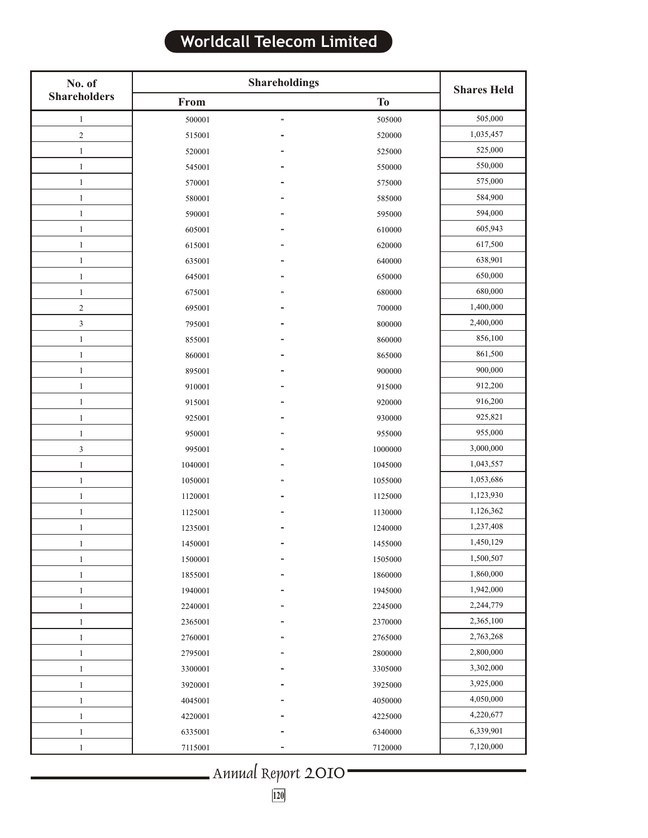| No. of              | <b>Shareholdings</b> |   |           | <b>Shares Held</b> |
|---------------------|----------------------|---|-----------|--------------------|
| <b>Shareholders</b> | From                 |   | <b>To</b> |                    |
| $\mathbf{1}$        | 500001               | ÷ | 505000    | 505,000            |
| $\sqrt{2}$          | 515001               |   | 520000    | 1,035,457          |
| $\mathbf{1}$        | 520001               |   | 525000    | 525,000            |
| $\mathbf{1}$        | 545001               |   | 550000    | 550,000            |
| $\mathbf{1}$        | 570001               |   | 575000    | 575,000            |
| $\mathbf{1}$        | 580001               |   | 585000    | 584,900            |
| $\mathbf{1}$        | 590001               |   | 595000    | 594,000            |
| $\mathbf{1}$        | 605001               |   | 610000    | 605,943            |
| $\mathbf{1}$        | 615001               |   | 620000    | 617,500            |
| $\mathbf{1}$        | 635001               |   | 640000    | 638,901            |
| $\mathbf{1}$        | 645001               |   | 650000    | 650,000            |
| $\mathbf{1}$        | 675001               |   | 680000    | 680,000            |
| $\sqrt{2}$          | 695001               |   | 700000    | 1,400,000          |
| $\mathfrak{Z}$      | 795001               |   | 800000    | 2,400,000          |
| $\mathbf{1}$        | 855001               |   | 860000    | 856,100            |
| $\mathbf{1}$        | 860001               |   | 865000    | 861,500            |
| $\mathbf{1}$        | 895001               |   | 900000    | 900,000            |
| $\mathbf{1}$        | 910001               |   | 915000    | 912,200            |
| $\mathbf{1}$        | 915001               |   | 920000    | 916,200            |
| $\mathbf{1}$        | 925001               |   | 930000    | 925,821            |
| $\mathbf{1}$        | 950001               |   | 955000    | 955,000            |
| 3                   | 995001               |   | 1000000   | 3,000,000          |
| $\mathbf{1}$        | 1040001              |   | 1045000   | 1,043,557          |
| $\mathbf{1}$        | 1050001              |   | 1055000   | 1,053,686          |
| $\mathbf{1}$        | 1120001              |   | 1125000   | 1,123,930          |
| $\mathbf{1}$        | 1125001              |   | 1130000   | 1,126,362          |
| $\mathbf{1}$        | 1235001              |   | 1240000   | 1,237,408          |
| 1                   | 1450001              |   | 1455000   | 1,450,129          |
| $\mathbf{1}$        | 1500001              |   | 1505000   | 1,500,507          |
| $\mathbf{1}$        | 1855001              |   | 1860000   | 1,860,000          |
| $\mathbf{1}$        | 1940001              |   | 1945000   | 1,942,000          |
| $\mathbf{1}$        | 2240001              |   | 2245000   | 2,244,779          |
| $\mathbf{1}$        | 2365001              |   | 2370000   | 2,365,100          |
| $\mathbf{1}$        | 2760001              |   | 2765000   | 2,763,268          |
| $\mathbf{1}$        | 2795001              |   | 2800000   | 2,800,000          |
| $\mathbf{1}$        | 3300001              |   | 3305000   | 3,302,000          |
| $\mathbf{1}$        | 3920001              |   | 3925000   | 3,925,000          |
| $\mathbf{1}$        | 4045001              |   | 4050000   | 4,050,000          |
| $\mathbf{1}$        | 4220001              |   | 4225000   | 4,220,677          |
| $\mathbf{1}$        | 6335001              |   | 6340000   | 6,339,901          |
| $\mathbf{1}$        | 7115001              |   | 7120000   | 7,120,000          |

Annual Report 2010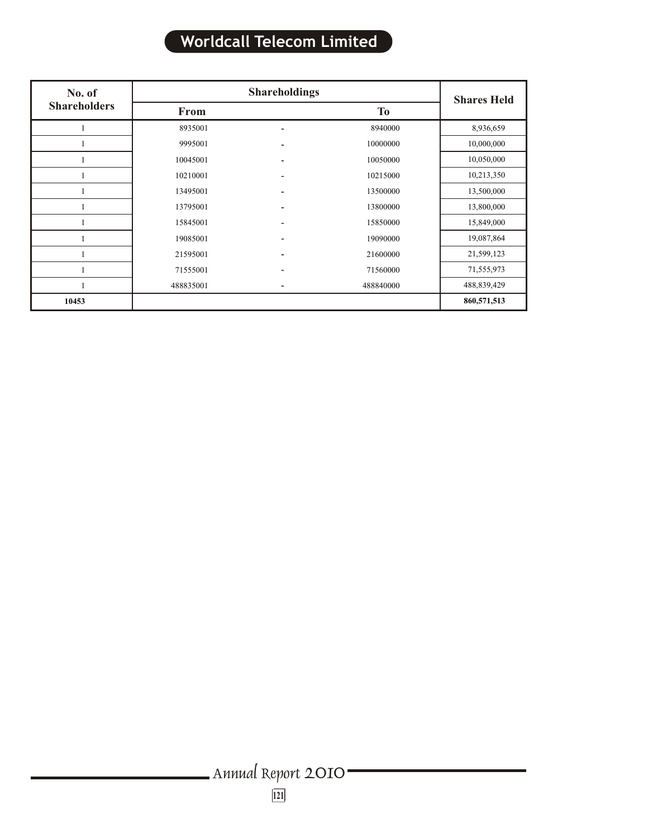| No. of              | <b>Shareholdings</b> |   |           | <b>Shares Held</b> |
|---------------------|----------------------|---|-----------|--------------------|
| <b>Shareholders</b> | From                 |   | <b>To</b> |                    |
|                     | 8935001              |   | 8940000   | 8,936,659          |
|                     | 9995001              |   | 10000000  | 10,000,000         |
|                     | 10045001             |   | 10050000  | 10,050,000         |
|                     | 10210001             |   | 10215000  | 10,213,350         |
|                     | 13495001             |   | 13500000  | 13,500,000         |
|                     | 13795001             |   | 13800000  | 13,800,000         |
|                     | 15845001             |   | 15850000  | 15,849,000         |
|                     | 19085001             |   | 19090000  | 19,087,864         |
|                     | 21595001             |   | 21600000  | 21,599,123         |
|                     | 71555001             |   | 71560000  | 71,555,973         |
|                     | 488835001            | ۰ | 488840000 | 488,839,429        |
| 10453               |                      |   |           | 860,571,513        |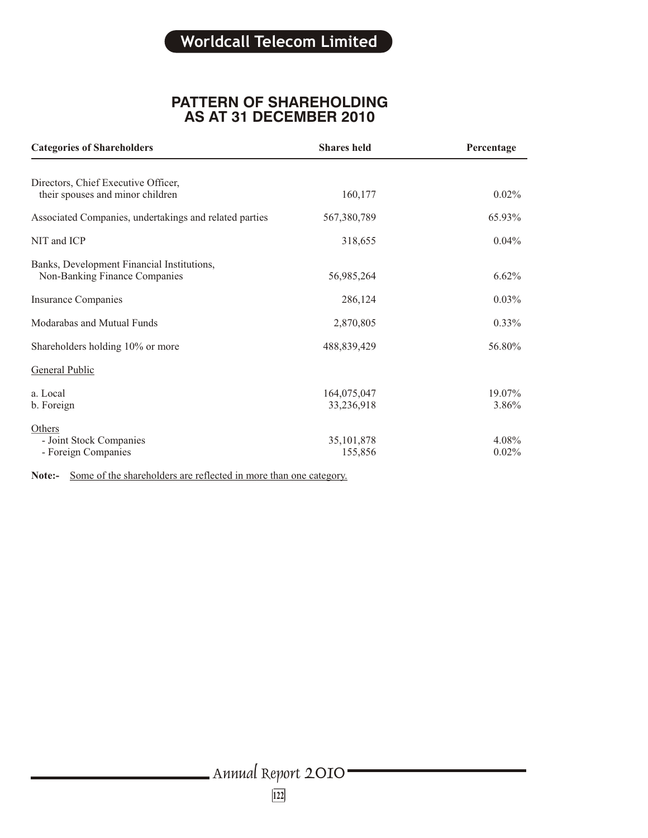### **PATTERN OF SHAREHOLDING AS AT 31 DECEMBER 2010**

| <b>Categories of Shareholders</b>                                           | <b>Shares</b> held        | Percentage      |  |  |
|-----------------------------------------------------------------------------|---------------------------|-----------------|--|--|
| Directors, Chief Executive Officer,<br>their spouses and minor children     | 160,177                   | $0.02\%$        |  |  |
| Associated Companies, undertakings and related parties                      | 567,380,789               | 65.93%          |  |  |
| NIT and ICP                                                                 | 318,655                   | $0.04\%$        |  |  |
| Banks, Development Financial Institutions,<br>Non-Banking Finance Companies | 56,985,264                | 6.62%           |  |  |
| <b>Insurance Companies</b>                                                  | 286,124                   | $0.03\%$        |  |  |
| Modarabas and Mutual Funds                                                  | 2,870,805                 | $0.33\%$        |  |  |
| Shareholders holding 10% or more                                            | 488,839,429               | 56.80%          |  |  |
| General Public                                                              |                           |                 |  |  |
| a. Local<br>b. Foreign                                                      | 164,075,047<br>33,236,918 | 19.07%<br>3.86% |  |  |
| Others<br>- Joint Stock Companies<br>- Foreign Companies                    | 35, 101, 878<br>155,856   | 4.08%<br>0.02%  |  |  |

**Note:-** Some of the shareholders are reflected in more than one category.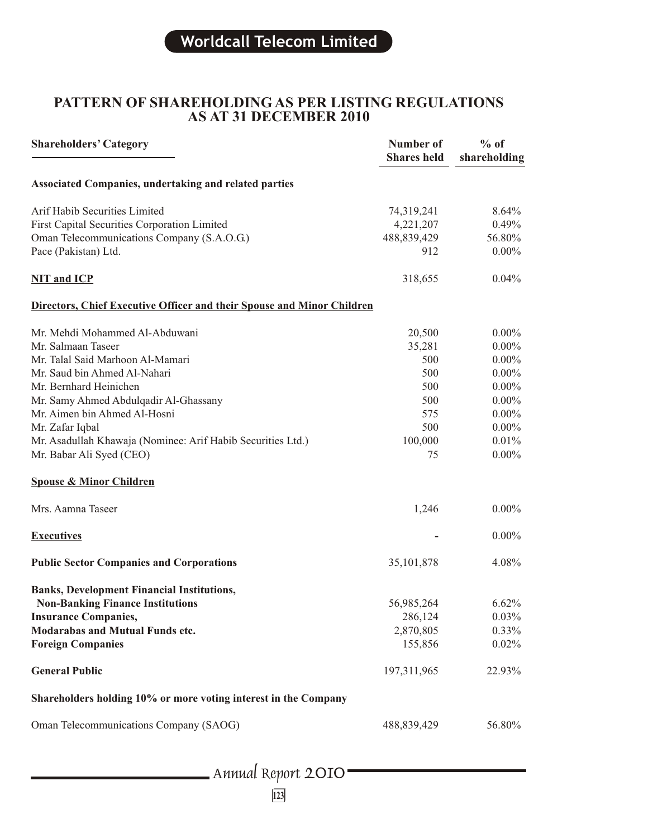### **PATTERN OF SHAREHOLDING AS PER LISTING REGULATIONS AS AT 31 DECEMBER 2010**

| <b>Shareholders' Category</b>                                          | Number of<br><b>Shares</b> held | $%$ of<br>shareholding |
|------------------------------------------------------------------------|---------------------------------|------------------------|
| Associated Companies, undertaking and related parties                  |                                 |                        |
| Arif Habib Securities Limited                                          | 74,319,241                      | 8.64%                  |
| First Capital Securities Corporation Limited                           | 4,221,207                       | 0.49%                  |
| Oman Telecommunications Company (S.A.O.G.)                             | 488,839,429                     | 56.80%                 |
| Pace (Pakistan) Ltd.                                                   | 912                             | $0.00\%$               |
| <b>NIT and ICP</b>                                                     | 318,655                         | $0.04\%$               |
| Directors, Chief Executive Officer and their Spouse and Minor Children |                                 |                        |
| Mr. Mehdi Mohammed Al-Abduwani                                         | 20,500                          | $0.00\%$               |
| Mr. Salmaan Taseer                                                     | 35,281                          | $0.00\%$               |
| Mr. Talal Said Marhoon Al-Mamari                                       | 500                             | $0.00\%$               |
| Mr. Saud bin Ahmed Al-Nahari                                           | 500                             | $0.00\%$               |
| Mr. Bernhard Heinichen                                                 | 500                             | $0.00\%$               |
| Mr. Samy Ahmed Abdulqadir Al-Ghassany                                  | 500                             | $0.00\%$               |
| Mr. Aimen bin Ahmed Al-Hosni                                           | 575                             | $0.00\%$               |
| Mr. Zafar Iqbal                                                        | 500                             | $0.00\%$               |
| Mr. Asadullah Khawaja (Nominee: Arif Habib Securities Ltd.)            | 100,000                         | 0.01%                  |
| Mr. Babar Ali Syed (CEO)                                               | 75                              | $0.00\%$               |
| <b>Spouse &amp; Minor Children</b>                                     |                                 |                        |
| Mrs. Aamna Taseer                                                      | 1,246                           | $0.00\%$               |
| <b>Executives</b>                                                      |                                 | $0.00\%$               |
| <b>Public Sector Companies and Corporations</b>                        | 35,101,878                      | 4.08%                  |
| <b>Banks, Development Financial Institutions,</b>                      |                                 |                        |
| <b>Non-Banking Finance Institutions</b>                                | 56,985,264                      | 6.62%                  |
| <b>Insurance Companies,</b>                                            | 286,124                         | 0.03%                  |
| <b>Modarabas and Mutual Funds etc.</b>                                 | 2,870,805                       | 0.33%                  |
| <b>Foreign Companies</b>                                               | 155,856                         | 0.02%                  |
| <b>General Public</b>                                                  | 197,311,965                     | 22.93%                 |
| Shareholders holding 10% or more voting interest in the Company        |                                 |                        |
| Oman Telecommunications Company (SAOG)                                 | 488,839,429                     | 56.80%                 |

 $\_$ Annual Report 2010 $\blacksquare$